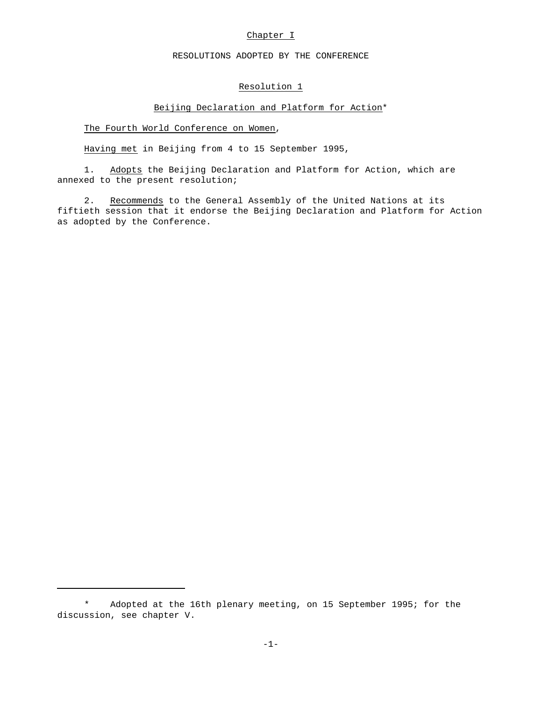### Beijing Declaration and Platform for Action\*

The Fourth World Conference on Women,

Having met in Beijing from 4 to 15 September 1995,

1. Adopts the Beijing Declaration and Platform for Action, which are annexed to the present resolution;

2. Recommends to the General Assembly of the United Nations at its fiftieth session that it endorse the Beijing Declaration and Platform for Action as adopted by the Conference.

<sup>\*</sup> Adopted at the 16th plenary meeting, on 15 September 1995; for the discussion, see chapter V.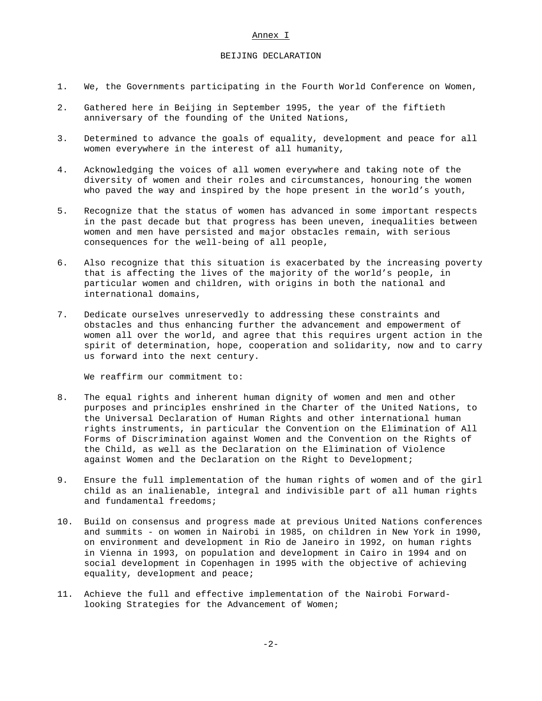#### Annex I

#### BEIJING DECLARATION

- 1. We, the Governments participating in the Fourth World Conference on Women,
- 2. Gathered here in Beijing in September 1995, the year of the fiftieth anniversary of the founding of the United Nations,
- 3. Determined to advance the goals of equality, development and peace for all women everywhere in the interest of all humanity,
- 4. Acknowledging the voices of all women everywhere and taking note of the diversity of women and their roles and circumstances, honouring the women who paved the way and inspired by the hope present in the world's youth,
- 5. Recognize that the status of women has advanced in some important respects in the past decade but that progress has been uneven, inequalities between women and men have persisted and major obstacles remain, with serious consequences for the well-being of all people,
- 6. Also recognize that this situation is exacerbated by the increasing poverty that is affecting the lives of the majority of the world's people, in particular women and children, with origins in both the national and international domains,
- 7. Dedicate ourselves unreservedly to addressing these constraints and obstacles and thus enhancing further the advancement and empowerment of women all over the world, and agree that this requires urgent action in the spirit of determination, hope, cooperation and solidarity, now and to carry us forward into the next century.

We reaffirm our commitment to:

- 8. The equal rights and inherent human dignity of women and men and other purposes and principles enshrined in the Charter of the United Nations, to the Universal Declaration of Human Rights and other international human rights instruments, in particular the Convention on the Elimination of All Forms of Discrimination against Women and the Convention on the Rights of the Child, as well as the Declaration on the Elimination of Violence against Women and the Declaration on the Right to Development;
- 9. Ensure the full implementation of the human rights of women and of the girl child as an inalienable, integral and indivisible part of all human rights and fundamental freedoms;
- 10. Build on consensus and progress made at previous United Nations conferences and summits - on women in Nairobi in 1985, on children in New York in 1990, on environment and development in Rio de Janeiro in 1992, on human rights in Vienna in 1993, on population and development in Cairo in 1994 and on social development in Copenhagen in 1995 with the objective of achieving equality, development and peace;
- 11. Achieve the full and effective implementation of the Nairobi Forwardlooking Strategies for the Advancement of Women;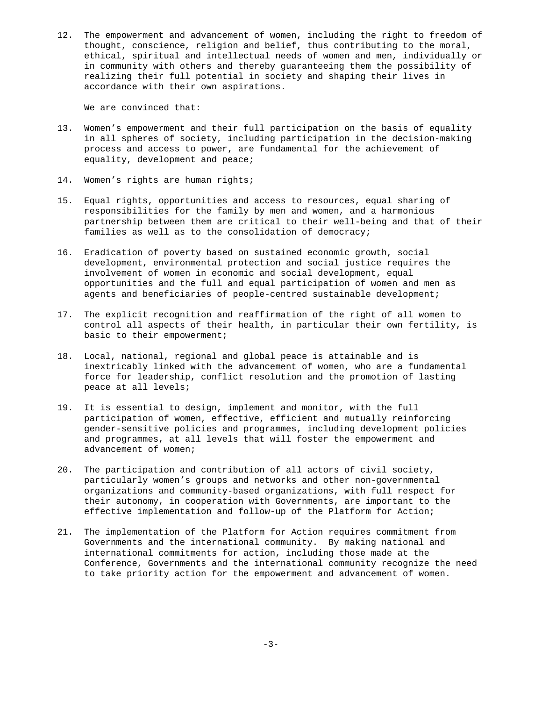12. The empowerment and advancement of women, including the right to freedom of thought, conscience, religion and belief, thus contributing to the moral, ethical, spiritual and intellectual needs of women and men, individually or in community with others and thereby guaranteeing them the possibility of realizing their full potential in society and shaping their lives in accordance with their own aspirations.

We are convinced that:

- 13. Women's empowerment and their full participation on the basis of equality in all spheres of society, including participation in the decision-making process and access to power, are fundamental for the achievement of equality, development and peace;
- 14. Women's rights are human rights;
- 15. Equal rights, opportunities and access to resources, equal sharing of responsibilities for the family by men and women, and a harmonious partnership between them are critical to their well-being and that of their families as well as to the consolidation of democracy;
- 16. Eradication of poverty based on sustained economic growth, social development, environmental protection and social justice requires the involvement of women in economic and social development, equal opportunities and the full and equal participation of women and men as agents and beneficiaries of people-centred sustainable development;
- 17. The explicit recognition and reaffirmation of the right of all women to control all aspects of their health, in particular their own fertility, is basic to their empowerment;
- 18. Local, national, regional and global peace is attainable and is inextricably linked with the advancement of women, who are a fundamental force for leadership, conflict resolution and the promotion of lasting peace at all levels;
- 19. It is essential to design, implement and monitor, with the full participation of women, effective, efficient and mutually reinforcing gender-sensitive policies and programmes, including development policies and programmes, at all levels that will foster the empowerment and advancement of women;
- 20. The participation and contribution of all actors of civil society, particularly women's groups and networks and other non-governmental organizations and community-based organizations, with full respect for their autonomy, in cooperation with Governments, are important to the effective implementation and follow-up of the Platform for Action;
- 21. The implementation of the Platform for Action requires commitment from Governments and the international community. By making national and international commitments for action, including those made at the Conference, Governments and the international community recognize the need to take priority action for the empowerment and advancement of women.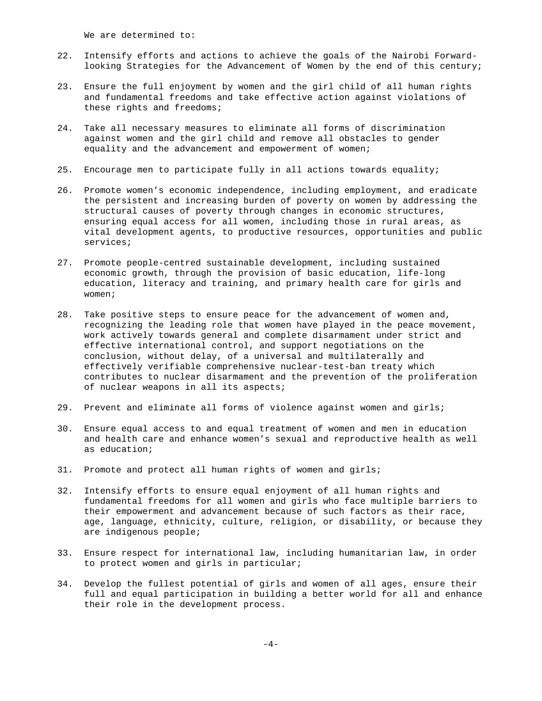We are determined to:

- 22. Intensify efforts and actions to achieve the goals of the Nairobi Forwardlooking Strategies for the Advancement of Women by the end of this century;
- 23. Ensure the full enjoyment by women and the girl child of all human rights and fundamental freedoms and take effective action against violations of these rights and freedoms;
- 24. Take all necessary measures to eliminate all forms of discrimination against women and the girl child and remove all obstacles to gender equality and the advancement and empowerment of women;
- 25. Encourage men to participate fully in all actions towards equality;
- 26. Promote women's economic independence, including employment, and eradicate the persistent and increasing burden of poverty on women by addressing the structural causes of poverty through changes in economic structures, ensuring equal access for all women, including those in rural areas, as vital development agents, to productive resources, opportunities and public services;
- 27. Promote people-centred sustainable development, including sustained economic growth, through the provision of basic education, life-long education, literacy and training, and primary health care for girls and women;
- 28. Take positive steps to ensure peace for the advancement of women and, recognizing the leading role that women have played in the peace movement, work actively towards general and complete disarmament under strict and effective international control, and support negotiations on the conclusion, without delay, of a universal and multilaterally and effectively verifiable comprehensive nuclear-test-ban treaty which contributes to nuclear disarmament and the prevention of the proliferation of nuclear weapons in all its aspects;
- 29. Prevent and eliminate all forms of violence against women and girls;
- 30. Ensure equal access to and equal treatment of women and men in education and health care and enhance women's sexual and reproductive health as well as education;
- 31. Promote and protect all human rights of women and girls;
- 32. Intensify efforts to ensure equal enjoyment of all human rights and fundamental freedoms for all women and girls who face multiple barriers to their empowerment and advancement because of such factors as their race, age, language, ethnicity, culture, religion, or disability, or because they are indigenous people;
- 33. Ensure respect for international law, including humanitarian law, in order to protect women and girls in particular;
- 34. Develop the fullest potential of girls and women of all ages, ensure their full and equal participation in building a better world for all and enhance their role in the development process.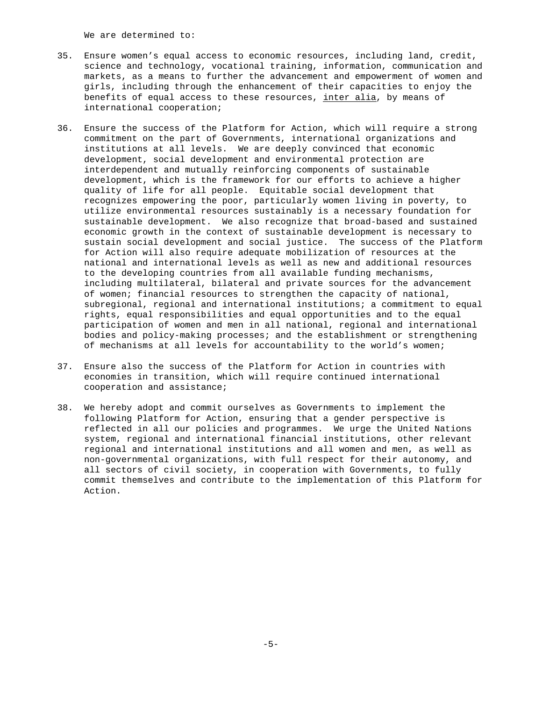We are determined to:

- 35. Ensure women's equal access to economic resources, including land, credit, science and technology, vocational training, information, communication and markets, as a means to further the advancement and empowerment of women and girls, including through the enhancement of their capacities to enjoy the benefits of equal access to these resources, inter alia, by means of international cooperation;
- 36. Ensure the success of the Platform for Action, which will require a strong commitment on the part of Governments, international organizations and institutions at all levels. We are deeply convinced that economic development, social development and environmental protection are interdependent and mutually reinforcing components of sustainable development, which is the framework for our efforts to achieve a higher quality of life for all people. Equitable social development that recognizes empowering the poor, particularly women living in poverty, to utilize environmental resources sustainably is a necessary foundation for sustainable development. We also recognize that broad-based and sustained economic growth in the context of sustainable development is necessary to sustain social development and social justice. The success of the Platform for Action will also require adequate mobilization of resources at the national and international levels as well as new and additional resources to the developing countries from all available funding mechanisms, including multilateral, bilateral and private sources for the advancement of women; financial resources to strengthen the capacity of national, subregional, regional and international institutions; a commitment to equal rights, equal responsibilities and equal opportunities and to the equal participation of women and men in all national, regional and international bodies and policy-making processes; and the establishment or strengthening of mechanisms at all levels for accountability to the world's women;
- 37. Ensure also the success of the Platform for Action in countries with economies in transition, which will require continued international cooperation and assistance;
- 38. We hereby adopt and commit ourselves as Governments to implement the following Platform for Action, ensuring that a gender perspective is reflected in all our policies and programmes. We urge the United Nations system, regional and international financial institutions, other relevant regional and international institutions and all women and men, as well as non-governmental organizations, with full respect for their autonomy, and all sectors of civil society, in cooperation with Governments, to fully commit themselves and contribute to the implementation of this Platform for Action.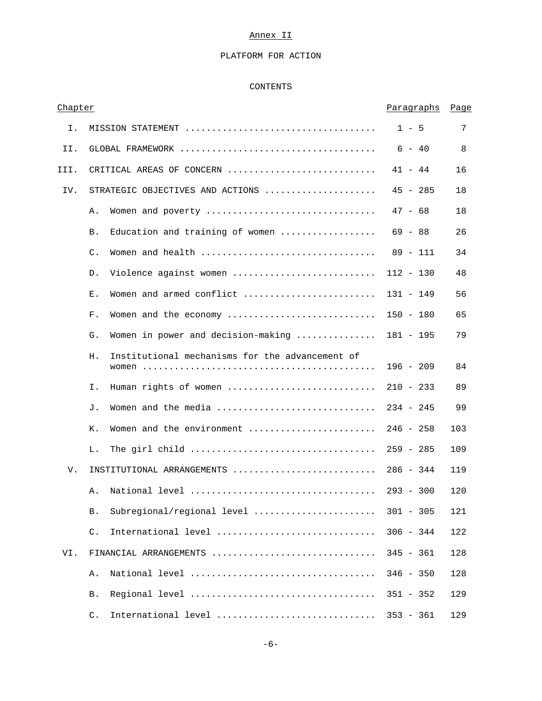# Annex II

# PLATFORM FOR ACTION

### CONTENTS

| Chapter |                                                                                                                                                   | Paragraphs  | Page |
|---------|---------------------------------------------------------------------------------------------------------------------------------------------------|-------------|------|
| Ι.      |                                                                                                                                                   | $1 - 5$     | 7    |
| II.     |                                                                                                                                                   | $6 - 40$    | 8    |
| III.    | CRITICAL AREAS OF CONCERN                                                                                                                         | $41 - 44$   | 16   |
| IV.     | STRATEGIC OBJECTIVES AND ACTIONS                                                                                                                  | $45 - 285$  | 18   |
|         | Women and poverty<br>Α.                                                                                                                           | $47 - 68$   | 18   |
|         | Education and training of women<br>Β.                                                                                                             | $69 - 88$   | 26   |
|         | $\mathsf{C}$ .<br>Women and health                                                                                                                | $89 - 111$  | 34   |
|         | Violence against women<br>D.                                                                                                                      | $112 - 130$ | 48   |
|         | Ε.                                                                                                                                                | $131 - 149$ | 56   |
|         | F.<br>Women and the economy $\ldots \ldots \ldots \ldots \ldots \ldots \ldots \ldots$                                                             | $150 - 180$ | 65   |
|         | Women in power and decision-making<br>G.                                                                                                          | $181 - 195$ | 79   |
|         | Institutional mechanisms for the advancement of<br>Η.<br>women $\dots\dots\dots\dots\dots\dots\dots\dots\dots\dots\dots\dots\dots\dots\dots\dots$ | $196 - 209$ | 84   |
|         | Ι.<br>Human rights of women                                                                                                                       | $210 - 233$ | 89   |
|         | Women and the media $\ldots \ldots \ldots \ldots \ldots \ldots \ldots \ldots$<br>J.                                                               | $234 - 245$ | 99   |
|         | Women and the environment<br>К.                                                                                                                   | $246 - 258$ | 103  |
|         | L.                                                                                                                                                | $259 - 285$ | 109  |
| V.      | INSTITUTIONAL ARRANGEMENTS                                                                                                                        | $286 - 344$ | 119  |
|         | Α.                                                                                                                                                | $293 - 300$ | 120  |
|         | Subregional/regional level<br><b>B</b> .                                                                                                          | $301 - 305$ | 121  |
|         | International level<br>$\mathsf{C}$ .                                                                                                             | $306 - 344$ | 122  |
| VI.     | FINANCIAL ARRANGEMENTS                                                                                                                            | $345 - 361$ | 128  |
|         | Α.                                                                                                                                                | $346 - 350$ | 128  |
|         | Β.                                                                                                                                                | $351 - 352$ | 129  |
|         | International level<br>$\mathsf{C}$ .                                                                                                             | $353 - 361$ | 129  |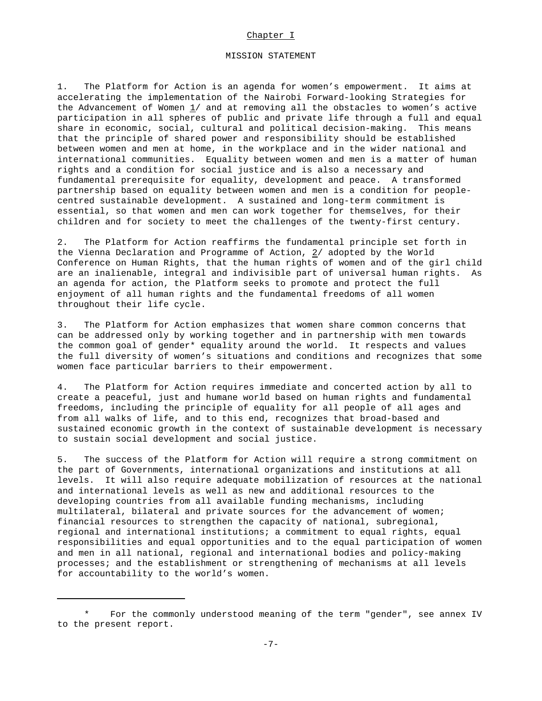#### Chapter I

#### MISSION STATEMENT

1. The Platform for Action is an agenda for women's empowerment. It aims at accelerating the implementation of the Nairobi Forward-looking Strategies for the Advancement of Women 1/ and at removing all the obstacles to women's active participation in all spheres of public and private life through a full and equal share in economic, social, cultural and political decision-making. This means that the principle of shared power and responsibility should be established between women and men at home, in the workplace and in the wider national and international communities. Equality between women and men is a matter of human rights and a condition for social justice and is also a necessary and fundamental prerequisite for equality, development and peace. A transformed partnership based on equality between women and men is a condition for peoplecentred sustainable development. A sustained and long-term commitment is essential, so that women and men can work together for themselves, for their children and for society to meet the challenges of the twenty-first century.

2. The Platform for Action reaffirms the fundamental principle set forth in the Vienna Declaration and Programme of Action, 2/ adopted by the World Conference on Human Rights, that the human rights of women and of the girl child are an inalienable, integral and indivisible part of universal human rights. As an agenda for action, the Platform seeks to promote and protect the full enjoyment of all human rights and the fundamental freedoms of all women throughout their life cycle.

3. The Platform for Action emphasizes that women share common concerns that can be addressed only by working together and in partnership with men towards the common goal of gender\* equality around the world. It respects and values the full diversity of women's situations and conditions and recognizes that some women face particular barriers to their empowerment.

4. The Platform for Action requires immediate and concerted action by all to create a peaceful, just and humane world based on human rights and fundamental freedoms, including the principle of equality for all people of all ages and from all walks of life, and to this end, recognizes that broad-based and sustained economic growth in the context of sustainable development is necessary to sustain social development and social justice.

5. The success of the Platform for Action will require a strong commitment on the part of Governments, international organizations and institutions at all levels. It will also require adequate mobilization of resources at the national and international levels as well as new and additional resources to the developing countries from all available funding mechanisms, including multilateral, bilateral and private sources for the advancement of women; financial resources to strengthen the capacity of national, subregional, regional and international institutions; a commitment to equal rights, equal responsibilities and equal opportunities and to the equal participation of women and men in all national, regional and international bodies and policy-making processes; and the establishment or strengthening of mechanisms at all levels for accountability to the world's women.

<sup>\*</sup> For the commonly understood meaning of the term "gender", see annex IV to the present report.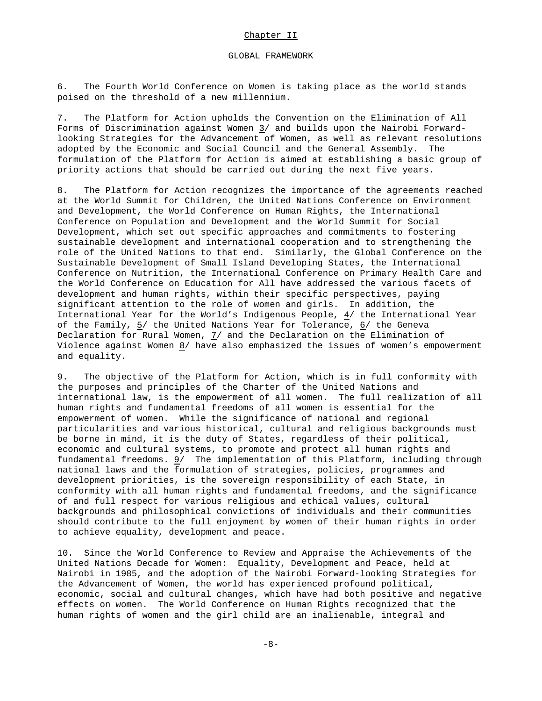#### GLOBAL FRAMEWORK

6. The Fourth World Conference on Women is taking place as the world stands poised on the threshold of a new millennium.

7. The Platform for Action upholds the Convention on the Elimination of All Forms of Discrimination against Women 3/ and builds upon the Nairobi Forwardlooking Strategies for the Advancement of Women, as well as relevant resolutions adopted by the Economic and Social Council and the General Assembly. The formulation of the Platform for Action is aimed at establishing a basic group of priority actions that should be carried out during the next five years.

8. The Platform for Action recognizes the importance of the agreements reached at the World Summit for Children, the United Nations Conference on Environment and Development, the World Conference on Human Rights, the International Conference on Population and Development and the World Summit for Social Development, which set out specific approaches and commitments to fostering sustainable development and international cooperation and to strengthening the role of the United Nations to that end. Similarly, the Global Conference on the Sustainable Development of Small Island Developing States, the International Conference on Nutrition, the International Conference on Primary Health Care and the World Conference on Education for All have addressed the various facets of development and human rights, within their specific perspectives, paying significant attention to the role of women and girls. In addition, the International Year for the World's Indigenous People, 4/ the International Year of the Family,  $5/$  the United Nations Year for Tolerance,  $6/$  the Geneva Declaration for Rural Women,  $\frac{7}{1}$  and the Declaration on the Elimination of Violence against Women  $8/$  have also emphasized the issues of women's empowerment and equality.

9. The objective of the Platform for Action, which is in full conformity with the purposes and principles of the Charter of the United Nations and international law, is the empowerment of all women. The full realization of all human rights and fundamental freedoms of all women is essential for the empowerment of women. While the significance of national and regional particularities and various historical, cultural and religious backgrounds must be borne in mind, it is the duty of States, regardless of their political, economic and cultural systems, to promote and protect all human rights and fundamental freedoms. 9/ The implementation of this Platform, including through national laws and the formulation of strategies, policies, programmes and development priorities, is the sovereign responsibility of each State, in conformity with all human rights and fundamental freedoms, and the significance of and full respect for various religious and ethical values, cultural backgrounds and philosophical convictions of individuals and their communities should contribute to the full enjoyment by women of their human rights in order to achieve equality, development and peace.

10. Since the World Conference to Review and Appraise the Achievements of the United Nations Decade for Women: Equality, Development and Peace, held at Nairobi in 1985, and the adoption of the Nairobi Forward-looking Strategies for the Advancement of Women, the world has experienced profound political, economic, social and cultural changes, which have had both positive and negative effects on women. The World Conference on Human Rights recognized that the human rights of women and the girl child are an inalienable, integral and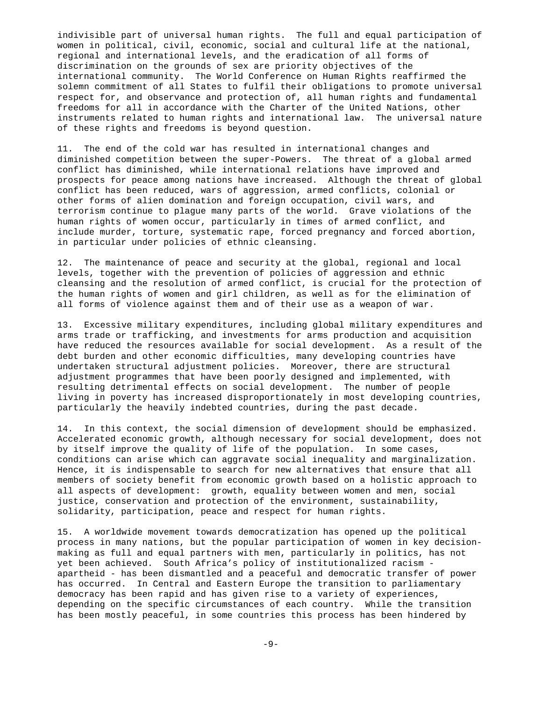indivisible part of universal human rights. The full and equal participation of women in political, civil, economic, social and cultural life at the national, regional and international levels, and the eradication of all forms of discrimination on the grounds of sex are priority objectives of the international community. The World Conference on Human Rights reaffirmed the solemn commitment of all States to fulfil their obligations to promote universal respect for, and observance and protection of, all human rights and fundamental freedoms for all in accordance with the Charter of the United Nations, other instruments related to human rights and international law. The universal nature of these rights and freedoms is beyond question.

11. The end of the cold war has resulted in international changes and diminished competition between the super-Powers. The threat of a global armed conflict has diminished, while international relations have improved and prospects for peace among nations have increased. Although the threat of global conflict has been reduced, wars of aggression, armed conflicts, colonial or other forms of alien domination and foreign occupation, civil wars, and terrorism continue to plague many parts of the world. Grave violations of the human rights of women occur, particularly in times of armed conflict, and include murder, torture, systematic rape, forced pregnancy and forced abortion, in particular under policies of ethnic cleansing.

12. The maintenance of peace and security at the global, regional and local levels, together with the prevention of policies of aggression and ethnic cleansing and the resolution of armed conflict, is crucial for the protection of the human rights of women and girl children, as well as for the elimination of all forms of violence against them and of their use as a weapon of war.

13. Excessive military expenditures, including global military expenditures and arms trade or trafficking, and investments for arms production and acquisition have reduced the resources available for social development. As a result of the debt burden and other economic difficulties, many developing countries have undertaken structural adjustment policies. Moreover, there are structural adjustment programmes that have been poorly designed and implemented, with resulting detrimental effects on social development. The number of people living in poverty has increased disproportionately in most developing countries, particularly the heavily indebted countries, during the past decade.

14. In this context, the social dimension of development should be emphasized. Accelerated economic growth, although necessary for social development, does not by itself improve the quality of life of the population. In some cases, conditions can arise which can aggravate social inequality and marginalization. Hence, it is indispensable to search for new alternatives that ensure that all members of society benefit from economic growth based on a holistic approach to all aspects of development: growth, equality between women and men, social justice, conservation and protection of the environment, sustainability, solidarity, participation, peace and respect for human rights.

15. A worldwide movement towards democratization has opened up the political process in many nations, but the popular participation of women in key decisionmaking as full and equal partners with men, particularly in politics, has not yet been achieved. South Africa's policy of institutionalized racism apartheid - has been dismantled and a peaceful and democratic transfer of power has occurred. In Central and Eastern Europe the transition to parliamentary democracy has been rapid and has given rise to a variety of experiences, depending on the specific circumstances of each country. While the transition has been mostly peaceful, in some countries this process has been hindered by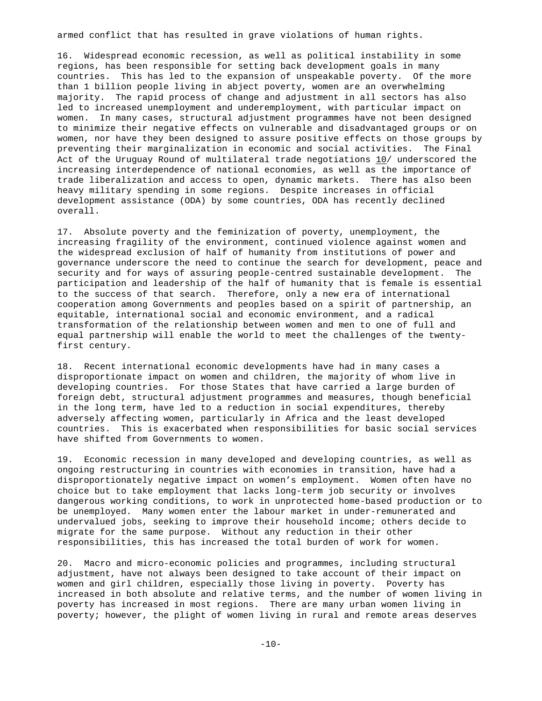armed conflict that has resulted in grave violations of human rights.

16. Widespread economic recession, as well as political instability in some regions, has been responsible for setting back development goals in many countries. This has led to the expansion of unspeakable poverty. Of the more than 1 billion people living in abject poverty, women are an overwhelming majority. The rapid process of change and adjustment in all sectors has also led to increased unemployment and underemployment, with particular impact on women. In many cases, structural adjustment programmes have not been designed to minimize their negative effects on vulnerable and disadvantaged groups or on women, nor have they been designed to assure positive effects on those groups by preventing their marginalization in economic and social activities. The Final Act of the Uruguay Round of multilateral trade negotiations  $10/$  underscored the increasing interdependence of national economies, as well as the importance of trade liberalization and access to open, dynamic markets. There has also been heavy military spending in some regions. Despite increases in official development assistance (ODA) by some countries, ODA has recently declined overall.

17. Absolute poverty and the feminization of poverty, unemployment, the increasing fragility of the environment, continued violence against women and the widespread exclusion of half of humanity from institutions of power and governance underscore the need to continue the search for development, peace and security and for ways of assuring people-centred sustainable development. The participation and leadership of the half of humanity that is female is essential to the success of that search. Therefore, only a new era of international cooperation among Governments and peoples based on a spirit of partnership, an equitable, international social and economic environment, and a radical transformation of the relationship between women and men to one of full and equal partnership will enable the world to meet the challenges of the twentyfirst century.

18. Recent international economic developments have had in many cases a disproportionate impact on women and children, the majority of whom live in developing countries. For those States that have carried a large burden of foreign debt, structural adjustment programmes and measures, though beneficial in the long term, have led to a reduction in social expenditures, thereby adversely affecting women, particularly in Africa and the least developed countries. This is exacerbated when responsibilities for basic social services have shifted from Governments to women.

19. Economic recession in many developed and developing countries, as well as ongoing restructuring in countries with economies in transition, have had a disproportionately negative impact on women's employment. Women often have no choice but to take employment that lacks long-term job security or involves dangerous working conditions, to work in unprotected home-based production or to be unemployed. Many women enter the labour market in under-remunerated and undervalued jobs, seeking to improve their household income; others decide to migrate for the same purpose. Without any reduction in their other responsibilities, this has increased the total burden of work for women.

20. Macro and micro-economic policies and programmes, including structural adjustment, have not always been designed to take account of their impact on women and girl children, especially those living in poverty. Poverty has increased in both absolute and relative terms, and the number of women living in poverty has increased in most regions. There are many urban women living in poverty; however, the plight of women living in rural and remote areas deserves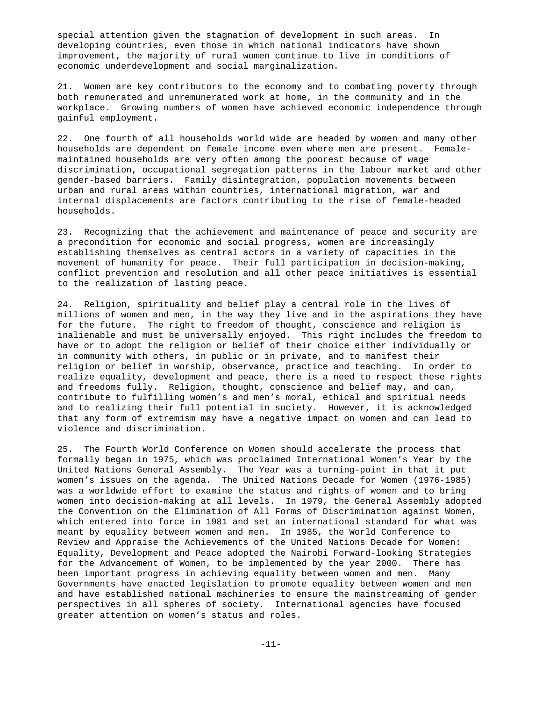special attention given the stagnation of development in such areas. In developing countries, even those in which national indicators have shown improvement, the majority of rural women continue to live in conditions of economic underdevelopment and social marginalization.

21. Women are key contributors to the economy and to combating poverty through both remunerated and unremunerated work at home, in the community and in the workplace. Growing numbers of women have achieved economic independence through gainful employment.

22. One fourth of all households world wide are headed by women and many other households are dependent on female income even where men are present. Femalemaintained households are very often among the poorest because of wage discrimination, occupational segregation patterns in the labour market and other gender-based barriers. Family disintegration, population movements between urban and rural areas within countries, international migration, war and internal displacements are factors contributing to the rise of female-headed households.

23. Recognizing that the achievement and maintenance of peace and security are a precondition for economic and social progress, women are increasingly establishing themselves as central actors in a variety of capacities in the movement of humanity for peace. Their full participation in decision-making, conflict prevention and resolution and all other peace initiatives is essential to the realization of lasting peace.

24. Religion, spirituality and belief play a central role in the lives of millions of women and men, in the way they live and in the aspirations they have for the future. The right to freedom of thought, conscience and religion is inalienable and must be universally enjoyed. This right includes the freedom to have or to adopt the religion or belief of their choice either individually or in community with others, in public or in private, and to manifest their religion or belief in worship, observance, practice and teaching. In order to realize equality, development and peace, there is a need to respect these rights and freedoms fully. Religion, thought, conscience and belief may, and can, contribute to fulfilling women's and men's moral, ethical and spiritual needs and to realizing their full potential in society. However, it is acknowledged that any form of extremism may have a negative impact on women and can lead to violence and discrimination.

25. The Fourth World Conference on Women should accelerate the process that formally began in 1975, which was proclaimed International Women's Year by the United Nations General Assembly. The Year was a turning-point in that it put women's issues on the agenda. The United Nations Decade for Women (1976-1985) was a worldwide effort to examine the status and rights of women and to bring women into decision-making at all levels. In 1979, the General Assembly adopted the Convention on the Elimination of All Forms of Discrimination against Women, which entered into force in 1981 and set an international standard for what was meant by equality between women and men. In 1985, the World Conference to Review and Appraise the Achievements of the United Nations Decade for Women: Equality, Development and Peace adopted the Nairobi Forward-looking Strategies for the Advancement of Women, to be implemented by the year 2000. There has been important progress in achieving equality between women and men. Many Governments have enacted legislation to promote equality between women and men and have established national machineries to ensure the mainstreaming of gender perspectives in all spheres of society. International agencies have focused greater attention on women's status and roles.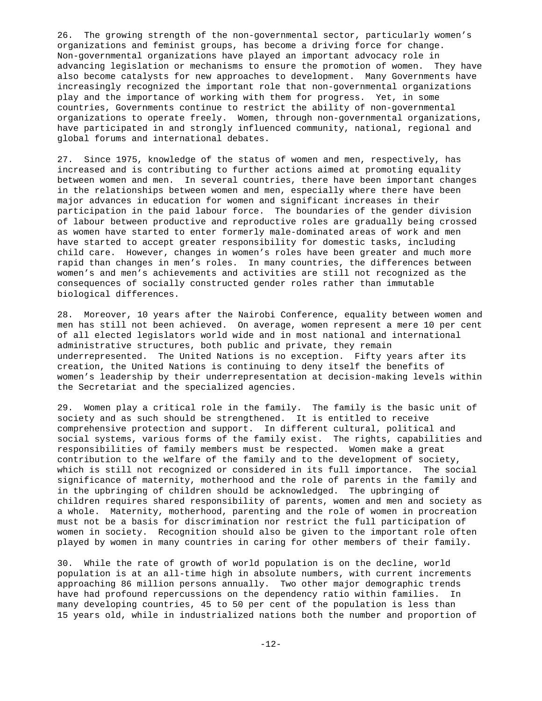26. The growing strength of the non-governmental sector, particularly women's organizations and feminist groups, has become a driving force for change. Non-governmental organizations have played an important advocacy role in advancing legislation or mechanisms to ensure the promotion of women. They have also become catalysts for new approaches to development. Many Governments have increasingly recognized the important role that non-governmental organizations play and the importance of working with them for progress. Yet, in some countries, Governments continue to restrict the ability of non-governmental organizations to operate freely. Women, through non-governmental organizations, have participated in and strongly influenced community, national, regional and global forums and international debates.

27. Since 1975, knowledge of the status of women and men, respectively, has increased and is contributing to further actions aimed at promoting equality between women and men. In several countries, there have been important changes in the relationships between women and men, especially where there have been major advances in education for women and significant increases in their participation in the paid labour force. The boundaries of the gender division of labour between productive and reproductive roles are gradually being crossed as women have started to enter formerly male-dominated areas of work and men have started to accept greater responsibility for domestic tasks, including child care. However, changes in women's roles have been greater and much more rapid than changes in men's roles. In many countries, the differences between women's and men's achievements and activities are still not recognized as the consequences of socially constructed gender roles rather than immutable biological differences.

28. Moreover, 10 years after the Nairobi Conference, equality between women and men has still not been achieved. On average, women represent a mere 10 per cent of all elected legislators world wide and in most national and international administrative structures, both public and private, they remain underrepresented. The United Nations is no exception. Fifty years after its creation, the United Nations is continuing to deny itself the benefits of women's leadership by their underrepresentation at decision-making levels within the Secretariat and the specialized agencies.

29. Women play a critical role in the family. The family is the basic unit of society and as such should be strengthened. It is entitled to receive comprehensive protection and support. In different cultural, political and social systems, various forms of the family exist. The rights, capabilities and responsibilities of family members must be respected. Women make a great contribution to the welfare of the family and to the development of society, which is still not recognized or considered in its full importance. The social significance of maternity, motherhood and the role of parents in the family and in the upbringing of children should be acknowledged. The upbringing of children requires shared responsibility of parents, women and men and society as a whole. Maternity, motherhood, parenting and the role of women in procreation must not be a basis for discrimination nor restrict the full participation of women in society. Recognition should also be given to the important role often played by women in many countries in caring for other members of their family.

30. While the rate of growth of world population is on the decline, world population is at an all-time high in absolute numbers, with current increments approaching 86 million persons annually. Two other major demographic trends have had profound repercussions on the dependency ratio within families. In many developing countries, 45 to 50 per cent of the population is less than 15 years old, while in industrialized nations both the number and proportion of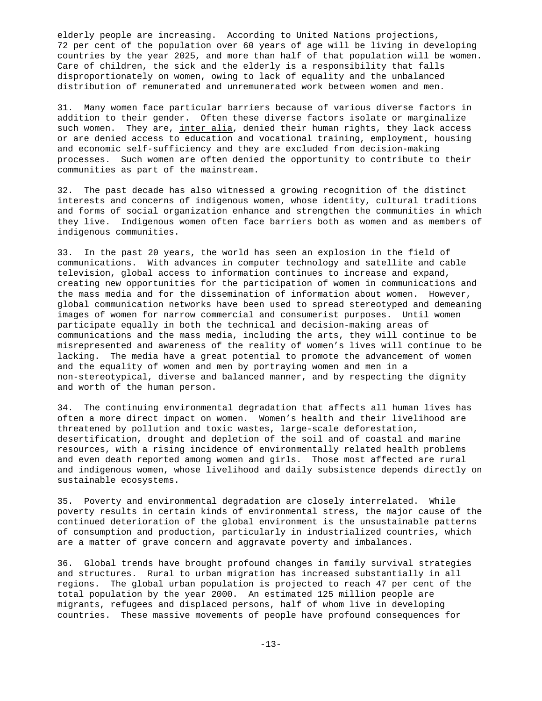elderly people are increasing. According to United Nations projections, 72 per cent of the population over 60 years of age will be living in developing countries by the year 2025, and more than half of that population will be women. Care of children, the sick and the elderly is a responsibility that falls disproportionately on women, owing to lack of equality and the unbalanced distribution of remunerated and unremunerated work between women and men.

31. Many women face particular barriers because of various diverse factors in addition to their gender. Often these diverse factors isolate or marginalize such women. They are, inter alia, denied their human rights, they lack access or are denied access to education and vocational training, employment, housing and economic self-sufficiency and they are excluded from decision-making processes. Such women are often denied the opportunity to contribute to their communities as part of the mainstream.

32. The past decade has also witnessed a growing recognition of the distinct interests and concerns of indigenous women, whose identity, cultural traditions and forms of social organization enhance and strengthen the communities in which they live. Indigenous women often face barriers both as women and as members of indigenous communities.

33. In the past 20 years, the world has seen an explosion in the field of communications. With advances in computer technology and satellite and cable television, global access to information continues to increase and expand, creating new opportunities for the participation of women in communications and the mass media and for the dissemination of information about women. However, global communication networks have been used to spread stereotyped and demeaning images of women for narrow commercial and consumerist purposes. Until women participate equally in both the technical and decision-making areas of communications and the mass media, including the arts, they will continue to be misrepresented and awareness of the reality of women's lives will continue to be lacking. The media have a great potential to promote the advancement of women and the equality of women and men by portraying women and men in a non-stereotypical, diverse and balanced manner, and by respecting the dignity and worth of the human person.

34. The continuing environmental degradation that affects all human lives has often a more direct impact on women. Women's health and their livelihood are threatened by pollution and toxic wastes, large-scale deforestation, desertification, drought and depletion of the soil and of coastal and marine resources, with a rising incidence of environmentally related health problems and even death reported among women and girls. Those most affected are rural and indigenous women, whose livelihood and daily subsistence depends directly on sustainable ecosystems.

35. Poverty and environmental degradation are closely interrelated. While poverty results in certain kinds of environmental stress, the major cause of the continued deterioration of the global environment is the unsustainable patterns of consumption and production, particularly in industrialized countries, which are a matter of grave concern and aggravate poverty and imbalances.

36. Global trends have brought profound changes in family survival strategies and structures. Rural to urban migration has increased substantially in all regions. The global urban population is projected to reach 47 per cent of the total population by the year 2000. An estimated 125 million people are migrants, refugees and displaced persons, half of whom live in developing countries. These massive movements of people have profound consequences for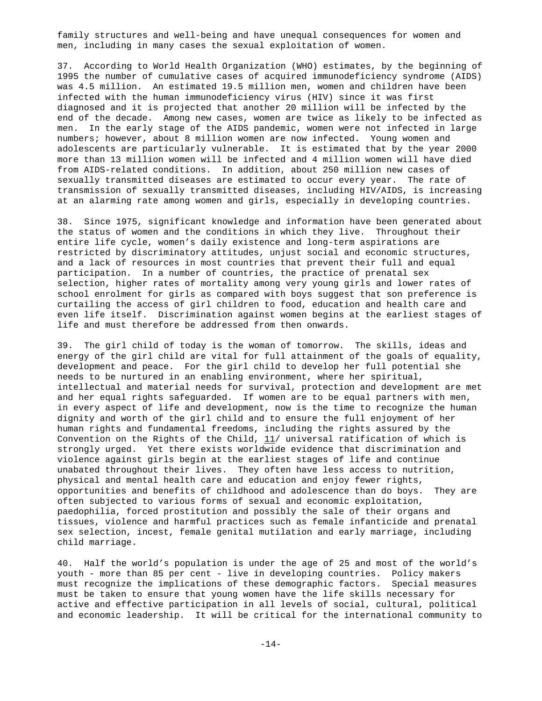family structures and well-being and have unequal consequences for women and men, including in many cases the sexual exploitation of women.

37. According to World Health Organization (WHO) estimates, by the beginning of 1995 the number of cumulative cases of acquired immunodeficiency syndrome (AIDS) was 4.5 million. An estimated 19.5 million men, women and children have been infected with the human immunodeficiency virus (HIV) since it was first diagnosed and it is projected that another 20 million will be infected by the end of the decade. Among new cases, women are twice as likely to be infected as men. In the early stage of the AIDS pandemic, women were not infected in large numbers; however, about 8 million women are now infected. Young women and adolescents are particularly vulnerable. It is estimated that by the year 2000 more than 13 million women will be infected and 4 million women will have died from AIDS-related conditions. In addition, about 250 million new cases of sexually transmitted diseases are estimated to occur every year. The rate of transmission of sexually transmitted diseases, including HIV/AIDS, is increasing at an alarming rate among women and girls, especially in developing countries.

38. Since 1975, significant knowledge and information have been generated about the status of women and the conditions in which they live. Throughout their entire life cycle, women's daily existence and long-term aspirations are restricted by discriminatory attitudes, unjust social and economic structures, and a lack of resources in most countries that prevent their full and equal participation. In a number of countries, the practice of prenatal sex selection, higher rates of mortality among very young girls and lower rates of school enrolment for girls as compared with boys suggest that son preference is curtailing the access of girl children to food, education and health care and even life itself. Discrimination against women begins at the earliest stages of life and must therefore be addressed from then onwards.

39. The girl child of today is the woman of tomorrow. The skills, ideas and energy of the girl child are vital for full attainment of the goals of equality, development and peace. For the girl child to develop her full potential she needs to be nurtured in an enabling environment, where her spiritual, intellectual and material needs for survival, protection and development are met and her equal rights safeguarded. If women are to be equal partners with men, in every aspect of life and development, now is the time to recognize the human dignity and worth of the girl child and to ensure the full enjoyment of her human rights and fundamental freedoms, including the rights assured by the Convention on the Rights of the Child,  $11/$  universal ratification of which is strongly urged. Yet there exists worldwide evidence that discrimination and violence against girls begin at the earliest stages of life and continue unabated throughout their lives. They often have less access to nutrition, physical and mental health care and education and enjoy fewer rights, opportunities and benefits of childhood and adolescence than do boys. They are often subjected to various forms of sexual and economic exploitation, paedophilia, forced prostitution and possibly the sale of their organs and tissues, violence and harmful practices such as female infanticide and prenatal sex selection, incest, female genital mutilation and early marriage, including child marriage.

40. Half the world's population is under the age of 25 and most of the world's youth - more than 85 per cent - live in developing countries. Policy makers must recognize the implications of these demographic factors. Special measures must be taken to ensure that young women have the life skills necessary for active and effective participation in all levels of social, cultural, political and economic leadership. It will be critical for the international community to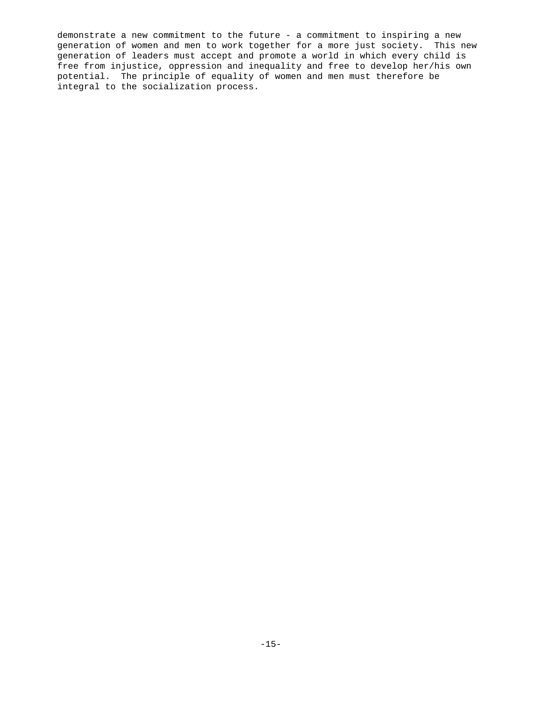demonstrate a new commitment to the future - a commitment to inspiring a new generation of women and men to work together for a more just society. This new generation of leaders must accept and promote a world in which every child is free from injustice, oppression and inequality and free to develop her/his own potential. The principle of equality of women and men must therefore be integral to the socialization process.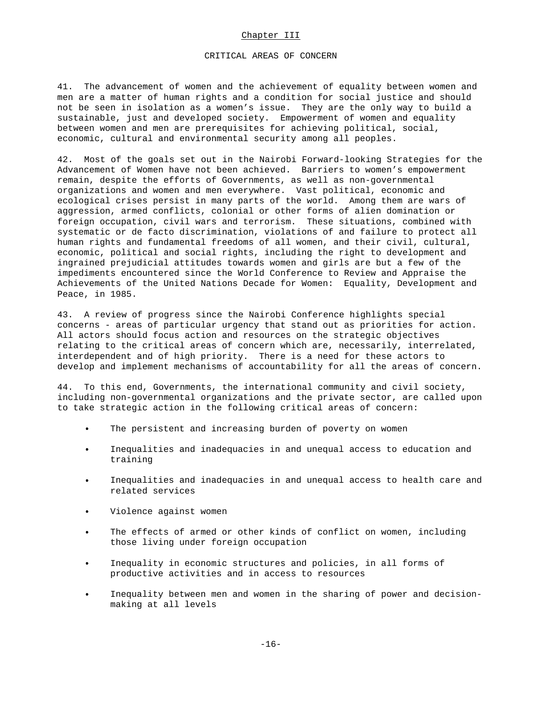### Chapter III

#### CRITICAL AREAS OF CONCERN

41. The advancement of women and the achievement of equality between women and men are a matter of human rights and a condition for social justice and should not be seen in isolation as a women's issue. They are the only way to build a sustainable, just and developed society. Empowerment of women and equality between women and men are prerequisites for achieving political, social, economic, cultural and environmental security among all peoples.

42. Most of the goals set out in the Nairobi Forward-looking Strategies for the Advancement of Women have not been achieved. Barriers to women's empowerment remain, despite the efforts of Governments, as well as non-governmental organizations and women and men everywhere. Vast political, economic and ecological crises persist in many parts of the world. Among them are wars of aggression, armed conflicts, colonial or other forms of alien domination or foreign occupation, civil wars and terrorism. These situations, combined with systematic or de facto discrimination, violations of and failure to protect all human rights and fundamental freedoms of all women, and their civil, cultural, economic, political and social rights, including the right to development and ingrained prejudicial attitudes towards women and girls are but a few of the impediments encountered since the World Conference to Review and Appraise the Achievements of the United Nations Decade for Women: Equality, Development and Peace, in 1985.

43. A review of progress since the Nairobi Conference highlights special concerns - areas of particular urgency that stand out as priorities for action. All actors should focus action and resources on the strategic objectives relating to the critical areas of concern which are, necessarily, interrelated, interdependent and of high priority. There is a need for these actors to develop and implement mechanisms of accountability for all the areas of concern.

44. To this end, Governments, the international community and civil society, including non-governmental organizations and the private sector, are called upon to take strategic action in the following critical areas of concern:

- The persistent and increasing burden of poverty on women
- Inequalities and inadequacies in and unequal access to education and  $\bullet$ training
- Inequalities and inadequacies in and unequal access to health care and related services
- Violence against women  $\bullet$
- The effects of armed or other kinds of conflict on women, including those living under foreign occupation
- Inequality in economic structures and policies, in all forms of productive activities and in access to resources
- Inequality between men and women in the sharing of power and decisionmaking at all levels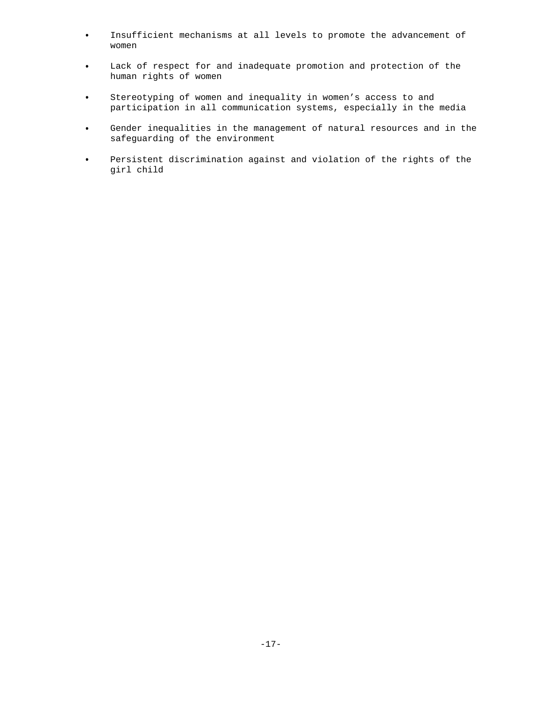- $\bullet$ Insufficient mechanisms at all levels to promote the advancement of women
- Lack of respect for and inadequate promotion and protection of the  $\bullet$ human rights of women
- Stereotyping of women and inequality in women's access to and  $\bullet$ participation in all communication systems, especially in the media
- Gender inequalities in the management of natural resources and in the  $\bullet$ safeguarding of the environment
- $\bullet$ Persistent discrimination against and violation of the rights of the girl child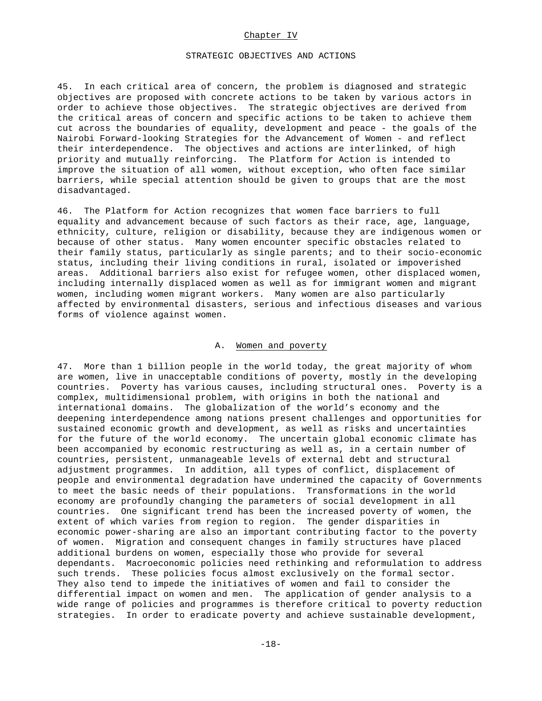#### Chapter IV

#### STRATEGIC OBJECTIVES AND ACTIONS

45. In each critical area of concern, the problem is diagnosed and strategic objectives are proposed with concrete actions to be taken by various actors in order to achieve those objectives. The strategic objectives are derived from the critical areas of concern and specific actions to be taken to achieve them cut across the boundaries of equality, development and peace - the goals of the Nairobi Forward-looking Strategies for the Advancement of Women - and reflect their interdependence. The objectives and actions are interlinked, of high priority and mutually reinforcing. The Platform for Action is intended to improve the situation of all women, without exception, who often face similar barriers, while special attention should be given to groups that are the most disadvantaged.

46. The Platform for Action recognizes that women face barriers to full equality and advancement because of such factors as their race, age, language, ethnicity, culture, religion or disability, because they are indigenous women or because of other status. Many women encounter specific obstacles related to their family status, particularly as single parents; and to their socio-economic status, including their living conditions in rural, isolated or impoverished areas. Additional barriers also exist for refugee women, other displaced women, including internally displaced women as well as for immigrant women and migrant women, including women migrant workers. Many women are also particularly affected by environmental disasters, serious and infectious diseases and various forms of violence against women.

#### A. Women and poverty

47. More than 1 billion people in the world today, the great majority of whom are women, live in unacceptable conditions of poverty, mostly in the developing countries. Poverty has various causes, including structural ones. Poverty is a complex, multidimensional problem, with origins in both the national and international domains. The globalization of the world's economy and the deepening interdependence among nations present challenges and opportunities for sustained economic growth and development, as well as risks and uncertainties for the future of the world economy. The uncertain global economic climate has been accompanied by economic restructuring as well as, in a certain number of countries, persistent, unmanageable levels of external debt and structural adjustment programmes. In addition, all types of conflict, displacement of people and environmental degradation have undermined the capacity of Governments to meet the basic needs of their populations. Transformations in the world economy are profoundly changing the parameters of social development in all countries. One significant trend has been the increased poverty of women, the extent of which varies from region to region. The gender disparities in economic power-sharing are also an important contributing factor to the poverty of women. Migration and consequent changes in family structures have placed additional burdens on women, especially those who provide for several dependants. Macroeconomic policies need rethinking and reformulation to address such trends. These policies focus almost exclusively on the formal sector. They also tend to impede the initiatives of women and fail to consider the differential impact on women and men. The application of gender analysis to a wide range of policies and programmes is therefore critical to poverty reduction strategies. In order to eradicate poverty and achieve sustainable development,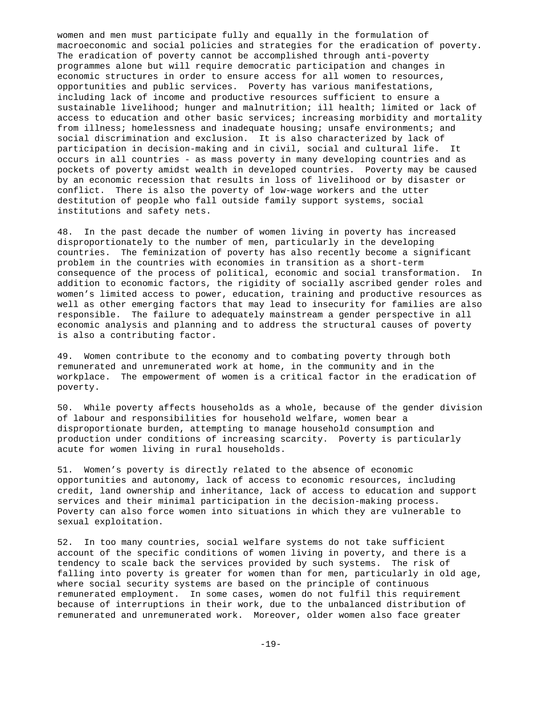women and men must participate fully and equally in the formulation of macroeconomic and social policies and strategies for the eradication of poverty. The eradication of poverty cannot be accomplished through anti-poverty programmes alone but will require democratic participation and changes in economic structures in order to ensure access for all women to resources, opportunities and public services. Poverty has various manifestations, including lack of income and productive resources sufficient to ensure a sustainable livelihood; hunger and malnutrition; ill health; limited or lack of access to education and other basic services; increasing morbidity and mortality from illness; homelessness and inadequate housing; unsafe environments; and social discrimination and exclusion. It is also characterized by lack of participation in decision-making and in civil, social and cultural life. It occurs in all countries - as mass poverty in many developing countries and as pockets of poverty amidst wealth in developed countries. Poverty may be caused by an economic recession that results in loss of livelihood or by disaster or conflict. There is also the poverty of low-wage workers and the utter destitution of people who fall outside family support systems, social institutions and safety nets.

48. In the past decade the number of women living in poverty has increased disproportionately to the number of men, particularly in the developing countries. The feminization of poverty has also recently become a significant problem in the countries with economies in transition as a short-term consequence of the process of political, economic and social transformation. In addition to economic factors, the rigidity of socially ascribed gender roles and women's limited access to power, education, training and productive resources as well as other emerging factors that may lead to insecurity for families are also responsible. The failure to adequately mainstream a gender perspective in all economic analysis and planning and to address the structural causes of poverty is also a contributing factor.

49. Women contribute to the economy and to combating poverty through both remunerated and unremunerated work at home, in the community and in the workplace. The empowerment of women is a critical factor in the eradication of poverty.

50. While poverty affects households as a whole, because of the gender division of labour and responsibilities for household welfare, women bear a disproportionate burden, attempting to manage household consumption and production under conditions of increasing scarcity. Poverty is particularly acute for women living in rural households.

51. Women's poverty is directly related to the absence of economic opportunities and autonomy, lack of access to economic resources, including credit, land ownership and inheritance, lack of access to education and support services and their minimal participation in the decision-making process. Poverty can also force women into situations in which they are vulnerable to sexual exploitation.

52. In too many countries, social welfare systems do not take sufficient account of the specific conditions of women living in poverty, and there is a tendency to scale back the services provided by such systems. The risk of falling into poverty is greater for women than for men, particularly in old age, where social security systems are based on the principle of continuous remunerated employment. In some cases, women do not fulfil this requirement because of interruptions in their work, due to the unbalanced distribution of remunerated and unremunerated work. Moreover, older women also face greater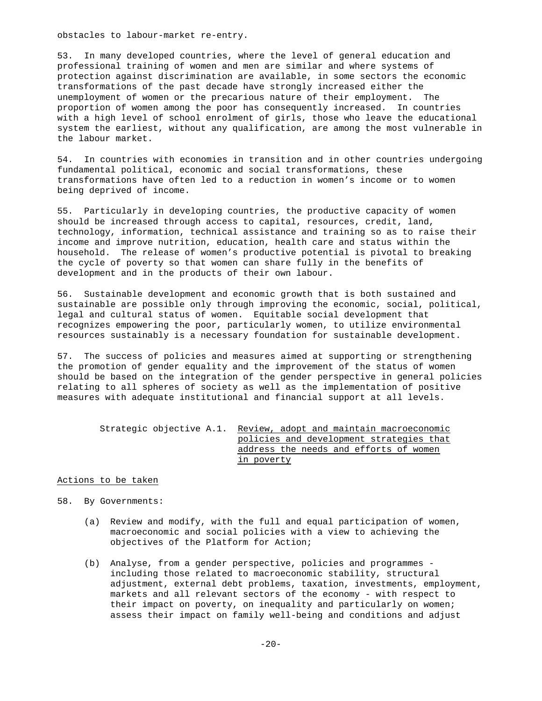obstacles to labour-market re-entry.

53. In many developed countries, where the level of general education and professional training of women and men are similar and where systems of protection against discrimination are available, in some sectors the economic transformations of the past decade have strongly increased either the unemployment of women or the precarious nature of their employment. The proportion of women among the poor has consequently increased. In countries with a high level of school enrolment of girls, those who leave the educational system the earliest, without any qualification, are among the most vulnerable in the labour market.

54. In countries with economies in transition and in other countries undergoing fundamental political, economic and social transformations, these transformations have often led to a reduction in women's income or to women being deprived of income.

55. Particularly in developing countries, the productive capacity of women should be increased through access to capital, resources, credit, land, technology, information, technical assistance and training so as to raise their income and improve nutrition, education, health care and status within the household. The release of women's productive potential is pivotal to breaking the cycle of poverty so that women can share fully in the benefits of development and in the products of their own labour.

56. Sustainable development and economic growth that is both sustained and sustainable are possible only through improving the economic, social, political, legal and cultural status of women. Equitable social development that recognizes empowering the poor, particularly women, to utilize environmental resources sustainably is a necessary foundation for sustainable development.

57. The success of policies and measures aimed at supporting or strengthening the promotion of gender equality and the improvement of the status of women should be based on the integration of the gender perspective in general policies relating to all spheres of society as well as the implementation of positive measures with adequate institutional and financial support at all levels.

| Strategic objective A.1. Review, adopt and maintain macroeconomic |  |
|-------------------------------------------------------------------|--|
| policies and development strategies that                          |  |
| address the needs and efforts of women                            |  |
| in poverty                                                        |  |

### Actions to be taken

- 58. By Governments:
	- (a) Review and modify, with the full and equal participation of women, macroeconomic and social policies with a view to achieving the objectives of the Platform for Action;
	- (b) Analyse, from a gender perspective, policies and programmes including those related to macroeconomic stability, structural adjustment, external debt problems, taxation, investments, employment, markets and all relevant sectors of the economy - with respect to their impact on poverty, on inequality and particularly on women; assess their impact on family well-being and conditions and adjust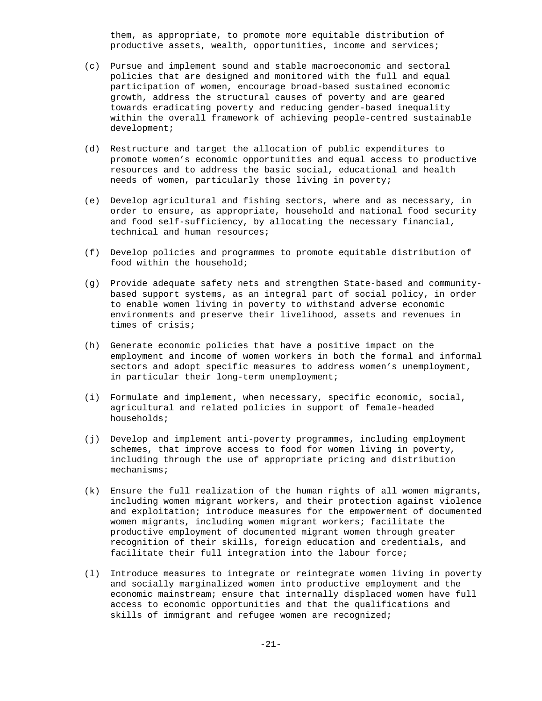them, as appropriate, to promote more equitable distribution of productive assets, wealth, opportunities, income and services;

- (c) Pursue and implement sound and stable macroeconomic and sectoral policies that are designed and monitored with the full and equal participation of women, encourage broad-based sustained economic growth, address the structural causes of poverty and are geared towards eradicating poverty and reducing gender-based inequality within the overall framework of achieving people-centred sustainable development;
- (d) Restructure and target the allocation of public expenditures to promote women's economic opportunities and equal access to productive resources and to address the basic social, educational and health needs of women, particularly those living in poverty;
- (e) Develop agricultural and fishing sectors, where and as necessary, in order to ensure, as appropriate, household and national food security and food self-sufficiency, by allocating the necessary financial, technical and human resources;
- (f) Develop policies and programmes to promote equitable distribution of food within the household;
- (g) Provide adequate safety nets and strengthen State-based and communitybased support systems, as an integral part of social policy, in order to enable women living in poverty to withstand adverse economic environments and preserve their livelihood, assets and revenues in times of crisis;
- (h) Generate economic policies that have a positive impact on the employment and income of women workers in both the formal and informal sectors and adopt specific measures to address women's unemployment, in particular their long-term unemployment;
- (i) Formulate and implement, when necessary, specific economic, social, agricultural and related policies in support of female-headed households;
- (j) Develop and implement anti-poverty programmes, including employment schemes, that improve access to food for women living in poverty, including through the use of appropriate pricing and distribution mechanisms;
- (k) Ensure the full realization of the human rights of all women migrants, including women migrant workers, and their protection against violence and exploitation; introduce measures for the empowerment of documented women migrants, including women migrant workers; facilitate the productive employment of documented migrant women through greater recognition of their skills, foreign education and credentials, and facilitate their full integration into the labour force;
- (l) Introduce measures to integrate or reintegrate women living in poverty and socially marginalized women into productive employment and the economic mainstream; ensure that internally displaced women have full access to economic opportunities and that the qualifications and skills of immigrant and refugee women are recognized;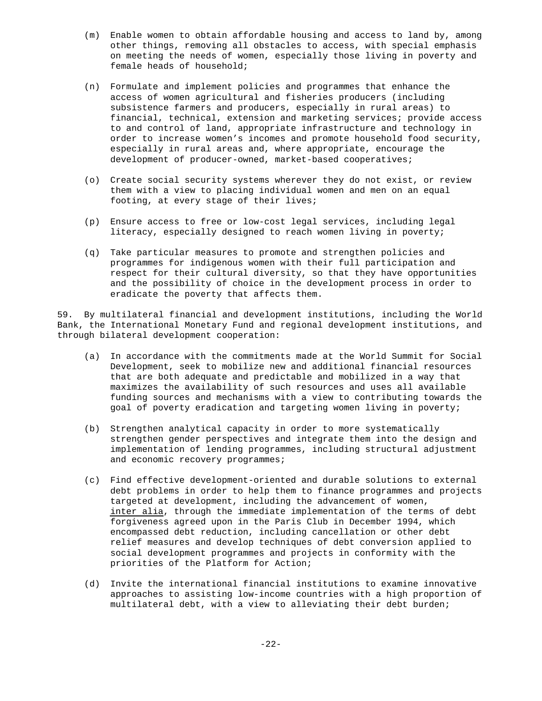- (m) Enable women to obtain affordable housing and access to land by, among other things, removing all obstacles to access, with special emphasis on meeting the needs of women, especially those living in poverty and female heads of household;
- (n) Formulate and implement policies and programmes that enhance the access of women agricultural and fisheries producers (including subsistence farmers and producers, especially in rural areas) to financial, technical, extension and marketing services; provide access to and control of land, appropriate infrastructure and technology in order to increase women's incomes and promote household food security, especially in rural areas and, where appropriate, encourage the development of producer-owned, market-based cooperatives;
- (o) Create social security systems wherever they do not exist, or review them with a view to placing individual women and men on an equal footing, at every stage of their lives;
- (p) Ensure access to free or low-cost legal services, including legal literacy, especially designed to reach women living in poverty;
- (q) Take particular measures to promote and strengthen policies and programmes for indigenous women with their full participation and respect for their cultural diversity, so that they have opportunities and the possibility of choice in the development process in order to eradicate the poverty that affects them.

59. By multilateral financial and development institutions, including the World Bank, the International Monetary Fund and regional development institutions, and through bilateral development cooperation:

- (a) In accordance with the commitments made at the World Summit for Social Development, seek to mobilize new and additional financial resources that are both adequate and predictable and mobilized in a way that maximizes the availability of such resources and uses all available funding sources and mechanisms with a view to contributing towards the goal of poverty eradication and targeting women living in poverty;
- (b) Strengthen analytical capacity in order to more systematically strengthen gender perspectives and integrate them into the design and implementation of lending programmes, including structural adjustment and economic recovery programmes;
- (c) Find effective development-oriented and durable solutions to external debt problems in order to help them to finance programmes and projects targeted at development, including the advancement of women, inter alia, through the immediate implementation of the terms of debt forgiveness agreed upon in the Paris Club in December 1994, which encompassed debt reduction, including cancellation or other debt relief measures and develop techniques of debt conversion applied to social development programmes and projects in conformity with the priorities of the Platform for Action;
- (d) Invite the international financial institutions to examine innovative approaches to assisting low-income countries with a high proportion of multilateral debt, with a view to alleviating their debt burden;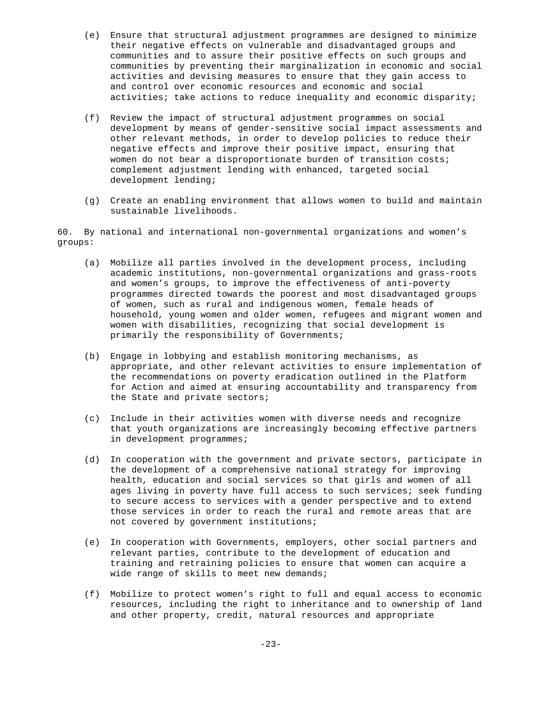- (e) Ensure that structural adjustment programmes are designed to minimize their negative effects on vulnerable and disadvantaged groups and communities and to assure their positive effects on such groups and communities by preventing their marginalization in economic and social activities and devising measures to ensure that they gain access to and control over economic resources and economic and social activities; take actions to reduce inequality and economic disparity;
- (f) Review the impact of structural adjustment programmes on social development by means of gender-sensitive social impact assessments and other relevant methods, in order to develop policies to reduce their negative effects and improve their positive impact, ensuring that women do not bear a disproportionate burden of transition costs; complement adjustment lending with enhanced, targeted social development lending;
- (g) Create an enabling environment that allows women to build and maintain sustainable livelihoods.

60. By national and international non-governmental organizations and women's groups:

- (a) Mobilize all parties involved in the development process, including academic institutions, non-governmental organizations and grass-roots and women's groups, to improve the effectiveness of anti-poverty programmes directed towards the poorest and most disadvantaged groups of women, such as rural and indigenous women, female heads of household, young women and older women, refugees and migrant women and women with disabilities, recognizing that social development is primarily the responsibility of Governments;
- (b) Engage in lobbying and establish monitoring mechanisms, as appropriate, and other relevant activities to ensure implementation of the recommendations on poverty eradication outlined in the Platform for Action and aimed at ensuring accountability and transparency from the State and private sectors;
- (c) Include in their activities women with diverse needs and recognize that youth organizations are increasingly becoming effective partners in development programmes;
- (d) In cooperation with the government and private sectors, participate in the development of a comprehensive national strategy for improving health, education and social services so that girls and women of all ages living in poverty have full access to such services; seek funding to secure access to services with a gender perspective and to extend those services in order to reach the rural and remote areas that are not covered by government institutions;
- (e) In cooperation with Governments, employers, other social partners and relevant parties, contribute to the development of education and training and retraining policies to ensure that women can acquire a wide range of skills to meet new demands;
- (f) Mobilize to protect women's right to full and equal access to economic resources, including the right to inheritance and to ownership of land and other property, credit, natural resources and appropriate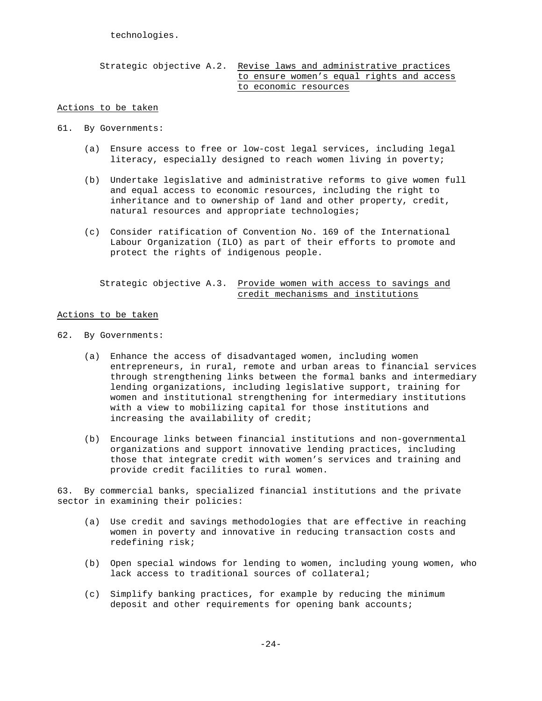technologies.

## Strategic objective A.2. Revise laws and administrative practices to ensure women's equal rights and access to economic resources

## Actions to be taken

### 61. By Governments:

- (a) Ensure access to free or low-cost legal services, including legal literacy, especially designed to reach women living in poverty;
- (b) Undertake legislative and administrative reforms to give women full and equal access to economic resources, including the right to inheritance and to ownership of land and other property, credit, natural resources and appropriate technologies;
- (c) Consider ratification of Convention No. 169 of the International Labour Organization (ILO) as part of their efforts to promote and protect the rights of indigenous people.

Strategic objective A.3. Provide women with access to savings and credit mechanisms and institutions

### Actions to be taken

- 62. By Governments:
	- (a) Enhance the access of disadvantaged women, including women entrepreneurs, in rural, remote and urban areas to financial services through strengthening links between the formal banks and intermediary lending organizations, including legislative support, training for women and institutional strengthening for intermediary institutions with a view to mobilizing capital for those institutions and increasing the availability of credit;
	- (b) Encourage links between financial institutions and non-governmental organizations and support innovative lending practices, including those that integrate credit with women's services and training and provide credit facilities to rural women.

63. By commercial banks, specialized financial institutions and the private sector in examining their policies:

- (a) Use credit and savings methodologies that are effective in reaching women in poverty and innovative in reducing transaction costs and redefining risk;
- (b) Open special windows for lending to women, including young women, who lack access to traditional sources of collateral;
- (c) Simplify banking practices, for example by reducing the minimum deposit and other requirements for opening bank accounts;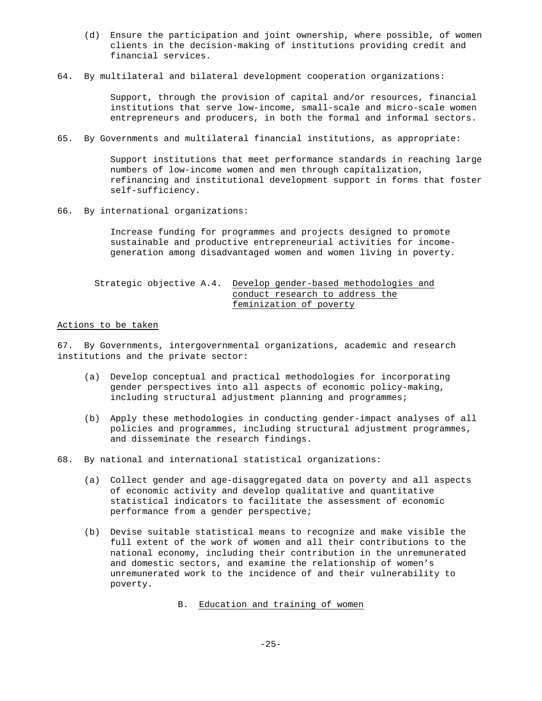- (d) Ensure the participation and joint ownership, where possible, of women clients in the decision-making of institutions providing credit and financial services.
- 64. By multilateral and bilateral development cooperation organizations:

Support, through the provision of capital and/or resources, financial institutions that serve low-income, small-scale and micro-scale women entrepreneurs and producers, in both the formal and informal sectors.

65. By Governments and multilateral financial institutions, as appropriate:

Support institutions that meet performance standards in reaching large numbers of low-income women and men through capitalization, refinancing and institutional development support in forms that foster self-sufficiency.

66. By international organizations:

Increase funding for programmes and projects designed to promote sustainable and productive entrepreneurial activities for incomegeneration among disadvantaged women and women living in poverty.

## Strategic objective A.4. Develop gender-based methodologies and conduct research to address the feminization of poverty

### Actions to be taken

67. By Governments, intergovernmental organizations, academic and research institutions and the private sector:

- (a) Develop conceptual and practical methodologies for incorporating gender perspectives into all aspects of economic policy-making, including structural adjustment planning and programmes;
- (b) Apply these methodologies in conducting gender-impact analyses of all policies and programmes, including structural adjustment programmes, and disseminate the research findings.
- 68. By national and international statistical organizations:
	- (a) Collect gender and age-disaggregated data on poverty and all aspects of economic activity and develop qualitative and quantitative statistical indicators to facilitate the assessment of economic performance from a gender perspective;
	- (b) Devise suitable statistical means to recognize and make visible the full extent of the work of women and all their contributions to the national economy, including their contribution in the unremunerated and domestic sectors, and examine the relationship of women's unremunerated work to the incidence of and their vulnerability to poverty.
		- B. Education and training of women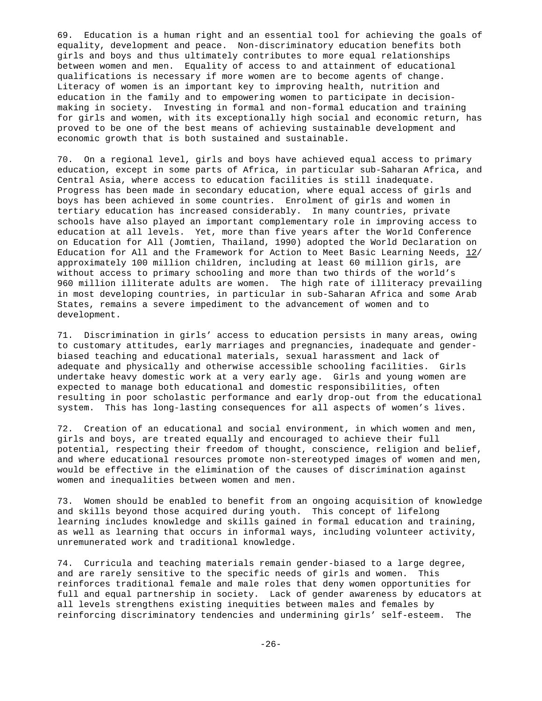69. Education is a human right and an essential tool for achieving the goals of equality, development and peace. Non-discriminatory education benefits both girls and boys and thus ultimately contributes to more equal relationships between women and men. Equality of access to and attainment of educational qualifications is necessary if more women are to become agents of change. Literacy of women is an important key to improving health, nutrition and education in the family and to empowering women to participate in decisionmaking in society. Investing in formal and non-formal education and training for girls and women, with its exceptionally high social and economic return, has proved to be one of the best means of achieving sustainable development and economic growth that is both sustained and sustainable.

70. On a regional level, girls and boys have achieved equal access to primary education, except in some parts of Africa, in particular sub-Saharan Africa, and Central Asia, where access to education facilities is still inadequate. Progress has been made in secondary education, where equal access of girls and boys has been achieved in some countries. Enrolment of girls and women in tertiary education has increased considerably. In many countries, private schools have also played an important complementary role in improving access to education at all levels. Yet, more than five years after the World Conference on Education for All (Jomtien, Thailand, 1990) adopted the World Declaration on Education for All and the Framework for Action to Meet Basic Learning Needs, 12/ approximately 100 million children, including at least 60 million girls, are without access to primary schooling and more than two thirds of the world's 960 million illiterate adults are women. The high rate of illiteracy prevailing in most developing countries, in particular in sub-Saharan Africa and some Arab States, remains a severe impediment to the advancement of women and to development.

71. Discrimination in girls' access to education persists in many areas, owing to customary attitudes, early marriages and pregnancies, inadequate and genderbiased teaching and educational materials, sexual harassment and lack of adequate and physically and otherwise accessible schooling facilities. Girls undertake heavy domestic work at a very early age. Girls and young women are expected to manage both educational and domestic responsibilities, often resulting in poor scholastic performance and early drop-out from the educational system. This has long-lasting consequences for all aspects of women's lives.

72. Creation of an educational and social environment, in which women and men, girls and boys, are treated equally and encouraged to achieve their full potential, respecting their freedom of thought, conscience, religion and belief, and where educational resources promote non-stereotyped images of women and men, would be effective in the elimination of the causes of discrimination against women and inequalities between women and men.

73. Women should be enabled to benefit from an ongoing acquisition of knowledge and skills beyond those acquired during youth. This concept of lifelong learning includes knowledge and skills gained in formal education and training, as well as learning that occurs in informal ways, including volunteer activity, unremunerated work and traditional knowledge.

74. Curricula and teaching materials remain gender-biased to a large degree, and are rarely sensitive to the specific needs of girls and women. This reinforces traditional female and male roles that deny women opportunities for full and equal partnership in society. Lack of gender awareness by educators at all levels strengthens existing inequities between males and females by reinforcing discriminatory tendencies and undermining girls' self-esteem. The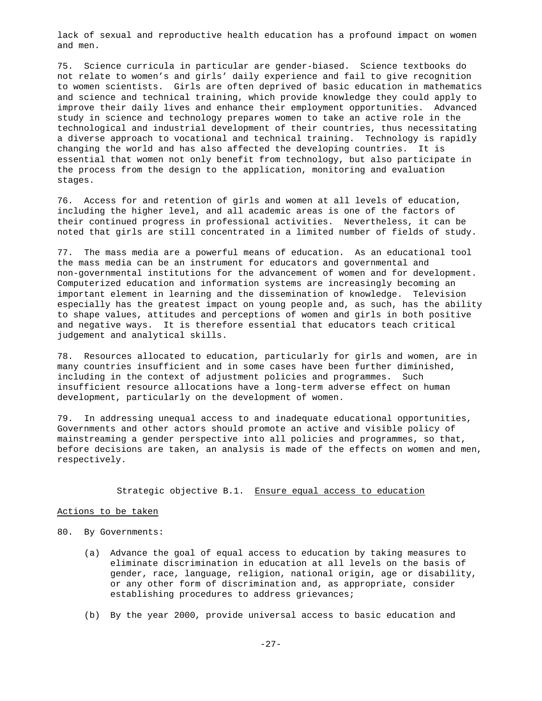lack of sexual and reproductive health education has a profound impact on women and men.

75. Science curricula in particular are gender-biased. Science textbooks do not relate to women's and girls' daily experience and fail to give recognition to women scientists. Girls are often deprived of basic education in mathematics and science and technical training, which provide knowledge they could apply to improve their daily lives and enhance their employment opportunities. Advanced study in science and technology prepares women to take an active role in the technological and industrial development of their countries, thus necessitating a diverse approach to vocational and technical training. Technology is rapidly changing the world and has also affected the developing countries. It is essential that women not only benefit from technology, but also participate in the process from the design to the application, monitoring and evaluation stages.

76. Access for and retention of girls and women at all levels of education, including the higher level, and all academic areas is one of the factors of their continued progress in professional activities. Nevertheless, it can be noted that girls are still concentrated in a limited number of fields of study.

77. The mass media are a powerful means of education. As an educational tool the mass media can be an instrument for educators and governmental and non-governmental institutions for the advancement of women and for development. Computerized education and information systems are increasingly becoming an important element in learning and the dissemination of knowledge. Television especially has the greatest impact on young people and, as such, has the ability to shape values, attitudes and perceptions of women and girls in both positive and negative ways. It is therefore essential that educators teach critical judgement and analytical skills.

78. Resources allocated to education, particularly for girls and women, are in many countries insufficient and in some cases have been further diminished, including in the context of adjustment policies and programmes. Such insufficient resource allocations have a long-term adverse effect on human development, particularly on the development of women.

79. In addressing unequal access to and inadequate educational opportunities, Governments and other actors should promote an active and visible policy of mainstreaming a gender perspective into all policies and programmes, so that, before decisions are taken, an analysis is made of the effects on women and men, respectively.

## Strategic objective B.1. Ensure equal access to education

### Actions to be taken

- 80. By Governments:
	- (a) Advance the goal of equal access to education by taking measures to eliminate discrimination in education at all levels on the basis of gender, race, language, religion, national origin, age or disability, or any other form of discrimination and, as appropriate, consider establishing procedures to address grievances;
	- (b) By the year 2000, provide universal access to basic education and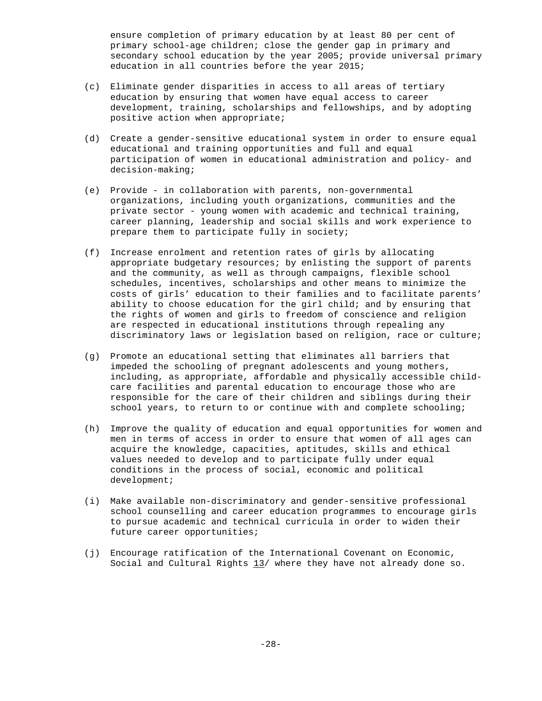ensure completion of primary education by at least 80 per cent of primary school-age children; close the gender gap in primary and secondary school education by the year 2005; provide universal primary education in all countries before the year 2015;

- (c) Eliminate gender disparities in access to all areas of tertiary education by ensuring that women have equal access to career development, training, scholarships and fellowships, and by adopting positive action when appropriate;
- (d) Create a gender-sensitive educational system in order to ensure equal educational and training opportunities and full and equal participation of women in educational administration and policy- and decision-making;
- (e) Provide in collaboration with parents, non-governmental organizations, including youth organizations, communities and the private sector - young women with academic and technical training, career planning, leadership and social skills and work experience to prepare them to participate fully in society;
- (f) Increase enrolment and retention rates of girls by allocating appropriate budgetary resources; by enlisting the support of parents and the community, as well as through campaigns, flexible school schedules, incentives, scholarships and other means to minimize the costs of girls' education to their families and to facilitate parents' ability to choose education for the girl child; and by ensuring that the rights of women and girls to freedom of conscience and religion are respected in educational institutions through repealing any discriminatory laws or legislation based on religion, race or culture;
- (g) Promote an educational setting that eliminates all barriers that impeded the schooling of pregnant adolescents and young mothers, including, as appropriate, affordable and physically accessible childcare facilities and parental education to encourage those who are responsible for the care of their children and siblings during their school years, to return to or continue with and complete schooling;
- (h) Improve the quality of education and equal opportunities for women and men in terms of access in order to ensure that women of all ages can acquire the knowledge, capacities, aptitudes, skills and ethical values needed to develop and to participate fully under equal conditions in the process of social, economic and political development;
- (i) Make available non-discriminatory and gender-sensitive professional school counselling and career education programmes to encourage girls to pursue academic and technical curricula in order to widen their future career opportunities;
- (j) Encourage ratification of the International Covenant on Economic, Social and Cultural Rights 13/ where they have not already done so.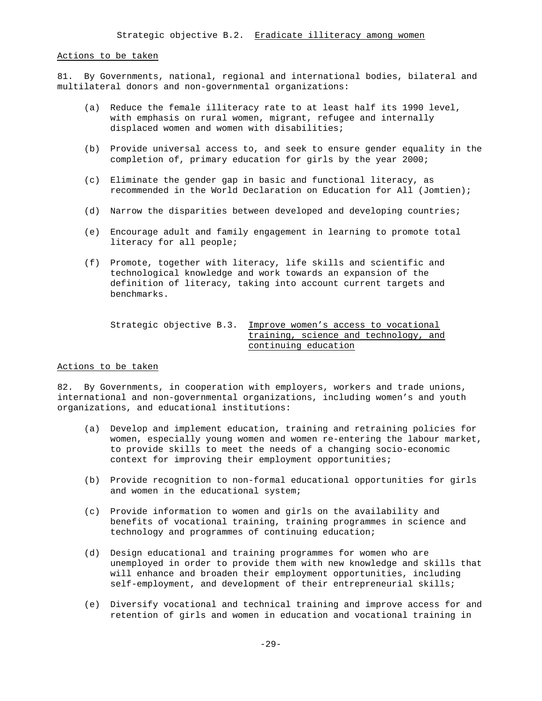#### Actions to be taken

81. By Governments, national, regional and international bodies, bilateral and multilateral donors and non-governmental organizations:

- (a) Reduce the female illiteracy rate to at least half its 1990 level, with emphasis on rural women, migrant, refugee and internally displaced women and women with disabilities;
- (b) Provide universal access to, and seek to ensure gender equality in the completion of, primary education for girls by the year 2000;
- (c) Eliminate the gender gap in basic and functional literacy, as recommended in the World Declaration on Education for All (Jomtien);
- (d) Narrow the disparities between developed and developing countries;
- (e) Encourage adult and family engagement in learning to promote total literacy for all people;
- (f) Promote, together with literacy, life skills and scientific and technological knowledge and work towards an expansion of the definition of literacy, taking into account current targets and benchmarks.

## Strategic objective B.3. Improve women's access to vocational training, science and technology, and continuing education

#### Actions to be taken

82. By Governments, in cooperation with employers, workers and trade unions, international and non-governmental organizations, including women's and youth organizations, and educational institutions:

- (a) Develop and implement education, training and retraining policies for women, especially young women and women re-entering the labour market, to provide skills to meet the needs of a changing socio-economic context for improving their employment opportunities;
- (b) Provide recognition to non-formal educational opportunities for girls and women in the educational system;
- (c) Provide information to women and girls on the availability and benefits of vocational training, training programmes in science and technology and programmes of continuing education;
- (d) Design educational and training programmes for women who are unemployed in order to provide them with new knowledge and skills that will enhance and broaden their employment opportunities, including self-employment, and development of their entrepreneurial skills;
- (e) Diversify vocational and technical training and improve access for and retention of girls and women in education and vocational training in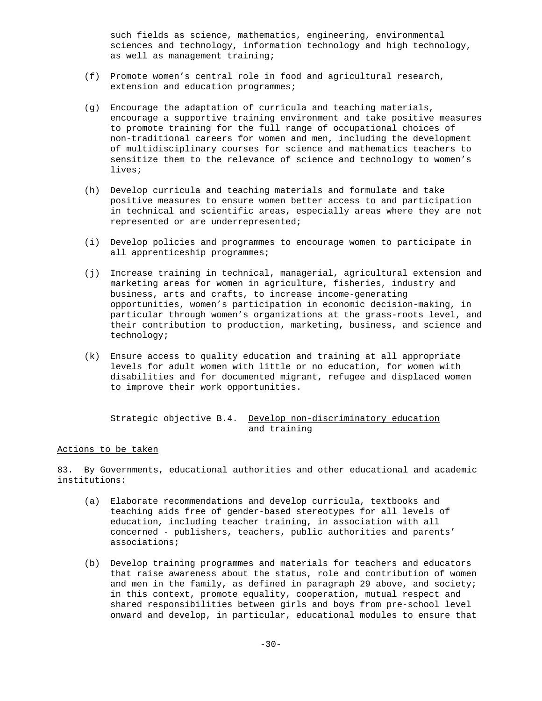such fields as science, mathematics, engineering, environmental sciences and technology, information technology and high technology, as well as management training;

- (f) Promote women's central role in food and agricultural research, extension and education programmes;
- (g) Encourage the adaptation of curricula and teaching materials, encourage a supportive training environment and take positive measures to promote training for the full range of occupational choices of non-traditional careers for women and men, including the development of multidisciplinary courses for science and mathematics teachers to sensitize them to the relevance of science and technology to women's lives;
- (h) Develop curricula and teaching materials and formulate and take positive measures to ensure women better access to and participation in technical and scientific areas, especially areas where they are not represented or are underrepresented;
- (i) Develop policies and programmes to encourage women to participate in all apprenticeship programmes;
- (j) Increase training in technical, managerial, agricultural extension and marketing areas for women in agriculture, fisheries, industry and business, arts and crafts, to increase income-generating opportunities, women's participation in economic decision-making, in particular through women's organizations at the grass-roots level, and their contribution to production, marketing, business, and science and technology;
- (k) Ensure access to quality education and training at all appropriate levels for adult women with little or no education, for women with disabilities and for documented migrant, refugee and displaced women to improve their work opportunities.

## Strategic objective B.4. Develop non-discriminatory education and training

### Actions to be taken

83. By Governments, educational authorities and other educational and academic institutions:

- (a) Elaborate recommendations and develop curricula, textbooks and teaching aids free of gender-based stereotypes for all levels of education, including teacher training, in association with all concerned - publishers, teachers, public authorities and parents' associations;
- (b) Develop training programmes and materials for teachers and educators that raise awareness about the status, role and contribution of women and men in the family, as defined in paragraph 29 above, and society; in this context, promote equality, cooperation, mutual respect and shared responsibilities between girls and boys from pre-school level onward and develop, in particular, educational modules to ensure that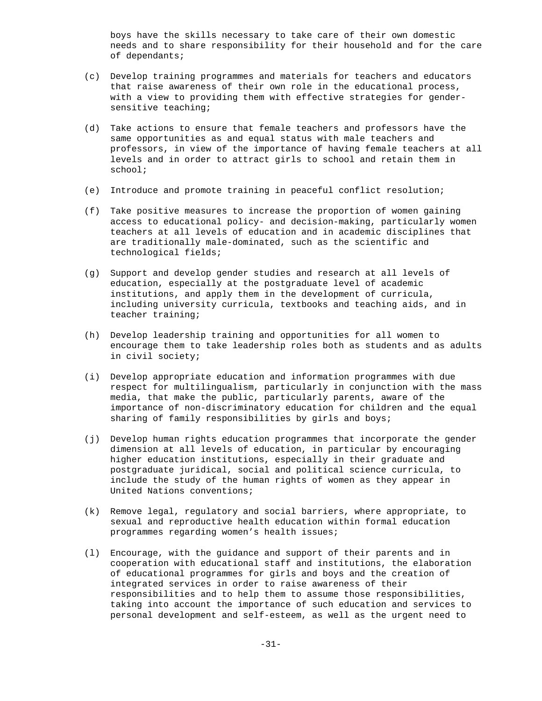boys have the skills necessary to take care of their own domestic needs and to share responsibility for their household and for the care of dependants;

- (c) Develop training programmes and materials for teachers and educators that raise awareness of their own role in the educational process, with a view to providing them with effective strategies for gendersensitive teaching;
- (d) Take actions to ensure that female teachers and professors have the same opportunities as and equal status with male teachers and professors, in view of the importance of having female teachers at all levels and in order to attract girls to school and retain them in school;
- (e) Introduce and promote training in peaceful conflict resolution;
- (f) Take positive measures to increase the proportion of women gaining access to educational policy- and decision-making, particularly women teachers at all levels of education and in academic disciplines that are traditionally male-dominated, such as the scientific and technological fields;
- (g) Support and develop gender studies and research at all levels of education, especially at the postgraduate level of academic institutions, and apply them in the development of curricula, including university curricula, textbooks and teaching aids, and in teacher training;
- (h) Develop leadership training and opportunities for all women to encourage them to take leadership roles both as students and as adults in civil society;
- (i) Develop appropriate education and information programmes with due respect for multilingualism, particularly in conjunction with the mass media, that make the public, particularly parents, aware of the importance of non-discriminatory education for children and the equal sharing of family responsibilities by girls and boys;
- (j) Develop human rights education programmes that incorporate the gender dimension at all levels of education, in particular by encouraging higher education institutions, especially in their graduate and postgraduate juridical, social and political science curricula, to include the study of the human rights of women as they appear in United Nations conventions;
- (k) Remove legal, regulatory and social barriers, where appropriate, to sexual and reproductive health education within formal education programmes regarding women's health issues;
- (l) Encourage, with the guidance and support of their parents and in cooperation with educational staff and institutions, the elaboration of educational programmes for girls and boys and the creation of integrated services in order to raise awareness of their responsibilities and to help them to assume those responsibilities, taking into account the importance of such education and services to personal development and self-esteem, as well as the urgent need to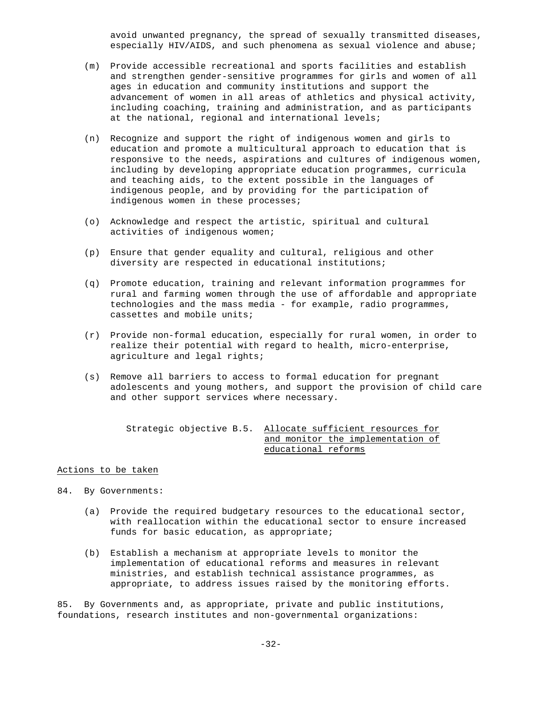avoid unwanted pregnancy, the spread of sexually transmitted diseases, especially HIV/AIDS, and such phenomena as sexual violence and abuse;

- (m) Provide accessible recreational and sports facilities and establish and strengthen gender-sensitive programmes for girls and women of all ages in education and community institutions and support the advancement of women in all areas of athletics and physical activity, including coaching, training and administration, and as participants at the national, regional and international levels;
- (n) Recognize and support the right of indigenous women and girls to education and promote a multicultural approach to education that is responsive to the needs, aspirations and cultures of indigenous women, including by developing appropriate education programmes, curricula and teaching aids, to the extent possible in the languages of indigenous people, and by providing for the participation of indigenous women in these processes;
- (o) Acknowledge and respect the artistic, spiritual and cultural activities of indigenous women;
- (p) Ensure that gender equality and cultural, religious and other diversity are respected in educational institutions;
- (q) Promote education, training and relevant information programmes for rural and farming women through the use of affordable and appropriate technologies and the mass media - for example, radio programmes, cassettes and mobile units;
- (r) Provide non-formal education, especially for rural women, in order to realize their potential with regard to health, micro-enterprise, agriculture and legal rights;
- (s) Remove all barriers to access to formal education for pregnant adolescents and young mothers, and support the provision of child care and other support services where necessary.

| Strategic objective B.5. Allocate sufficient resources for |
|------------------------------------------------------------|
| and monitor the implementation of                          |
| educational reforms                                        |

#### Actions to be taken

- 84. By Governments:
	- (a) Provide the required budgetary resources to the educational sector, with reallocation within the educational sector to ensure increased funds for basic education, as appropriate;
	- (b) Establish a mechanism at appropriate levels to monitor the implementation of educational reforms and measures in relevant ministries, and establish technical assistance programmes, as appropriate, to address issues raised by the monitoring efforts.

85. By Governments and, as appropriate, private and public institutions, foundations, research institutes and non-governmental organizations: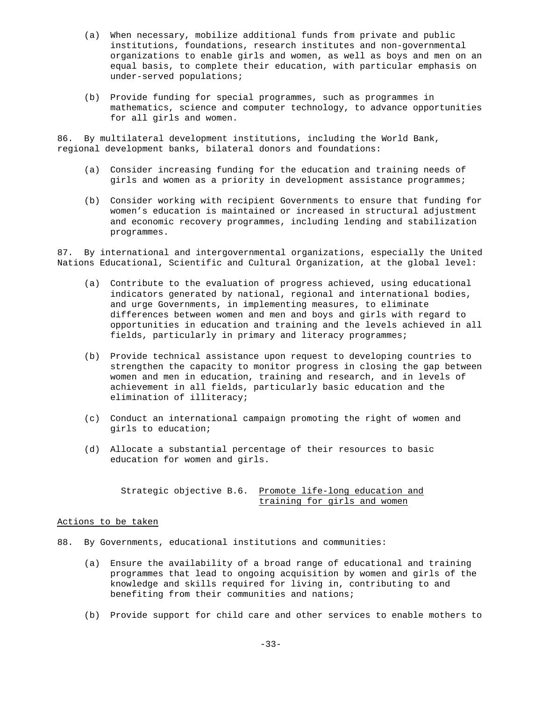- (a) When necessary, mobilize additional funds from private and public institutions, foundations, research institutes and non-governmental organizations to enable girls and women, as well as boys and men on an equal basis, to complete their education, with particular emphasis on under-served populations;
- (b) Provide funding for special programmes, such as programmes in mathematics, science and computer technology, to advance opportunities for all girls and women.

86. By multilateral development institutions, including the World Bank, regional development banks, bilateral donors and foundations:

- (a) Consider increasing funding for the education and training needs of girls and women as a priority in development assistance programmes;
- (b) Consider working with recipient Governments to ensure that funding for women's education is maintained or increased in structural adjustment and economic recovery programmes, including lending and stabilization programmes.

87. By international and intergovernmental organizations, especially the United Nations Educational, Scientific and Cultural Organization, at the global level:

- (a) Contribute to the evaluation of progress achieved, using educational indicators generated by national, regional and international bodies, and urge Governments, in implementing measures, to eliminate differences between women and men and boys and girls with regard to opportunities in education and training and the levels achieved in all fields, particularly in primary and literacy programmes;
- (b) Provide technical assistance upon request to developing countries to strengthen the capacity to monitor progress in closing the gap between women and men in education, training and research, and in levels of achievement in all fields, particularly basic education and the elimination of illiteracy;
- (c) Conduct an international campaign promoting the right of women and girls to education;
- (d) Allocate a substantial percentage of their resources to basic education for women and girls.

Strategic objective B.6. Promote life-long education and training for girls and women

### Actions to be taken

- 88. By Governments, educational institutions and communities:
	- (a) Ensure the availability of a broad range of educational and training programmes that lead to ongoing acquisition by women and girls of the knowledge and skills required for living in, contributing to and benefiting from their communities and nations;
	- (b) Provide support for child care and other services to enable mothers to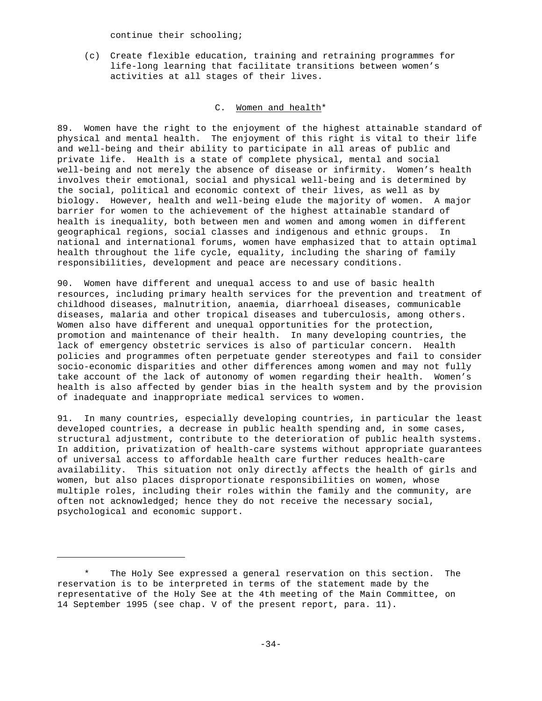continue their schooling;

(c) Create flexible education, training and retraining programmes for life-long learning that facilitate transitions between women's activities at all stages of their lives.

## C. Women and health\*

89. Women have the right to the enjoyment of the highest attainable standard of physical and mental health. The enjoyment of this right is vital to their life and well-being and their ability to participate in all areas of public and private life. Health is a state of complete physical, mental and social well-being and not merely the absence of disease or infirmity. Women's health involves their emotional, social and physical well-being and is determined by the social, political and economic context of their lives, as well as by biology. However, health and well-being elude the majority of women. A major barrier for women to the achievement of the highest attainable standard of health is inequality, both between men and women and among women in different geographical regions, social classes and indigenous and ethnic groups. In national and international forums, women have emphasized that to attain optimal health throughout the life cycle, equality, including the sharing of family responsibilities, development and peace are necessary conditions.

90. Women have different and unequal access to and use of basic health resources, including primary health services for the prevention and treatment of childhood diseases, malnutrition, anaemia, diarrhoeal diseases, communicable diseases, malaria and other tropical diseases and tuberculosis, among others. Women also have different and unequal opportunities for the protection, promotion and maintenance of their health. In many developing countries, the lack of emergency obstetric services is also of particular concern. Health policies and programmes often perpetuate gender stereotypes and fail to consider socio-economic disparities and other differences among women and may not fully take account of the lack of autonomy of women regarding their health. Women's health is also affected by gender bias in the health system and by the provision of inadequate and inappropriate medical services to women.

91. In many countries, especially developing countries, in particular the least developed countries, a decrease in public health spending and, in some cases, structural adjustment, contribute to the deterioration of public health systems. In addition, privatization of health-care systems without appropriate guarantees of universal access to affordable health care further reduces health-care availability. This situation not only directly affects the health of girls and women, but also places disproportionate responsibilities on women, whose multiple roles, including their roles within the family and the community, are often not acknowledged; hence they do not receive the necessary social, psychological and economic support.

The Holy See expressed a general reservation on this section. The reservation is to be interpreted in terms of the statement made by the representative of the Holy See at the 4th meeting of the Main Committee, on 14 September 1995 (see chap. V of the present report, para. 11).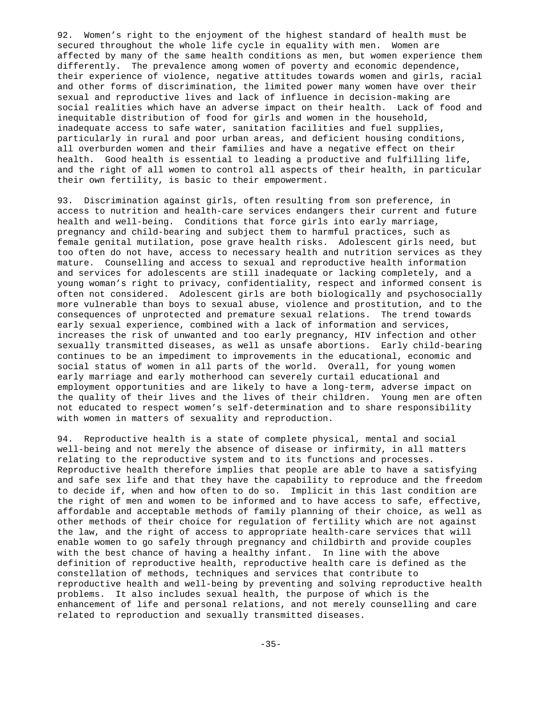92. Women's right to the enjoyment of the highest standard of health must be secured throughout the whole life cycle in equality with men. Women are affected by many of the same health conditions as men, but women experience them differently. The prevalence among women of poverty and economic dependence, their experience of violence, negative attitudes towards women and girls, racial and other forms of discrimination, the limited power many women have over their sexual and reproductive lives and lack of influence in decision-making are social realities which have an adverse impact on their health. Lack of food and inequitable distribution of food for girls and women in the household, inadequate access to safe water, sanitation facilities and fuel supplies, particularly in rural and poor urban areas, and deficient housing conditions, all overburden women and their families and have a negative effect on their health. Good health is essential to leading a productive and fulfilling life, and the right of all women to control all aspects of their health, in particular their own fertility, is basic to their empowerment.

93. Discrimination against girls, often resulting from son preference, in access to nutrition and health-care services endangers their current and future health and well-being. Conditions that force girls into early marriage, pregnancy and child-bearing and subject them to harmful practices, such as female genital mutilation, pose grave health risks. Adolescent girls need, but too often do not have, access to necessary health and nutrition services as they mature. Counselling and access to sexual and reproductive health information and services for adolescents are still inadequate or lacking completely, and a young woman's right to privacy, confidentiality, respect and informed consent is often not considered. Adolescent girls are both biologically and psychosocially more vulnerable than boys to sexual abuse, violence and prostitution, and to the consequences of unprotected and premature sexual relations. The trend towards early sexual experience, combined with a lack of information and services, increases the risk of unwanted and too early pregnancy, HIV infection and other sexually transmitted diseases, as well as unsafe abortions. Early child-bearing continues to be an impediment to improvements in the educational, economic and social status of women in all parts of the world. Overall, for young women early marriage and early motherhood can severely curtail educational and employment opportunities and are likely to have a long-term, adverse impact on the quality of their lives and the lives of their children. Young men are often not educated to respect women's self-determination and to share responsibility with women in matters of sexuality and reproduction.

94. Reproductive health is a state of complete physical, mental and social well-being and not merely the absence of disease or infirmity, in all matters relating to the reproductive system and to its functions and processes. Reproductive health therefore implies that people are able to have a satisfying and safe sex life and that they have the capability to reproduce and the freedom to decide if, when and how often to do so. Implicit in this last condition are the right of men and women to be informed and to have access to safe, effective, affordable and acceptable methods of family planning of their choice, as well as other methods of their choice for regulation of fertility which are not against the law, and the right of access to appropriate health-care services that will enable women to go safely through pregnancy and childbirth and provide couples with the best chance of having a healthy infant. In line with the above definition of reproductive health, reproductive health care is defined as the constellation of methods, techniques and services that contribute to reproductive health and well-being by preventing and solving reproductive health problems. It also includes sexual health, the purpose of which is the enhancement of life and personal relations, and not merely counselling and care related to reproduction and sexually transmitted diseases.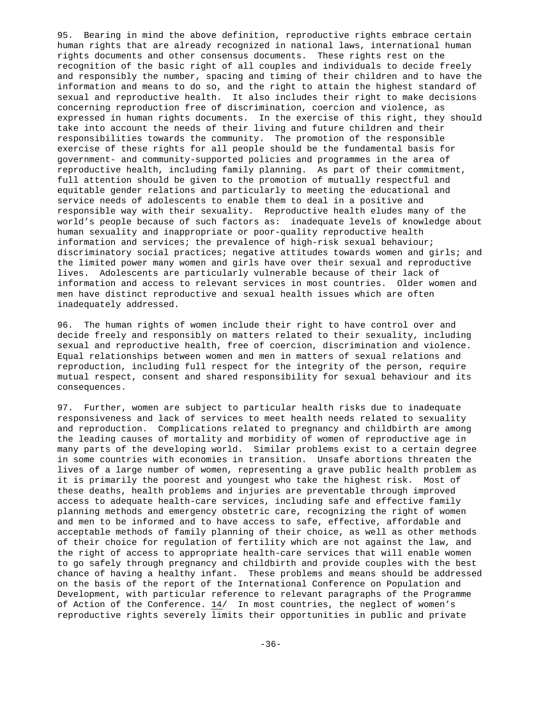95. Bearing in mind the above definition, reproductive rights embrace certain human rights that are already recognized in national laws, international human rights documents and other consensus documents. These rights rest on the recognition of the basic right of all couples and individuals to decide freely and responsibly the number, spacing and timing of their children and to have the information and means to do so, and the right to attain the highest standard of sexual and reproductive health. It also includes their right to make decisions concerning reproduction free of discrimination, coercion and violence, as expressed in human rights documents. In the exercise of this right, they should take into account the needs of their living and future children and their responsibilities towards the community. The promotion of the responsible exercise of these rights for all people should be the fundamental basis for government- and community-supported policies and programmes in the area of reproductive health, including family planning. As part of their commitment, full attention should be given to the promotion of mutually respectful and equitable gender relations and particularly to meeting the educational and service needs of adolescents to enable them to deal in a positive and responsible way with their sexuality. Reproductive health eludes many of the world's people because of such factors as: inadequate levels of knowledge about human sexuality and inappropriate or poor-quality reproductive health information and services; the prevalence of high-risk sexual behaviour; discriminatory social practices; negative attitudes towards women and girls; and the limited power many women and girls have over their sexual and reproductive lives. Adolescents are particularly vulnerable because of their lack of information and access to relevant services in most countries. Older women and men have distinct reproductive and sexual health issues which are often inadequately addressed.

96. The human rights of women include their right to have control over and decide freely and responsibly on matters related to their sexuality, including sexual and reproductive health, free of coercion, discrimination and violence. Equal relationships between women and men in matters of sexual relations and reproduction, including full respect for the integrity of the person, require mutual respect, consent and shared responsibility for sexual behaviour and its consequences.

97. Further, women are subject to particular health risks due to inadequate responsiveness and lack of services to meet health needs related to sexuality and reproduction. Complications related to pregnancy and childbirth are among the leading causes of mortality and morbidity of women of reproductive age in many parts of the developing world. Similar problems exist to a certain degree in some countries with economies in transition. Unsafe abortions threaten the lives of a large number of women, representing a grave public health problem as it is primarily the poorest and youngest who take the highest risk. Most of these deaths, health problems and injuries are preventable through improved access to adequate health-care services, including safe and effective family planning methods and emergency obstetric care, recognizing the right of women and men to be informed and to have access to safe, effective, affordable and acceptable methods of family planning of their choice, as well as other methods of their choice for regulation of fertility which are not against the law, and the right of access to appropriate health-care services that will enable women to go safely through pregnancy and childbirth and provide couples with the best chance of having a healthy infant. These problems and means should be addressed on the basis of the report of the International Conference on Population and Development, with particular reference to relevant paragraphs of the Programme of Action of the Conference. 14/ In most countries, the neglect of women's reproductive rights severely limits their opportunities in public and private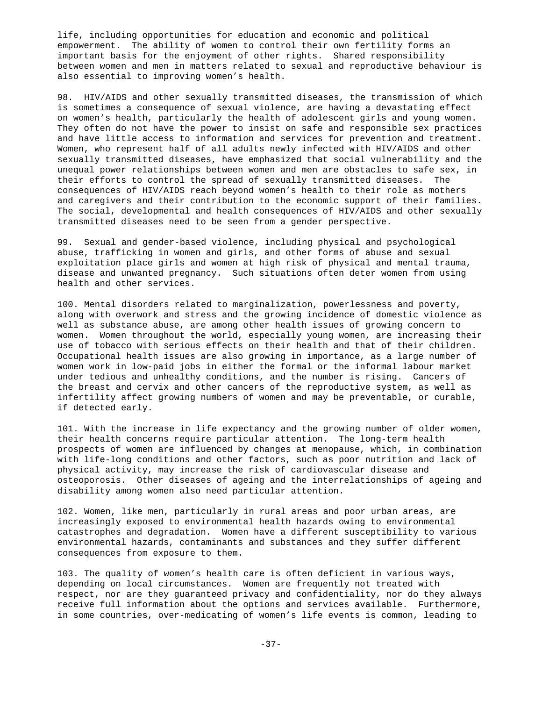life, including opportunities for education and economic and political empowerment. The ability of women to control their own fertility forms an important basis for the enjoyment of other rights. Shared responsibility between women and men in matters related to sexual and reproductive behaviour is also essential to improving women's health.

98. HIV/AIDS and other sexually transmitted diseases, the transmission of which is sometimes a consequence of sexual violence, are having a devastating effect on women's health, particularly the health of adolescent girls and young women. They often do not have the power to insist on safe and responsible sex practices and have little access to information and services for prevention and treatment. Women, who represent half of all adults newly infected with HIV/AIDS and other sexually transmitted diseases, have emphasized that social vulnerability and the unequal power relationships between women and men are obstacles to safe sex, in their efforts to control the spread of sexually transmitted diseases. The consequences of HIV/AIDS reach beyond women's health to their role as mothers and caregivers and their contribution to the economic support of their families. The social, developmental and health consequences of HIV/AIDS and other sexually transmitted diseases need to be seen from a gender perspective.

99. Sexual and gender-based violence, including physical and psychological abuse, trafficking in women and girls, and other forms of abuse and sexual exploitation place girls and women at high risk of physical and mental trauma, disease and unwanted pregnancy. Such situations often deter women from using health and other services.

100. Mental disorders related to marginalization, powerlessness and poverty, along with overwork and stress and the growing incidence of domestic violence as well as substance abuse, are among other health issues of growing concern to women. Women throughout the world, especially young women, are increasing their use of tobacco with serious effects on their health and that of their children. Occupational health issues are also growing in importance, as a large number of women work in low-paid jobs in either the formal or the informal labour market under tedious and unhealthy conditions, and the number is rising. Cancers of the breast and cervix and other cancers of the reproductive system, as well as infertility affect growing numbers of women and may be preventable, or curable, if detected early.

101. With the increase in life expectancy and the growing number of older women, their health concerns require particular attention. The long-term health prospects of women are influenced by changes at menopause, which, in combination with life-long conditions and other factors, such as poor nutrition and lack of physical activity, may increase the risk of cardiovascular disease and osteoporosis. Other diseases of ageing and the interrelationships of ageing and disability among women also need particular attention.

102. Women, like men, particularly in rural areas and poor urban areas, are increasingly exposed to environmental health hazards owing to environmental catastrophes and degradation. Women have a different susceptibility to various environmental hazards, contaminants and substances and they suffer different consequences from exposure to them.

103. The quality of women's health care is often deficient in various ways, depending on local circumstances. Women are frequently not treated with respect, nor are they guaranteed privacy and confidentiality, nor do they always receive full information about the options and services available. Furthermore, in some countries, over-medicating of women's life events is common, leading to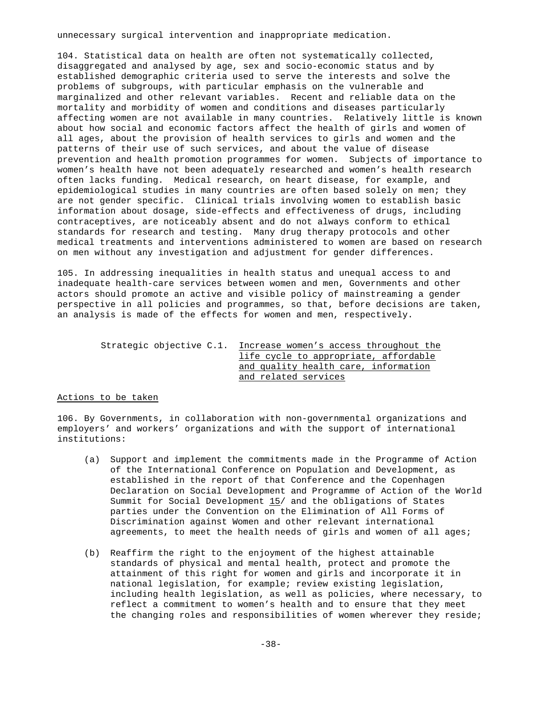unnecessary surgical intervention and inappropriate medication.

104. Statistical data on health are often not systematically collected, disaggregated and analysed by age, sex and socio-economic status and by established demographic criteria used to serve the interests and solve the problems of subgroups, with particular emphasis on the vulnerable and marginalized and other relevant variables. Recent and reliable data on the mortality and morbidity of women and conditions and diseases particularly affecting women are not available in many countries. Relatively little is known about how social and economic factors affect the health of girls and women of all ages, about the provision of health services to girls and women and the patterns of their use of such services, and about the value of disease prevention and health promotion programmes for women. Subjects of importance to women's health have not been adequately researched and women's health research often lacks funding. Medical research, on heart disease, for example, and epidemiological studies in many countries are often based solely on men; they are not gender specific. Clinical trials involving women to establish basic information about dosage, side-effects and effectiveness of drugs, including contraceptives, are noticeably absent and do not always conform to ethical standards for research and testing. Many drug therapy protocols and other medical treatments and interventions administered to women are based on research on men without any investigation and adjustment for gender differences.

105. In addressing inequalities in health status and unequal access to and inadequate health-care services between women and men, Governments and other actors should promote an active and visible policy of mainstreaming a gender perspective in all policies and programmes, so that, before decisions are taken, an analysis is made of the effects for women and men, respectively.

| Strategic objective C.1. Increase women's access throughout the |
|-----------------------------------------------------------------|
| life cycle to appropriate, affordable                           |
| and quality health care, information                            |
| and related services                                            |

# Actions to be taken

106. By Governments, in collaboration with non-governmental organizations and employers' and workers' organizations and with the support of international institutions:

- (a) Support and implement the commitments made in the Programme of Action of the International Conference on Population and Development, as established in the report of that Conference and the Copenhagen Declaration on Social Development and Programme of Action of the World Summit for Social Development 15/ and the obligations of States parties under the Convention on the Elimination of All Forms of Discrimination against Women and other relevant international agreements, to meet the health needs of girls and women of all ages;
- (b) Reaffirm the right to the enjoyment of the highest attainable standards of physical and mental health, protect and promote the attainment of this right for women and girls and incorporate it in national legislation, for example; review existing legislation, including health legislation, as well as policies, where necessary, to reflect a commitment to women's health and to ensure that they meet the changing roles and responsibilities of women wherever they reside;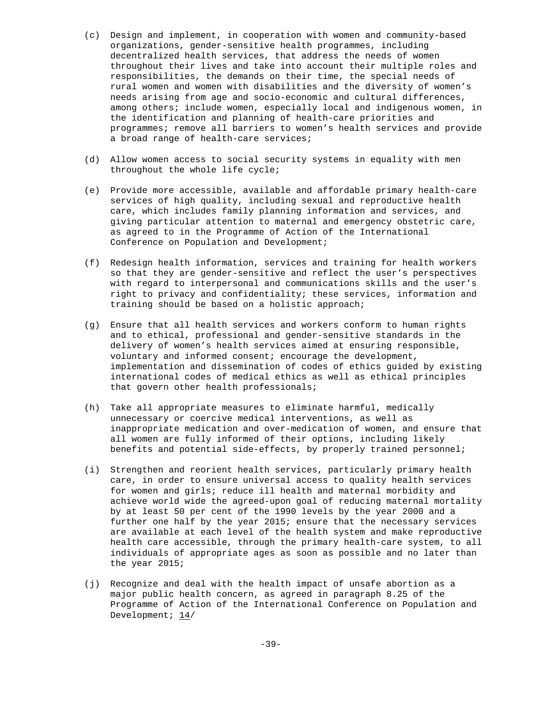- (c) Design and implement, in cooperation with women and community-based organizations, gender-sensitive health programmes, including decentralized health services, that address the needs of women throughout their lives and take into account their multiple roles and responsibilities, the demands on their time, the special needs of rural women and women with disabilities and the diversity of women's needs arising from age and socio-economic and cultural differences, among others; include women, especially local and indigenous women, in the identification and planning of health-care priorities and programmes; remove all barriers to women's health services and provide a broad range of health-care services;
- (d) Allow women access to social security systems in equality with men throughout the whole life cycle;
- (e) Provide more accessible, available and affordable primary health-care services of high quality, including sexual and reproductive health care, which includes family planning information and services, and giving particular attention to maternal and emergency obstetric care, as agreed to in the Programme of Action of the International Conference on Population and Development;
- (f) Redesign health information, services and training for health workers so that they are gender-sensitive and reflect the user's perspectives with regard to interpersonal and communications skills and the user's right to privacy and confidentiality; these services, information and training should be based on a holistic approach;
- (g) Ensure that all health services and workers conform to human rights and to ethical, professional and gender-sensitive standards in the delivery of women's health services aimed at ensuring responsible, voluntary and informed consent; encourage the development, implementation and dissemination of codes of ethics guided by existing international codes of medical ethics as well as ethical principles that govern other health professionals;
- (h) Take all appropriate measures to eliminate harmful, medically unnecessary or coercive medical interventions, as well as inappropriate medication and over-medication of women, and ensure that all women are fully informed of their options, including likely benefits and potential side-effects, by properly trained personnel;
- (i) Strengthen and reorient health services, particularly primary health care, in order to ensure universal access to quality health services for women and girls; reduce ill health and maternal morbidity and achieve world wide the agreed-upon goal of reducing maternal mortality by at least 50 per cent of the 1990 levels by the year 2000 and a further one half by the year 2015; ensure that the necessary services are available at each level of the health system and make reproductive health care accessible, through the primary health-care system, to all individuals of appropriate ages as soon as possible and no later than the year 2015;
- (j) Recognize and deal with the health impact of unsafe abortion as a major public health concern, as agreed in paragraph 8.25 of the Programme of Action of the International Conference on Population and Development;  $14/$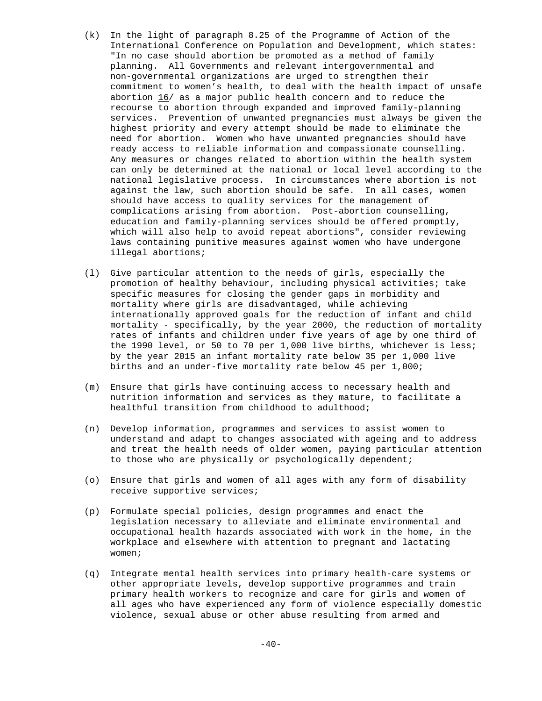- (k) In the light of paragraph 8.25 of the Programme of Action of the International Conference on Population and Development, which states: "In no case should abortion be promoted as a method of family planning. All Governments and relevant intergovernmental and non-governmental organizations are urged to strengthen their commitment to women's health, to deal with the health impact of unsafe abortion 16/ as a major public health concern and to reduce the recourse to abortion through expanded and improved family-planning services. Prevention of unwanted pregnancies must always be given the highest priority and every attempt should be made to eliminate the need for abortion. Women who have unwanted pregnancies should have ready access to reliable information and compassionate counselling. Any measures or changes related to abortion within the health system can only be determined at the national or local level according to the national legislative process. In circumstances where abortion is not against the law, such abortion should be safe. In all cases, women should have access to quality services for the management of complications arising from abortion. Post-abortion counselling, education and family-planning services should be offered promptly, which will also help to avoid repeat abortions", consider reviewing laws containing punitive measures against women who have undergone illegal abortions;
- (l) Give particular attention to the needs of girls, especially the promotion of healthy behaviour, including physical activities; take specific measures for closing the gender gaps in morbidity and mortality where girls are disadvantaged, while achieving internationally approved goals for the reduction of infant and child mortality - specifically, by the year 2000, the reduction of mortality rates of infants and children under five years of age by one third of the 1990 level, or 50 to 70 per 1,000 live births, whichever is less; by the year 2015 an infant mortality rate below 35 per 1,000 live births and an under-five mortality rate below 45 per 1,000;
- (m) Ensure that girls have continuing access to necessary health and nutrition information and services as they mature, to facilitate a healthful transition from childhood to adulthood;
- (n) Develop information, programmes and services to assist women to understand and adapt to changes associated with ageing and to address and treat the health needs of older women, paying particular attention to those who are physically or psychologically dependent;
- (o) Ensure that girls and women of all ages with any form of disability receive supportive services;
- (p) Formulate special policies, design programmes and enact the legislation necessary to alleviate and eliminate environmental and occupational health hazards associated with work in the home, in the workplace and elsewhere with attention to pregnant and lactating women;
- (q) Integrate mental health services into primary health-care systems or other appropriate levels, develop supportive programmes and train primary health workers to recognize and care for girls and women of all ages who have experienced any form of violence especially domestic violence, sexual abuse or other abuse resulting from armed and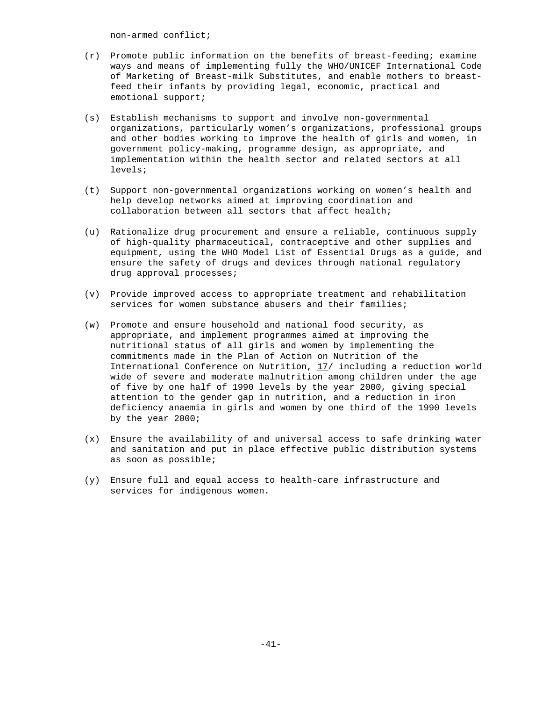non-armed conflict;

- (r) Promote public information on the benefits of breast-feeding; examine ways and means of implementing fully the WHO/UNICEF International Code of Marketing of Breast-milk Substitutes, and enable mothers to breastfeed their infants by providing legal, economic, practical and emotional support;
- (s) Establish mechanisms to support and involve non-governmental organizations, particularly women's organizations, professional groups and other bodies working to improve the health of girls and women, in government policy-making, programme design, as appropriate, and implementation within the health sector and related sectors at all levels;
- (t) Support non-governmental organizations working on women's health and help develop networks aimed at improving coordination and collaboration between all sectors that affect health;
- (u) Rationalize drug procurement and ensure a reliable, continuous supply of high-quality pharmaceutical, contraceptive and other supplies and equipment, using the WHO Model List of Essential Drugs as a guide, and ensure the safety of drugs and devices through national regulatory drug approval processes;
- (v) Provide improved access to appropriate treatment and rehabilitation services for women substance abusers and their families;
- (w) Promote and ensure household and national food security, as appropriate, and implement programmes aimed at improving the nutritional status of all girls and women by implementing the commitments made in the Plan of Action on Nutrition of the International Conference on Nutrition, 17/ including a reduction world wide of severe and moderate malnutrition among children under the age of five by one half of 1990 levels by the year 2000, giving special attention to the gender gap in nutrition, and a reduction in iron deficiency anaemia in girls and women by one third of the 1990 levels by the year 2000;
- (x) Ensure the availability of and universal access to safe drinking water and sanitation and put in place effective public distribution systems as soon as possible;
- (y) Ensure full and equal access to health-care infrastructure and services for indigenous women.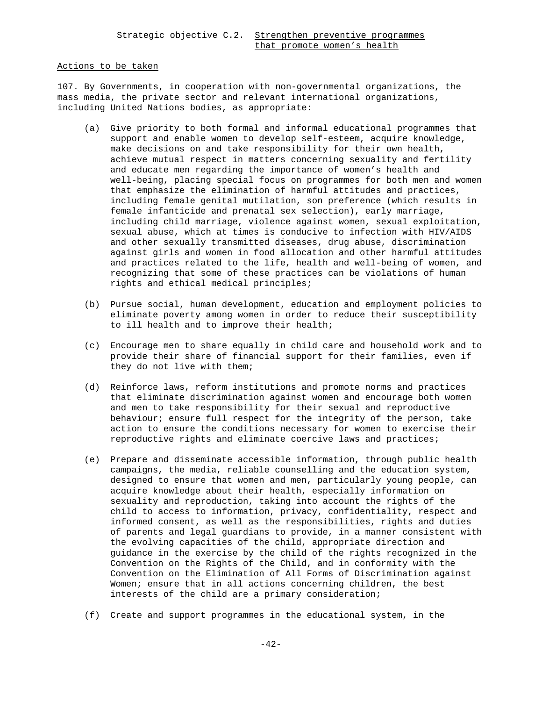#### Actions to be taken

107. By Governments, in cooperation with non-governmental organizations, the mass media, the private sector and relevant international organizations, including United Nations bodies, as appropriate:

- (a) Give priority to both formal and informal educational programmes that support and enable women to develop self-esteem, acquire knowledge, make decisions on and take responsibility for their own health, achieve mutual respect in matters concerning sexuality and fertility and educate men regarding the importance of women's health and well-being, placing special focus on programmes for both men and women that emphasize the elimination of harmful attitudes and practices, including female genital mutilation, son preference (which results in female infanticide and prenatal sex selection), early marriage, including child marriage, violence against women, sexual exploitation, sexual abuse, which at times is conducive to infection with HIV/AIDS and other sexually transmitted diseases, drug abuse, discrimination against girls and women in food allocation and other harmful attitudes and practices related to the life, health and well-being of women, and recognizing that some of these practices can be violations of human rights and ethical medical principles;
- (b) Pursue social, human development, education and employment policies to eliminate poverty among women in order to reduce their susceptibility to ill health and to improve their health;
- (c) Encourage men to share equally in child care and household work and to provide their share of financial support for their families, even if they do not live with them;
- (d) Reinforce laws, reform institutions and promote norms and practices that eliminate discrimination against women and encourage both women and men to take responsibility for their sexual and reproductive behaviour; ensure full respect for the integrity of the person, take action to ensure the conditions necessary for women to exercise their reproductive rights and eliminate coercive laws and practices;
- (e) Prepare and disseminate accessible information, through public health campaigns, the media, reliable counselling and the education system, designed to ensure that women and men, particularly young people, can acquire knowledge about their health, especially information on sexuality and reproduction, taking into account the rights of the child to access to information, privacy, confidentiality, respect and informed consent, as well as the responsibilities, rights and duties of parents and legal guardians to provide, in a manner consistent with the evolving capacities of the child, appropriate direction and guidance in the exercise by the child of the rights recognized in the Convention on the Rights of the Child, and in conformity with the Convention on the Elimination of All Forms of Discrimination against Women; ensure that in all actions concerning children, the best interests of the child are a primary consideration;
- (f) Create and support programmes in the educational system, in the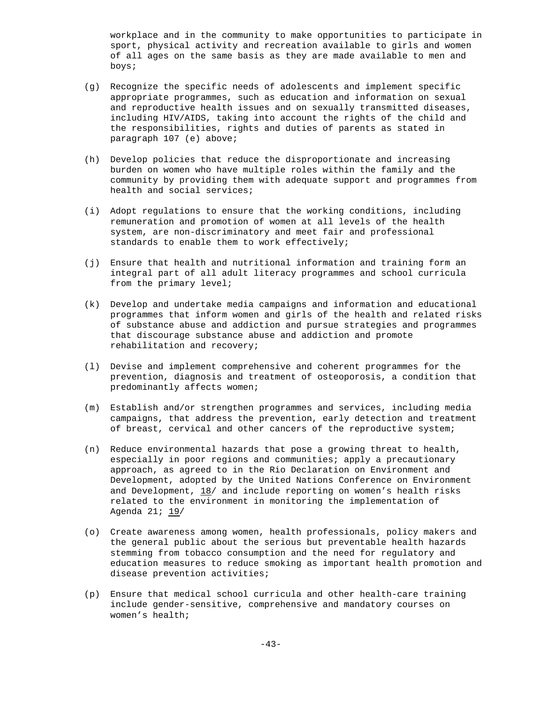workplace and in the community to make opportunities to participate in sport, physical activity and recreation available to girls and women of all ages on the same basis as they are made available to men and boys;

- (g) Recognize the specific needs of adolescents and implement specific appropriate programmes, such as education and information on sexual and reproductive health issues and on sexually transmitted diseases, including HIV/AIDS, taking into account the rights of the child and the responsibilities, rights and duties of parents as stated in paragraph 107 (e) above;
- (h) Develop policies that reduce the disproportionate and increasing burden on women who have multiple roles within the family and the community by providing them with adequate support and programmes from health and social services;
- (i) Adopt regulations to ensure that the working conditions, including remuneration and promotion of women at all levels of the health system, are non-discriminatory and meet fair and professional standards to enable them to work effectively;
- (j) Ensure that health and nutritional information and training form an integral part of all adult literacy programmes and school curricula from the primary level;
- (k) Develop and undertake media campaigns and information and educational programmes that inform women and girls of the health and related risks of substance abuse and addiction and pursue strategies and programmes that discourage substance abuse and addiction and promote rehabilitation and recovery;
- (l) Devise and implement comprehensive and coherent programmes for the prevention, diagnosis and treatment of osteoporosis, a condition that predominantly affects women;
- (m) Establish and/or strengthen programmes and services, including media campaigns, that address the prevention, early detection and treatment of breast, cervical and other cancers of the reproductive system;
- (n) Reduce environmental hazards that pose a growing threat to health, especially in poor regions and communities; apply a precautionary approach, as agreed to in the Rio Declaration on Environment and Development, adopted by the United Nations Conference on Environment and Development,  $18/$  and include reporting on women's health risks related to the environment in monitoring the implementation of Agenda 21; 19/
- (o) Create awareness among women, health professionals, policy makers and the general public about the serious but preventable health hazards stemming from tobacco consumption and the need for regulatory and education measures to reduce smoking as important health promotion and disease prevention activities;
- (p) Ensure that medical school curricula and other health-care training include gender-sensitive, comprehensive and mandatory courses on women's health;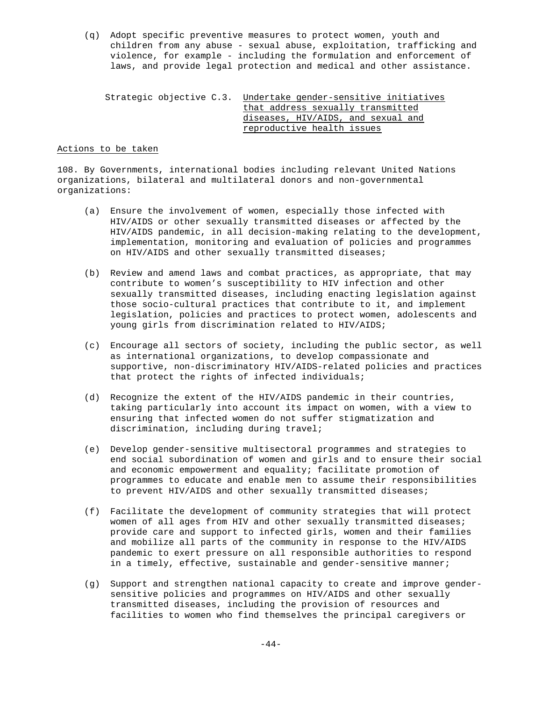(q) Adopt specific preventive measures to protect women, youth and children from any abuse - sexual abuse, exploitation, trafficking and violence, for example - including the formulation and enforcement of laws, and provide legal protection and medical and other assistance.

| Strategic objective C.3. Undertake gender-sensitive initiatives |
|-----------------------------------------------------------------|
| that address sexually transmitted                               |
| diseases, HIV/AIDS, and sexual and                              |
| reproductive health issues                                      |

## Actions to be taken

108. By Governments, international bodies including relevant United Nations organizations, bilateral and multilateral donors and non-governmental organizations:

- (a) Ensure the involvement of women, especially those infected with HIV/AIDS or other sexually transmitted diseases or affected by the HIV/AIDS pandemic, in all decision-making relating to the development, implementation, monitoring and evaluation of policies and programmes on HIV/AIDS and other sexually transmitted diseases;
- (b) Review and amend laws and combat practices, as appropriate, that may contribute to women's susceptibility to HIV infection and other sexually transmitted diseases, including enacting legislation against those socio-cultural practices that contribute to it, and implement legislation, policies and practices to protect women, adolescents and young girls from discrimination related to HIV/AIDS;
- (c) Encourage all sectors of society, including the public sector, as well as international organizations, to develop compassionate and supportive, non-discriminatory HIV/AIDS-related policies and practices that protect the rights of infected individuals;
- (d) Recognize the extent of the HIV/AIDS pandemic in their countries, taking particularly into account its impact on women, with a view to ensuring that infected women do not suffer stigmatization and discrimination, including during travel;
- (e) Develop gender-sensitive multisectoral programmes and strategies to end social subordination of women and girls and to ensure their social and economic empowerment and equality; facilitate promotion of programmes to educate and enable men to assume their responsibilities to prevent HIV/AIDS and other sexually transmitted diseases;
- (f) Facilitate the development of community strategies that will protect women of all ages from HIV and other sexually transmitted diseases; provide care and support to infected girls, women and their families and mobilize all parts of the community in response to the HIV/AIDS pandemic to exert pressure on all responsible authorities to respond in a timely, effective, sustainable and gender-sensitive manner;
- (g) Support and strengthen national capacity to create and improve gendersensitive policies and programmes on HIV/AIDS and other sexually transmitted diseases, including the provision of resources and facilities to women who find themselves the principal caregivers or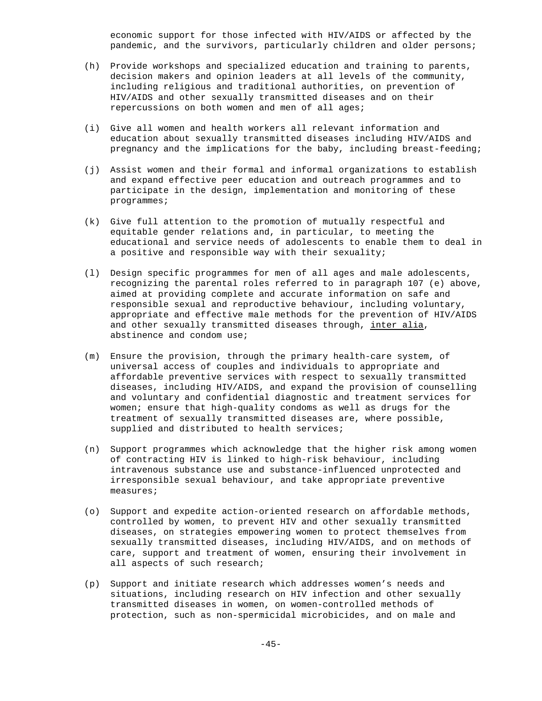economic support for those infected with HIV/AIDS or affected by the pandemic, and the survivors, particularly children and older persons;

- (h) Provide workshops and specialized education and training to parents, decision makers and opinion leaders at all levels of the community, including religious and traditional authorities, on prevention of HIV/AIDS and other sexually transmitted diseases and on their repercussions on both women and men of all ages;
- (i) Give all women and health workers all relevant information and education about sexually transmitted diseases including HIV/AIDS and pregnancy and the implications for the baby, including breast-feeding;
- (j) Assist women and their formal and informal organizations to establish and expand effective peer education and outreach programmes and to participate in the design, implementation and monitoring of these programmes;
- (k) Give full attention to the promotion of mutually respectful and equitable gender relations and, in particular, to meeting the educational and service needs of adolescents to enable them to deal in a positive and responsible way with their sexuality;
- (l) Design specific programmes for men of all ages and male adolescents, recognizing the parental roles referred to in paragraph 107 (e) above, aimed at providing complete and accurate information on safe and responsible sexual and reproductive behaviour, including voluntary, appropriate and effective male methods for the prevention of HIV/AIDS and other sexually transmitted diseases through, inter alia, abstinence and condom use;
- (m) Ensure the provision, through the primary health-care system, of universal access of couples and individuals to appropriate and affordable preventive services with respect to sexually transmitted diseases, including HIV/AIDS, and expand the provision of counselling and voluntary and confidential diagnostic and treatment services for women; ensure that high-quality condoms as well as drugs for the treatment of sexually transmitted diseases are, where possible, supplied and distributed to health services;
- (n) Support programmes which acknowledge that the higher risk among women of contracting HIV is linked to high-risk behaviour, including intravenous substance use and substance-influenced unprotected and irresponsible sexual behaviour, and take appropriate preventive measures;
- (o) Support and expedite action-oriented research on affordable methods, controlled by women, to prevent HIV and other sexually transmitted diseases, on strategies empowering women to protect themselves from sexually transmitted diseases, including HIV/AIDS, and on methods of care, support and treatment of women, ensuring their involvement in all aspects of such research;
- (p) Support and initiate research which addresses women's needs and situations, including research on HIV infection and other sexually transmitted diseases in women, on women-controlled methods of protection, such as non-spermicidal microbicides, and on male and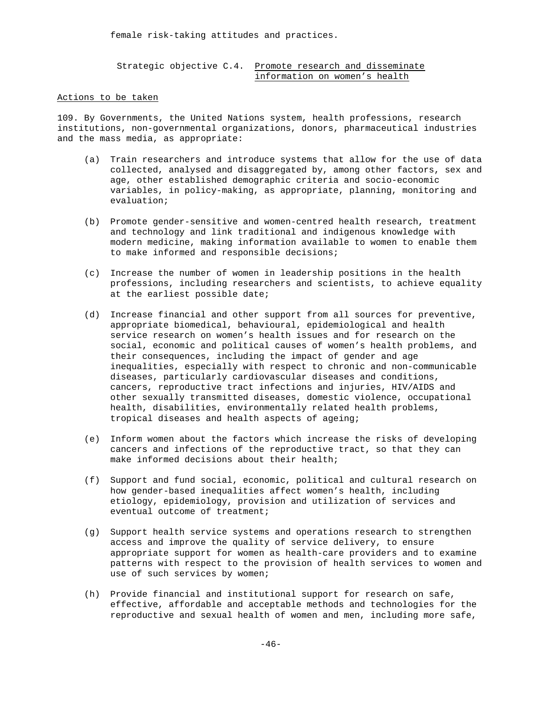female risk-taking attitudes and practices.

Strategic objective C.4. Promote research and disseminate information on women's health

## Actions to be taken

109. By Governments, the United Nations system, health professions, research institutions, non-governmental organizations, donors, pharmaceutical industries and the mass media, as appropriate:

- (a) Train researchers and introduce systems that allow for the use of data collected, analysed and disaggregated by, among other factors, sex and age, other established demographic criteria and socio-economic variables, in policy-making, as appropriate, planning, monitoring and evaluation;
- (b) Promote gender-sensitive and women-centred health research, treatment and technology and link traditional and indigenous knowledge with modern medicine, making information available to women to enable them to make informed and responsible decisions;
- (c) Increase the number of women in leadership positions in the health professions, including researchers and scientists, to achieve equality at the earliest possible date;
- (d) Increase financial and other support from all sources for preventive, appropriate biomedical, behavioural, epidemiological and health service research on women's health issues and for research on the social, economic and political causes of women's health problems, and their consequences, including the impact of gender and age inequalities, especially with respect to chronic and non-communicable diseases, particularly cardiovascular diseases and conditions, cancers, reproductive tract infections and injuries, HIV/AIDS and other sexually transmitted diseases, domestic violence, occupational health, disabilities, environmentally related health problems, tropical diseases and health aspects of ageing;
- (e) Inform women about the factors which increase the risks of developing cancers and infections of the reproductive tract, so that they can make informed decisions about their health;
- (f) Support and fund social, economic, political and cultural research on how gender-based inequalities affect women's health, including etiology, epidemiology, provision and utilization of services and eventual outcome of treatment;
- (g) Support health service systems and operations research to strengthen access and improve the quality of service delivery, to ensure appropriate support for women as health-care providers and to examine patterns with respect to the provision of health services to women and use of such services by women;
- (h) Provide financial and institutional support for research on safe, effective, affordable and acceptable methods and technologies for the reproductive and sexual health of women and men, including more safe,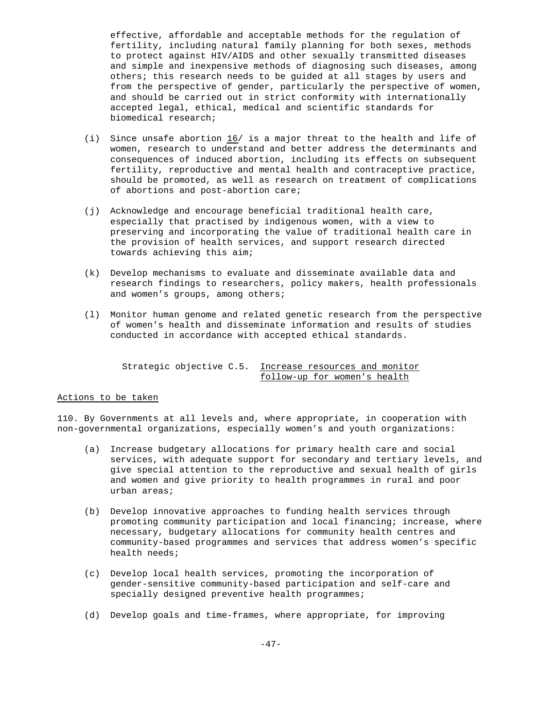effective, affordable and acceptable methods for the regulation of fertility, including natural family planning for both sexes, methods to protect against HIV/AIDS and other sexually transmitted diseases and simple and inexpensive methods of diagnosing such diseases, among others; this research needs to be guided at all stages by users and from the perspective of gender, particularly the perspective of women, and should be carried out in strict conformity with internationally accepted legal, ethical, medical and scientific standards for biomedical research;

- (i) Since unsafe abortion 16/ is a major threat to the health and life of women, research to understand and better address the determinants and consequences of induced abortion, including its effects on subsequent fertility, reproductive and mental health and contraceptive practice, should be promoted, as well as research on treatment of complications of abortions and post-abortion care;
- (j) Acknowledge and encourage beneficial traditional health care, especially that practised by indigenous women, with a view to preserving and incorporating the value of traditional health care in the provision of health services, and support research directed towards achieving this aim;
- (k) Develop mechanisms to evaluate and disseminate available data and research findings to researchers, policy makers, health professionals and women's groups, among others;
- (l) Monitor human genome and related genetic research from the perspective of women's health and disseminate information and results of studies conducted in accordance with accepted ethical standards.

Strategic objective C.5. Increase resources and monitor follow-up for women's health

## Actions to be taken

110. By Governments at all levels and, where appropriate, in cooperation with non-governmental organizations, especially women's and youth organizations:

- (a) Increase budgetary allocations for primary health care and social services, with adequate support for secondary and tertiary levels, and give special attention to the reproductive and sexual health of girls and women and give priority to health programmes in rural and poor urban areas;
- (b) Develop innovative approaches to funding health services through promoting community participation and local financing; increase, where necessary, budgetary allocations for community health centres and community-based programmes and services that address women's specific health needs;
- (c) Develop local health services, promoting the incorporation of gender-sensitive community-based participation and self-care and specially designed preventive health programmes;
- (d) Develop goals and time-frames, where appropriate, for improving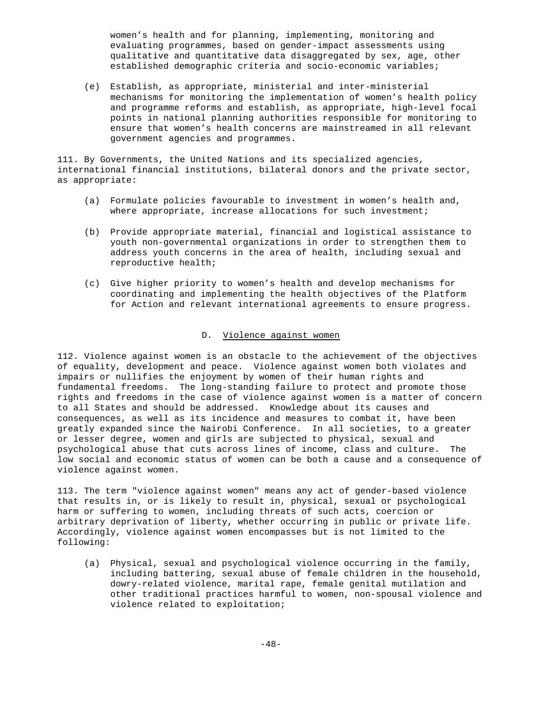women's health and for planning, implementing, monitoring and evaluating programmes, based on gender-impact assessments using qualitative and quantitative data disaggregated by sex, age, other established demographic criteria and socio-economic variables;

(e) Establish, as appropriate, ministerial and inter-ministerial mechanisms for monitoring the implementation of women's health policy and programme reforms and establish, as appropriate, high-level focal points in national planning authorities responsible for monitoring to ensure that women's health concerns are mainstreamed in all relevant government agencies and programmes.

111. By Governments, the United Nations and its specialized agencies, international financial institutions, bilateral donors and the private sector, as appropriate:

- (a) Formulate policies favourable to investment in women's health and, where appropriate, increase allocations for such investment;
- (b) Provide appropriate material, financial and logistical assistance to youth non-governmental organizations in order to strengthen them to address youth concerns in the area of health, including sexual and reproductive health;
- (c) Give higher priority to women's health and develop mechanisms for coordinating and implementing the health objectives of the Platform for Action and relevant international agreements to ensure progress.

# D. Violence against women

112. Violence against women is an obstacle to the achievement of the objectives of equality, development and peace. Violence against women both violates and impairs or nullifies the enjoyment by women of their human rights and fundamental freedoms. The long-standing failure to protect and promote those rights and freedoms in the case of violence against women is a matter of concern to all States and should be addressed. Knowledge about its causes and consequences, as well as its incidence and measures to combat it, have been greatly expanded since the Nairobi Conference. In all societies, to a greater or lesser degree, women and girls are subjected to physical, sexual and psychological abuse that cuts across lines of income, class and culture. The low social and economic status of women can be both a cause and a consequence of violence against women.

113. The term "violence against women" means any act of gender-based violence that results in, or is likely to result in, physical, sexual or psychological harm or suffering to women, including threats of such acts, coercion or arbitrary deprivation of liberty, whether occurring in public or private life. Accordingly, violence against women encompasses but is not limited to the following:

(a) Physical, sexual and psychological violence occurring in the family, including battering, sexual abuse of female children in the household, dowry-related violence, marital rape, female genital mutilation and other traditional practices harmful to women, non-spousal violence and violence related to exploitation;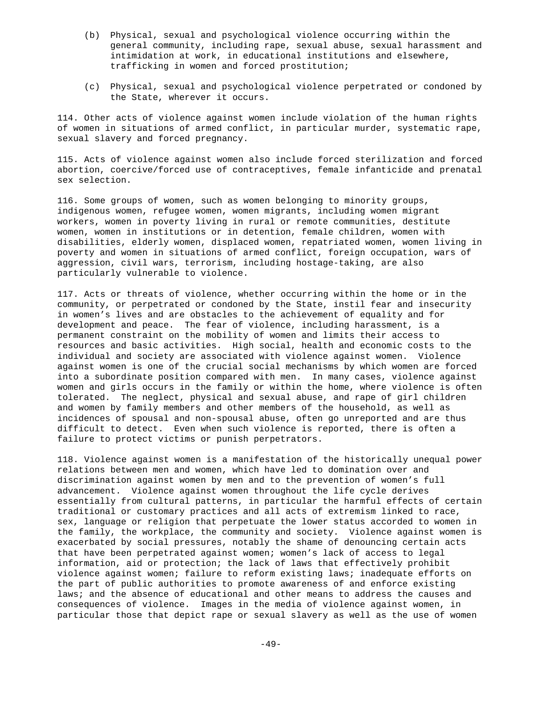- (b) Physical, sexual and psychological violence occurring within the general community, including rape, sexual abuse, sexual harassment and intimidation at work, in educational institutions and elsewhere, trafficking in women and forced prostitution;
- (c) Physical, sexual and psychological violence perpetrated or condoned by the State, wherever it occurs.

114. Other acts of violence against women include violation of the human rights of women in situations of armed conflict, in particular murder, systematic rape, sexual slavery and forced pregnancy.

115. Acts of violence against women also include forced sterilization and forced abortion, coercive/forced use of contraceptives, female infanticide and prenatal sex selection.

116. Some groups of women, such as women belonging to minority groups, indigenous women, refugee women, women migrants, including women migrant workers, women in poverty living in rural or remote communities, destitute women, women in institutions or in detention, female children, women with disabilities, elderly women, displaced women, repatriated women, women living in poverty and women in situations of armed conflict, foreign occupation, wars of aggression, civil wars, terrorism, including hostage-taking, are also particularly vulnerable to violence.

117. Acts or threats of violence, whether occurring within the home or in the community, or perpetrated or condoned by the State, instil fear and insecurity in women's lives and are obstacles to the achievement of equality and for development and peace. The fear of violence, including harassment, is a permanent constraint on the mobility of women and limits their access to resources and basic activities. High social, health and economic costs to the individual and society are associated with violence against women. Violence against women is one of the crucial social mechanisms by which women are forced into a subordinate position compared with men. In many cases, violence against women and girls occurs in the family or within the home, where violence is often tolerated. The neglect, physical and sexual abuse, and rape of girl children and women by family members and other members of the household, as well as incidences of spousal and non-spousal abuse, often go unreported and are thus difficult to detect. Even when such violence is reported, there is often a failure to protect victims or punish perpetrators.

118. Violence against women is a manifestation of the historically unequal power relations between men and women, which have led to domination over and discrimination against women by men and to the prevention of women's full advancement. Violence against women throughout the life cycle derives essentially from cultural patterns, in particular the harmful effects of certain traditional or customary practices and all acts of extremism linked to race, sex, language or religion that perpetuate the lower status accorded to women in the family, the workplace, the community and society. Violence against women is exacerbated by social pressures, notably the shame of denouncing certain acts that have been perpetrated against women; women's lack of access to legal information, aid or protection; the lack of laws that effectively prohibit violence against women; failure to reform existing laws; inadequate efforts on the part of public authorities to promote awareness of and enforce existing laws; and the absence of educational and other means to address the causes and consequences of violence. Images in the media of violence against women, in particular those that depict rape or sexual slavery as well as the use of women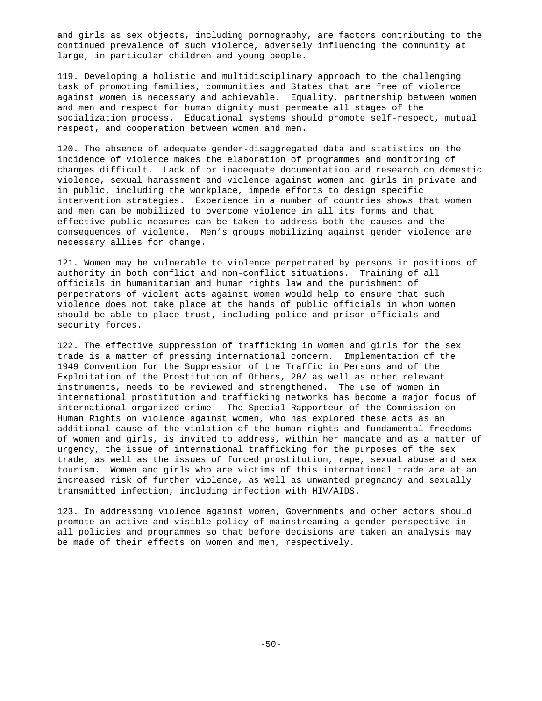and girls as sex objects, including pornography, are factors contributing to the continued prevalence of such violence, adversely influencing the community at large, in particular children and young people.

119. Developing a holistic and multidisciplinary approach to the challenging task of promoting families, communities and States that are free of violence against women is necessary and achievable. Equality, partnership between women and men and respect for human dignity must permeate all stages of the socialization process. Educational systems should promote self-respect, mutual respect, and cooperation between women and men.

120. The absence of adequate gender-disaggregated data and statistics on the incidence of violence makes the elaboration of programmes and monitoring of changes difficult. Lack of or inadequate documentation and research on domestic violence, sexual harassment and violence against women and girls in private and in public, including the workplace, impede efforts to design specific intervention strategies. Experience in a number of countries shows that women and men can be mobilized to overcome violence in all its forms and that effective public measures can be taken to address both the causes and the consequences of violence. Men's groups mobilizing against gender violence are necessary allies for change.

121. Women may be vulnerable to violence perpetrated by persons in positions of authority in both conflict and non-conflict situations. Training of all officials in humanitarian and human rights law and the punishment of perpetrators of violent acts against women would help to ensure that such violence does not take place at the hands of public officials in whom women should be able to place trust, including police and prison officials and security forces.

122. The effective suppression of trafficking in women and girls for the sex trade is a matter of pressing international concern. Implementation of the 1949 Convention for the Suppression of the Traffic in Persons and of the Exploitation of the Prostitution of Others, 20/ as well as other relevant instruments, needs to be reviewed and strengthened. The use of women in international prostitution and trafficking networks has become a major focus of international organized crime. The Special Rapporteur of the Commission on Human Rights on violence against women, who has explored these acts as an additional cause of the violation of the human rights and fundamental freedoms of women and girls, is invited to address, within her mandate and as a matter of urgency, the issue of international trafficking for the purposes of the sex trade, as well as the issues of forced prostitution, rape, sexual abuse and sex tourism. Women and girls who are victims of this international trade are at an increased risk of further violence, as well as unwanted pregnancy and sexually transmitted infection, including infection with HIV/AIDS.

123. In addressing violence against women, Governments and other actors should promote an active and visible policy of mainstreaming a gender perspective in all policies and programmes so that before decisions are taken an analysis may be made of their effects on women and men, respectively.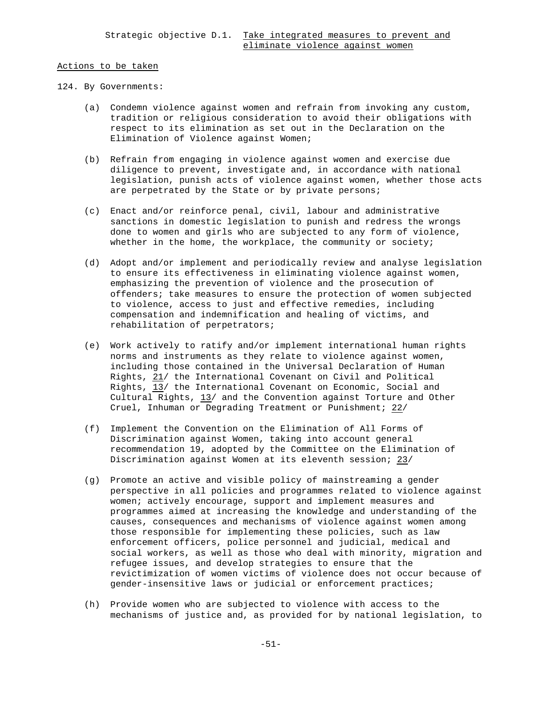## Actions to be taken

## 124. By Governments:

- (a) Condemn violence against women and refrain from invoking any custom, tradition or religious consideration to avoid their obligations with respect to its elimination as set out in the Declaration on the Elimination of Violence against Women;
- (b) Refrain from engaging in violence against women and exercise due diligence to prevent, investigate and, in accordance with national legislation, punish acts of violence against women, whether those acts are perpetrated by the State or by private persons;
- (c) Enact and/or reinforce penal, civil, labour and administrative sanctions in domestic legislation to punish and redress the wrongs done to women and girls who are subjected to any form of violence, whether in the home, the workplace, the community or society;
- (d) Adopt and/or implement and periodically review and analyse legislation to ensure its effectiveness in eliminating violence against women, emphasizing the prevention of violence and the prosecution of offenders; take measures to ensure the protection of women subjected to violence, access to just and effective remedies, including compensation and indemnification and healing of victims, and rehabilitation of perpetrators;
- (e) Work actively to ratify and/or implement international human rights norms and instruments as they relate to violence against women, including those contained in the Universal Declaration of Human Rights, 21/ the International Covenant on Civil and Political Rights, 13/ the International Covenant on Economic, Social and Cultural Rights,  $13/$  and the Convention against Torture and Other Cruel, Inhuman or Degrading Treatment or Punishment; 22/
- (f) Implement the Convention on the Elimination of All Forms of Discrimination against Women, taking into account general recommendation 19, adopted by the Committee on the Elimination of Discrimination against Women at its eleventh session; 23/
- (g) Promote an active and visible policy of mainstreaming a gender perspective in all policies and programmes related to violence against women; actively encourage, support and implement measures and programmes aimed at increasing the knowledge and understanding of the causes, consequences and mechanisms of violence against women among those responsible for implementing these policies, such as law enforcement officers, police personnel and judicial, medical and social workers, as well as those who deal with minority, migration and refugee issues, and develop strategies to ensure that the revictimization of women victims of violence does not occur because of gender-insensitive laws or judicial or enforcement practices;
- (h) Provide women who are subjected to violence with access to the mechanisms of justice and, as provided for by national legislation, to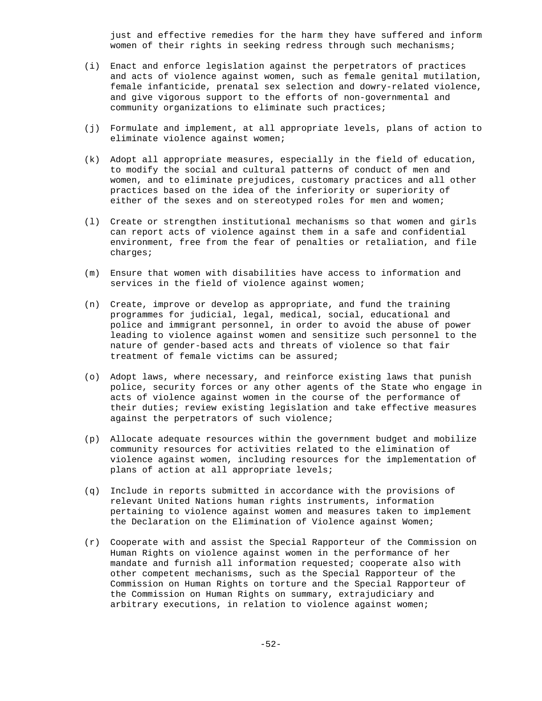just and effective remedies for the harm they have suffered and inform women of their rights in seeking redress through such mechanisms;

- (i) Enact and enforce legislation against the perpetrators of practices and acts of violence against women, such as female genital mutilation, female infanticide, prenatal sex selection and dowry-related violence, and give vigorous support to the efforts of non-governmental and community organizations to eliminate such practices;
- (j) Formulate and implement, at all appropriate levels, plans of action to eliminate violence against women;
- (k) Adopt all appropriate measures, especially in the field of education, to modify the social and cultural patterns of conduct of men and women, and to eliminate prejudices, customary practices and all other practices based on the idea of the inferiority or superiority of either of the sexes and on stereotyped roles for men and women;
- (l) Create or strengthen institutional mechanisms so that women and girls can report acts of violence against them in a safe and confidential environment, free from the fear of penalties or retaliation, and file charges;
- (m) Ensure that women with disabilities have access to information and services in the field of violence against women;
- (n) Create, improve or develop as appropriate, and fund the training programmes for judicial, legal, medical, social, educational and police and immigrant personnel, in order to avoid the abuse of power leading to violence against women and sensitize such personnel to the nature of gender-based acts and threats of violence so that fair treatment of female victims can be assured;
- (o) Adopt laws, where necessary, and reinforce existing laws that punish police, security forces or any other agents of the State who engage in acts of violence against women in the course of the performance of their duties; review existing legislation and take effective measures against the perpetrators of such violence;
- (p) Allocate adequate resources within the government budget and mobilize community resources for activities related to the elimination of violence against women, including resources for the implementation of plans of action at all appropriate levels;
- (q) Include in reports submitted in accordance with the provisions of relevant United Nations human rights instruments, information pertaining to violence against women and measures taken to implement the Declaration on the Elimination of Violence against Women;
- (r) Cooperate with and assist the Special Rapporteur of the Commission on Human Rights on violence against women in the performance of her mandate and furnish all information requested; cooperate also with other competent mechanisms, such as the Special Rapporteur of the Commission on Human Rights on torture and the Special Rapporteur of the Commission on Human Rights on summary, extrajudiciary and arbitrary executions, in relation to violence against women;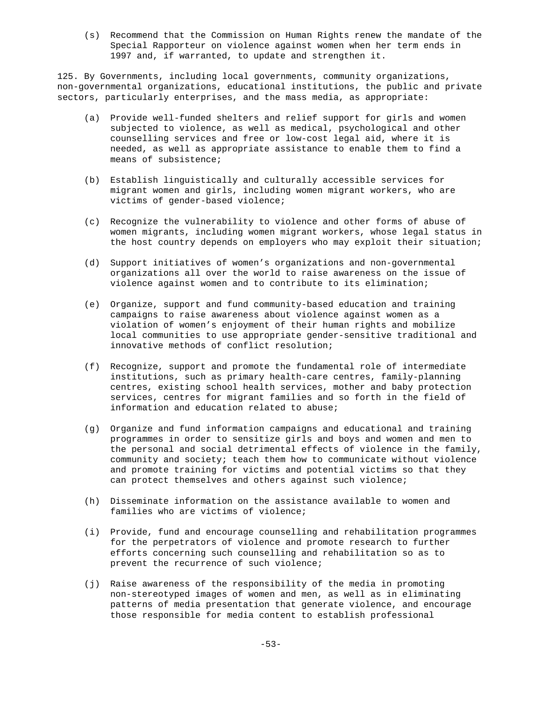(s) Recommend that the Commission on Human Rights renew the mandate of the Special Rapporteur on violence against women when her term ends in 1997 and, if warranted, to update and strengthen it.

125. By Governments, including local governments, community organizations, non-governmental organizations, educational institutions, the public and private sectors, particularly enterprises, and the mass media, as appropriate:

- (a) Provide well-funded shelters and relief support for girls and women subjected to violence, as well as medical, psychological and other counselling services and free or low-cost legal aid, where it is needed, as well as appropriate assistance to enable them to find a means of subsistence;
- (b) Establish linguistically and culturally accessible services for migrant women and girls, including women migrant workers, who are victims of gender-based violence;
- (c) Recognize the vulnerability to violence and other forms of abuse of women migrants, including women migrant workers, whose legal status in the host country depends on employers who may exploit their situation;
- (d) Support initiatives of women's organizations and non-governmental organizations all over the world to raise awareness on the issue of violence against women and to contribute to its elimination;
- (e) Organize, support and fund community-based education and training campaigns to raise awareness about violence against women as a violation of women's enjoyment of their human rights and mobilize local communities to use appropriate gender-sensitive traditional and innovative methods of conflict resolution;
- (f) Recognize, support and promote the fundamental role of intermediate institutions, such as primary health-care centres, family-planning centres, existing school health services, mother and baby protection services, centres for migrant families and so forth in the field of information and education related to abuse;
- (g) Organize and fund information campaigns and educational and training programmes in order to sensitize girls and boys and women and men to the personal and social detrimental effects of violence in the family, community and society; teach them how to communicate without violence and promote training for victims and potential victims so that they can protect themselves and others against such violence;
- (h) Disseminate information on the assistance available to women and families who are victims of violence;
- (i) Provide, fund and encourage counselling and rehabilitation programmes for the perpetrators of violence and promote research to further efforts concerning such counselling and rehabilitation so as to prevent the recurrence of such violence;
- (j) Raise awareness of the responsibility of the media in promoting non-stereotyped images of women and men, as well as in eliminating patterns of media presentation that generate violence, and encourage those responsible for media content to establish professional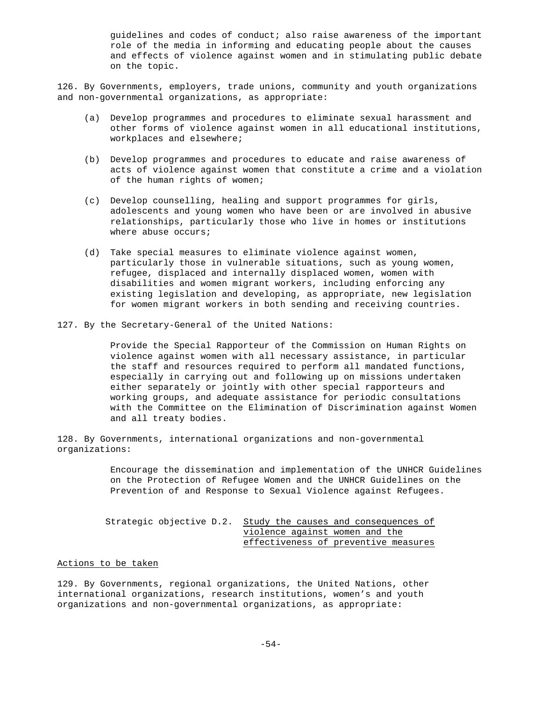guidelines and codes of conduct; also raise awareness of the important role of the media in informing and educating people about the causes and effects of violence against women and in stimulating public debate on the topic.

126. By Governments, employers, trade unions, community and youth organizations and non-governmental organizations, as appropriate:

- (a) Develop programmes and procedures to eliminate sexual harassment and other forms of violence against women in all educational institutions, workplaces and elsewhere;
- (b) Develop programmes and procedures to educate and raise awareness of acts of violence against women that constitute a crime and a violation of the human rights of women;
- (c) Develop counselling, healing and support programmes for girls, adolescents and young women who have been or are involved in abusive relationships, particularly those who live in homes or institutions where abuse occurs;
- (d) Take special measures to eliminate violence against women, particularly those in vulnerable situations, such as young women, refugee, displaced and internally displaced women, women with disabilities and women migrant workers, including enforcing any existing legislation and developing, as appropriate, new legislation for women migrant workers in both sending and receiving countries.
- 127. By the Secretary-General of the United Nations:

Provide the Special Rapporteur of the Commission on Human Rights on violence against women with all necessary assistance, in particular the staff and resources required to perform all mandated functions, especially in carrying out and following up on missions undertaken either separately or jointly with other special rapporteurs and working groups, and adequate assistance for periodic consultations with the Committee on the Elimination of Discrimination against Women and all treaty bodies.

128. By Governments, international organizations and non-governmental organizations:

> Encourage the dissemination and implementation of the UNHCR Guidelines on the Protection of Refugee Women and the UNHCR Guidelines on the Prevention of and Response to Sexual Violence against Refugees.

Strategic objective D.2. Study the causes and consequences of violence against women and the effectiveness of preventive measures

# Actions to be taken

129. By Governments, regional organizations, the United Nations, other international organizations, research institutions, women's and youth organizations and non-governmental organizations, as appropriate: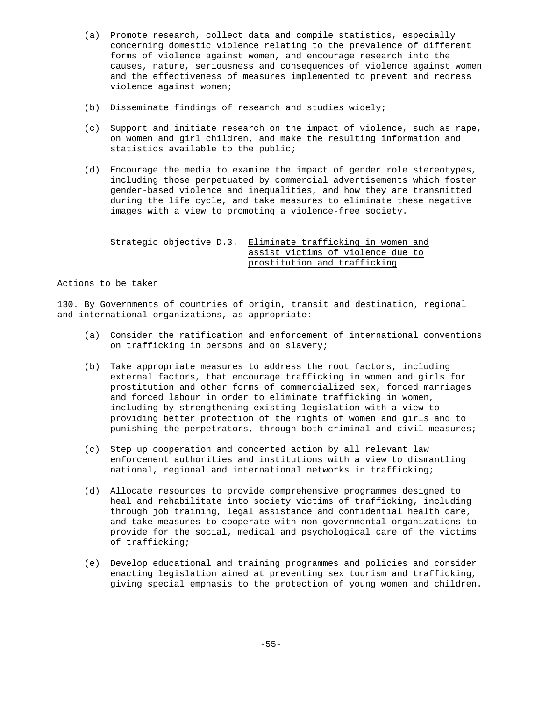- (a) Promote research, collect data and compile statistics, especially concerning domestic violence relating to the prevalence of different forms of violence against women, and encourage research into the causes, nature, seriousness and consequences of violence against women and the effectiveness of measures implemented to prevent and redress violence against women;
- (b) Disseminate findings of research and studies widely;
- (c) Support and initiate research on the impact of violence, such as rape, on women and girl children, and make the resulting information and statistics available to the public;
- (d) Encourage the media to examine the impact of gender role stereotypes, including those perpetuated by commercial advertisements which foster gender-based violence and inequalities, and how they are transmitted during the life cycle, and take measures to eliminate these negative images with a view to promoting a violence-free society.

Strategic objective D.3. Eliminate trafficking in women and assist victims of violence due to prostitution and trafficking

#### Actions to be taken

130. By Governments of countries of origin, transit and destination, regional and international organizations, as appropriate:

- (a) Consider the ratification and enforcement of international conventions on trafficking in persons and on slavery;
- (b) Take appropriate measures to address the root factors, including external factors, that encourage trafficking in women and girls for prostitution and other forms of commercialized sex, forced marriages and forced labour in order to eliminate trafficking in women, including by strengthening existing legislation with a view to providing better protection of the rights of women and girls and to punishing the perpetrators, through both criminal and civil measures;
- (c) Step up cooperation and concerted action by all relevant law enforcement authorities and institutions with a view to dismantling national, regional and international networks in trafficking;
- (d) Allocate resources to provide comprehensive programmes designed to heal and rehabilitate into society victims of trafficking, including through job training, legal assistance and confidential health care, and take measures to cooperate with non-governmental organizations to provide for the social, medical and psychological care of the victims of trafficking;
- (e) Develop educational and training programmes and policies and consider enacting legislation aimed at preventing sex tourism and trafficking, giving special emphasis to the protection of young women and children.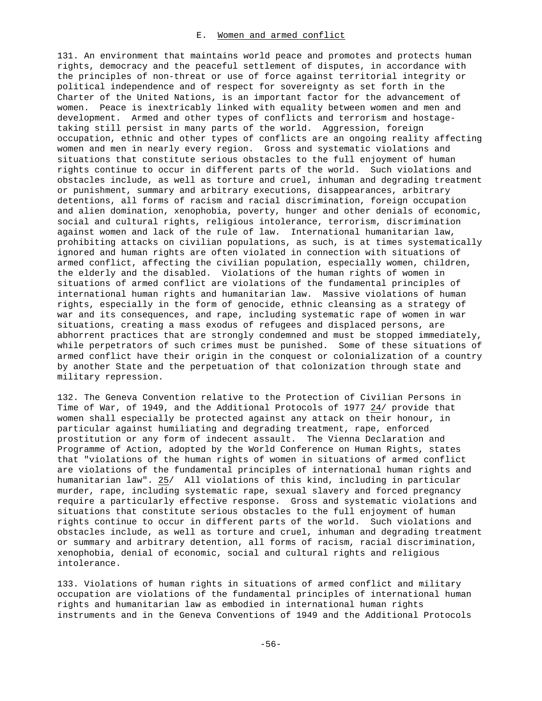131. An environment that maintains world peace and promotes and protects human rights, democracy and the peaceful settlement of disputes, in accordance with the principles of non-threat or use of force against territorial integrity or political independence and of respect for sovereignty as set forth in the Charter of the United Nations, is an important factor for the advancement of women. Peace is inextricably linked with equality between women and men and development. Armed and other types of conflicts and terrorism and hostagetaking still persist in many parts of the world. Aggression, foreign occupation, ethnic and other types of conflicts are an ongoing reality affecting women and men in nearly every region. Gross and systematic violations and situations that constitute serious obstacles to the full enjoyment of human rights continue to occur in different parts of the world. Such violations and obstacles include, as well as torture and cruel, inhuman and degrading treatment or punishment, summary and arbitrary executions, disappearances, arbitrary detentions, all forms of racism and racial discrimination, foreign occupation and alien domination, xenophobia, poverty, hunger and other denials of economic, social and cultural rights, religious intolerance, terrorism, discrimination against women and lack of the rule of law. International humanitarian law, prohibiting attacks on civilian populations, as such, is at times systematically ignored and human rights are often violated in connection with situations of armed conflict, affecting the civilian population, especially women, children, the elderly and the disabled. Violations of the human rights of women in situations of armed conflict are violations of the fundamental principles of international human rights and humanitarian law. Massive violations of human rights, especially in the form of genocide, ethnic cleansing as a strategy of war and its consequences, and rape, including systematic rape of women in war situations, creating a mass exodus of refugees and displaced persons, are abhorrent practices that are strongly condemned and must be stopped immediately, while perpetrators of such crimes must be punished. Some of these situations of armed conflict have their origin in the conquest or colonialization of a country by another State and the perpetuation of that colonization through state and military repression.

132. The Geneva Convention relative to the Protection of Civilian Persons in Time of War, of 1949, and the Additional Protocols of 1977 24/ provide that women shall especially be protected against any attack on their honour, in particular against humiliating and degrading treatment, rape, enforced prostitution or any form of indecent assault. The Vienna Declaration and Programme of Action, adopted by the World Conference on Human Rights, states that "violations of the human rights of women in situations of armed conflict are violations of the fundamental principles of international human rights and humanitarian law". 25/ All violations of this kind, including in particular murder, rape, including systematic rape, sexual slavery and forced pregnancy require a particularly effective response. Gross and systematic violations and situations that constitute serious obstacles to the full enjoyment of human rights continue to occur in different parts of the world. Such violations and obstacles include, as well as torture and cruel, inhuman and degrading treatment or summary and arbitrary detention, all forms of racism, racial discrimination, xenophobia, denial of economic, social and cultural rights and religious intolerance.

133. Violations of human rights in situations of armed conflict and military occupation are violations of the fundamental principles of international human rights and humanitarian law as embodied in international human rights instruments and in the Geneva Conventions of 1949 and the Additional Protocols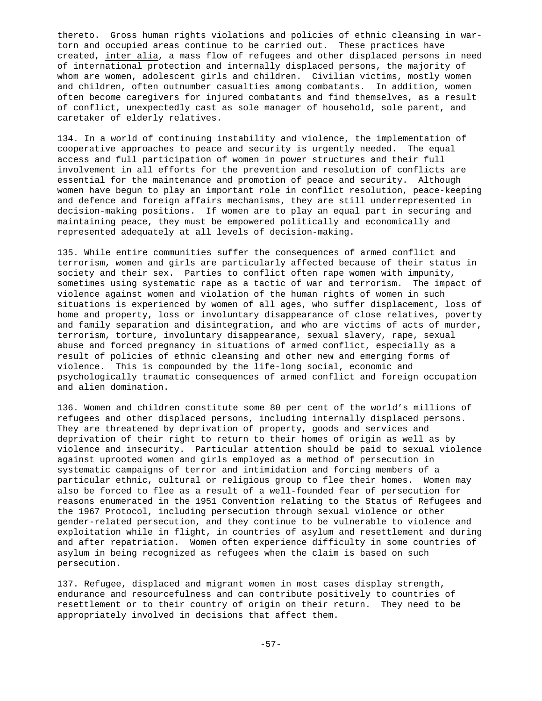thereto. Gross human rights violations and policies of ethnic cleansing in wartorn and occupied areas continue to be carried out. These practices have created, inter alia, a mass flow of refugees and other displaced persons in need of international protection and internally displaced persons, the majority of whom are women, adolescent girls and children. Civilian victims, mostly women and children, often outnumber casualties among combatants. In addition, women often become caregivers for injured combatants and find themselves, as a result of conflict, unexpectedly cast as sole manager of household, sole parent, and caretaker of elderly relatives.

134. In a world of continuing instability and violence, the implementation of cooperative approaches to peace and security is urgently needed. The equal access and full participation of women in power structures and their full involvement in all efforts for the prevention and resolution of conflicts are essential for the maintenance and promotion of peace and security. Although women have begun to play an important role in conflict resolution, peace-keeping and defence and foreign affairs mechanisms, they are still underrepresented in decision-making positions. If women are to play an equal part in securing and maintaining peace, they must be empowered politically and economically and represented adequately at all levels of decision-making.

135. While entire communities suffer the consequences of armed conflict and terrorism, women and girls are particularly affected because of their status in society and their sex. Parties to conflict often rape women with impunity, sometimes using systematic rape as a tactic of war and terrorism. The impact of violence against women and violation of the human rights of women in such situations is experienced by women of all ages, who suffer displacement, loss of home and property, loss or involuntary disappearance of close relatives, poverty and family separation and disintegration, and who are victims of acts of murder, terrorism, torture, involuntary disappearance, sexual slavery, rape, sexual abuse and forced pregnancy in situations of armed conflict, especially as a result of policies of ethnic cleansing and other new and emerging forms of violence. This is compounded by the life-long social, economic and psychologically traumatic consequences of armed conflict and foreign occupation and alien domination.

136. Women and children constitute some 80 per cent of the world's millions of refugees and other displaced persons, including internally displaced persons. They are threatened by deprivation of property, goods and services and deprivation of their right to return to their homes of origin as well as by violence and insecurity. Particular attention should be paid to sexual violence against uprooted women and girls employed as a method of persecution in systematic campaigns of terror and intimidation and forcing members of a particular ethnic, cultural or religious group to flee their homes. Women may also be forced to flee as a result of a well-founded fear of persecution for reasons enumerated in the 1951 Convention relating to the Status of Refugees and the 1967 Protocol, including persecution through sexual violence or other gender-related persecution, and they continue to be vulnerable to violence and exploitation while in flight, in countries of asylum and resettlement and during and after repatriation. Women often experience difficulty in some countries of asylum in being recognized as refugees when the claim is based on such persecution.

137. Refugee, displaced and migrant women in most cases display strength, endurance and resourcefulness and can contribute positively to countries of resettlement or to their country of origin on their return. They need to be appropriately involved in decisions that affect them.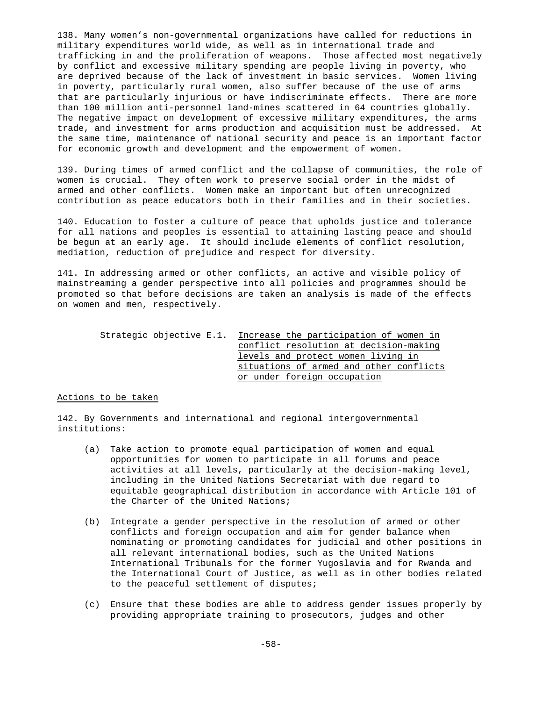138. Many women's non-governmental organizations have called for reductions in military expenditures world wide, as well as in international trade and trafficking in and the proliferation of weapons. Those affected most negatively by conflict and excessive military spending are people living in poverty, who are deprived because of the lack of investment in basic services. Women living in poverty, particularly rural women, also suffer because of the use of arms that are particularly injurious or have indiscriminate effects. There are more than 100 million anti-personnel land-mines scattered in 64 countries globally. The negative impact on development of excessive military expenditures, the arms trade, and investment for arms production and acquisition must be addressed. At the same time, maintenance of national security and peace is an important factor for economic growth and development and the empowerment of women.

139. During times of armed conflict and the collapse of communities, the role of women is crucial. They often work to preserve social order in the midst of armed and other conflicts. Women make an important but often unrecognized contribution as peace educators both in their families and in their societies.

140. Education to foster a culture of peace that upholds justice and tolerance for all nations and peoples is essential to attaining lasting peace and should be begun at an early age. It should include elements of conflict resolution, mediation, reduction of prejudice and respect for diversity.

141. In addressing armed or other conflicts, an active and visible policy of mainstreaming a gender perspective into all policies and programmes should be promoted so that before decisions are taken an analysis is made of the effects on women and men, respectively.

| Strategic objective E.1. Increase the participation of women in |
|-----------------------------------------------------------------|
| conflict resolution at decision-making                          |
| levels and protect women living in                              |
| situations of armed and other conflicts                         |
| or under foreign occupation                                     |

# Actions to be taken

142. By Governments and international and regional intergovernmental institutions:

- (a) Take action to promote equal participation of women and equal opportunities for women to participate in all forums and peace activities at all levels, particularly at the decision-making level, including in the United Nations Secretariat with due regard to equitable geographical distribution in accordance with Article 101 of the Charter of the United Nations;
- (b) Integrate a gender perspective in the resolution of armed or other conflicts and foreign occupation and aim for gender balance when nominating or promoting candidates for judicial and other positions in all relevant international bodies, such as the United Nations International Tribunals for the former Yugoslavia and for Rwanda and the International Court of Justice, as well as in other bodies related to the peaceful settlement of disputes;
- (c) Ensure that these bodies are able to address gender issues properly by providing appropriate training to prosecutors, judges and other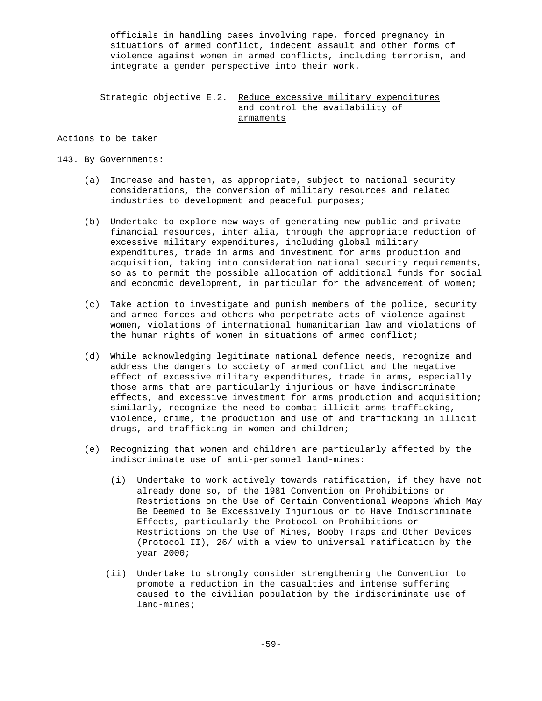officials in handling cases involving rape, forced pregnancy in situations of armed conflict, indecent assault and other forms of violence against women in armed conflicts, including terrorism, and integrate a gender perspective into their work.

# Strategic objective E.2. Reduce excessive military expenditures and control the availability of armaments

#### Actions to be taken

#### 143. By Governments:

- (a) Increase and hasten, as appropriate, subject to national security considerations, the conversion of military resources and related industries to development and peaceful purposes;
- (b) Undertake to explore new ways of generating new public and private financial resources, inter alia, through the appropriate reduction of excessive military expenditures, including global military expenditures, trade in arms and investment for arms production and acquisition, taking into consideration national security requirements, so as to permit the possible allocation of additional funds for social and economic development, in particular for the advancement of women;
- (c) Take action to investigate and punish members of the police, security and armed forces and others who perpetrate acts of violence against women, violations of international humanitarian law and violations of the human rights of women in situations of armed conflict;
- (d) While acknowledging legitimate national defence needs, recognize and address the dangers to society of armed conflict and the negative effect of excessive military expenditures, trade in arms, especially those arms that are particularly injurious or have indiscriminate effects, and excessive investment for arms production and acquisition; similarly, recognize the need to combat illicit arms trafficking, violence, crime, the production and use of and trafficking in illicit drugs, and trafficking in women and children;
- (e) Recognizing that women and children are particularly affected by the indiscriminate use of anti-personnel land-mines:
	- (i) Undertake to work actively towards ratification, if they have not already done so, of the 1981 Convention on Prohibitions or Restrictions on the Use of Certain Conventional Weapons Which May Be Deemed to Be Excessively Injurious or to Have Indiscriminate Effects, particularly the Protocol on Prohibitions or Restrictions on the Use of Mines, Booby Traps and Other Devices (Protocol II), 26/ with a view to universal ratification by the year 2000;
	- (ii) Undertake to strongly consider strengthening the Convention to promote a reduction in the casualties and intense suffering caused to the civilian population by the indiscriminate use of land-mines;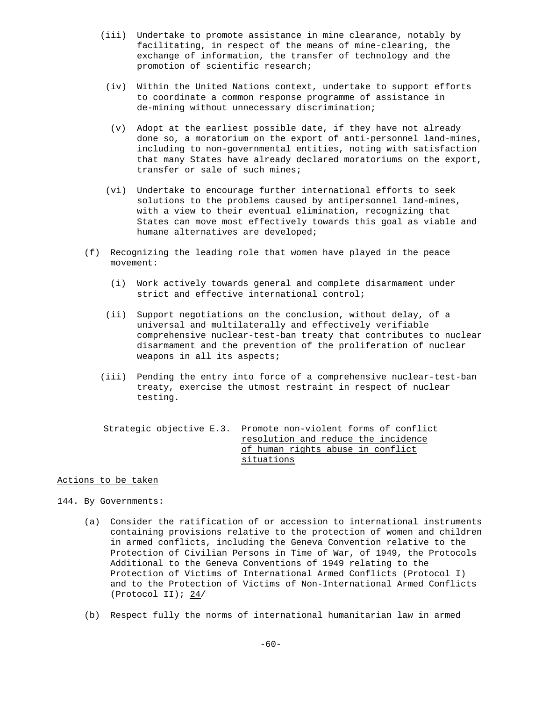- (iii) Undertake to promote assistance in mine clearance, notably by facilitating, in respect of the means of mine-clearing, the exchange of information, the transfer of technology and the promotion of scientific research;
- (iv) Within the United Nations context, undertake to support efforts to coordinate a common response programme of assistance in de-mining without unnecessary discrimination;
- (v) Adopt at the earliest possible date, if they have not already done so, a moratorium on the export of anti-personnel land-mines, including to non-governmental entities, noting with satisfaction that many States have already declared moratoriums on the export, transfer or sale of such mines;
- (vi) Undertake to encourage further international efforts to seek solutions to the problems caused by antipersonnel land-mines, with a view to their eventual elimination, recognizing that States can move most effectively towards this goal as viable and humane alternatives are developed;
- (f) Recognizing the leading role that women have played in the peace movement:
	- (i) Work actively towards general and complete disarmament under strict and effective international control;
	- (ii) Support negotiations on the conclusion, without delay, of a universal and multilaterally and effectively verifiable comprehensive nuclear-test-ban treaty that contributes to nuclear disarmament and the prevention of the proliferation of nuclear weapons in all its aspects;
	- (iii) Pending the entry into force of a comprehensive nuclear-test-ban treaty, exercise the utmost restraint in respect of nuclear testing.

| Strategic objective E.3. Promote non-violent forms of conflict |
|----------------------------------------------------------------|
| resolution and reduce the incidence                            |
| of human rights abuse in conflict                              |
| situations                                                     |

## Actions to be taken

## 144. By Governments:

- (a) Consider the ratification of or accession to international instruments containing provisions relative to the protection of women and children in armed conflicts, including the Geneva Convention relative to the Protection of Civilian Persons in Time of War, of 1949, the Protocols Additional to the Geneva Conventions of 1949 relating to the Protection of Victims of International Armed Conflicts (Protocol I) and to the Protection of Victims of Non-International Armed Conflicts (Protocol II);  $24/$
- (b) Respect fully the norms of international humanitarian law in armed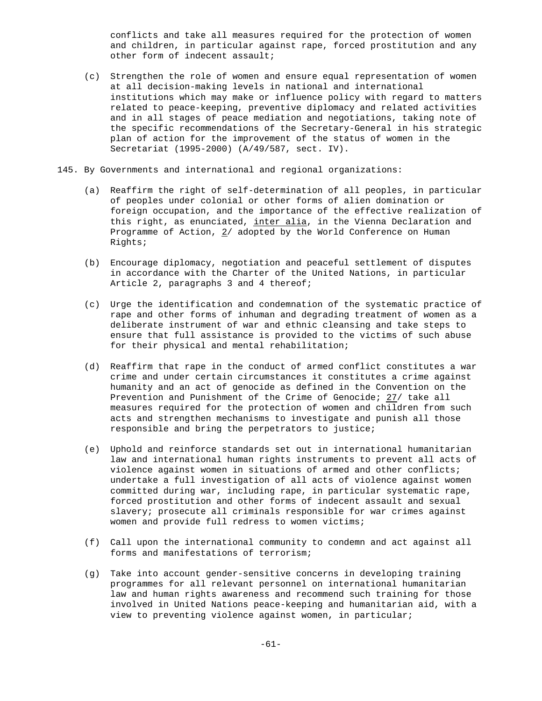conflicts and take all measures required for the protection of women and children, in particular against rape, forced prostitution and any other form of indecent assault;

- (c) Strengthen the role of women and ensure equal representation of women at all decision-making levels in national and international institutions which may make or influence policy with regard to matters related to peace-keeping, preventive diplomacy and related activities and in all stages of peace mediation and negotiations, taking note of the specific recommendations of the Secretary-General in his strategic plan of action for the improvement of the status of women in the Secretariat (1995-2000) (A/49/587, sect. IV).
- 145. By Governments and international and regional organizations:
	- (a) Reaffirm the right of self-determination of all peoples, in particular of peoples under colonial or other forms of alien domination or foreign occupation, and the importance of the effective realization of this right, as enunciated, inter alia, in the Vienna Declaration and Programme of Action,  $2/$  adopted by the World Conference on Human Rights;
	- (b) Encourage diplomacy, negotiation and peaceful settlement of disputes in accordance with the Charter of the United Nations, in particular Article 2, paragraphs 3 and 4 thereof;
	- (c) Urge the identification and condemnation of the systematic practice of rape and other forms of inhuman and degrading treatment of women as a deliberate instrument of war and ethnic cleansing and take steps to ensure that full assistance is provided to the victims of such abuse for their physical and mental rehabilitation;
	- (d) Reaffirm that rape in the conduct of armed conflict constitutes a war crime and under certain circumstances it constitutes a crime against humanity and an act of genocide as defined in the Convention on the Prevention and Punishment of the Crime of Genocide; 27/ take all measures required for the protection of women and children from such acts and strengthen mechanisms to investigate and punish all those responsible and bring the perpetrators to justice;
	- (e) Uphold and reinforce standards set out in international humanitarian law and international human rights instruments to prevent all acts of violence against women in situations of armed and other conflicts; undertake a full investigation of all acts of violence against women committed during war, including rape, in particular systematic rape, forced prostitution and other forms of indecent assault and sexual slavery; prosecute all criminals responsible for war crimes against women and provide full redress to women victims;
	- (f) Call upon the international community to condemn and act against all forms and manifestations of terrorism;
	- (g) Take into account gender-sensitive concerns in developing training programmes for all relevant personnel on international humanitarian law and human rights awareness and recommend such training for those involved in United Nations peace-keeping and humanitarian aid, with a view to preventing violence against women, in particular;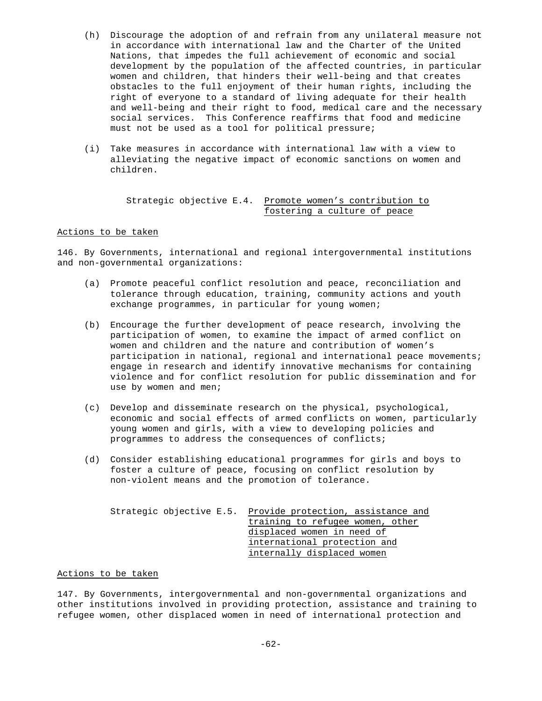- (h) Discourage the adoption of and refrain from any unilateral measure not in accordance with international law and the Charter of the United Nations, that impedes the full achievement of economic and social development by the population of the affected countries, in particular women and children, that hinders their well-being and that creates obstacles to the full enjoyment of their human rights, including the right of everyone to a standard of living adequate for their health and well-being and their right to food, medical care and the necessary social services. This Conference reaffirms that food and medicine must not be used as a tool for political pressure;
- (i) Take measures in accordance with international law with a view to alleviating the negative impact of economic sanctions on women and children.

Strategic objective E.4. Promote women's contribution to fostering a culture of peace

# Actions to be taken

146. By Governments, international and regional intergovernmental institutions and non-governmental organizations:

- (a) Promote peaceful conflict resolution and peace, reconciliation and tolerance through education, training, community actions and youth exchange programmes, in particular for young women;
- (b) Encourage the further development of peace research, involving the participation of women, to examine the impact of armed conflict on women and children and the nature and contribution of women's participation in national, regional and international peace movements; engage in research and identify innovative mechanisms for containing violence and for conflict resolution for public dissemination and for use by women and men;
- (c) Develop and disseminate research on the physical, psychological, economic and social effects of armed conflicts on women, particularly young women and girls, with a view to developing policies and programmes to address the consequences of conflicts;
- (d) Consider establishing educational programmes for girls and boys to foster a culture of peace, focusing on conflict resolution by non-violent means and the promotion of tolerance.

| Strategic objective E.5. Provide protection, assistance and |
|-------------------------------------------------------------|
| training to refugee women, other                            |
| displaced women in need of                                  |
| international protection and                                |
| internally displaced women                                  |
|                                                             |

# Actions to be taken

147. By Governments, intergovernmental and non-governmental organizations and other institutions involved in providing protection, assistance and training to refugee women, other displaced women in need of international protection and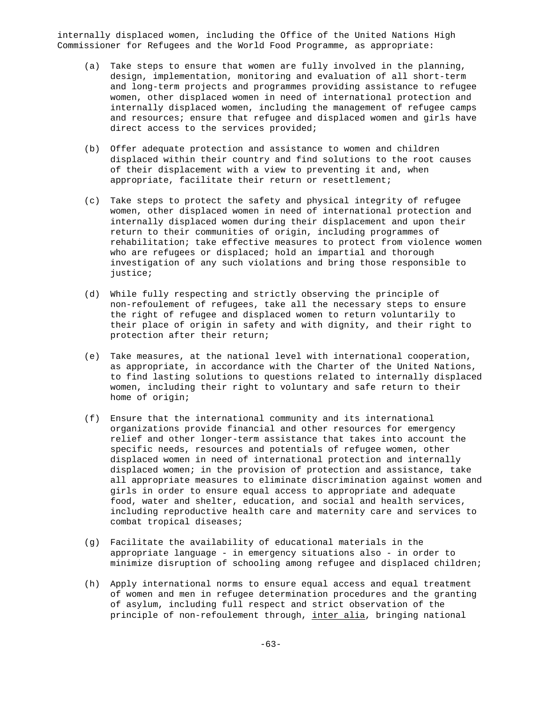internally displaced women, including the Office of the United Nations High Commissioner for Refugees and the World Food Programme, as appropriate:

- (a) Take steps to ensure that women are fully involved in the planning, design, implementation, monitoring and evaluation of all short-term and long-term projects and programmes providing assistance to refugee women, other displaced women in need of international protection and internally displaced women, including the management of refugee camps and resources; ensure that refugee and displaced women and girls have direct access to the services provided;
- (b) Offer adequate protection and assistance to women and children displaced within their country and find solutions to the root causes of their displacement with a view to preventing it and, when appropriate, facilitate their return or resettlement;
- (c) Take steps to protect the safety and physical integrity of refugee women, other displaced women in need of international protection and internally displaced women during their displacement and upon their return to their communities of origin, including programmes of rehabilitation; take effective measures to protect from violence women who are refugees or displaced; hold an impartial and thorough investigation of any such violations and bring those responsible to justice;
- (d) While fully respecting and strictly observing the principle of non-refoulement of refugees, take all the necessary steps to ensure the right of refugee and displaced women to return voluntarily to their place of origin in safety and with dignity, and their right to protection after their return;
- (e) Take measures, at the national level with international cooperation, as appropriate, in accordance with the Charter of the United Nations, to find lasting solutions to questions related to internally displaced women, including their right to voluntary and safe return to their home of origin;
- (f) Ensure that the international community and its international organizations provide financial and other resources for emergency relief and other longer-term assistance that takes into account the specific needs, resources and potentials of refugee women, other displaced women in need of international protection and internally displaced women; in the provision of protection and assistance, take all appropriate measures to eliminate discrimination against women and girls in order to ensure equal access to appropriate and adequate food, water and shelter, education, and social and health services, including reproductive health care and maternity care and services to combat tropical diseases;
- (g) Facilitate the availability of educational materials in the appropriate language - in emergency situations also - in order to minimize disruption of schooling among refugee and displaced children;
- (h) Apply international norms to ensure equal access and equal treatment of women and men in refugee determination procedures and the granting of asylum, including full respect and strict observation of the principle of non-refoulement through, inter alia, bringing national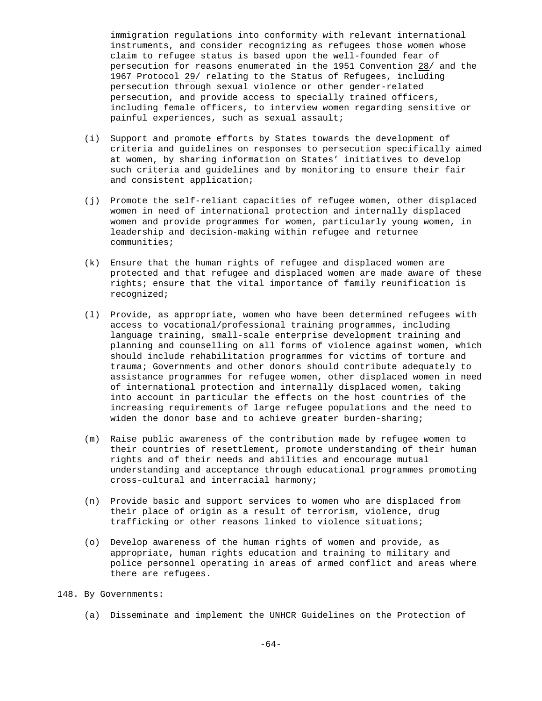immigration regulations into conformity with relevant international instruments, and consider recognizing as refugees those women whose claim to refugee status is based upon the well-founded fear of persecution for reasons enumerated in the 1951 Convention 28/ and the 1967 Protocol 29/ relating to the Status of Refugees, including persecution through sexual violence or other gender-related persecution, and provide access to specially trained officers, including female officers, to interview women regarding sensitive or painful experiences, such as sexual assault;

- (i) Support and promote efforts by States towards the development of criteria and guidelines on responses to persecution specifically aimed at women, by sharing information on States' initiatives to develop such criteria and guidelines and by monitoring to ensure their fair and consistent application;
- (j) Promote the self-reliant capacities of refugee women, other displaced women in need of international protection and internally displaced women and provide programmes for women, particularly young women, in leadership and decision-making within refugee and returnee communities;
- (k) Ensure that the human rights of refugee and displaced women are protected and that refugee and displaced women are made aware of these rights; ensure that the vital importance of family reunification is recognized;
- (l) Provide, as appropriate, women who have been determined refugees with access to vocational/professional training programmes, including language training, small-scale enterprise development training and planning and counselling on all forms of violence against women, which should include rehabilitation programmes for victims of torture and trauma; Governments and other donors should contribute adequately to assistance programmes for refugee women, other displaced women in need of international protection and internally displaced women, taking into account in particular the effects on the host countries of the increasing requirements of large refugee populations and the need to widen the donor base and to achieve greater burden-sharing;
- (m) Raise public awareness of the contribution made by refugee women to their countries of resettlement, promote understanding of their human rights and of their needs and abilities and encourage mutual understanding and acceptance through educational programmes promoting cross-cultural and interracial harmony;
- (n) Provide basic and support services to women who are displaced from their place of origin as a result of terrorism, violence, drug trafficking or other reasons linked to violence situations;
- (o) Develop awareness of the human rights of women and provide, as appropriate, human rights education and training to military and police personnel operating in areas of armed conflict and areas where there are refugees.
- 148. By Governments:
	- (a) Disseminate and implement the UNHCR Guidelines on the Protection of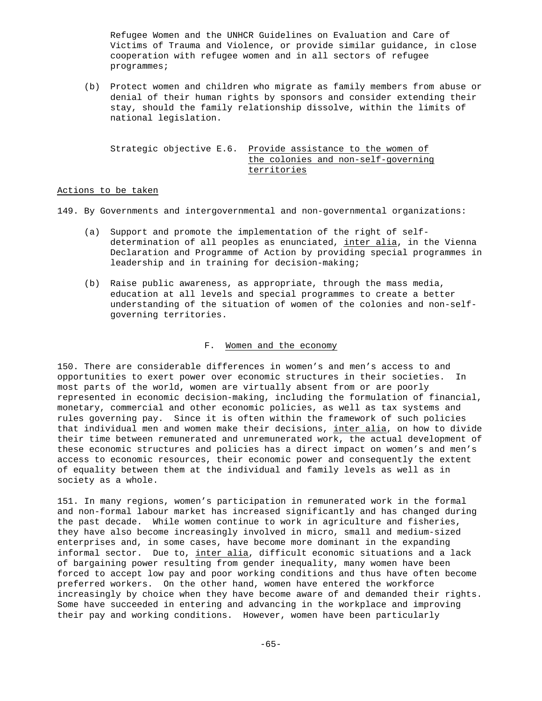Refugee Women and the UNHCR Guidelines on Evaluation and Care of Victims of Trauma and Violence, or provide similar guidance, in close cooperation with refugee women and in all sectors of refugee programmes;

(b) Protect women and children who migrate as family members from abuse or denial of their human rights by sponsors and consider extending their stay, should the family relationship dissolve, within the limits of national legislation.

Strategic objective E.6. Provide assistance to the women of the colonies and non-self-governing territories

# Actions to be taken

- 149. By Governments and intergovernmental and non-governmental organizations:
	- (a) Support and promote the implementation of the right of selfdetermination of all peoples as enunciated, inter alia, in the Vienna Declaration and Programme of Action by providing special programmes in leadership and in training for decision-making;
	- (b) Raise public awareness, as appropriate, through the mass media, education at all levels and special programmes to create a better understanding of the situation of women of the colonies and non-selfgoverning territories.

## F. Women and the economy

150. There are considerable differences in women's and men's access to and opportunities to exert power over economic structures in their societies. In most parts of the world, women are virtually absent from or are poorly represented in economic decision-making, including the formulation of financial, monetary, commercial and other economic policies, as well as tax systems and rules governing pay. Since it is often within the framework of such policies that individual men and women make their decisions, inter alia, on how to divide their time between remunerated and unremunerated work, the actual development of these economic structures and policies has a direct impact on women's and men's access to economic resources, their economic power and consequently the extent of equality between them at the individual and family levels as well as in society as a whole.

151. In many regions, women's participation in remunerated work in the formal and non-formal labour market has increased significantly and has changed during the past decade. While women continue to work in agriculture and fisheries, they have also become increasingly involved in micro, small and medium-sized enterprises and, in some cases, have become more dominant in the expanding informal sector. Due to, inter alia, difficult economic situations and a lack of bargaining power resulting from gender inequality, many women have been forced to accept low pay and poor working conditions and thus have often become preferred workers. On the other hand, women have entered the workforce increasingly by choice when they have become aware of and demanded their rights. Some have succeeded in entering and advancing in the workplace and improving their pay and working conditions. However, women have been particularly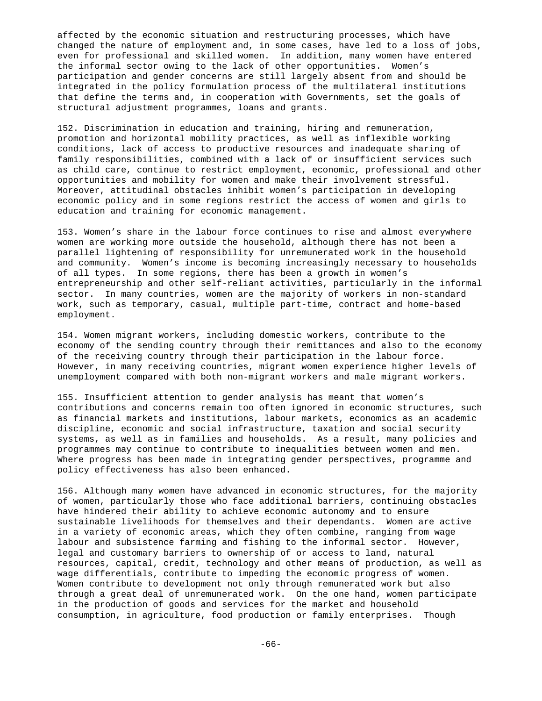affected by the economic situation and restructuring processes, which have changed the nature of employment and, in some cases, have led to a loss of jobs, even for professional and skilled women. In addition, many women have entered the informal sector owing to the lack of other opportunities. Women's participation and gender concerns are still largely absent from and should be integrated in the policy formulation process of the multilateral institutions that define the terms and, in cooperation with Governments, set the goals of structural adjustment programmes, loans and grants.

152. Discrimination in education and training, hiring and remuneration, promotion and horizontal mobility practices, as well as inflexible working conditions, lack of access to productive resources and inadequate sharing of family responsibilities, combined with a lack of or insufficient services such as child care, continue to restrict employment, economic, professional and other opportunities and mobility for women and make their involvement stressful. Moreover, attitudinal obstacles inhibit women's participation in developing economic policy and in some regions restrict the access of women and girls to education and training for economic management.

153. Women's share in the labour force continues to rise and almost everywhere women are working more outside the household, although there has not been a parallel lightening of responsibility for unremunerated work in the household and community. Women's income is becoming increasingly necessary to households of all types. In some regions, there has been a growth in women's entrepreneurship and other self-reliant activities, particularly in the informal sector. In many countries, women are the majority of workers in non-standard work, such as temporary, casual, multiple part-time, contract and home-based employment.

154. Women migrant workers, including domestic workers, contribute to the economy of the sending country through their remittances and also to the economy of the receiving country through their participation in the labour force. However, in many receiving countries, migrant women experience higher levels of unemployment compared with both non-migrant workers and male migrant workers.

155. Insufficient attention to gender analysis has meant that women's contributions and concerns remain too often ignored in economic structures, such as financial markets and institutions, labour markets, economics as an academic discipline, economic and social infrastructure, taxation and social security systems, as well as in families and households. As a result, many policies and programmes may continue to contribute to inequalities between women and men. Where progress has been made in integrating gender perspectives, programme and policy effectiveness has also been enhanced.

156. Although many women have advanced in economic structures, for the majority of women, particularly those who face additional barriers, continuing obstacles have hindered their ability to achieve economic autonomy and to ensure sustainable livelihoods for themselves and their dependants. Women are active in a variety of economic areas, which they often combine, ranging from wage labour and subsistence farming and fishing to the informal sector. However, legal and customary barriers to ownership of or access to land, natural resources, capital, credit, technology and other means of production, as well as wage differentials, contribute to impeding the economic progress of women. Women contribute to development not only through remunerated work but also through a great deal of unremunerated work. On the one hand, women participate in the production of goods and services for the market and household consumption, in agriculture, food production or family enterprises. Though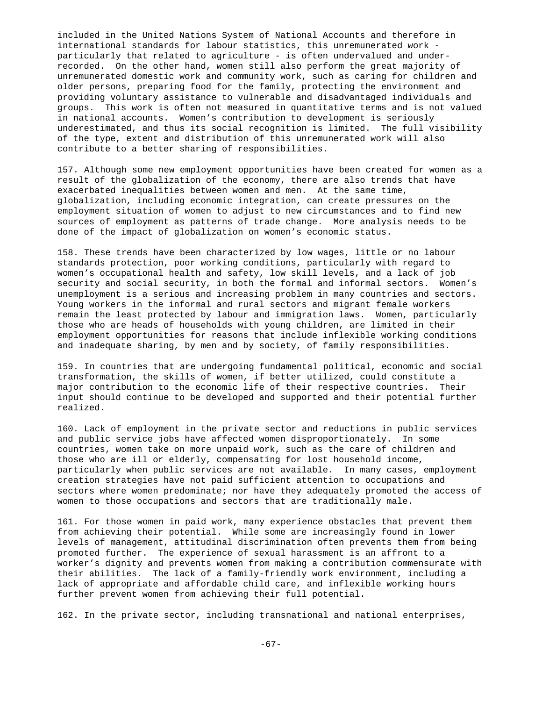included in the United Nations System of National Accounts and therefore in international standards for labour statistics, this unremunerated work particularly that related to agriculture - is often undervalued and underrecorded. On the other hand, women still also perform the great majority of unremunerated domestic work and community work, such as caring for children and older persons, preparing food for the family, protecting the environment and providing voluntary assistance to vulnerable and disadvantaged individuals and groups. This work is often not measured in quantitative terms and is not valued in national accounts. Women's contribution to development is seriously underestimated, and thus its social recognition is limited. The full visibility of the type, extent and distribution of this unremunerated work will also contribute to a better sharing of responsibilities.

157. Although some new employment opportunities have been created for women as a result of the globalization of the economy, there are also trends that have exacerbated inequalities between women and men. At the same time, globalization, including economic integration, can create pressures on the employment situation of women to adjust to new circumstances and to find new sources of employment as patterns of trade change. More analysis needs to be done of the impact of globalization on women's economic status.

158. These trends have been characterized by low wages, little or no labour standards protection, poor working conditions, particularly with regard to women's occupational health and safety, low skill levels, and a lack of job security and social security, in both the formal and informal sectors. Women's unemployment is a serious and increasing problem in many countries and sectors. Young workers in the informal and rural sectors and migrant female workers remain the least protected by labour and immigration laws. Women, particularly those who are heads of households with young children, are limited in their employment opportunities for reasons that include inflexible working conditions and inadequate sharing, by men and by society, of family responsibilities.

159. In countries that are undergoing fundamental political, economic and social transformation, the skills of women, if better utilized, could constitute a major contribution to the economic life of their respective countries. Their input should continue to be developed and supported and their potential further realized.

160. Lack of employment in the private sector and reductions in public services and public service jobs have affected women disproportionately. In some countries, women take on more unpaid work, such as the care of children and those who are ill or elderly, compensating for lost household income, particularly when public services are not available. In many cases, employment creation strategies have not paid sufficient attention to occupations and sectors where women predominate; nor have they adequately promoted the access of women to those occupations and sectors that are traditionally male.

161. For those women in paid work, many experience obstacles that prevent them from achieving their potential. While some are increasingly found in lower levels of management, attitudinal discrimination often prevents them from being promoted further. The experience of sexual harassment is an affront to a worker's dignity and prevents women from making a contribution commensurate with their abilities. The lack of a family-friendly work environment, including a lack of appropriate and affordable child care, and inflexible working hours further prevent women from achieving their full potential.

162. In the private sector, including transnational and national enterprises,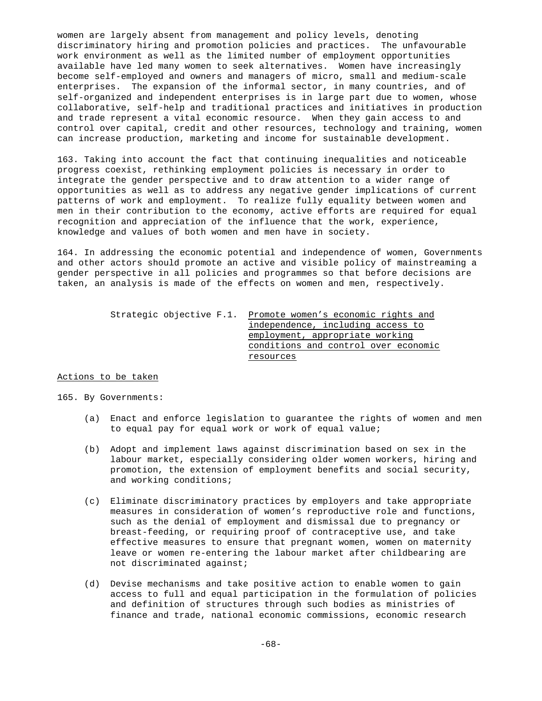women are largely absent from management and policy levels, denoting discriminatory hiring and promotion policies and practices. The unfavourable work environment as well as the limited number of employment opportunities available have led many women to seek alternatives. Women have increasingly become self-employed and owners and managers of micro, small and medium-scale enterprises. The expansion of the informal sector, in many countries, and of self-organized and independent enterprises is in large part due to women, whose collaborative, self-help and traditional practices and initiatives in production and trade represent a vital economic resource. When they gain access to and control over capital, credit and other resources, technology and training, women can increase production, marketing and income for sustainable development.

163. Taking into account the fact that continuing inequalities and noticeable progress coexist, rethinking employment policies is necessary in order to integrate the gender perspective and to draw attention to a wider range of opportunities as well as to address any negative gender implications of current patterns of work and employment. To realize fully equality between women and men in their contribution to the economy, active efforts are required for equal recognition and appreciation of the influence that the work, experience, knowledge and values of both women and men have in society.

164. In addressing the economic potential and independence of women, Governments and other actors should promote an active and visible policy of mainstreaming a gender perspective in all policies and programmes so that before decisions are taken, an analysis is made of the effects on women and men, respectively.

| Strategic objective F.1. Promote women's economic rights and |
|--------------------------------------------------------------|
| independence, including access to                            |
| employment, appropriate working                              |
| conditions and control over economic                         |
| resources                                                    |

#### Actions to be taken

165. By Governments:

- (a) Enact and enforce legislation to guarantee the rights of women and men to equal pay for equal work or work of equal value;
- (b) Adopt and implement laws against discrimination based on sex in the labour market, especially considering older women workers, hiring and promotion, the extension of employment benefits and social security, and working conditions;
- (c) Eliminate discriminatory practices by employers and take appropriate measures in consideration of women's reproductive role and functions, such as the denial of employment and dismissal due to pregnancy or breast-feeding, or requiring proof of contraceptive use, and take effective measures to ensure that pregnant women, women on maternity leave or women re-entering the labour market after childbearing are not discriminated against;
- (d) Devise mechanisms and take positive action to enable women to gain access to full and equal participation in the formulation of policies and definition of structures through such bodies as ministries of finance and trade, national economic commissions, economic research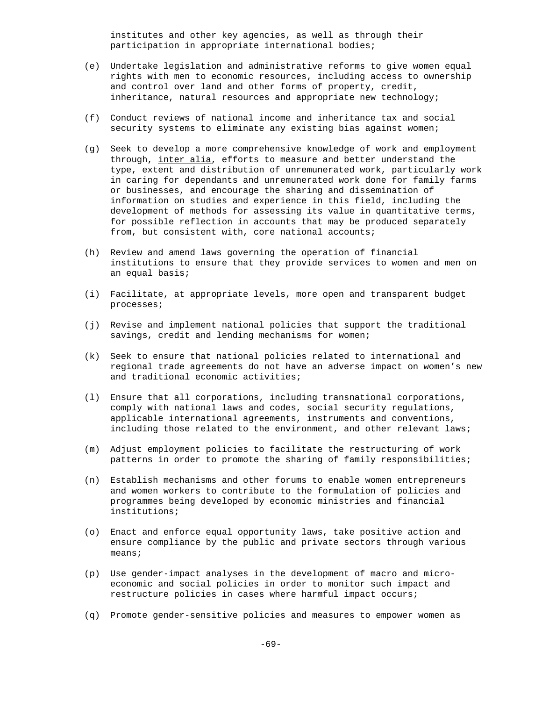institutes and other key agencies, as well as through their participation in appropriate international bodies;

- (e) Undertake legislation and administrative reforms to give women equal rights with men to economic resources, including access to ownership and control over land and other forms of property, credit, inheritance, natural resources and appropriate new technology;
- (f) Conduct reviews of national income and inheritance tax and social security systems to eliminate any existing bias against women;
- (g) Seek to develop a more comprehensive knowledge of work and employment through, inter alia, efforts to measure and better understand the type, extent and distribution of unremunerated work, particularly work in caring for dependants and unremunerated work done for family farms or businesses, and encourage the sharing and dissemination of information on studies and experience in this field, including the development of methods for assessing its value in quantitative terms, for possible reflection in accounts that may be produced separately from, but consistent with, core national accounts;
- (h) Review and amend laws governing the operation of financial institutions to ensure that they provide services to women and men on an equal basis;
- (i) Facilitate, at appropriate levels, more open and transparent budget processes;
- (j) Revise and implement national policies that support the traditional savings, credit and lending mechanisms for women;
- (k) Seek to ensure that national policies related to international and regional trade agreements do not have an adverse impact on women's new and traditional economic activities;
- (l) Ensure that all corporations, including transnational corporations, comply with national laws and codes, social security regulations, applicable international agreements, instruments and conventions, including those related to the environment, and other relevant laws;
- (m) Adjust employment policies to facilitate the restructuring of work patterns in order to promote the sharing of family responsibilities;
- (n) Establish mechanisms and other forums to enable women entrepreneurs and women workers to contribute to the formulation of policies and programmes being developed by economic ministries and financial institutions;
- (o) Enact and enforce equal opportunity laws, take positive action and ensure compliance by the public and private sectors through various means;
- (p) Use gender-impact analyses in the development of macro and microeconomic and social policies in order to monitor such impact and restructure policies in cases where harmful impact occurs;
- (q) Promote gender-sensitive policies and measures to empower women as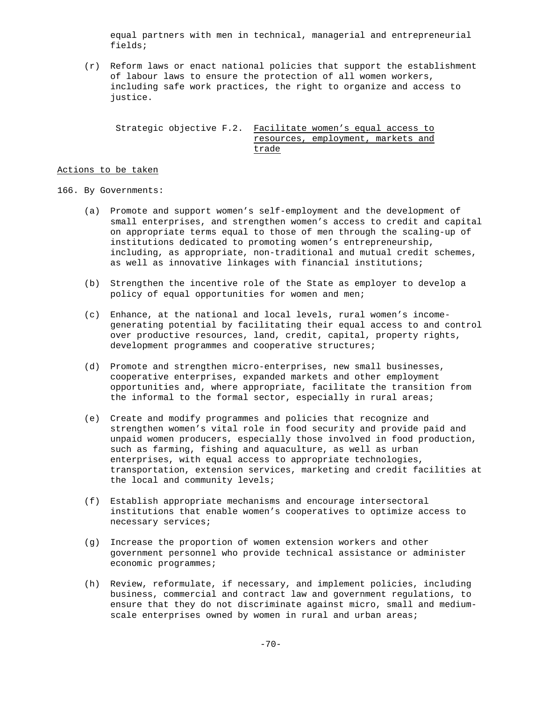equal partners with men in technical, managerial and entrepreneurial fields;

(r) Reform laws or enact national policies that support the establishment of labour laws to ensure the protection of all women workers, including safe work practices, the right to organize and access to justice.

Strategic objective F.2. Facilitate women's equal access to resources, employment, markets and trade

#### Actions to be taken

#### 166. By Governments:

- (a) Promote and support women's self-employment and the development of small enterprises, and strengthen women's access to credit and capital on appropriate terms equal to those of men through the scaling-up of institutions dedicated to promoting women's entrepreneurship, including, as appropriate, non-traditional and mutual credit schemes, as well as innovative linkages with financial institutions;
- (b) Strengthen the incentive role of the State as employer to develop a policy of equal opportunities for women and men;
- (c) Enhance, at the national and local levels, rural women's incomegenerating potential by facilitating their equal access to and control over productive resources, land, credit, capital, property rights, development programmes and cooperative structures;
- (d) Promote and strengthen micro-enterprises, new small businesses, cooperative enterprises, expanded markets and other employment opportunities and, where appropriate, facilitate the transition from the informal to the formal sector, especially in rural areas;
- (e) Create and modify programmes and policies that recognize and strengthen women's vital role in food security and provide paid and unpaid women producers, especially those involved in food production, such as farming, fishing and aquaculture, as well as urban enterprises, with equal access to appropriate technologies, transportation, extension services, marketing and credit facilities at the local and community levels;
- (f) Establish appropriate mechanisms and encourage intersectoral institutions that enable women's cooperatives to optimize access to necessary services;
- (g) Increase the proportion of women extension workers and other government personnel who provide technical assistance or administer economic programmes;
- (h) Review, reformulate, if necessary, and implement policies, including business, commercial and contract law and government regulations, to ensure that they do not discriminate against micro, small and mediumscale enterprises owned by women in rural and urban areas;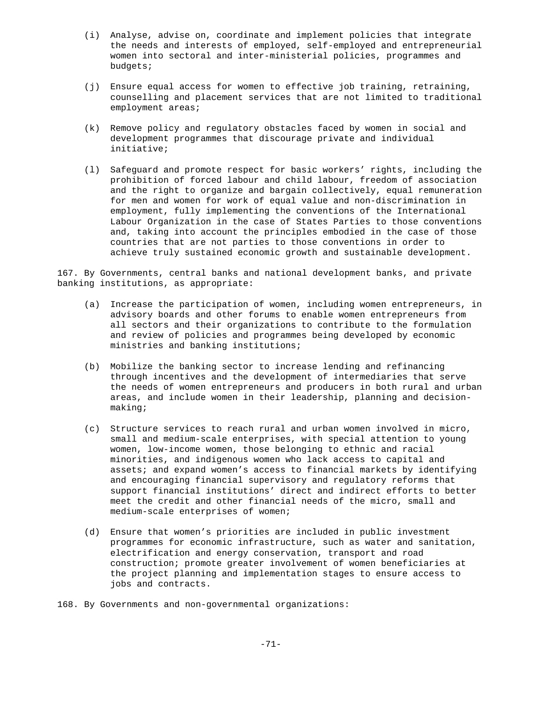- (i) Analyse, advise on, coordinate and implement policies that integrate the needs and interests of employed, self-employed and entrepreneurial women into sectoral and inter-ministerial policies, programmes and budgets;
- (j) Ensure equal access for women to effective job training, retraining, counselling and placement services that are not limited to traditional employment areas;
- (k) Remove policy and regulatory obstacles faced by women in social and development programmes that discourage private and individual initiative;
- (l) Safeguard and promote respect for basic workers' rights, including the prohibition of forced labour and child labour, freedom of association and the right to organize and bargain collectively, equal remuneration for men and women for work of equal value and non-discrimination in employment, fully implementing the conventions of the International Labour Organization in the case of States Parties to those conventions and, taking into account the principles embodied in the case of those countries that are not parties to those conventions in order to achieve truly sustained economic growth and sustainable development.

167. By Governments, central banks and national development banks, and private banking institutions, as appropriate:

- (a) Increase the participation of women, including women entrepreneurs, in advisory boards and other forums to enable women entrepreneurs from all sectors and their organizations to contribute to the formulation and review of policies and programmes being developed by economic ministries and banking institutions;
- (b) Mobilize the banking sector to increase lending and refinancing through incentives and the development of intermediaries that serve the needs of women entrepreneurs and producers in both rural and urban areas, and include women in their leadership, planning and decisionmaking;
- (c) Structure services to reach rural and urban women involved in micro, small and medium-scale enterprises, with special attention to young women, low-income women, those belonging to ethnic and racial minorities, and indigenous women who lack access to capital and assets; and expand women's access to financial markets by identifying and encouraging financial supervisory and regulatory reforms that support financial institutions' direct and indirect efforts to better meet the credit and other financial needs of the micro, small and medium-scale enterprises of women;
- (d) Ensure that women's priorities are included in public investment programmes for economic infrastructure, such as water and sanitation, electrification and energy conservation, transport and road construction; promote greater involvement of women beneficiaries at the project planning and implementation stages to ensure access to jobs and contracts.

168. By Governments and non-governmental organizations: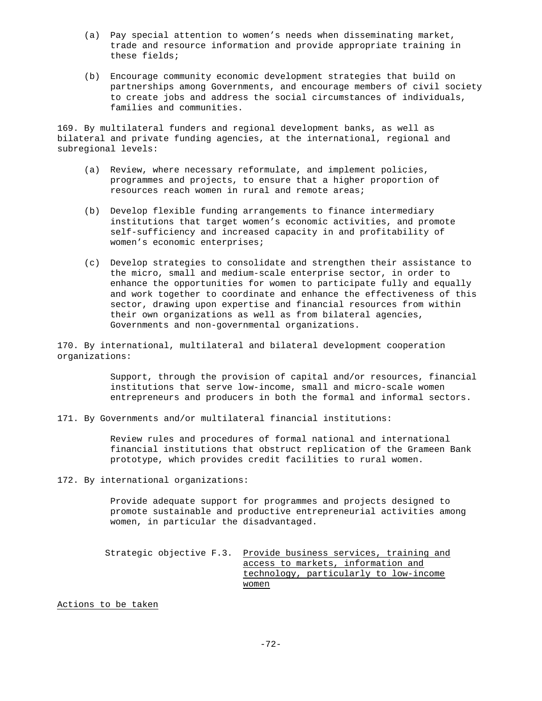- (a) Pay special attention to women's needs when disseminating market, trade and resource information and provide appropriate training in these fields;
- (b) Encourage community economic development strategies that build on partnerships among Governments, and encourage members of civil society to create jobs and address the social circumstances of individuals, families and communities.

169. By multilateral funders and regional development banks, as well as bilateral and private funding agencies, at the international, regional and subregional levels:

- (a) Review, where necessary reformulate, and implement policies, programmes and projects, to ensure that a higher proportion of resources reach women in rural and remote areas;
- (b) Develop flexible funding arrangements to finance intermediary institutions that target women's economic activities, and promote self-sufficiency and increased capacity in and profitability of women's economic enterprises;
- (c) Develop strategies to consolidate and strengthen their assistance to the micro, small and medium-scale enterprise sector, in order to enhance the opportunities for women to participate fully and equally and work together to coordinate and enhance the effectiveness of this sector, drawing upon expertise and financial resources from within their own organizations as well as from bilateral agencies, Governments and non-governmental organizations.

170. By international, multilateral and bilateral development cooperation organizations:

> Support, through the provision of capital and/or resources, financial institutions that serve low-income, small and micro-scale women entrepreneurs and producers in both the formal and informal sectors.

171. By Governments and/or multilateral financial institutions:

Review rules and procedures of formal national and international financial institutions that obstruct replication of the Grameen Bank prototype, which provides credit facilities to rural women.

172. By international organizations:

Provide adequate support for programmes and projects designed to promote sustainable and productive entrepreneurial activities among women, in particular the disadvantaged.

Strategic objective F.3. Provide business services, training and access to markets, information and technology, particularly to low-income women

Actions to be taken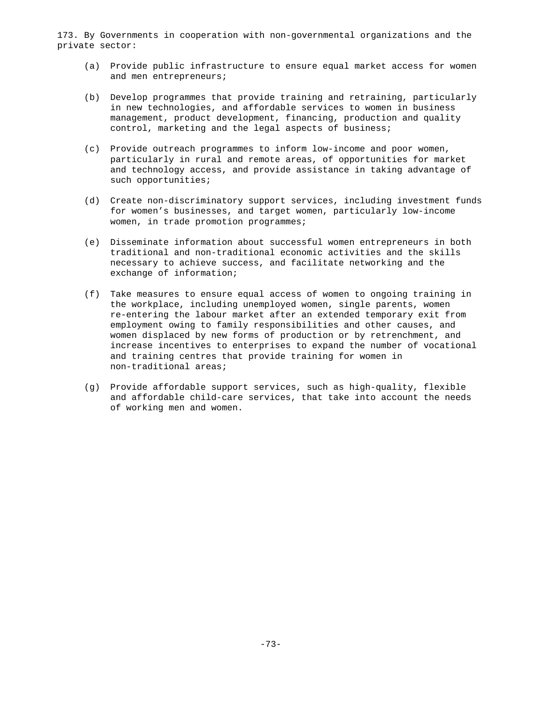173. By Governments in cooperation with non-governmental organizations and the private sector:

- (a) Provide public infrastructure to ensure equal market access for women and men entrepreneurs;
- (b) Develop programmes that provide training and retraining, particularly in new technologies, and affordable services to women in business management, product development, financing, production and quality control, marketing and the legal aspects of business;
- (c) Provide outreach programmes to inform low-income and poor women, particularly in rural and remote areas, of opportunities for market and technology access, and provide assistance in taking advantage of such opportunities;
- (d) Create non-discriminatory support services, including investment funds for women's businesses, and target women, particularly low-income women, in trade promotion programmes;
- (e) Disseminate information about successful women entrepreneurs in both traditional and non-traditional economic activities and the skills necessary to achieve success, and facilitate networking and the exchange of information;
- (f) Take measures to ensure equal access of women to ongoing training in the workplace, including unemployed women, single parents, women re-entering the labour market after an extended temporary exit from employment owing to family responsibilities and other causes, and women displaced by new forms of production or by retrenchment, and increase incentives to enterprises to expand the number of vocational and training centres that provide training for women in non-traditional areas;
- (g) Provide affordable support services, such as high-quality, flexible and affordable child-care services, that take into account the needs of working men and women.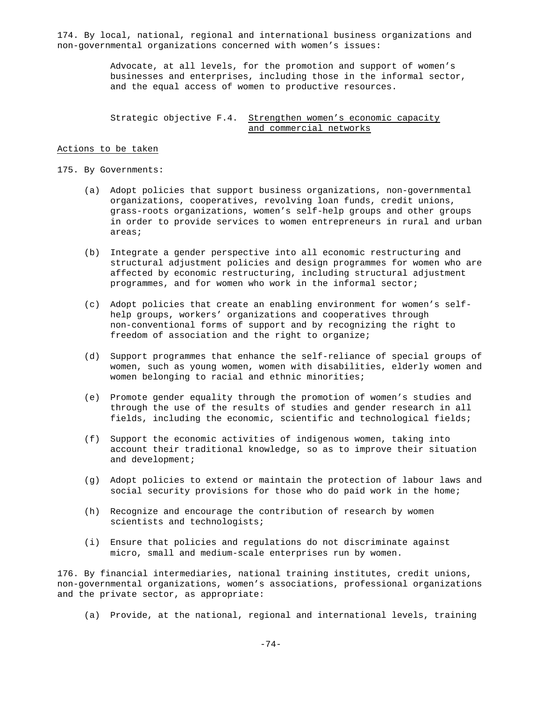174. By local, national, regional and international business organizations and non-governmental organizations concerned with women's issues:

> Advocate, at all levels, for the promotion and support of women's businesses and enterprises, including those in the informal sector, and the equal access of women to productive resources.

Strategic objective F.4. Strengthen women's economic capacity and commercial networks

#### Actions to be taken

175. By Governments:

- (a) Adopt policies that support business organizations, non-governmental organizations, cooperatives, revolving loan funds, credit unions, grass-roots organizations, women's self-help groups and other groups in order to provide services to women entrepreneurs in rural and urban areas;
- (b) Integrate a gender perspective into all economic restructuring and structural adjustment policies and design programmes for women who are affected by economic restructuring, including structural adjustment programmes, and for women who work in the informal sector;
- (c) Adopt policies that create an enabling environment for women's selfhelp groups, workers' organizations and cooperatives through non-conventional forms of support and by recognizing the right to freedom of association and the right to organize;
- (d) Support programmes that enhance the self-reliance of special groups of women, such as young women, women with disabilities, elderly women and women belonging to racial and ethnic minorities;
- (e) Promote gender equality through the promotion of women's studies and through the use of the results of studies and gender research in all fields, including the economic, scientific and technological fields;
- (f) Support the economic activities of indigenous women, taking into account their traditional knowledge, so as to improve their situation and development;
- (g) Adopt policies to extend or maintain the protection of labour laws and social security provisions for those who do paid work in the home;
- (h) Recognize and encourage the contribution of research by women scientists and technologists;
- (i) Ensure that policies and regulations do not discriminate against micro, small and medium-scale enterprises run by women.

176. By financial intermediaries, national training institutes, credit unions, non-governmental organizations, women's associations, professional organizations and the private sector, as appropriate:

(a) Provide, at the national, regional and international levels, training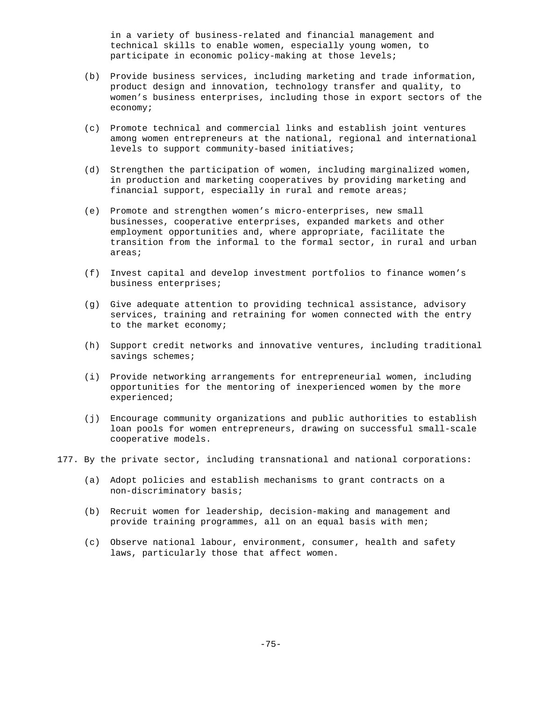in a variety of business-related and financial management and technical skills to enable women, especially young women, to participate in economic policy-making at those levels;

- (b) Provide business services, including marketing and trade information, product design and innovation, technology transfer and quality, to women's business enterprises, including those in export sectors of the economy;
- (c) Promote technical and commercial links and establish joint ventures among women entrepreneurs at the national, regional and international levels to support community-based initiatives;
- (d) Strengthen the participation of women, including marginalized women, in production and marketing cooperatives by providing marketing and financial support, especially in rural and remote areas;
- (e) Promote and strengthen women's micro-enterprises, new small businesses, cooperative enterprises, expanded markets and other employment opportunities and, where appropriate, facilitate the transition from the informal to the formal sector, in rural and urban areas;
- (f) Invest capital and develop investment portfolios to finance women's business enterprises;
- (g) Give adequate attention to providing technical assistance, advisory services, training and retraining for women connected with the entry to the market economy;
- (h) Support credit networks and innovative ventures, including traditional savings schemes;
- (i) Provide networking arrangements for entrepreneurial women, including opportunities for the mentoring of inexperienced women by the more experienced;
- (j) Encourage community organizations and public authorities to establish loan pools for women entrepreneurs, drawing on successful small-scale cooperative models.

177. By the private sector, including transnational and national corporations:

- (a) Adopt policies and establish mechanisms to grant contracts on a non-discriminatory basis;
- (b) Recruit women for leadership, decision-making and management and provide training programmes, all on an equal basis with men;
- (c) Observe national labour, environment, consumer, health and safety laws, particularly those that affect women.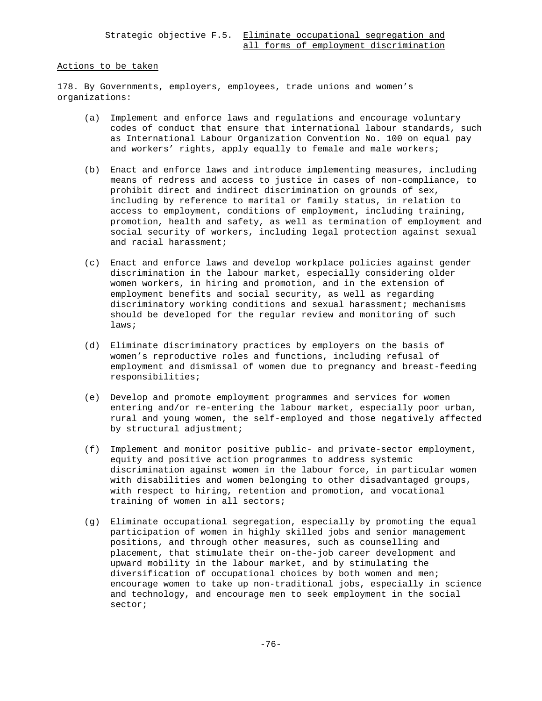### Actions to be taken

178. By Governments, employers, employees, trade unions and women's organizations:

- (a) Implement and enforce laws and regulations and encourage voluntary codes of conduct that ensure that international labour standards, such as International Labour Organization Convention No. 100 on equal pay and workers' rights, apply equally to female and male workers;
- (b) Enact and enforce laws and introduce implementing measures, including means of redress and access to justice in cases of non-compliance, to prohibit direct and indirect discrimination on grounds of sex, including by reference to marital or family status, in relation to access to employment, conditions of employment, including training, promotion, health and safety, as well as termination of employment and social security of workers, including legal protection against sexual and racial harassment;
- (c) Enact and enforce laws and develop workplace policies against gender discrimination in the labour market, especially considering older women workers, in hiring and promotion, and in the extension of employment benefits and social security, as well as regarding discriminatory working conditions and sexual harassment; mechanisms should be developed for the regular review and monitoring of such laws;
- (d) Eliminate discriminatory practices by employers on the basis of women's reproductive roles and functions, including refusal of employment and dismissal of women due to pregnancy and breast-feeding responsibilities;
- (e) Develop and promote employment programmes and services for women entering and/or re-entering the labour market, especially poor urban, rural and young women, the self-employed and those negatively affected by structural adjustment;
- (f) Implement and monitor positive public- and private-sector employment, equity and positive action programmes to address systemic discrimination against women in the labour force, in particular women with disabilities and women belonging to other disadvantaged groups, with respect to hiring, retention and promotion, and vocational training of women in all sectors;
- (g) Eliminate occupational segregation, especially by promoting the equal participation of women in highly skilled jobs and senior management positions, and through other measures, such as counselling and placement, that stimulate their on-the-job career development and upward mobility in the labour market, and by stimulating the diversification of occupational choices by both women and men; encourage women to take up non-traditional jobs, especially in science and technology, and encourage men to seek employment in the social sector;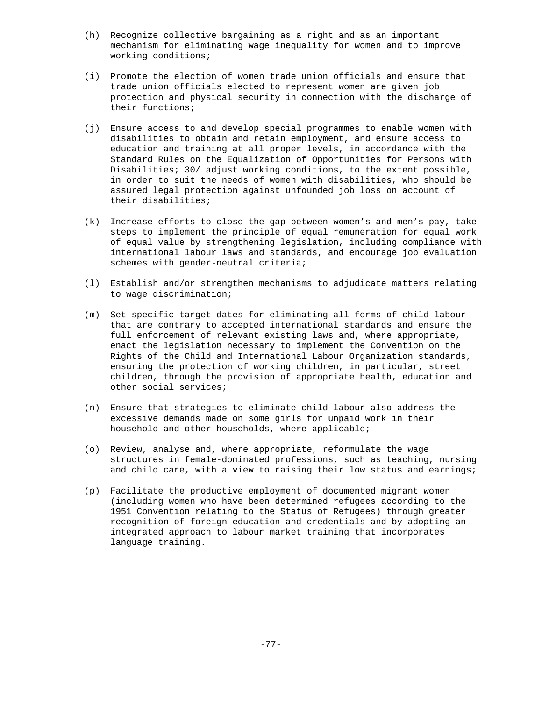- (h) Recognize collective bargaining as a right and as an important mechanism for eliminating wage inequality for women and to improve working conditions;
- (i) Promote the election of women trade union officials and ensure that trade union officials elected to represent women are given job protection and physical security in connection with the discharge of their functions;
- (j) Ensure access to and develop special programmes to enable women with disabilities to obtain and retain employment, and ensure access to education and training at all proper levels, in accordance with the Standard Rules on the Equalization of Opportunities for Persons with Disabilities; 30/ adjust working conditions, to the extent possible, in order to suit the needs of women with disabilities, who should be assured legal protection against unfounded job loss on account of their disabilities;
- (k) Increase efforts to close the gap between women's and men's pay, take steps to implement the principle of equal remuneration for equal work of equal value by strengthening legislation, including compliance with international labour laws and standards, and encourage job evaluation schemes with gender-neutral criteria;
- (l) Establish and/or strengthen mechanisms to adjudicate matters relating to wage discrimination;
- (m) Set specific target dates for eliminating all forms of child labour that are contrary to accepted international standards and ensure the full enforcement of relevant existing laws and, where appropriate, enact the legislation necessary to implement the Convention on the Rights of the Child and International Labour Organization standards, ensuring the protection of working children, in particular, street children, through the provision of appropriate health, education and other social services;
- (n) Ensure that strategies to eliminate child labour also address the excessive demands made on some girls for unpaid work in their household and other households, where applicable;
- (o) Review, analyse and, where appropriate, reformulate the wage structures in female-dominated professions, such as teaching, nursing and child care, with a view to raising their low status and earnings;
- (p) Facilitate the productive employment of documented migrant women (including women who have been determined refugees according to the 1951 Convention relating to the Status of Refugees) through greater recognition of foreign education and credentials and by adopting an integrated approach to labour market training that incorporates language training.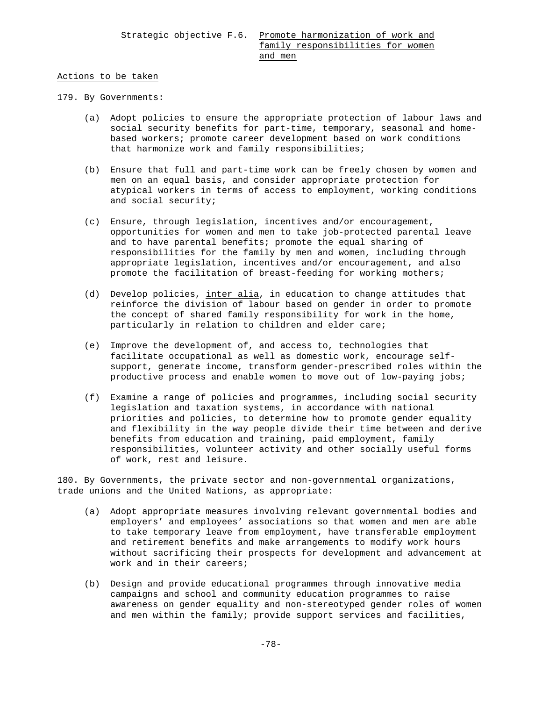Strategic objective F.6. Promote harmonization of work and family responsibilities for women and men

## Actions to be taken

- 179. By Governments:
	- (a) Adopt policies to ensure the appropriate protection of labour laws and social security benefits for part-time, temporary, seasonal and homebased workers; promote career development based on work conditions that harmonize work and family responsibilities;
	- (b) Ensure that full and part-time work can be freely chosen by women and men on an equal basis, and consider appropriate protection for atypical workers in terms of access to employment, working conditions and social security;
	- (c) Ensure, through legislation, incentives and/or encouragement, opportunities for women and men to take job-protected parental leave and to have parental benefits; promote the equal sharing of responsibilities for the family by men and women, including through appropriate legislation, incentives and/or encouragement, and also promote the facilitation of breast-feeding for working mothers;
	- (d) Develop policies, inter alia, in education to change attitudes that reinforce the division of labour based on gender in order to promote the concept of shared family responsibility for work in the home, particularly in relation to children and elder care;
	- (e) Improve the development of, and access to, technologies that facilitate occupational as well as domestic work, encourage selfsupport, generate income, transform gender-prescribed roles within the productive process and enable women to move out of low-paying jobs;
	- (f) Examine a range of policies and programmes, including social security legislation and taxation systems, in accordance with national priorities and policies, to determine how to promote gender equality and flexibility in the way people divide their time between and derive benefits from education and training, paid employment, family responsibilities, volunteer activity and other socially useful forms of work, rest and leisure.

180. By Governments, the private sector and non-governmental organizations, trade unions and the United Nations, as appropriate:

- (a) Adopt appropriate measures involving relevant governmental bodies and employers' and employees' associations so that women and men are able to take temporary leave from employment, have transferable employment and retirement benefits and make arrangements to modify work hours without sacrificing their prospects for development and advancement at work and in their careers;
- (b) Design and provide educational programmes through innovative media campaigns and school and community education programmes to raise awareness on gender equality and non-stereotyped gender roles of women and men within the family; provide support services and facilities,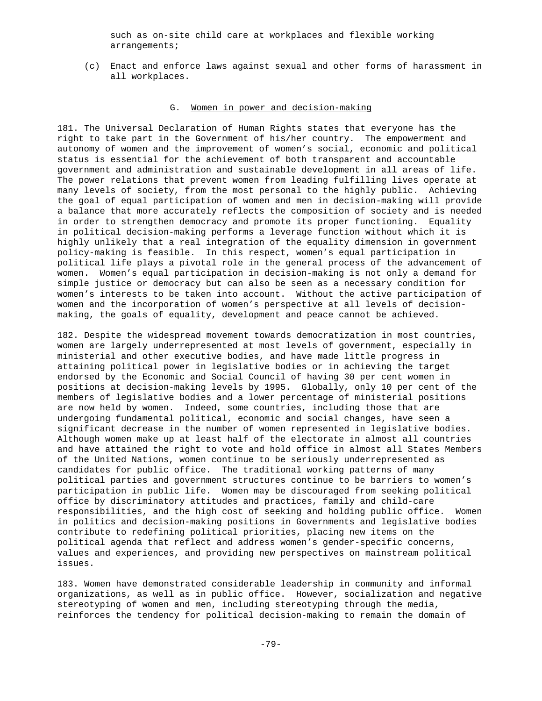such as on-site child care at workplaces and flexible working arrangements;

(c) Enact and enforce laws against sexual and other forms of harassment in all workplaces.

## G. Women in power and decision-making

181. The Universal Declaration of Human Rights states that everyone has the right to take part in the Government of his/her country. The empowerment and autonomy of women and the improvement of women's social, economic and political status is essential for the achievement of both transparent and accountable government and administration and sustainable development in all areas of life. The power relations that prevent women from leading fulfilling lives operate at many levels of society, from the most personal to the highly public. Achieving the goal of equal participation of women and men in decision-making will provide a balance that more accurately reflects the composition of society and is needed in order to strengthen democracy and promote its proper functioning. Equality in political decision-making performs a leverage function without which it is highly unlikely that a real integration of the equality dimension in government policy-making is feasible. In this respect, women's equal participation in political life plays a pivotal role in the general process of the advancement of women. Women's equal participation in decision-making is not only a demand for simple justice or democracy but can also be seen as a necessary condition for women's interests to be taken into account. Without the active participation of women and the incorporation of women's perspective at all levels of decisionmaking, the goals of equality, development and peace cannot be achieved.

182. Despite the widespread movement towards democratization in most countries, women are largely underrepresented at most levels of government, especially in ministerial and other executive bodies, and have made little progress in attaining political power in legislative bodies or in achieving the target endorsed by the Economic and Social Council of having 30 per cent women in positions at decision-making levels by 1995. Globally, only 10 per cent of the members of legislative bodies and a lower percentage of ministerial positions are now held by women. Indeed, some countries, including those that are undergoing fundamental political, economic and social changes, have seen a significant decrease in the number of women represented in legislative bodies. Although women make up at least half of the electorate in almost all countries and have attained the right to vote and hold office in almost all States Members of the United Nations, women continue to be seriously underrepresented as candidates for public office. The traditional working patterns of many political parties and government structures continue to be barriers to women's participation in public life. Women may be discouraged from seeking political office by discriminatory attitudes and practices, family and child-care responsibilities, and the high cost of seeking and holding public office. Women in politics and decision-making positions in Governments and legislative bodies contribute to redefining political priorities, placing new items on the political agenda that reflect and address women's gender-specific concerns, values and experiences, and providing new perspectives on mainstream political issues.

183. Women have demonstrated considerable leadership in community and informal organizations, as well as in public office. However, socialization and negative stereotyping of women and men, including stereotyping through the media, reinforces the tendency for political decision-making to remain the domain of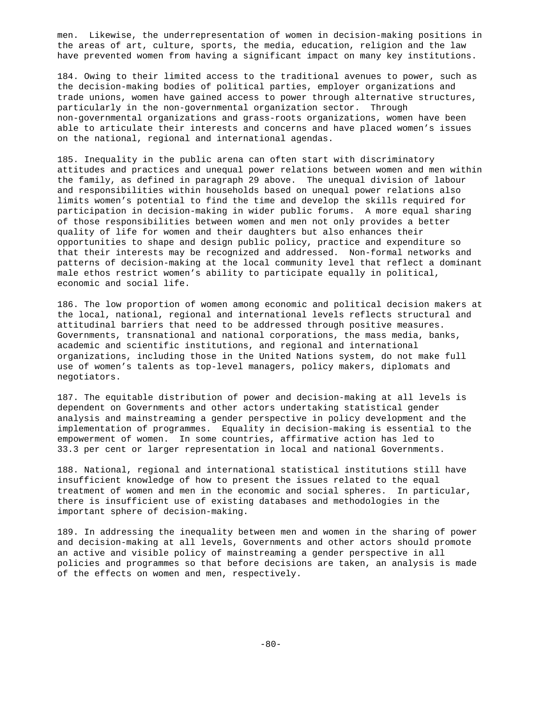men. Likewise, the underrepresentation of women in decision-making positions in the areas of art, culture, sports, the media, education, religion and the law have prevented women from having a significant impact on many key institutions.

184. Owing to their limited access to the traditional avenues to power, such as the decision-making bodies of political parties, employer organizations and trade unions, women have gained access to power through alternative structures, particularly in the non-governmental organization sector. Through non-governmental organizations and grass-roots organizations, women have been able to articulate their interests and concerns and have placed women's issues on the national, regional and international agendas.

185. Inequality in the public arena can often start with discriminatory attitudes and practices and unequal power relations between women and men within the family, as defined in paragraph 29 above. The unequal division of labour and responsibilities within households based on unequal power relations also limits women's potential to find the time and develop the skills required for participation in decision-making in wider public forums. A more equal sharing of those responsibilities between women and men not only provides a better quality of life for women and their daughters but also enhances their opportunities to shape and design public policy, practice and expenditure so that their interests may be recognized and addressed. Non-formal networks and patterns of decision-making at the local community level that reflect a dominant male ethos restrict women's ability to participate equally in political, economic and social life.

186. The low proportion of women among economic and political decision makers at the local, national, regional and international levels reflects structural and attitudinal barriers that need to be addressed through positive measures. Governments, transnational and national corporations, the mass media, banks, academic and scientific institutions, and regional and international organizations, including those in the United Nations system, do not make full use of women's talents as top-level managers, policy makers, diplomats and negotiators.

187. The equitable distribution of power and decision-making at all levels is dependent on Governments and other actors undertaking statistical gender analysis and mainstreaming a gender perspective in policy development and the implementation of programmes. Equality in decision-making is essential to the empowerment of women. In some countries, affirmative action has led to 33.3 per cent or larger representation in local and national Governments.

188. National, regional and international statistical institutions still have insufficient knowledge of how to present the issues related to the equal treatment of women and men in the economic and social spheres. In particular, there is insufficient use of existing databases and methodologies in the important sphere of decision-making.

189. In addressing the inequality between men and women in the sharing of power and decision-making at all levels, Governments and other actors should promote an active and visible policy of mainstreaming a gender perspective in all policies and programmes so that before decisions are taken, an analysis is made of the effects on women and men, respectively.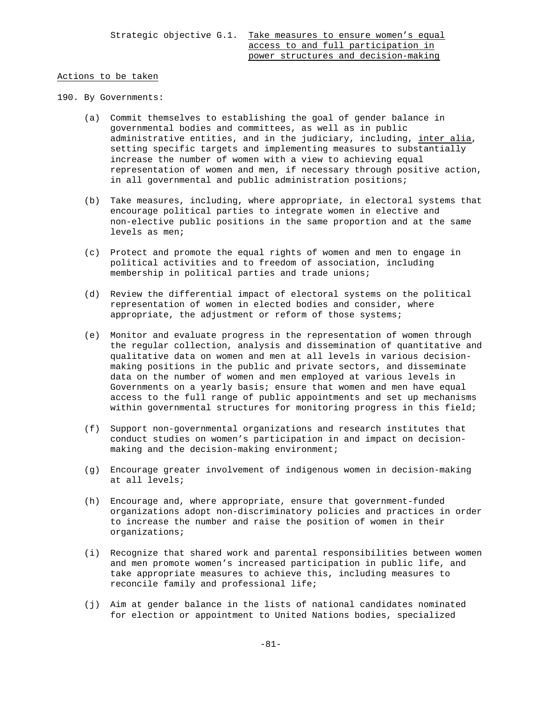## Actions to be taken

#### 190. By Governments:

- (a) Commit themselves to establishing the goal of gender balance in governmental bodies and committees, as well as in public administrative entities, and in the judiciary, including, inter alia, setting specific targets and implementing measures to substantially increase the number of women with a view to achieving equal representation of women and men, if necessary through positive action, in all governmental and public administration positions;
- (b) Take measures, including, where appropriate, in electoral systems that encourage political parties to integrate women in elective and non-elective public positions in the same proportion and at the same levels as men;
- (c) Protect and promote the equal rights of women and men to engage in political activities and to freedom of association, including membership in political parties and trade unions;
- (d) Review the differential impact of electoral systems on the political representation of women in elected bodies and consider, where appropriate, the adjustment or reform of those systems;
- (e) Monitor and evaluate progress in the representation of women through the regular collection, analysis and dissemination of quantitative and qualitative data on women and men at all levels in various decisionmaking positions in the public and private sectors, and disseminate data on the number of women and men employed at various levels in Governments on a yearly basis; ensure that women and men have equal access to the full range of public appointments and set up mechanisms within governmental structures for monitoring progress in this field;
- (f) Support non-governmental organizations and research institutes that conduct studies on women's participation in and impact on decisionmaking and the decision-making environment;
- (g) Encourage greater involvement of indigenous women in decision-making at all levels;
- (h) Encourage and, where appropriate, ensure that government-funded organizations adopt non-discriminatory policies and practices in order to increase the number and raise the position of women in their organizations;
- (i) Recognize that shared work and parental responsibilities between women and men promote women's increased participation in public life, and take appropriate measures to achieve this, including measures to reconcile family and professional life;
- (j) Aim at gender balance in the lists of national candidates nominated for election or appointment to United Nations bodies, specialized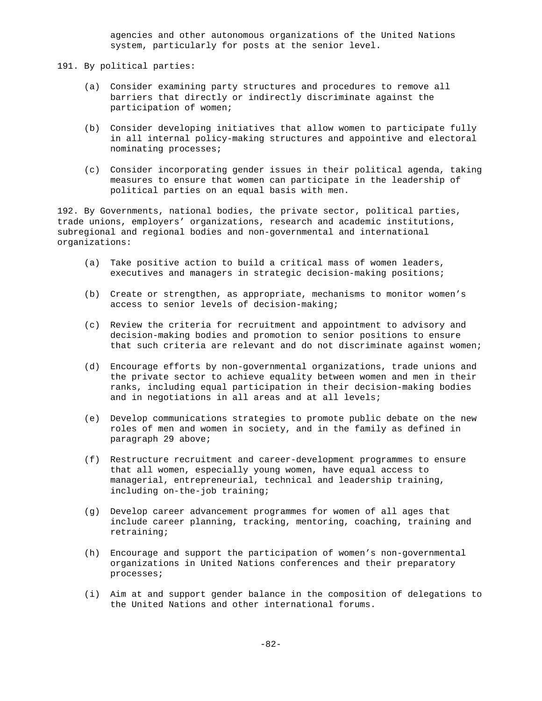agencies and other autonomous organizations of the United Nations system, particularly for posts at the senior level.

191. By political parties:

- (a) Consider examining party structures and procedures to remove all barriers that directly or indirectly discriminate against the participation of women;
- (b) Consider developing initiatives that allow women to participate fully in all internal policy-making structures and appointive and electoral nominating processes;
- (c) Consider incorporating gender issues in their political agenda, taking measures to ensure that women can participate in the leadership of political parties on an equal basis with men.

192. By Governments, national bodies, the private sector, political parties, trade unions, employers' organizations, research and academic institutions, subregional and regional bodies and non-governmental and international organizations:

- (a) Take positive action to build a critical mass of women leaders, executives and managers in strategic decision-making positions;
- (b) Create or strengthen, as appropriate, mechanisms to monitor women's access to senior levels of decision-making;
- (c) Review the criteria for recruitment and appointment to advisory and decision-making bodies and promotion to senior positions to ensure that such criteria are relevant and do not discriminate against women;
- (d) Encourage efforts by non-governmental organizations, trade unions and the private sector to achieve equality between women and men in their ranks, including equal participation in their decision-making bodies and in negotiations in all areas and at all levels;
- (e) Develop communications strategies to promote public debate on the new roles of men and women in society, and in the family as defined in paragraph 29 above;
- (f) Restructure recruitment and career-development programmes to ensure that all women, especially young women, have equal access to managerial, entrepreneurial, technical and leadership training, including on-the-job training;
- (g) Develop career advancement programmes for women of all ages that include career planning, tracking, mentoring, coaching, training and retraining;
- (h) Encourage and support the participation of women's non-governmental organizations in United Nations conferences and their preparatory processes;
- (i) Aim at and support gender balance in the composition of delegations to the United Nations and other international forums.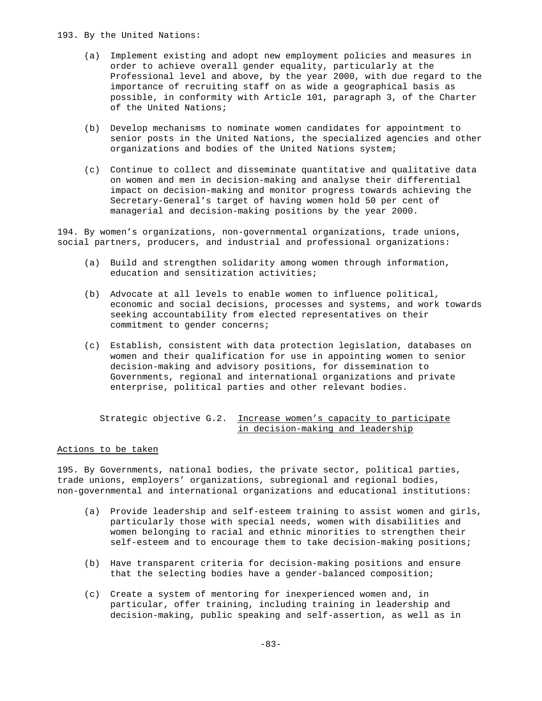#### 193. By the United Nations:

- (a) Implement existing and adopt new employment policies and measures in order to achieve overall gender equality, particularly at the Professional level and above, by the year 2000, with due regard to the importance of recruiting staff on as wide a geographical basis as possible, in conformity with Article 101, paragraph 3, of the Charter of the United Nations;
- (b) Develop mechanisms to nominate women candidates for appointment to senior posts in the United Nations, the specialized agencies and other organizations and bodies of the United Nations system;
- (c) Continue to collect and disseminate quantitative and qualitative data on women and men in decision-making and analyse their differential impact on decision-making and monitor progress towards achieving the Secretary-General's target of having women hold 50 per cent of managerial and decision-making positions by the year 2000.

194. By women's organizations, non-governmental organizations, trade unions, social partners, producers, and industrial and professional organizations:

- (a) Build and strengthen solidarity among women through information, education and sensitization activities;
- (b) Advocate at all levels to enable women to influence political, economic and social decisions, processes and systems, and work towards seeking accountability from elected representatives on their commitment to gender concerns;
- (c) Establish, consistent with data protection legislation, databases on women and their qualification for use in appointing women to senior decision-making and advisory positions, for dissemination to Governments, regional and international organizations and private enterprise, political parties and other relevant bodies.

Strategic objective G.2. Increase women's capacity to participate in decision-making and leadership

## Actions to be taken

195. By Governments, national bodies, the private sector, political parties, trade unions, employers' organizations, subregional and regional bodies, non-governmental and international organizations and educational institutions:

- (a) Provide leadership and self-esteem training to assist women and girls, particularly those with special needs, women with disabilities and women belonging to racial and ethnic minorities to strengthen their self-esteem and to encourage them to take decision-making positions;
- (b) Have transparent criteria for decision-making positions and ensure that the selecting bodies have a gender-balanced composition;
- (c) Create a system of mentoring for inexperienced women and, in particular, offer training, including training in leadership and decision-making, public speaking and self-assertion, as well as in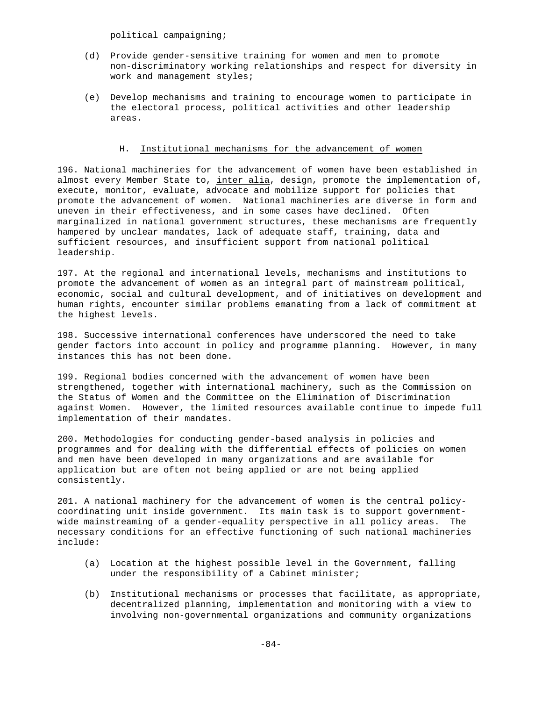political campaigning;

- (d) Provide gender-sensitive training for women and men to promote non-discriminatory working relationships and respect for diversity in work and management styles;
- (e) Develop mechanisms and training to encourage women to participate in the electoral process, political activities and other leadership areas.

### H. Institutional mechanisms for the advancement of women

196. National machineries for the advancement of women have been established in almost every Member State to, inter alia, design, promote the implementation of, execute, monitor, evaluate, advocate and mobilize support for policies that promote the advancement of women. National machineries are diverse in form and uneven in their effectiveness, and in some cases have declined. Often marginalized in national government structures, these mechanisms are frequently hampered by unclear mandates, lack of adequate staff, training, data and sufficient resources, and insufficient support from national political leadership.

197. At the regional and international levels, mechanisms and institutions to promote the advancement of women as an integral part of mainstream political, economic, social and cultural development, and of initiatives on development and human rights, encounter similar problems emanating from a lack of commitment at the highest levels.

198. Successive international conferences have underscored the need to take gender factors into account in policy and programme planning. However, in many instances this has not been done.

199. Regional bodies concerned with the advancement of women have been strengthened, together with international machinery, such as the Commission on the Status of Women and the Committee on the Elimination of Discrimination against Women. However, the limited resources available continue to impede full implementation of their mandates.

200. Methodologies for conducting gender-based analysis in policies and programmes and for dealing with the differential effects of policies on women and men have been developed in many organizations and are available for application but are often not being applied or are not being applied consistently.

201. A national machinery for the advancement of women is the central policycoordinating unit inside government. Its main task is to support governmentwide mainstreaming of a gender-equality perspective in all policy areas. The necessary conditions for an effective functioning of such national machineries include:

- (a) Location at the highest possible level in the Government, falling under the responsibility of a Cabinet minister;
- (b) Institutional mechanisms or processes that facilitate, as appropriate, decentralized planning, implementation and monitoring with a view to involving non-governmental organizations and community organizations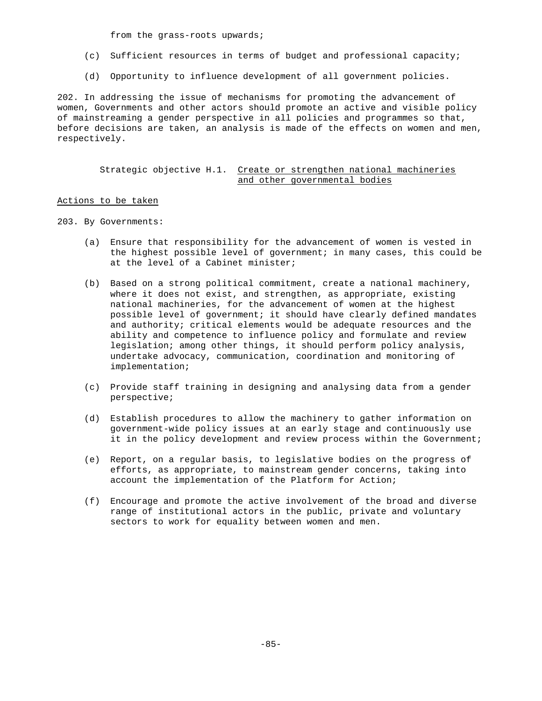from the grass-roots upwards;

- (c) Sufficient resources in terms of budget and professional capacity;
- (d) Opportunity to influence development of all government policies.

202. In addressing the issue of mechanisms for promoting the advancement of women, Governments and other actors should promote an active and visible policy of mainstreaming a gender perspective in all policies and programmes so that, before decisions are taken, an analysis is made of the effects on women and men, respectively.

Strategic objective H.1. Create or strengthen national machineries and other governmental bodies

### Actions to be taken

203. By Governments:

- (a) Ensure that responsibility for the advancement of women is vested in the highest possible level of government; in many cases, this could be at the level of a Cabinet minister;
- (b) Based on a strong political commitment, create a national machinery, where it does not exist, and strengthen, as appropriate, existing national machineries, for the advancement of women at the highest possible level of government; it should have clearly defined mandates and authority; critical elements would be adequate resources and the ability and competence to influence policy and formulate and review legislation; among other things, it should perform policy analysis, undertake advocacy, communication, coordination and monitoring of implementation;
- (c) Provide staff training in designing and analysing data from a gender perspective;
- (d) Establish procedures to allow the machinery to gather information on government-wide policy issues at an early stage and continuously use it in the policy development and review process within the Government;
- (e) Report, on a regular basis, to legislative bodies on the progress of efforts, as appropriate, to mainstream gender concerns, taking into account the implementation of the Platform for Action;
- (f) Encourage and promote the active involvement of the broad and diverse range of institutional actors in the public, private and voluntary sectors to work for equality between women and men.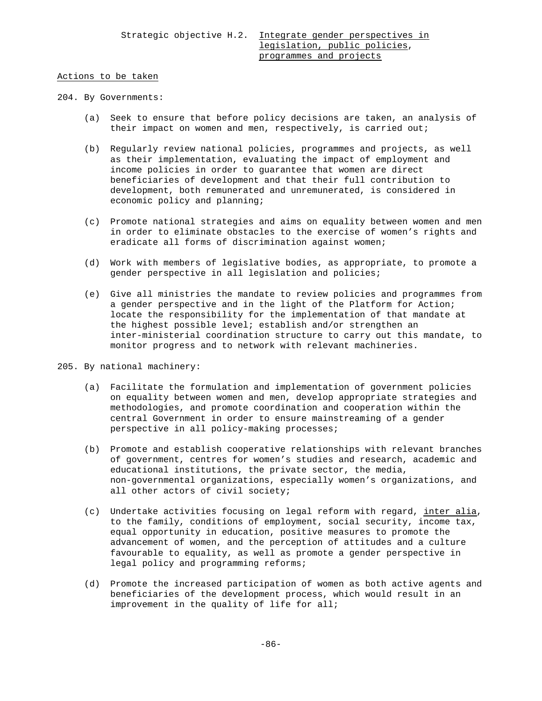## Actions to be taken

#### 204. By Governments:

- (a) Seek to ensure that before policy decisions are taken, an analysis of their impact on women and men, respectively, is carried out;
- (b) Regularly review national policies, programmes and projects, as well as their implementation, evaluating the impact of employment and income policies in order to guarantee that women are direct beneficiaries of development and that their full contribution to development, both remunerated and unremunerated, is considered in economic policy and planning;
- (c) Promote national strategies and aims on equality between women and men in order to eliminate obstacles to the exercise of women's rights and eradicate all forms of discrimination against women;
- (d) Work with members of legislative bodies, as appropriate, to promote a gender perspective in all legislation and policies;
- (e) Give all ministries the mandate to review policies and programmes from a gender perspective and in the light of the Platform for Action; locate the responsibility for the implementation of that mandate at the highest possible level; establish and/or strengthen an inter-ministerial coordination structure to carry out this mandate, to monitor progress and to network with relevant machineries.
- 205. By national machinery:
	- (a) Facilitate the formulation and implementation of government policies on equality between women and men, develop appropriate strategies and methodologies, and promote coordination and cooperation within the central Government in order to ensure mainstreaming of a gender perspective in all policy-making processes;
	- (b) Promote and establish cooperative relationships with relevant branches of government, centres for women's studies and research, academic and educational institutions, the private sector, the media, non-governmental organizations, especially women's organizations, and all other actors of civil society;
	- (c) Undertake activities focusing on legal reform with regard, inter alia, to the family, conditions of employment, social security, income tax, equal opportunity in education, positive measures to promote the advancement of women, and the perception of attitudes and a culture favourable to equality, as well as promote a gender perspective in legal policy and programming reforms;
	- (d) Promote the increased participation of women as both active agents and beneficiaries of the development process, which would result in an improvement in the quality of life for all;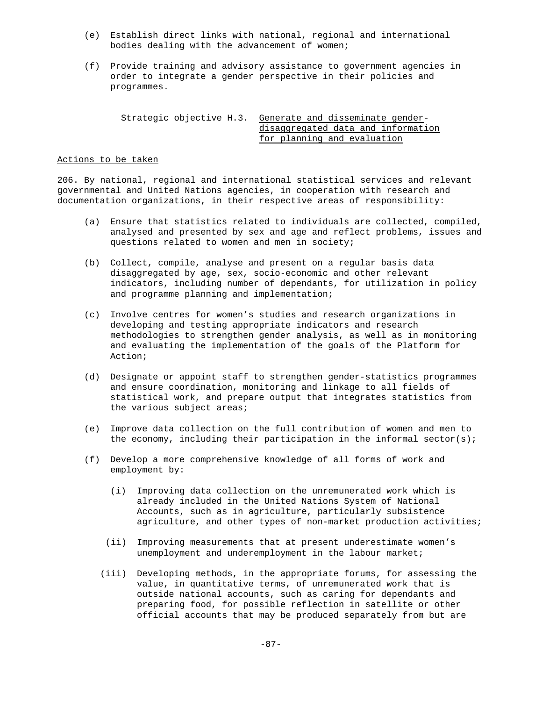- (e) Establish direct links with national, regional and international bodies dealing with the advancement of women;
- (f) Provide training and advisory assistance to government agencies in order to integrate a gender perspective in their policies and programmes.

| Strategic objective H.3. Generate and disseminate gender- |
|-----------------------------------------------------------|
| disaggregated data and information                        |
| for planning and evaluation                               |

## Actions to be taken

206. By national, regional and international statistical services and relevant governmental and United Nations agencies, in cooperation with research and documentation organizations, in their respective areas of responsibility:

- (a) Ensure that statistics related to individuals are collected, compiled, analysed and presented by sex and age and reflect problems, issues and questions related to women and men in society;
- (b) Collect, compile, analyse and present on a regular basis data disaggregated by age, sex, socio-economic and other relevant indicators, including number of dependants, for utilization in policy and programme planning and implementation;
- (c) Involve centres for women's studies and research organizations in developing and testing appropriate indicators and research methodologies to strengthen gender analysis, as well as in monitoring and evaluating the implementation of the goals of the Platform for Action;
- (d) Designate or appoint staff to strengthen gender-statistics programmes and ensure coordination, monitoring and linkage to all fields of statistical work, and prepare output that integrates statistics from the various subject areas;
- (e) Improve data collection on the full contribution of women and men to the economy, including their participation in the informal  $sector(s);$
- (f) Develop a more comprehensive knowledge of all forms of work and employment by:
	- (i) Improving data collection on the unremunerated work which is already included in the United Nations System of National Accounts, such as in agriculture, particularly subsistence agriculture, and other types of non-market production activities;
	- (ii) Improving measurements that at present underestimate women's unemployment and underemployment in the labour market;
	- (iii) Developing methods, in the appropriate forums, for assessing the value, in quantitative terms, of unremunerated work that is outside national accounts, such as caring for dependants and preparing food, for possible reflection in satellite or other official accounts that may be produced separately from but are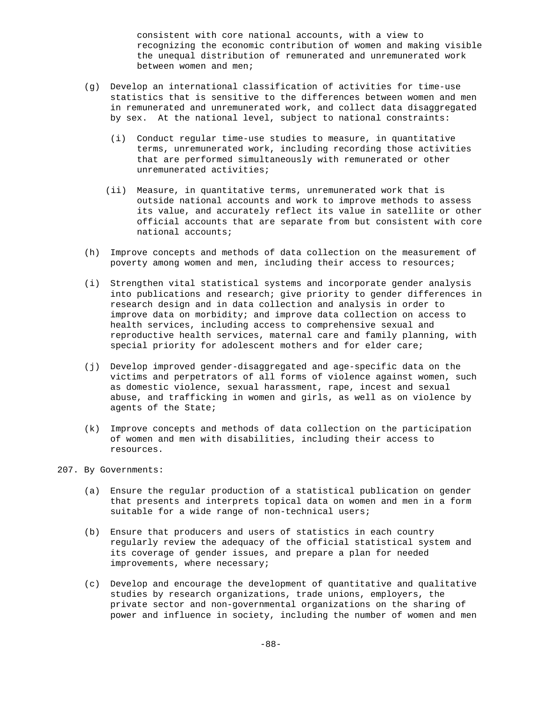consistent with core national accounts, with a view to recognizing the economic contribution of women and making visible the unequal distribution of remunerated and unremunerated work between women and men;

- (g) Develop an international classification of activities for time-use statistics that is sensitive to the differences between women and men in remunerated and unremunerated work, and collect data disaggregated by sex. At the national level, subject to national constraints:
	- (i) Conduct regular time-use studies to measure, in quantitative terms, unremunerated work, including recording those activities that are performed simultaneously with remunerated or other unremunerated activities;
	- (ii) Measure, in quantitative terms, unremunerated work that is outside national accounts and work to improve methods to assess its value, and accurately reflect its value in satellite or other official accounts that are separate from but consistent with core national accounts;
- (h) Improve concepts and methods of data collection on the measurement of poverty among women and men, including their access to resources;
- (i) Strengthen vital statistical systems and incorporate gender analysis into publications and research; give priority to gender differences in research design and in data collection and analysis in order to improve data on morbidity; and improve data collection on access to health services, including access to comprehensive sexual and reproductive health services, maternal care and family planning, with special priority for adolescent mothers and for elder care;
- (j) Develop improved gender-disaggregated and age-specific data on the victims and perpetrators of all forms of violence against women, such as domestic violence, sexual harassment, rape, incest and sexual abuse, and trafficking in women and girls, as well as on violence by agents of the State;
- (k) Improve concepts and methods of data collection on the participation of women and men with disabilities, including their access to resources.
- 207. By Governments:
	- (a) Ensure the regular production of a statistical publication on gender that presents and interprets topical data on women and men in a form suitable for a wide range of non-technical users;
	- (b) Ensure that producers and users of statistics in each country regularly review the adequacy of the official statistical system and its coverage of gender issues, and prepare a plan for needed improvements, where necessary;
	- (c) Develop and encourage the development of quantitative and qualitative studies by research organizations, trade unions, employers, the private sector and non-governmental organizations on the sharing of power and influence in society, including the number of women and men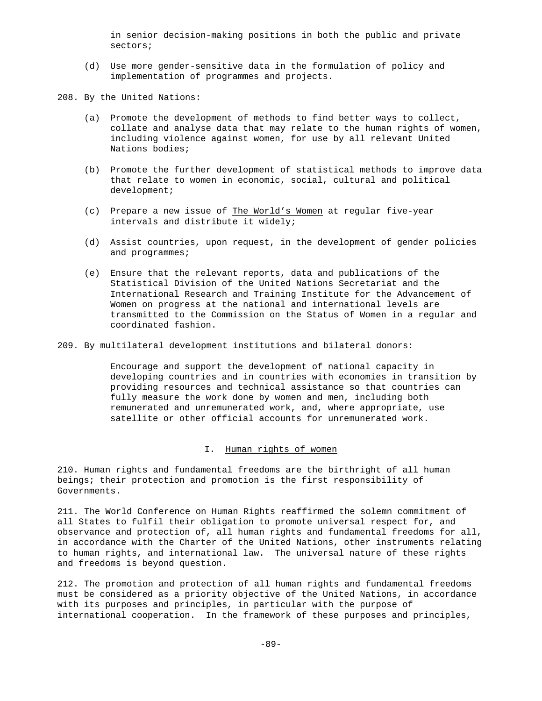in senior decision-making positions in both the public and private sectors;

(d) Use more gender-sensitive data in the formulation of policy and implementation of programmes and projects.

208. By the United Nations:

- (a) Promote the development of methods to find better ways to collect, collate and analyse data that may relate to the human rights of women, including violence against women, for use by all relevant United Nations bodies;
- (b) Promote the further development of statistical methods to improve data that relate to women in economic, social, cultural and political development;
- (c) Prepare a new issue of The World's Women at regular five-year intervals and distribute it widely;
- (d) Assist countries, upon request, in the development of gender policies and programmes;
- (e) Ensure that the relevant reports, data and publications of the Statistical Division of the United Nations Secretariat and the International Research and Training Institute for the Advancement of Women on progress at the national and international levels are transmitted to the Commission on the Status of Women in a regular and coordinated fashion.

209. By multilateral development institutions and bilateral donors:

Encourage and support the development of national capacity in developing countries and in countries with economies in transition by providing resources and technical assistance so that countries can fully measure the work done by women and men, including both remunerated and unremunerated work, and, where appropriate, use satellite or other official accounts for unremunerated work.

# I. Human rights of women

210. Human rights and fundamental freedoms are the birthright of all human beings; their protection and promotion is the first responsibility of Governments.

211. The World Conference on Human Rights reaffirmed the solemn commitment of all States to fulfil their obligation to promote universal respect for, and observance and protection of, all human rights and fundamental freedoms for all, in accordance with the Charter of the United Nations, other instruments relating to human rights, and international law. The universal nature of these rights and freedoms is beyond question.

212. The promotion and protection of all human rights and fundamental freedoms must be considered as a priority objective of the United Nations, in accordance with its purposes and principles, in particular with the purpose of international cooperation. In the framework of these purposes and principles,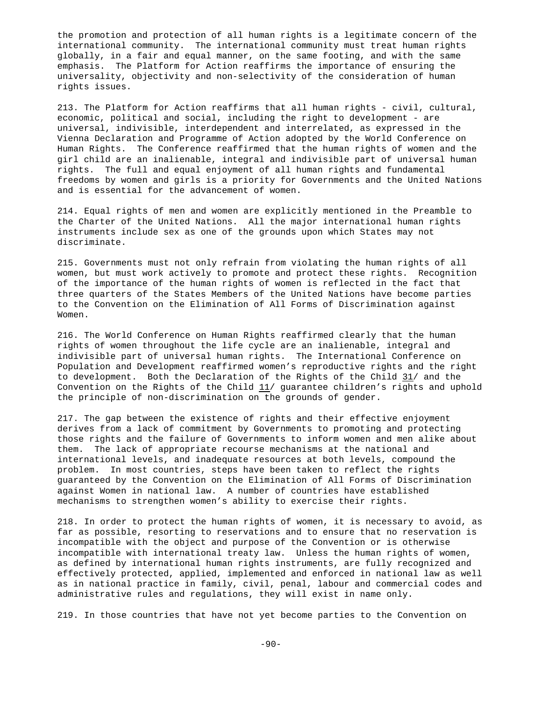the promotion and protection of all human rights is a legitimate concern of the international community. The international community must treat human rights globally, in a fair and equal manner, on the same footing, and with the same emphasis. The Platform for Action reaffirms the importance of ensuring the universality, objectivity and non-selectivity of the consideration of human rights issues.

213. The Platform for Action reaffirms that all human rights - civil, cultural, economic, political and social, including the right to development - are universal, indivisible, interdependent and interrelated, as expressed in the Vienna Declaration and Programme of Action adopted by the World Conference on Human Rights. The Conference reaffirmed that the human rights of women and the girl child are an inalienable, integral and indivisible part of universal human rights. The full and equal enjoyment of all human rights and fundamental freedoms by women and girls is a priority for Governments and the United Nations and is essential for the advancement of women.

214. Equal rights of men and women are explicitly mentioned in the Preamble to the Charter of the United Nations. All the major international human rights instruments include sex as one of the grounds upon which States may not discriminate.

215. Governments must not only refrain from violating the human rights of all women, but must work actively to promote and protect these rights. Recognition of the importance of the human rights of women is reflected in the fact that three quarters of the States Members of the United Nations have become parties to the Convention on the Elimination of All Forms of Discrimination against Women.

216. The World Conference on Human Rights reaffirmed clearly that the human rights of women throughout the life cycle are an inalienable, integral and indivisible part of universal human rights. The International Conference on Population and Development reaffirmed women's reproductive rights and the right to development. Both the Declaration of the Rights of the Child 31/ and the Convention on the Rights of the Child  $11/$  guarantee children's rights and uphold the principle of non-discrimination on the grounds of gender.

217. The gap between the existence of rights and their effective enjoyment derives from a lack of commitment by Governments to promoting and protecting those rights and the failure of Governments to inform women and men alike about them. The lack of appropriate recourse mechanisms at the national and international levels, and inadequate resources at both levels, compound the problem. In most countries, steps have been taken to reflect the rights guaranteed by the Convention on the Elimination of All Forms of Discrimination against Women in national law. A number of countries have established mechanisms to strengthen women's ability to exercise their rights.

218. In order to protect the human rights of women, it is necessary to avoid, as far as possible, resorting to reservations and to ensure that no reservation is incompatible with the object and purpose of the Convention or is otherwise incompatible with international treaty law. Unless the human rights of women, as defined by international human rights instruments, are fully recognized and effectively protected, applied, implemented and enforced in national law as well as in national practice in family, civil, penal, labour and commercial codes and administrative rules and regulations, they will exist in name only.

219. In those countries that have not yet become parties to the Convention on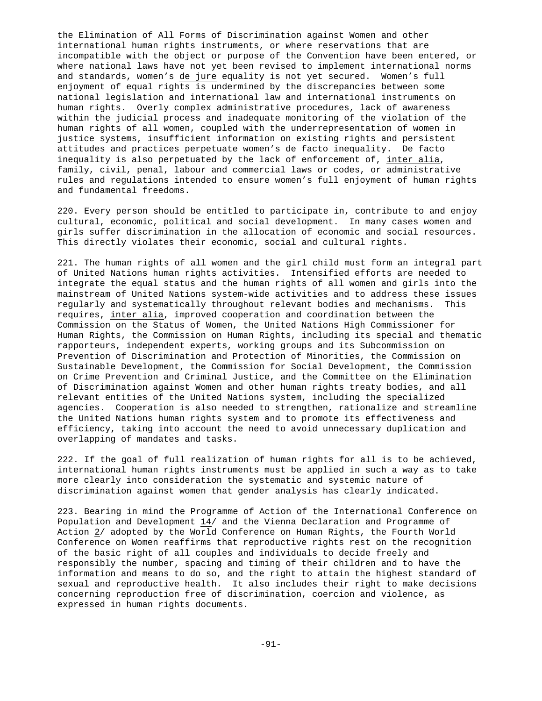the Elimination of All Forms of Discrimination against Women and other international human rights instruments, or where reservations that are incompatible with the object or purpose of the Convention have been entered, or where national laws have not yet been revised to implement international norms and standards, women's de jure equality is not yet secured. Women's full enjoyment of equal rights is undermined by the discrepancies between some national legislation and international law and international instruments on human rights. Overly complex administrative procedures, lack of awareness within the judicial process and inadequate monitoring of the violation of the human rights of all women, coupled with the underrepresentation of women in justice systems, insufficient information on existing rights and persistent attitudes and practices perpetuate women's de facto inequality. De facto inequality is also perpetuated by the lack of enforcement of, inter alia, family, civil, penal, labour and commercial laws or codes, or administrative rules and regulations intended to ensure women's full enjoyment of human rights and fundamental freedoms.

220. Every person should be entitled to participate in, contribute to and enjoy cultural, economic, political and social development. In many cases women and girls suffer discrimination in the allocation of economic and social resources. This directly violates their economic, social and cultural rights.

221. The human rights of all women and the girl child must form an integral part of United Nations human rights activities. Intensified efforts are needed to integrate the equal status and the human rights of all women and girls into the mainstream of United Nations system-wide activities and to address these issues regularly and systematically throughout relevant bodies and mechanisms. This requires, inter alia, improved cooperation and coordination between the Commission on the Status of Women, the United Nations High Commissioner for Human Rights, the Commission on Human Rights, including its special and thematic rapporteurs, independent experts, working groups and its Subcommission on Prevention of Discrimination and Protection of Minorities, the Commission on Sustainable Development, the Commission for Social Development, the Commission on Crime Prevention and Criminal Justice, and the Committee on the Elimination of Discrimination against Women and other human rights treaty bodies, and all relevant entities of the United Nations system, including the specialized agencies. Cooperation is also needed to strengthen, rationalize and streamline the United Nations human rights system and to promote its effectiveness and efficiency, taking into account the need to avoid unnecessary duplication and overlapping of mandates and tasks.

222. If the goal of full realization of human rights for all is to be achieved, international human rights instruments must be applied in such a way as to take more clearly into consideration the systematic and systemic nature of discrimination against women that gender analysis has clearly indicated.

223. Bearing in mind the Programme of Action of the International Conference on Population and Development 14/ and the Vienna Declaration and Programme of Action 2/ adopted by the World Conference on Human Rights, the Fourth World Conference on Women reaffirms that reproductive rights rest on the recognition of the basic right of all couples and individuals to decide freely and responsibly the number, spacing and timing of their children and to have the information and means to do so, and the right to attain the highest standard of sexual and reproductive health. It also includes their right to make decisions concerning reproduction free of discrimination, coercion and violence, as expressed in human rights documents.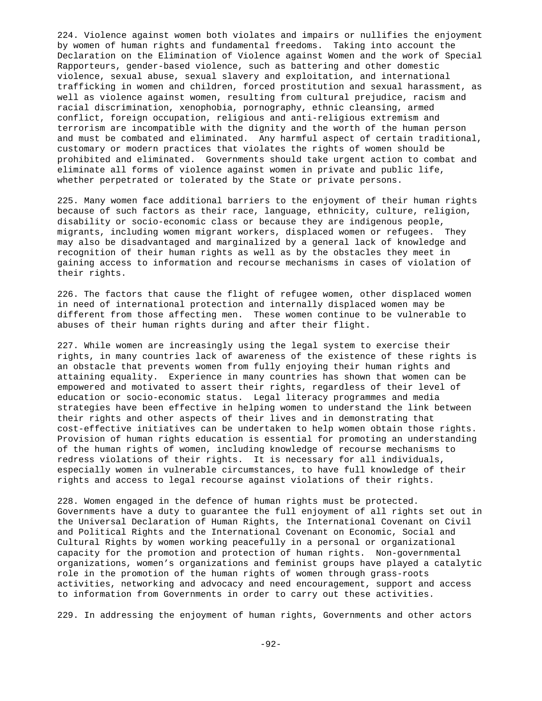224. Violence against women both violates and impairs or nullifies the enjoyment by women of human rights and fundamental freedoms. Taking into account the Declaration on the Elimination of Violence against Women and the work of Special Rapporteurs, gender-based violence, such as battering and other domestic violence, sexual abuse, sexual slavery and exploitation, and international trafficking in women and children, forced prostitution and sexual harassment, as well as violence against women, resulting from cultural prejudice, racism and racial discrimination, xenophobia, pornography, ethnic cleansing, armed conflict, foreign occupation, religious and anti-religious extremism and terrorism are incompatible with the dignity and the worth of the human person and must be combated and eliminated. Any harmful aspect of certain traditional, customary or modern practices that violates the rights of women should be prohibited and eliminated. Governments should take urgent action to combat and eliminate all forms of violence against women in private and public life, whether perpetrated or tolerated by the State or private persons.

225. Many women face additional barriers to the enjoyment of their human rights because of such factors as their race, language, ethnicity, culture, religion, disability or socio-economic class or because they are indigenous people, migrants, including women migrant workers, displaced women or refugees. They may also be disadvantaged and marginalized by a general lack of knowledge and recognition of their human rights as well as by the obstacles they meet in gaining access to information and recourse mechanisms in cases of violation of their rights.

226. The factors that cause the flight of refugee women, other displaced women in need of international protection and internally displaced women may be different from those affecting men. These women continue to be vulnerable to abuses of their human rights during and after their flight.

227. While women are increasingly using the legal system to exercise their rights, in many countries lack of awareness of the existence of these rights is an obstacle that prevents women from fully enjoying their human rights and attaining equality. Experience in many countries has shown that women can be empowered and motivated to assert their rights, regardless of their level of education or socio-economic status. Legal literacy programmes and media strategies have been effective in helping women to understand the link between their rights and other aspects of their lives and in demonstrating that cost-effective initiatives can be undertaken to help women obtain those rights. Provision of human rights education is essential for promoting an understanding of the human rights of women, including knowledge of recourse mechanisms to redress violations of their rights. It is necessary for all individuals, especially women in vulnerable circumstances, to have full knowledge of their rights and access to legal recourse against violations of their rights.

228. Women engaged in the defence of human rights must be protected. Governments have a duty to guarantee the full enjoyment of all rights set out in the Universal Declaration of Human Rights, the International Covenant on Civil and Political Rights and the International Covenant on Economic, Social and Cultural Rights by women working peacefully in a personal or organizational capacity for the promotion and protection of human rights. Non-governmental organizations, women's organizations and feminist groups have played a catalytic role in the promotion of the human rights of women through grass-roots activities, networking and advocacy and need encouragement, support and access to information from Governments in order to carry out these activities.

229. In addressing the enjoyment of human rights, Governments and other actors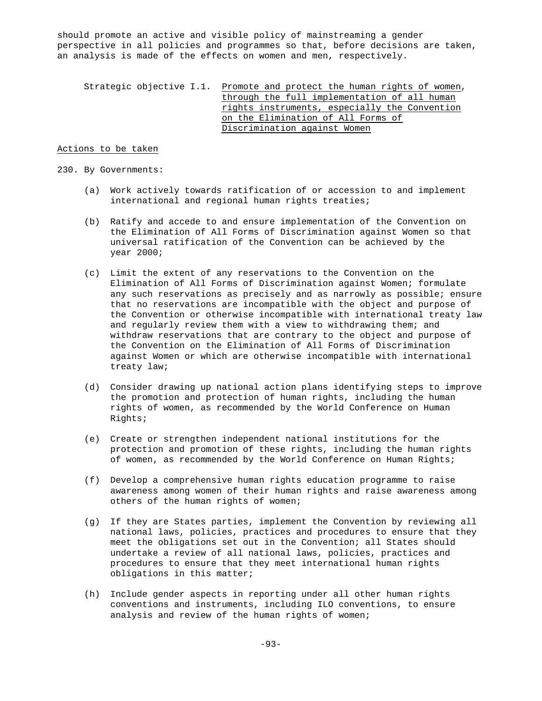should promote an active and visible policy of mainstreaming a gender perspective in all policies and programmes so that, before decisions are taken, an analysis is made of the effects on women and men, respectively.

Strategic objective I.1. Promote and protect the human rights of women, through the full implementation of all human rights instruments, especially the Convention on the Elimination of All Forms of Discrimination against Women

#### Actions to be taken

230. By Governments:

- (a) Work actively towards ratification of or accession to and implement international and regional human rights treaties;
- (b) Ratify and accede to and ensure implementation of the Convention on the Elimination of All Forms of Discrimination against Women so that universal ratification of the Convention can be achieved by the year 2000;
- (c) Limit the extent of any reservations to the Convention on the Elimination of All Forms of Discrimination against Women; formulate any such reservations as precisely and as narrowly as possible; ensure that no reservations are incompatible with the object and purpose of the Convention or otherwise incompatible with international treaty law and regularly review them with a view to withdrawing them; and withdraw reservations that are contrary to the object and purpose of the Convention on the Elimination of All Forms of Discrimination against Women or which are otherwise incompatible with international treaty law;
- (d) Consider drawing up national action plans identifying steps to improve the promotion and protection of human rights, including the human rights of women, as recommended by the World Conference on Human Rights;
- (e) Create or strengthen independent national institutions for the protection and promotion of these rights, including the human rights of women, as recommended by the World Conference on Human Rights;
- (f) Develop a comprehensive human rights education programme to raise awareness among women of their human rights and raise awareness among others of the human rights of women;
- (g) If they are States parties, implement the Convention by reviewing all national laws, policies, practices and procedures to ensure that they meet the obligations set out in the Convention; all States should undertake a review of all national laws, policies, practices and procedures to ensure that they meet international human rights obligations in this matter;
- (h) Include gender aspects in reporting under all other human rights conventions and instruments, including ILO conventions, to ensure analysis and review of the human rights of women;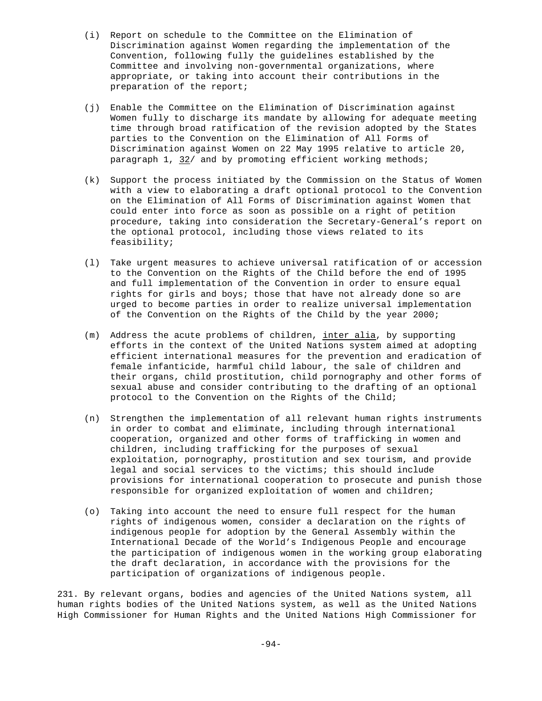- (i) Report on schedule to the Committee on the Elimination of Discrimination against Women regarding the implementation of the Convention, following fully the guidelines established by the Committee and involving non-governmental organizations, where appropriate, or taking into account their contributions in the preparation of the report;
- (j) Enable the Committee on the Elimination of Discrimination against Women fully to discharge its mandate by allowing for adequate meeting time through broad ratification of the revision adopted by the States parties to the Convention on the Elimination of All Forms of Discrimination against Women on 22 May 1995 relative to article 20, paragraph 1, 32/ and by promoting efficient working methods;
- (k) Support the process initiated by the Commission on the Status of Women with a view to elaborating a draft optional protocol to the Convention on the Elimination of All Forms of Discrimination against Women that could enter into force as soon as possible on a right of petition procedure, taking into consideration the Secretary-General's report on the optional protocol, including those views related to its feasibility;
- (l) Take urgent measures to achieve universal ratification of or accession to the Convention on the Rights of the Child before the end of 1995 and full implementation of the Convention in order to ensure equal rights for girls and boys; those that have not already done so are urged to become parties in order to realize universal implementation of the Convention on the Rights of the Child by the year 2000;
- (m) Address the acute problems of children, inter alia, by supporting efforts in the context of the United Nations system aimed at adopting efficient international measures for the prevention and eradication of female infanticide, harmful child labour, the sale of children and their organs, child prostitution, child pornography and other forms of sexual abuse and consider contributing to the drafting of an optional protocol to the Convention on the Rights of the Child;
- (n) Strengthen the implementation of all relevant human rights instruments in order to combat and eliminate, including through international cooperation, organized and other forms of trafficking in women and children, including trafficking for the purposes of sexual exploitation, pornography, prostitution and sex tourism, and provide legal and social services to the victims; this should include provisions for international cooperation to prosecute and punish those responsible for organized exploitation of women and children;
- (o) Taking into account the need to ensure full respect for the human rights of indigenous women, consider a declaration on the rights of indigenous people for adoption by the General Assembly within the International Decade of the World's Indigenous People and encourage the participation of indigenous women in the working group elaborating the draft declaration, in accordance with the provisions for the participation of organizations of indigenous people.

231. By relevant organs, bodies and agencies of the United Nations system, all human rights bodies of the United Nations system, as well as the United Nations High Commissioner for Human Rights and the United Nations High Commissioner for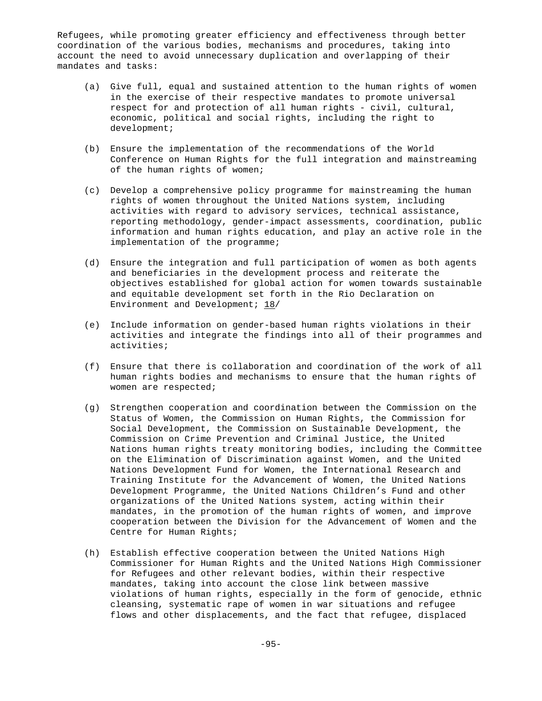Refugees, while promoting greater efficiency and effectiveness through better coordination of the various bodies, mechanisms and procedures, taking into account the need to avoid unnecessary duplication and overlapping of their mandates and tasks:

- (a) Give full, equal and sustained attention to the human rights of women in the exercise of their respective mandates to promote universal respect for and protection of all human rights - civil, cultural, economic, political and social rights, including the right to development;
- (b) Ensure the implementation of the recommendations of the World Conference on Human Rights for the full integration and mainstreaming of the human rights of women;
- (c) Develop a comprehensive policy programme for mainstreaming the human rights of women throughout the United Nations system, including activities with regard to advisory services, technical assistance, reporting methodology, gender-impact assessments, coordination, public information and human rights education, and play an active role in the implementation of the programme;
- (d) Ensure the integration and full participation of women as both agents and beneficiaries in the development process and reiterate the objectives established for global action for women towards sustainable and equitable development set forth in the Rio Declaration on Environment and Development; 18/
- (e) Include information on gender-based human rights violations in their activities and integrate the findings into all of their programmes and activities;
- (f) Ensure that there is collaboration and coordination of the work of all human rights bodies and mechanisms to ensure that the human rights of women are respected;
- (g) Strengthen cooperation and coordination between the Commission on the Status of Women, the Commission on Human Rights, the Commission for Social Development, the Commission on Sustainable Development, the Commission on Crime Prevention and Criminal Justice, the United Nations human rights treaty monitoring bodies, including the Committee on the Elimination of Discrimination against Women, and the United Nations Development Fund for Women, the International Research and Training Institute for the Advancement of Women, the United Nations Development Programme, the United Nations Children's Fund and other organizations of the United Nations system, acting within their mandates, in the promotion of the human rights of women, and improve cooperation between the Division for the Advancement of Women and the Centre for Human Rights;
- (h) Establish effective cooperation between the United Nations High Commissioner for Human Rights and the United Nations High Commissioner for Refugees and other relevant bodies, within their respective mandates, taking into account the close link between massive violations of human rights, especially in the form of genocide, ethnic cleansing, systematic rape of women in war situations and refugee flows and other displacements, and the fact that refugee, displaced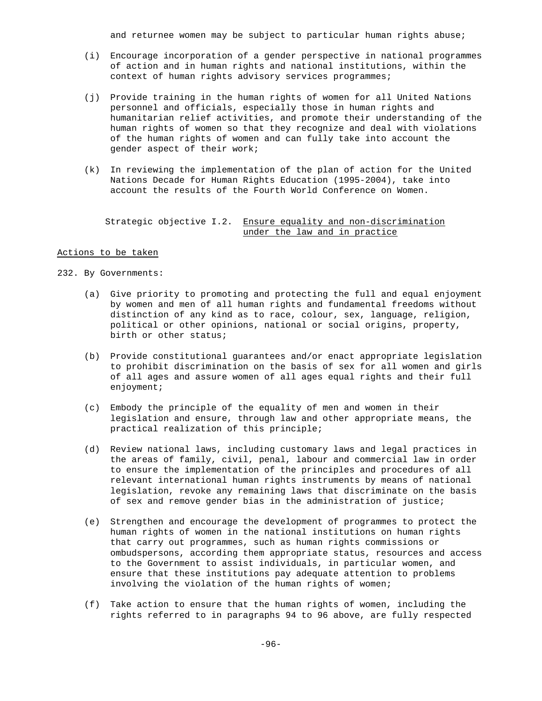and returnee women may be subject to particular human rights abuse;

- (i) Encourage incorporation of a gender perspective in national programmes of action and in human rights and national institutions, within the context of human rights advisory services programmes;
- (j) Provide training in the human rights of women for all United Nations personnel and officials, especially those in human rights and humanitarian relief activities, and promote their understanding of the human rights of women so that they recognize and deal with violations of the human rights of women and can fully take into account the gender aspect of their work;
- (k) In reviewing the implementation of the plan of action for the United Nations Decade for Human Rights Education (1995-2004), take into account the results of the Fourth World Conference on Women.

## Strategic objective I.2. Ensure equality and non-discrimination under the law and in practice

## Actions to be taken

232. By Governments:

- (a) Give priority to promoting and protecting the full and equal enjoyment by women and men of all human rights and fundamental freedoms without distinction of any kind as to race, colour, sex, language, religion, political or other opinions, national or social origins, property, birth or other status;
- (b) Provide constitutional guarantees and/or enact appropriate legislation to prohibit discrimination on the basis of sex for all women and girls of all ages and assure women of all ages equal rights and their full enjoyment;
- (c) Embody the principle of the equality of men and women in their legislation and ensure, through law and other appropriate means, the practical realization of this principle;
- (d) Review national laws, including customary laws and legal practices in the areas of family, civil, penal, labour and commercial law in order to ensure the implementation of the principles and procedures of all relevant international human rights instruments by means of national legislation, revoke any remaining laws that discriminate on the basis of sex and remove gender bias in the administration of justice;
- (e) Strengthen and encourage the development of programmes to protect the human rights of women in the national institutions on human rights that carry out programmes, such as human rights commissions or ombudspersons, according them appropriate status, resources and access to the Government to assist individuals, in particular women, and ensure that these institutions pay adequate attention to problems involving the violation of the human rights of women;
- (f) Take action to ensure that the human rights of women, including the rights referred to in paragraphs 94 to 96 above, are fully respected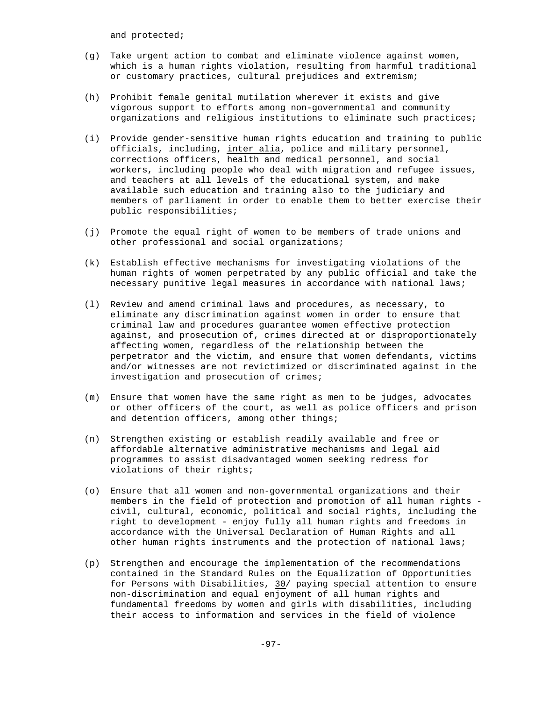and protected;

- (g) Take urgent action to combat and eliminate violence against women, which is a human rights violation, resulting from harmful traditional or customary practices, cultural prejudices and extremism;
- (h) Prohibit female genital mutilation wherever it exists and give vigorous support to efforts among non-governmental and community organizations and religious institutions to eliminate such practices;
- (i) Provide gender-sensitive human rights education and training to public officials, including, inter alia, police and military personnel, corrections officers, health and medical personnel, and social workers, including people who deal with migration and refugee issues, and teachers at all levels of the educational system, and make available such education and training also to the judiciary and members of parliament in order to enable them to better exercise their public responsibilities;
- (j) Promote the equal right of women to be members of trade unions and other professional and social organizations;
- (k) Establish effective mechanisms for investigating violations of the human rights of women perpetrated by any public official and take the necessary punitive legal measures in accordance with national laws;
- (l) Review and amend criminal laws and procedures, as necessary, to eliminate any discrimination against women in order to ensure that criminal law and procedures guarantee women effective protection against, and prosecution of, crimes directed at or disproportionately affecting women, regardless of the relationship between the perpetrator and the victim, and ensure that women defendants, victims and/or witnesses are not revictimized or discriminated against in the investigation and prosecution of crimes;
- (m) Ensure that women have the same right as men to be judges, advocates or other officers of the court, as well as police officers and prison and detention officers, among other things;
- (n) Strengthen existing or establish readily available and free or affordable alternative administrative mechanisms and legal aid programmes to assist disadvantaged women seeking redress for violations of their rights;
- (o) Ensure that all women and non-governmental organizations and their members in the field of protection and promotion of all human rights civil, cultural, economic, political and social rights, including the right to development - enjoy fully all human rights and freedoms in accordance with the Universal Declaration of Human Rights and all other human rights instruments and the protection of national laws;
- (p) Strengthen and encourage the implementation of the recommendations contained in the Standard Rules on the Equalization of Opportunities for Persons with Disabilities, 30/ paying special attention to ensure non-discrimination and equal enjoyment of all human rights and fundamental freedoms by women and girls with disabilities, including their access to information and services in the field of violence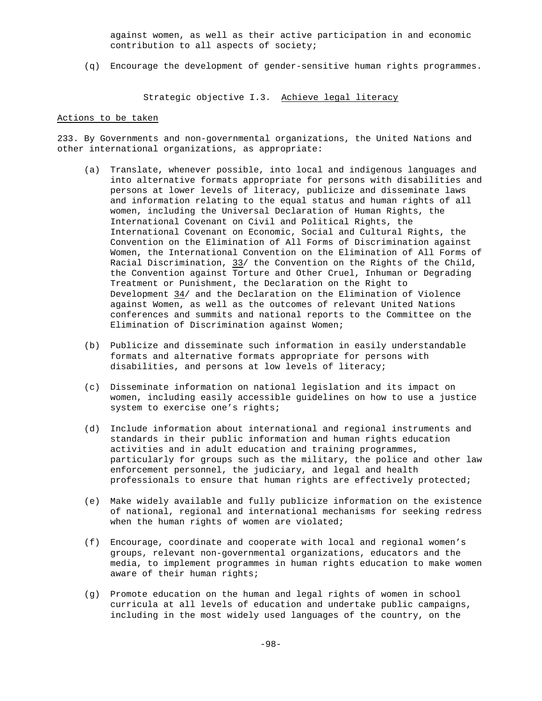against women, as well as their active participation in and economic contribution to all aspects of society;

(q) Encourage the development of gender-sensitive human rights programmes.

Strategic objective I.3. Achieve legal literacy

## Actions to be taken

233. By Governments and non-governmental organizations, the United Nations and other international organizations, as appropriate:

- (a) Translate, whenever possible, into local and indigenous languages and into alternative formats appropriate for persons with disabilities and persons at lower levels of literacy, publicize and disseminate laws and information relating to the equal status and human rights of all women, including the Universal Declaration of Human Rights, the International Covenant on Civil and Political Rights, the International Covenant on Economic, Social and Cultural Rights, the Convention on the Elimination of All Forms of Discrimination against Women, the International Convention on the Elimination of All Forms of Racial Discrimination, 33/ the Convention on the Rights of the Child, the Convention against Torture and Other Cruel, Inhuman or Degrading Treatment or Punishment, the Declaration on the Right to Development 34/ and the Declaration on the Elimination of Violence against Women, as well as the outcomes of relevant United Nations conferences and summits and national reports to the Committee on the Elimination of Discrimination against Women;
- (b) Publicize and disseminate such information in easily understandable formats and alternative formats appropriate for persons with disabilities, and persons at low levels of literacy;
- (c) Disseminate information on national legislation and its impact on women, including easily accessible guidelines on how to use a justice system to exercise one's rights;
- (d) Include information about international and regional instruments and standards in their public information and human rights education activities and in adult education and training programmes, particularly for groups such as the military, the police and other law enforcement personnel, the judiciary, and legal and health professionals to ensure that human rights are effectively protected;
- (e) Make widely available and fully publicize information on the existence of national, regional and international mechanisms for seeking redress when the human rights of women are violated;
- (f) Encourage, coordinate and cooperate with local and regional women's groups, relevant non-governmental organizations, educators and the media, to implement programmes in human rights education to make women aware of their human rights;
- (g) Promote education on the human and legal rights of women in school curricula at all levels of education and undertake public campaigns, including in the most widely used languages of the country, on the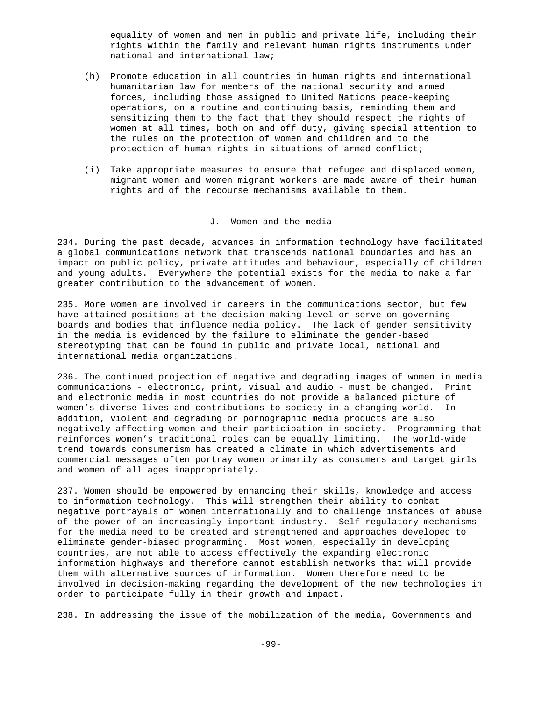equality of women and men in public and private life, including their rights within the family and relevant human rights instruments under national and international law;

- (h) Promote education in all countries in human rights and international humanitarian law for members of the national security and armed forces, including those assigned to United Nations peace-keeping operations, on a routine and continuing basis, reminding them and sensitizing them to the fact that they should respect the rights of women at all times, both on and off duty, giving special attention to the rules on the protection of women and children and to the protection of human rights in situations of armed conflict;
- (i) Take appropriate measures to ensure that refugee and displaced women, migrant women and women migrant workers are made aware of their human rights and of the recourse mechanisms available to them.

#### J. Women and the media

234. During the past decade, advances in information technology have facilitated a global communications network that transcends national boundaries and has an impact on public policy, private attitudes and behaviour, especially of children and young adults. Everywhere the potential exists for the media to make a far greater contribution to the advancement of women.

235. More women are involved in careers in the communications sector, but few have attained positions at the decision-making level or serve on governing boards and bodies that influence media policy. The lack of gender sensitivity in the media is evidenced by the failure to eliminate the gender-based stereotyping that can be found in public and private local, national and international media organizations.

236. The continued projection of negative and degrading images of women in media communications - electronic, print, visual and audio - must be changed. Print and electronic media in most countries do not provide a balanced picture of women's diverse lives and contributions to society in a changing world. In addition, violent and degrading or pornographic media products are also negatively affecting women and their participation in society. Programming that reinforces women's traditional roles can be equally limiting. The world-wide trend towards consumerism has created a climate in which advertisements and commercial messages often portray women primarily as consumers and target girls and women of all ages inappropriately.

237. Women should be empowered by enhancing their skills, knowledge and access to information technology. This will strengthen their ability to combat negative portrayals of women internationally and to challenge instances of abuse of the power of an increasingly important industry. Self-regulatory mechanisms for the media need to be created and strengthened and approaches developed to eliminate gender-biased programming. Most women, especially in developing countries, are not able to access effectively the expanding electronic information highways and therefore cannot establish networks that will provide them with alternative sources of information. Women therefore need to be involved in decision-making regarding the development of the new technologies in order to participate fully in their growth and impact.

238. In addressing the issue of the mobilization of the media, Governments and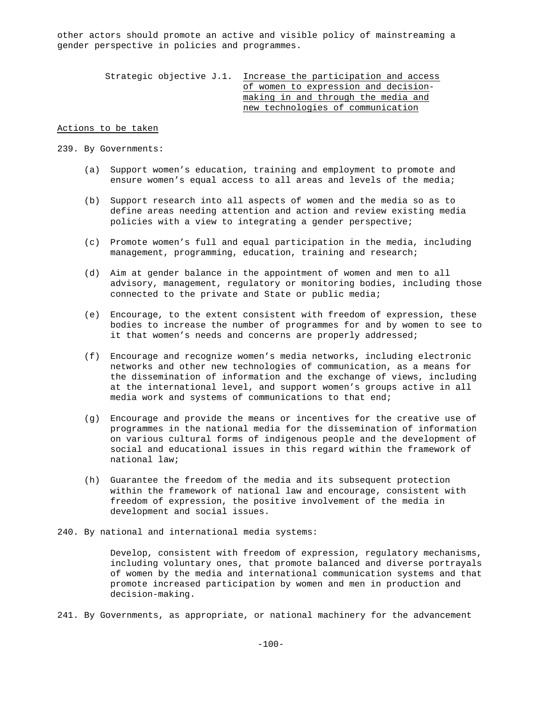other actors should promote an active and visible policy of mainstreaming a gender perspective in policies and programmes.

> Strategic objective J.1. Increase the participation and access of women to expression and decisionmaking in and through the media and new technologies of communication

#### Actions to be taken

239. By Governments:

- (a) Support women's education, training and employment to promote and ensure women's equal access to all areas and levels of the media;
- (b) Support research into all aspects of women and the media so as to define areas needing attention and action and review existing media policies with a view to integrating a gender perspective;
- (c) Promote women's full and equal participation in the media, including management, programming, education, training and research;
- (d) Aim at gender balance in the appointment of women and men to all advisory, management, regulatory or monitoring bodies, including those connected to the private and State or public media;
- (e) Encourage, to the extent consistent with freedom of expression, these bodies to increase the number of programmes for and by women to see to it that women's needs and concerns are properly addressed;
- (f) Encourage and recognize women's media networks, including electronic networks and other new technologies of communication, as a means for the dissemination of information and the exchange of views, including at the international level, and support women's groups active in all media work and systems of communications to that end;
- (g) Encourage and provide the means or incentives for the creative use of programmes in the national media for the dissemination of information on various cultural forms of indigenous people and the development of social and educational issues in this regard within the framework of national law;
- (h) Guarantee the freedom of the media and its subsequent protection within the framework of national law and encourage, consistent with freedom of expression, the positive involvement of the media in development and social issues.

240. By national and international media systems:

Develop, consistent with freedom of expression, regulatory mechanisms, including voluntary ones, that promote balanced and diverse portrayals of women by the media and international communication systems and that promote increased participation by women and men in production and decision-making.

241. By Governments, as appropriate, or national machinery for the advancement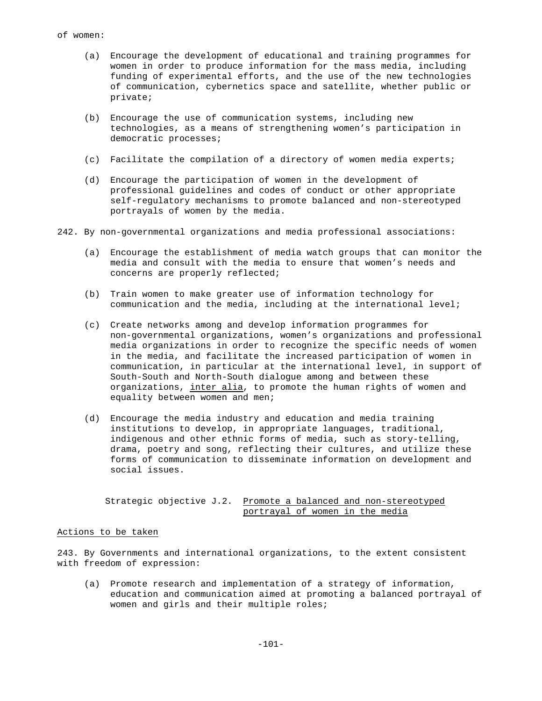#### of women:

- (a) Encourage the development of educational and training programmes for women in order to produce information for the mass media, including funding of experimental efforts, and the use of the new technologies of communication, cybernetics space and satellite, whether public or private;
- (b) Encourage the use of communication systems, including new technologies, as a means of strengthening women's participation in democratic processes;
- (c) Facilitate the compilation of a directory of women media experts;
- (d) Encourage the participation of women in the development of professional guidelines and codes of conduct or other appropriate self-regulatory mechanisms to promote balanced and non-stereotyped portrayals of women by the media.
- 242. By non-governmental organizations and media professional associations:
	- (a) Encourage the establishment of media watch groups that can monitor the media and consult with the media to ensure that women's needs and concerns are properly reflected;
	- (b) Train women to make greater use of information technology for communication and the media, including at the international level;
	- (c) Create networks among and develop information programmes for non-governmental organizations, women's organizations and professional media organizations in order to recognize the specific needs of women in the media, and facilitate the increased participation of women in communication, in particular at the international level, in support of South-South and North-South dialogue among and between these organizations, inter alia, to promote the human rights of women and equality between women and men;
	- (d) Encourage the media industry and education and media training institutions to develop, in appropriate languages, traditional, indigenous and other ethnic forms of media, such as story-telling, drama, poetry and song, reflecting their cultures, and utilize these forms of communication to disseminate information on development and social issues.

Strategic objective J.2. Promote a balanced and non-stereotyped portrayal of women in the media

### Actions to be taken

243. By Governments and international organizations, to the extent consistent with freedom of expression:

(a) Promote research and implementation of a strategy of information, education and communication aimed at promoting a balanced portrayal of women and girls and their multiple roles;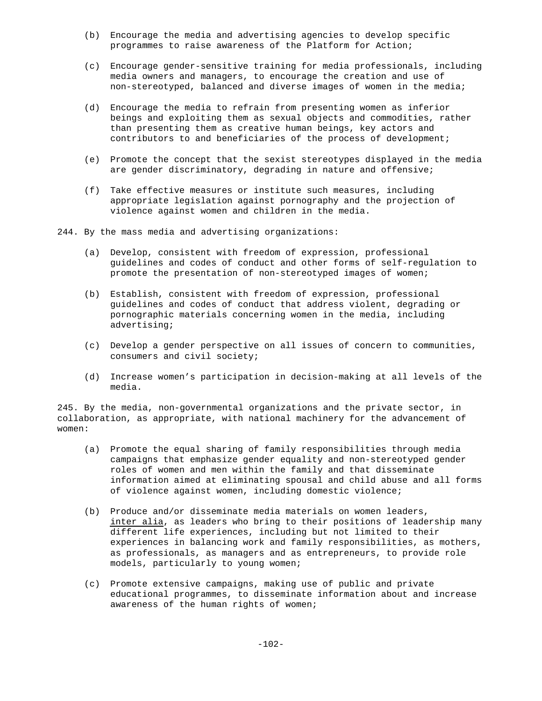- (b) Encourage the media and advertising agencies to develop specific programmes to raise awareness of the Platform for Action;
- (c) Encourage gender-sensitive training for media professionals, including media owners and managers, to encourage the creation and use of non-stereotyped, balanced and diverse images of women in the media;
- (d) Encourage the media to refrain from presenting women as inferior beings and exploiting them as sexual objects and commodities, rather than presenting them as creative human beings, key actors and contributors to and beneficiaries of the process of development;
- (e) Promote the concept that the sexist stereotypes displayed in the media are gender discriminatory, degrading in nature and offensive;
- (f) Take effective measures or institute such measures, including appropriate legislation against pornography and the projection of violence against women and children in the media.
- 244. By the mass media and advertising organizations:
	- (a) Develop, consistent with freedom of expression, professional guidelines and codes of conduct and other forms of self-regulation to promote the presentation of non-stereotyped images of women;
	- (b) Establish, consistent with freedom of expression, professional guidelines and codes of conduct that address violent, degrading or pornographic materials concerning women in the media, including advertising;
	- (c) Develop a gender perspective on all issues of concern to communities, consumers and civil society;
	- (d) Increase women's participation in decision-making at all levels of the media.

245. By the media, non-governmental organizations and the private sector, in collaboration, as appropriate, with national machinery for the advancement of women:

- (a) Promote the equal sharing of family responsibilities through media campaigns that emphasize gender equality and non-stereotyped gender roles of women and men within the family and that disseminate information aimed at eliminating spousal and child abuse and all forms of violence against women, including domestic violence;
- (b) Produce and/or disseminate media materials on women leaders, inter alia, as leaders who bring to their positions of leadership many different life experiences, including but not limited to their experiences in balancing work and family responsibilities, as mothers, as professionals, as managers and as entrepreneurs, to provide role models, particularly to young women;
- (c) Promote extensive campaigns, making use of public and private educational programmes, to disseminate information about and increase awareness of the human rights of women;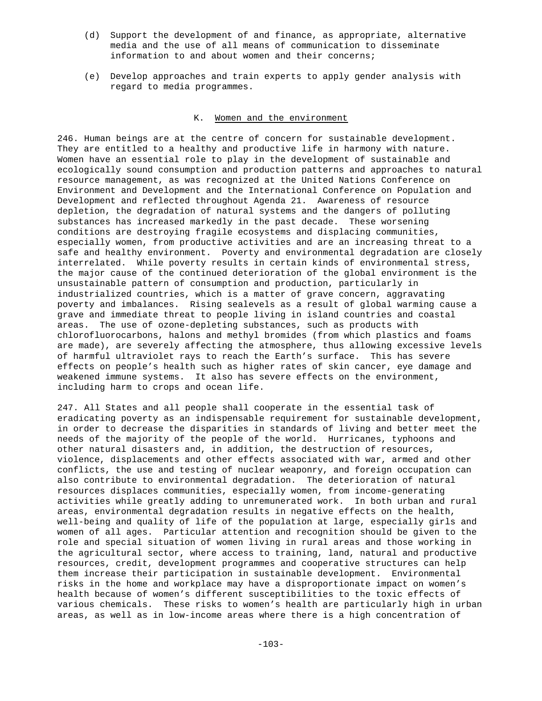- (d) Support the development of and finance, as appropriate, alternative media and the use of all means of communication to disseminate information to and about women and their concerns;
- (e) Develop approaches and train experts to apply gender analysis with regard to media programmes.

## K. Women and the environment

246. Human beings are at the centre of concern for sustainable development. They are entitled to a healthy and productive life in harmony with nature. Women have an essential role to play in the development of sustainable and ecologically sound consumption and production patterns and approaches to natural resource management, as was recognized at the United Nations Conference on Environment and Development and the International Conference on Population and Development and reflected throughout Agenda 21. Awareness of resource depletion, the degradation of natural systems and the dangers of polluting substances has increased markedly in the past decade. These worsening conditions are destroying fragile ecosystems and displacing communities, especially women, from productive activities and are an increasing threat to a safe and healthy environment. Poverty and environmental degradation are closely interrelated. While poverty results in certain kinds of environmental stress, the major cause of the continued deterioration of the global environment is the unsustainable pattern of consumption and production, particularly in industrialized countries, which is a matter of grave concern, aggravating poverty and imbalances. Rising sealevels as a result of global warming cause a grave and immediate threat to people living in island countries and coastal areas. The use of ozone-depleting substances, such as products with chlorofluorocarbons, halons and methyl bromides (from which plastics and foams are made), are severely affecting the atmosphere, thus allowing excessive levels of harmful ultraviolet rays to reach the Earth's surface. This has severe effects on people's health such as higher rates of skin cancer, eye damage and weakened immune systems. It also has severe effects on the environment, including harm to crops and ocean life.

247. All States and all people shall cooperate in the essential task of eradicating poverty as an indispensable requirement for sustainable development, in order to decrease the disparities in standards of living and better meet the needs of the majority of the people of the world. Hurricanes, typhoons and other natural disasters and, in addition, the destruction of resources, violence, displacements and other effects associated with war, armed and other conflicts, the use and testing of nuclear weaponry, and foreign occupation can also contribute to environmental degradation. The deterioration of natural resources displaces communities, especially women, from income-generating activities while greatly adding to unremunerated work. In both urban and rural areas, environmental degradation results in negative effects on the health, well-being and quality of life of the population at large, especially girls and women of all ages. Particular attention and recognition should be given to the role and special situation of women living in rural areas and those working in the agricultural sector, where access to training, land, natural and productive resources, credit, development programmes and cooperative structures can help them increase their participation in sustainable development. Environmental risks in the home and workplace may have a disproportionate impact on women's health because of women's different susceptibilities to the toxic effects of various chemicals. These risks to women's health are particularly high in urban areas, as well as in low-income areas where there is a high concentration of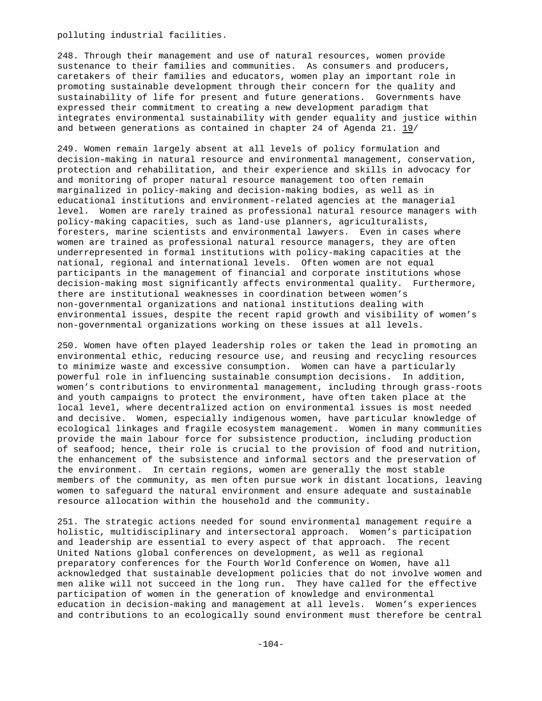polluting industrial facilities.

248. Through their management and use of natural resources, women provide sustenance to their families and communities. As consumers and producers, caretakers of their families and educators, women play an important role in promoting sustainable development through their concern for the quality and sustainability of life for present and future generations. Governments have expressed their commitment to creating a new development paradigm that integrates environmental sustainability with gender equality and justice within and between generations as contained in chapter 24 of Agenda 21.  $19/$ 

249. Women remain largely absent at all levels of policy formulation and decision-making in natural resource and environmental management, conservation, protection and rehabilitation, and their experience and skills in advocacy for and monitoring of proper natural resource management too often remain marginalized in policy-making and decision-making bodies, as well as in educational institutions and environment-related agencies at the managerial level. Women are rarely trained as professional natural resource managers with policy-making capacities, such as land-use planners, agriculturalists, foresters, marine scientists and environmental lawyers. Even in cases where women are trained as professional natural resource managers, they are often underrepresented in formal institutions with policy-making capacities at the national, regional and international levels. Often women are not equal participants in the management of financial and corporate institutions whose decision-making most significantly affects environmental quality. Furthermore, there are institutional weaknesses in coordination between women's non-governmental organizations and national institutions dealing with environmental issues, despite the recent rapid growth and visibility of women's non-governmental organizations working on these issues at all levels.

250. Women have often played leadership roles or taken the lead in promoting an environmental ethic, reducing resource use, and reusing and recycling resources to minimize waste and excessive consumption. Women can have a particularly powerful role in influencing sustainable consumption decisions. In addition, women's contributions to environmental management, including through grass-roots and youth campaigns to protect the environment, have often taken place at the local level, where decentralized action on environmental issues is most needed and decisive. Women, especially indigenous women, have particular knowledge of ecological linkages and fragile ecosystem management. Women in many communities provide the main labour force for subsistence production, including production of seafood; hence, their role is crucial to the provision of food and nutrition, the enhancement of the subsistence and informal sectors and the preservation of the environment. In certain regions, women are generally the most stable members of the community, as men often pursue work in distant locations, leaving women to safeguard the natural environment and ensure adequate and sustainable resource allocation within the household and the community.

251. The strategic actions needed for sound environmental management require a holistic, multidisciplinary and intersectoral approach. Women's participation and leadership are essential to every aspect of that approach. The recent United Nations global conferences on development, as well as regional preparatory conferences for the Fourth World Conference on Women, have all acknowledged that sustainable development policies that do not involve women and men alike will not succeed in the long run. They have called for the effective participation of women in the generation of knowledge and environmental education in decision-making and management at all levels. Women's experiences and contributions to an ecologically sound environment must therefore be central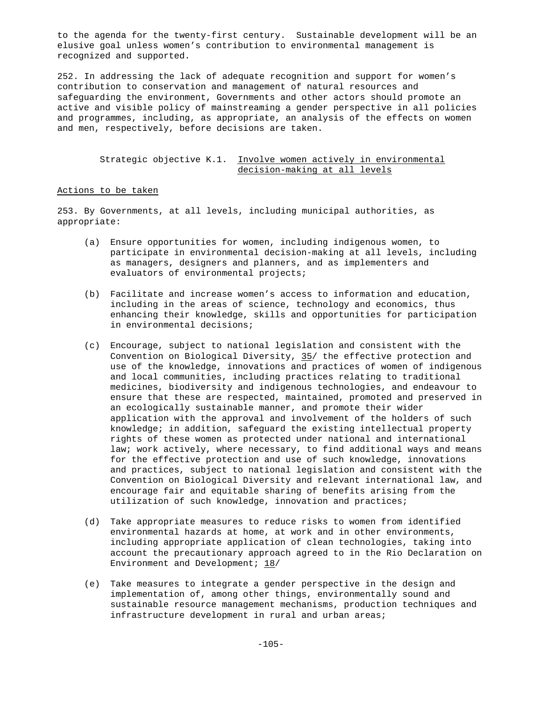to the agenda for the twenty-first century. Sustainable development will be an elusive goal unless women's contribution to environmental management is recognized and supported.

252. In addressing the lack of adequate recognition and support for women's contribution to conservation and management of natural resources and safeguarding the environment, Governments and other actors should promote an active and visible policy of mainstreaming a gender perspective in all policies and programmes, including, as appropriate, an analysis of the effects on women and men, respectively, before decisions are taken.

```
Strategic objective K.1. Involve women actively in environmental
             decision-making at all levels
```
## Actions to be taken

253. By Governments, at all levels, including municipal authorities, as appropriate:

- (a) Ensure opportunities for women, including indigenous women, to participate in environmental decision-making at all levels, including as managers, designers and planners, and as implementers and evaluators of environmental projects;
- (b) Facilitate and increase women's access to information and education, including in the areas of science, technology and economics, thus enhancing their knowledge, skills and opportunities for participation in environmental decisions;
- (c) Encourage, subject to national legislation and consistent with the Convention on Biological Diversity, 35/ the effective protection and use of the knowledge, innovations and practices of women of indigenous and local communities, including practices relating to traditional medicines, biodiversity and indigenous technologies, and endeavour to ensure that these are respected, maintained, promoted and preserved in an ecologically sustainable manner, and promote their wider application with the approval and involvement of the holders of such knowledge; in addition, safeguard the existing intellectual property rights of these women as protected under national and international law; work actively, where necessary, to find additional ways and means for the effective protection and use of such knowledge, innovations and practices, subject to national legislation and consistent with the Convention on Biological Diversity and relevant international law, and encourage fair and equitable sharing of benefits arising from the utilization of such knowledge, innovation and practices;
- (d) Take appropriate measures to reduce risks to women from identified environmental hazards at home, at work and in other environments, including appropriate application of clean technologies, taking into account the precautionary approach agreed to in the Rio Declaration on Environment and Development; 18/
- (e) Take measures to integrate a gender perspective in the design and implementation of, among other things, environmentally sound and sustainable resource management mechanisms, production techniques and infrastructure development in rural and urban areas;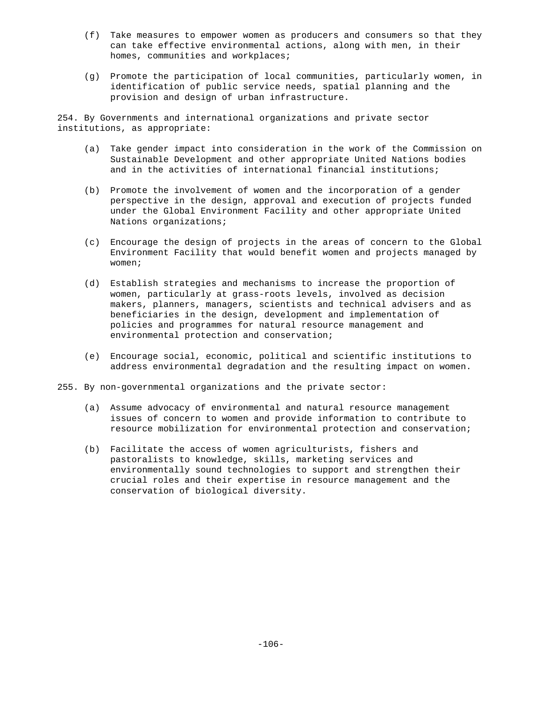- (f) Take measures to empower women as producers and consumers so that they can take effective environmental actions, along with men, in their homes, communities and workplaces;
- (g) Promote the participation of local communities, particularly women, in identification of public service needs, spatial planning and the provision and design of urban infrastructure.

254. By Governments and international organizations and private sector institutions, as appropriate:

- (a) Take gender impact into consideration in the work of the Commission on Sustainable Development and other appropriate United Nations bodies and in the activities of international financial institutions;
- (b) Promote the involvement of women and the incorporation of a gender perspective in the design, approval and execution of projects funded under the Global Environment Facility and other appropriate United Nations organizations;
- (c) Encourage the design of projects in the areas of concern to the Global Environment Facility that would benefit women and projects managed by women;
- (d) Establish strategies and mechanisms to increase the proportion of women, particularly at grass-roots levels, involved as decision makers, planners, managers, scientists and technical advisers and as beneficiaries in the design, development and implementation of policies and programmes for natural resource management and environmental protection and conservation;
- (e) Encourage social, economic, political and scientific institutions to address environmental degradation and the resulting impact on women.
- 255. By non-governmental organizations and the private sector:
	- (a) Assume advocacy of environmental and natural resource management issues of concern to women and provide information to contribute to resource mobilization for environmental protection and conservation;
	- (b) Facilitate the access of women agriculturists, fishers and pastoralists to knowledge, skills, marketing services and environmentally sound technologies to support and strengthen their crucial roles and their expertise in resource management and the conservation of biological diversity.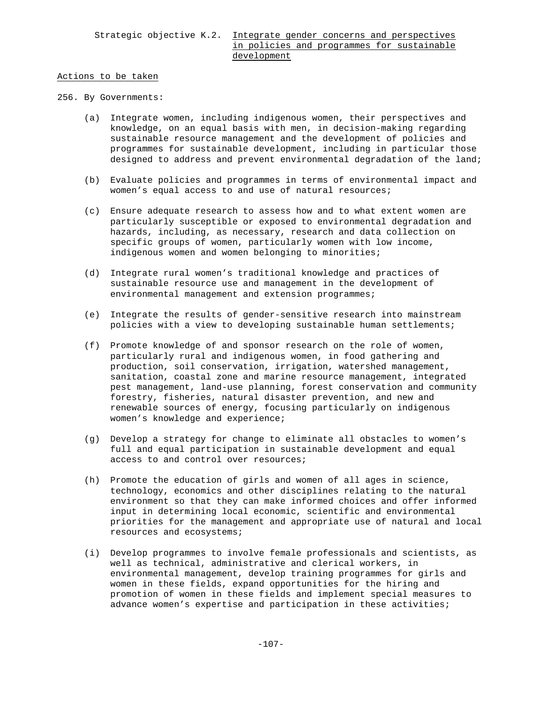### Actions to be taken

- 256. By Governments:
	- (a) Integrate women, including indigenous women, their perspectives and knowledge, on an equal basis with men, in decision-making regarding sustainable resource management and the development of policies and programmes for sustainable development, including in particular those designed to address and prevent environmental degradation of the land;
	- (b) Evaluate policies and programmes in terms of environmental impact and women's equal access to and use of natural resources;
	- (c) Ensure adequate research to assess how and to what extent women are particularly susceptible or exposed to environmental degradation and hazards, including, as necessary, research and data collection on specific groups of women, particularly women with low income, indigenous women and women belonging to minorities;
	- (d) Integrate rural women's traditional knowledge and practices of sustainable resource use and management in the development of environmental management and extension programmes;
	- (e) Integrate the results of gender-sensitive research into mainstream policies with a view to developing sustainable human settlements;
	- (f) Promote knowledge of and sponsor research on the role of women, particularly rural and indigenous women, in food gathering and production, soil conservation, irrigation, watershed management, sanitation, coastal zone and marine resource management, integrated pest management, land-use planning, forest conservation and community forestry, fisheries, natural disaster prevention, and new and renewable sources of energy, focusing particularly on indigenous women's knowledge and experience;
	- (g) Develop a strategy for change to eliminate all obstacles to women's full and equal participation in sustainable development and equal access to and control over resources;
	- (h) Promote the education of girls and women of all ages in science, technology, economics and other disciplines relating to the natural environment so that they can make informed choices and offer informed input in determining local economic, scientific and environmental priorities for the management and appropriate use of natural and local resources and ecosystems;
	- (i) Develop programmes to involve female professionals and scientists, as well as technical, administrative and clerical workers, in environmental management, develop training programmes for girls and women in these fields, expand opportunities for the hiring and promotion of women in these fields and implement special measures to advance women's expertise and participation in these activities;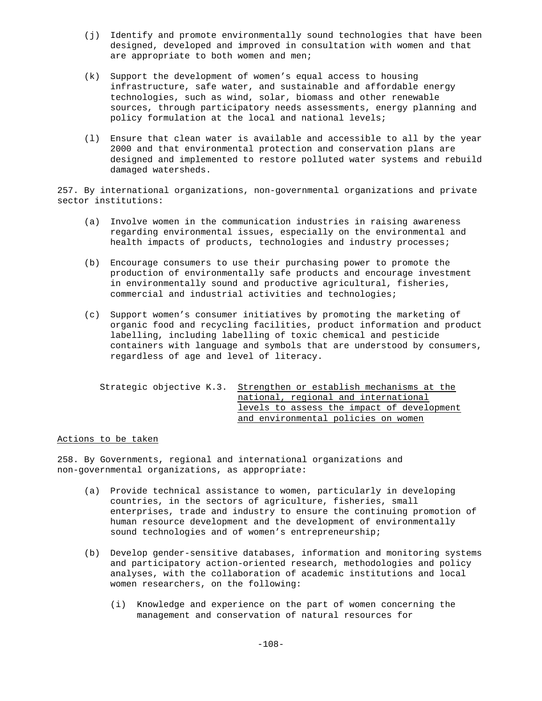- (j) Identify and promote environmentally sound technologies that have been designed, developed and improved in consultation with women and that are appropriate to both women and men;
- (k) Support the development of women's equal access to housing infrastructure, safe water, and sustainable and affordable energy technologies, such as wind, solar, biomass and other renewable sources, through participatory needs assessments, energy planning and policy formulation at the local and national levels;
- (l) Ensure that clean water is available and accessible to all by the year 2000 and that environmental protection and conservation plans are designed and implemented to restore polluted water systems and rebuild damaged watersheds.

257. By international organizations, non-governmental organizations and private sector institutions:

- (a) Involve women in the communication industries in raising awareness regarding environmental issues, especially on the environmental and health impacts of products, technologies and industry processes;
- (b) Encourage consumers to use their purchasing power to promote the production of environmentally safe products and encourage investment in environmentally sound and productive agricultural, fisheries, commercial and industrial activities and technologies;
- (c) Support women's consumer initiatives by promoting the marketing of organic food and recycling facilities, product information and product labelling, including labelling of toxic chemical and pesticide containers with language and symbols that are understood by consumers, regardless of age and level of literacy.

| Strategic objective K.3. Strengthen or establish mechanisms at the |
|--------------------------------------------------------------------|
| national, regional and international                               |
| levels to assess the impact of development                         |
| and environmental policies on women                                |

### Actions to be taken

258. By Governments, regional and international organizations and non-governmental organizations, as appropriate:

- (a) Provide technical assistance to women, particularly in developing countries, in the sectors of agriculture, fisheries, small enterprises, trade and industry to ensure the continuing promotion of human resource development and the development of environmentally sound technologies and of women's entrepreneurship;
- (b) Develop gender-sensitive databases, information and monitoring systems and participatory action-oriented research, methodologies and policy analyses, with the collaboration of academic institutions and local women researchers, on the following:
	- (i) Knowledge and experience on the part of women concerning the management and conservation of natural resources for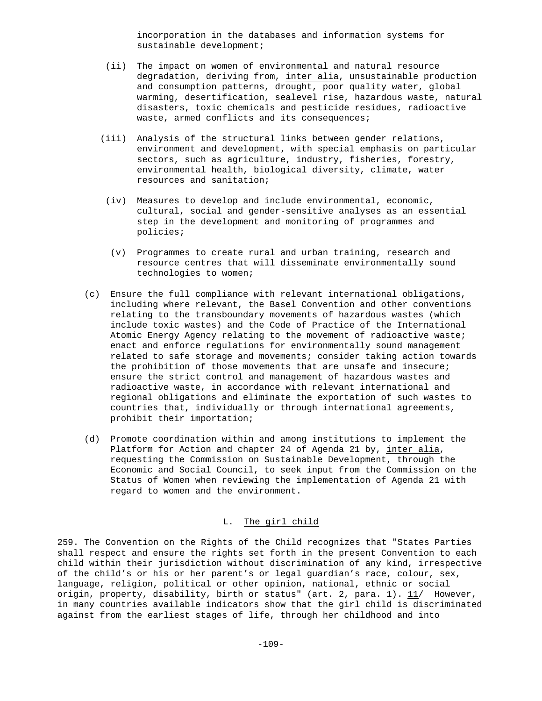incorporation in the databases and information systems for sustainable development;

- (ii) The impact on women of environmental and natural resource degradation, deriving from, inter alia, unsustainable production and consumption patterns, drought, poor quality water, global warming, desertification, sealevel rise, hazardous waste, natural disasters, toxic chemicals and pesticide residues, radioactive waste, armed conflicts and its consequences;
- (iii) Analysis of the structural links between gender relations, environment and development, with special emphasis on particular sectors, such as agriculture, industry, fisheries, forestry, environmental health, biological diversity, climate, water resources and sanitation;
- (iv) Measures to develop and include environmental, economic, cultural, social and gender-sensitive analyses as an essential step in the development and monitoring of programmes and policies;
- (v) Programmes to create rural and urban training, research and resource centres that will disseminate environmentally sound technologies to women;
- (c) Ensure the full compliance with relevant international obligations, including where relevant, the Basel Convention and other conventions relating to the transboundary movements of hazardous wastes (which include toxic wastes) and the Code of Practice of the International Atomic Energy Agency relating to the movement of radioactive waste; enact and enforce regulations for environmentally sound management related to safe storage and movements; consider taking action towards the prohibition of those movements that are unsafe and insecure; ensure the strict control and management of hazardous wastes and radioactive waste, in accordance with relevant international and regional obligations and eliminate the exportation of such wastes to countries that, individually or through international agreements, prohibit their importation;
- (d) Promote coordination within and among institutions to implement the Platform for Action and chapter 24 of Agenda 21 by, inter alia, requesting the Commission on Sustainable Development, through the Economic and Social Council, to seek input from the Commission on the Status of Women when reviewing the implementation of Agenda 21 with regard to women and the environment.

# L. The girl child

259. The Convention on the Rights of the Child recognizes that "States Parties shall respect and ensure the rights set forth in the present Convention to each child within their jurisdiction without discrimination of any kind, irrespective of the child's or his or her parent's or legal guardian's race, colour, sex, language, religion, political or other opinion, national, ethnic or social origin, property, disability, birth or status" (art. 2, para. 1).  $11/$  However, in many countries available indicators show that the girl child is discriminated against from the earliest stages of life, through her childhood and into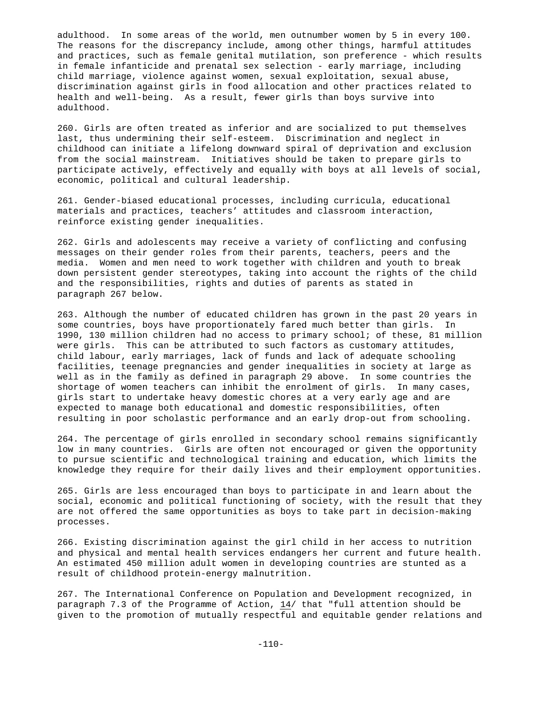adulthood. In some areas of the world, men outnumber women by 5 in every 100. The reasons for the discrepancy include, among other things, harmful attitudes and practices, such as female genital mutilation, son preference - which results in female infanticide and prenatal sex selection - early marriage, including child marriage, violence against women, sexual exploitation, sexual abuse, discrimination against girls in food allocation and other practices related to health and well-being. As a result, fewer girls than boys survive into adulthood.

260. Girls are often treated as inferior and are socialized to put themselves last, thus undermining their self-esteem. Discrimination and neglect in childhood can initiate a lifelong downward spiral of deprivation and exclusion from the social mainstream. Initiatives should be taken to prepare girls to participate actively, effectively and equally with boys at all levels of social, economic, political and cultural leadership.

261. Gender-biased educational processes, including curricula, educational materials and practices, teachers' attitudes and classroom interaction, reinforce existing gender inequalities.

262. Girls and adolescents may receive a variety of conflicting and confusing messages on their gender roles from their parents, teachers, peers and the media. Women and men need to work together with children and youth to break down persistent gender stereotypes, taking into account the rights of the child and the responsibilities, rights and duties of parents as stated in paragraph 267 below.

263. Although the number of educated children has grown in the past 20 years in some countries, boys have proportionately fared much better than girls. In 1990, 130 million children had no access to primary school; of these, 81 million were girls. This can be attributed to such factors as customary attitudes, child labour, early marriages, lack of funds and lack of adequate schooling facilities, teenage pregnancies and gender inequalities in society at large as well as in the family as defined in paragraph 29 above. In some countries the shortage of women teachers can inhibit the enrolment of girls. In many cases, girls start to undertake heavy domestic chores at a very early age and are expected to manage both educational and domestic responsibilities, often resulting in poor scholastic performance and an early drop-out from schooling.

264. The percentage of girls enrolled in secondary school remains significantly low in many countries. Girls are often not encouraged or given the opportunity to pursue scientific and technological training and education, which limits the knowledge they require for their daily lives and their employment opportunities.

265. Girls are less encouraged than boys to participate in and learn about the social, economic and political functioning of society, with the result that they are not offered the same opportunities as boys to take part in decision-making processes.

266. Existing discrimination against the girl child in her access to nutrition and physical and mental health services endangers her current and future health. An estimated 450 million adult women in developing countries are stunted as a result of childhood protein-energy malnutrition.

267. The International Conference on Population and Development recognized, in paragraph 7.3 of the Programme of Action, 14/ that "full attention should be given to the promotion of mutually respectful and equitable gender relations and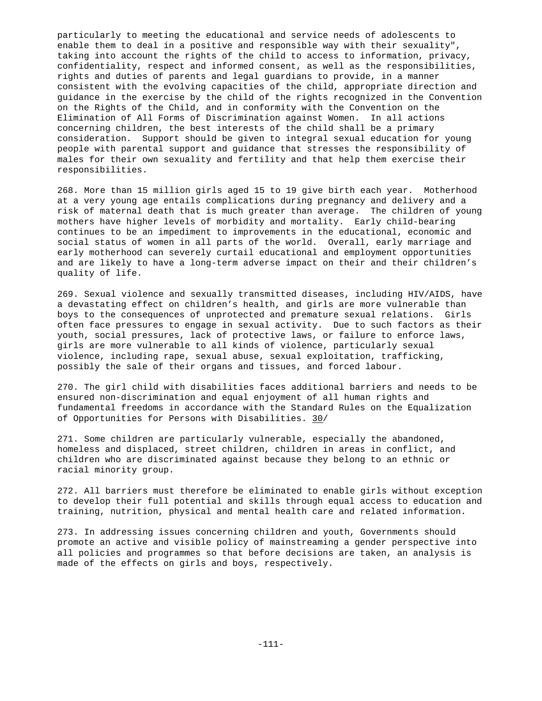particularly to meeting the educational and service needs of adolescents to enable them to deal in a positive and responsible way with their sexuality", taking into account the rights of the child to access to information, privacy, confidentiality, respect and informed consent, as well as the responsibilities, rights and duties of parents and legal guardians to provide, in a manner consistent with the evolving capacities of the child, appropriate direction and guidance in the exercise by the child of the rights recognized in the Convention on the Rights of the Child, and in conformity with the Convention on the Elimination of All Forms of Discrimination against Women. In all actions concerning children, the best interests of the child shall be a primary consideration. Support should be given to integral sexual education for young people with parental support and guidance that stresses the responsibility of males for their own sexuality and fertility and that help them exercise their responsibilities.

268. More than 15 million girls aged 15 to 19 give birth each year. Motherhood at a very young age entails complications during pregnancy and delivery and a risk of maternal death that is much greater than average. The children of young mothers have higher levels of morbidity and mortality. Early child-bearing continues to be an impediment to improvements in the educational, economic and social status of women in all parts of the world. Overall, early marriage and early motherhood can severely curtail educational and employment opportunities and are likely to have a long-term adverse impact on their and their children's quality of life.

269. Sexual violence and sexually transmitted diseases, including HIV/AIDS, have a devastating effect on children's health, and girls are more vulnerable than boys to the consequences of unprotected and premature sexual relations. Girls often face pressures to engage in sexual activity. Due to such factors as their youth, social pressures, lack of protective laws, or failure to enforce laws, girls are more vulnerable to all kinds of violence, particularly sexual violence, including rape, sexual abuse, sexual exploitation, trafficking, possibly the sale of their organs and tissues, and forced labour.

270. The girl child with disabilities faces additional barriers and needs to be ensured non-discrimination and equal enjoyment of all human rights and fundamental freedoms in accordance with the Standard Rules on the Equalization of Opportunities for Persons with Disabilities. 30/

271. Some children are particularly vulnerable, especially the abandoned, homeless and displaced, street children, children in areas in conflict, and children who are discriminated against because they belong to an ethnic or racial minority group.

272. All barriers must therefore be eliminated to enable girls without exception to develop their full potential and skills through equal access to education and training, nutrition, physical and mental health care and related information.

273. In addressing issues concerning children and youth, Governments should promote an active and visible policy of mainstreaming a gender perspective into all policies and programmes so that before decisions are taken, an analysis is made of the effects on girls and boys, respectively.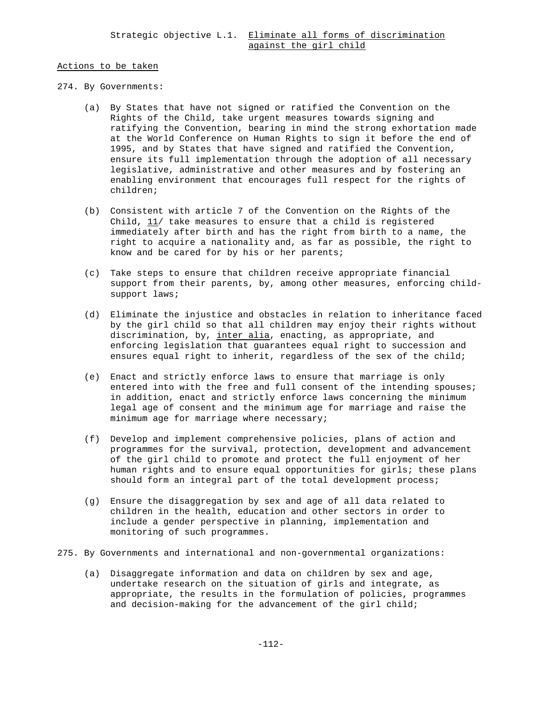### Actions to be taken

### 274. By Governments:

- (a) By States that have not signed or ratified the Convention on the Rights of the Child, take urgent measures towards signing and ratifying the Convention, bearing in mind the strong exhortation made at the World Conference on Human Rights to sign it before the end of 1995, and by States that have signed and ratified the Convention, ensure its full implementation through the adoption of all necessary legislative, administrative and other measures and by fostering an enabling environment that encourages full respect for the rights of children;
- (b) Consistent with article 7 of the Convention on the Rights of the Child, 11/ take measures to ensure that a child is registered immediately after birth and has the right from birth to a name, the right to acquire a nationality and, as far as possible, the right to know and be cared for by his or her parents;
- (c) Take steps to ensure that children receive appropriate financial support from their parents, by, among other measures, enforcing childsupport laws;
- (d) Eliminate the injustice and obstacles in relation to inheritance faced by the girl child so that all children may enjoy their rights without discrimination, by, inter alia, enacting, as appropriate, and enforcing legislation that guarantees equal right to succession and ensures equal right to inherit, regardless of the sex of the child;
- (e) Enact and strictly enforce laws to ensure that marriage is only entered into with the free and full consent of the intending spouses; in addition, enact and strictly enforce laws concerning the minimum legal age of consent and the minimum age for marriage and raise the minimum age for marriage where necessary;
- (f) Develop and implement comprehensive policies, plans of action and programmes for the survival, protection, development and advancement of the girl child to promote and protect the full enjoyment of her human rights and to ensure equal opportunities for girls; these plans should form an integral part of the total development process;
- (g) Ensure the disaggregation by sex and age of all data related to children in the health, education and other sectors in order to include a gender perspective in planning, implementation and monitoring of such programmes.
- 275. By Governments and international and non-governmental organizations:
	- (a) Disaggregate information and data on children by sex and age, undertake research on the situation of girls and integrate, as appropriate, the results in the formulation of policies, programmes and decision-making for the advancement of the girl child;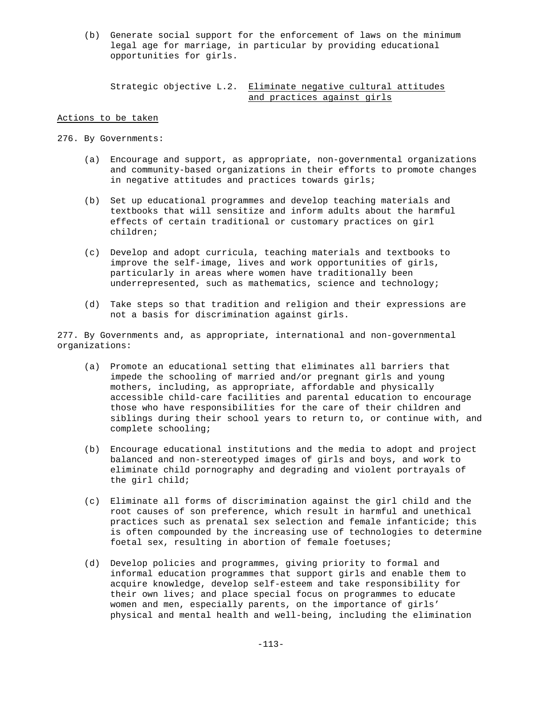(b) Generate social support for the enforcement of laws on the minimum legal age for marriage, in particular by providing educational opportunities for girls.

```
Strategic objective L.2. Eliminate negative cultural attitudes
             and practices against girls
```
#### Actions to be taken

276. By Governments:

- (a) Encourage and support, as appropriate, non-governmental organizations and community-based organizations in their efforts to promote changes in negative attitudes and practices towards girls;
- (b) Set up educational programmes and develop teaching materials and textbooks that will sensitize and inform adults about the harmful effects of certain traditional or customary practices on girl children;
- (c) Develop and adopt curricula, teaching materials and textbooks to improve the self-image, lives and work opportunities of girls, particularly in areas where women have traditionally been underrepresented, such as mathematics, science and technology;
- (d) Take steps so that tradition and religion and their expressions are not a basis for discrimination against girls.

277. By Governments and, as appropriate, international and non-governmental organizations:

- (a) Promote an educational setting that eliminates all barriers that impede the schooling of married and/or pregnant girls and young mothers, including, as appropriate, affordable and physically accessible child-care facilities and parental education to encourage those who have responsibilities for the care of their children and siblings during their school years to return to, or continue with, and complete schooling;
- (b) Encourage educational institutions and the media to adopt and project balanced and non-stereotyped images of girls and boys, and work to eliminate child pornography and degrading and violent portrayals of the girl child;
- (c) Eliminate all forms of discrimination against the girl child and the root causes of son preference, which result in harmful and unethical practices such as prenatal sex selection and female infanticide; this is often compounded by the increasing use of technologies to determine foetal sex, resulting in abortion of female foetuses;
- (d) Develop policies and programmes, giving priority to formal and informal education programmes that support girls and enable them to acquire knowledge, develop self-esteem and take responsibility for their own lives; and place special focus on programmes to educate women and men, especially parents, on the importance of girls' physical and mental health and well-being, including the elimination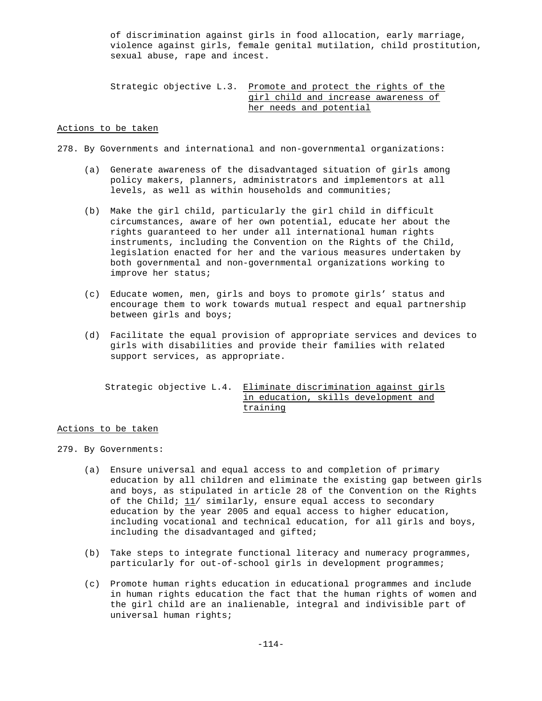of discrimination against girls in food allocation, early marriage, violence against girls, female genital mutilation, child prostitution, sexual abuse, rape and incest.

Strategic objective L.3. Promote and protect the rights of the girl child and increase awareness of her needs and potential

#### Actions to be taken

278. By Governments and international and non-governmental organizations:

- (a) Generate awareness of the disadvantaged situation of girls among policy makers, planners, administrators and implementors at all levels, as well as within households and communities;
- (b) Make the girl child, particularly the girl child in difficult circumstances, aware of her own potential, educate her about the rights guaranteed to her under all international human rights instruments, including the Convention on the Rights of the Child, legislation enacted for her and the various measures undertaken by both governmental and non-governmental organizations working to improve her status;
- (c) Educate women, men, girls and boys to promote girls' status and encourage them to work towards mutual respect and equal partnership between girls and boys;
- (d) Facilitate the equal provision of appropriate services and devices to girls with disabilities and provide their families with related support services, as appropriate.

Strategic objective L.4. Eliminate discrimination against girls in education, skills development and training

### Actions to be taken

279. By Governments:

- (a) Ensure universal and equal access to and completion of primary education by all children and eliminate the existing gap between girls and boys, as stipulated in article 28 of the Convention on the Rights of the Child;  $11/$  similarly, ensure equal access to secondary education by the year 2005 and equal access to higher education, including vocational and technical education, for all girls and boys, including the disadvantaged and gifted;
- (b) Take steps to integrate functional literacy and numeracy programmes, particularly for out-of-school girls in development programmes;
- (c) Promote human rights education in educational programmes and include in human rights education the fact that the human rights of women and the girl child are an inalienable, integral and indivisible part of universal human rights;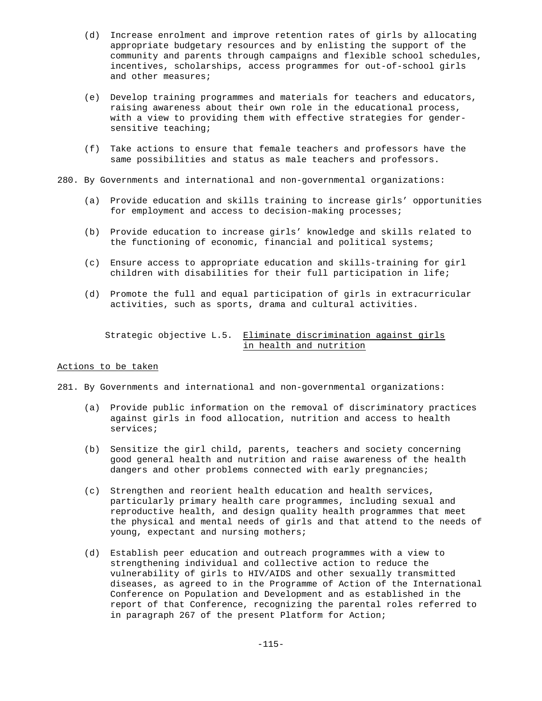- (d) Increase enrolment and improve retention rates of girls by allocating appropriate budgetary resources and by enlisting the support of the community and parents through campaigns and flexible school schedules, incentives, scholarships, access programmes for out-of-school girls and other measures;
- (e) Develop training programmes and materials for teachers and educators, raising awareness about their own role in the educational process, with a view to providing them with effective strategies for gendersensitive teaching;
- (f) Take actions to ensure that female teachers and professors have the same possibilities and status as male teachers and professors.

280. By Governments and international and non-governmental organizations:

- (a) Provide education and skills training to increase girls' opportunities for employment and access to decision-making processes;
- (b) Provide education to increase girls' knowledge and skills related to the functioning of economic, financial and political systems;
- (c) Ensure access to appropriate education and skills-training for girl children with disabilities for their full participation in life;
- (d) Promote the full and equal participation of girls in extracurricular activities, such as sports, drama and cultural activities.

# Strategic objective L.5. Eliminate discrimination against girls in health and nutrition

#### Actions to be taken

281. By Governments and international and non-governmental organizations:

- (a) Provide public information on the removal of discriminatory practices against girls in food allocation, nutrition and access to health services;
- (b) Sensitize the girl child, parents, teachers and society concerning good general health and nutrition and raise awareness of the health dangers and other problems connected with early pregnancies;
- (c) Strengthen and reorient health education and health services, particularly primary health care programmes, including sexual and reproductive health, and design quality health programmes that meet the physical and mental needs of girls and that attend to the needs of young, expectant and nursing mothers;
- (d) Establish peer education and outreach programmes with a view to strengthening individual and collective action to reduce the vulnerability of girls to HIV/AIDS and other sexually transmitted diseases, as agreed to in the Programme of Action of the International Conference on Population and Development and as established in the report of that Conference, recognizing the parental roles referred to in paragraph 267 of the present Platform for Action;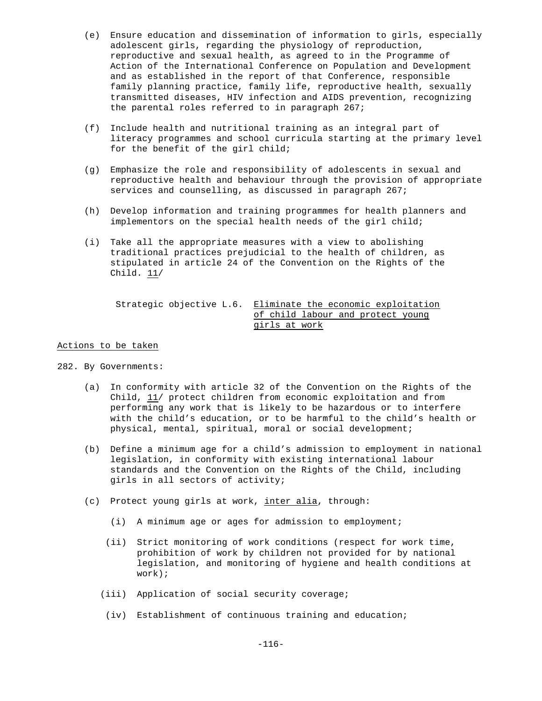- (e) Ensure education and dissemination of information to girls, especially adolescent girls, regarding the physiology of reproduction, reproductive and sexual health, as agreed to in the Programme of Action of the International Conference on Population and Development and as established in the report of that Conference, responsible family planning practice, family life, reproductive health, sexually transmitted diseases, HIV infection and AIDS prevention, recognizing the parental roles referred to in paragraph 267;
- (f) Include health and nutritional training as an integral part of literacy programmes and school curricula starting at the primary level for the benefit of the girl child;
- (g) Emphasize the role and responsibility of adolescents in sexual and reproductive health and behaviour through the provision of appropriate services and counselling, as discussed in paragraph 267;
- (h) Develop information and training programmes for health planners and implementors on the special health needs of the girl child;
- (i) Take all the appropriate measures with a view to abolishing traditional practices prejudicial to the health of children, as stipulated in article 24 of the Convention on the Rights of the Child. 11/

# Strategic objective L.6. Eliminate the economic exploitation of child labour and protect young girls at work

### Actions to be taken

282. By Governments:

- (a) In conformity with article 32 of the Convention on the Rights of the Child, 11/ protect children from economic exploitation and from performing any work that is likely to be hazardous or to interfere with the child's education, or to be harmful to the child's health or physical, mental, spiritual, moral or social development;
- (b) Define a minimum age for a child's admission to employment in national legislation, in conformity with existing international labour standards and the Convention on the Rights of the Child, including girls in all sectors of activity;
- (c) Protect young girls at work, inter alia, through:
	- (i) A minimum age or ages for admission to employment;
	- (ii) Strict monitoring of work conditions (respect for work time, prohibition of work by children not provided for by national legislation, and monitoring of hygiene and health conditions at work);
	- (iii) Application of social security coverage;
	- (iv) Establishment of continuous training and education;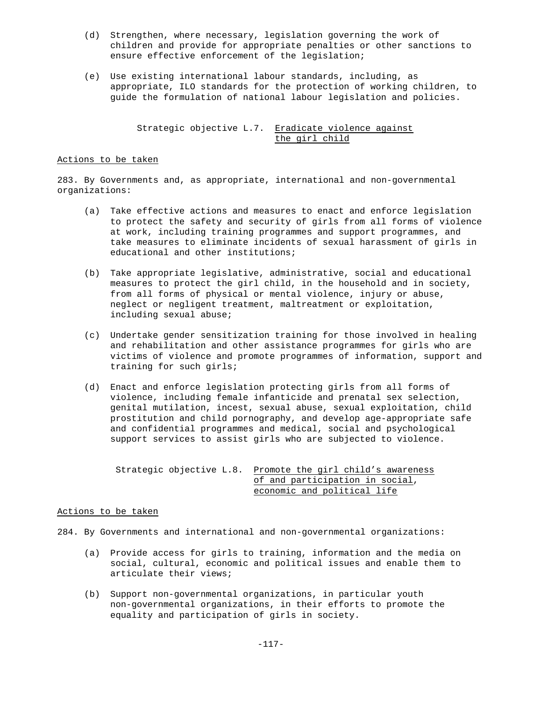- (d) Strengthen, where necessary, legislation governing the work of children and provide for appropriate penalties or other sanctions to ensure effective enforcement of the legislation;
- (e) Use existing international labour standards, including, as appropriate, ILO standards for the protection of working children, to guide the formulation of national labour legislation and policies.

Strategic objective L.7. Eradicate violence against the girl child

# Actions to be taken

283. By Governments and, as appropriate, international and non-governmental organizations:

- (a) Take effective actions and measures to enact and enforce legislation to protect the safety and security of girls from all forms of violence at work, including training programmes and support programmes, and take measures to eliminate incidents of sexual harassment of girls in educational and other institutions;
- (b) Take appropriate legislative, administrative, social and educational measures to protect the girl child, in the household and in society, from all forms of physical or mental violence, injury or abuse, neglect or negligent treatment, maltreatment or exploitation, including sexual abuse;
- (c) Undertake gender sensitization training for those involved in healing and rehabilitation and other assistance programmes for girls who are victims of violence and promote programmes of information, support and training for such girls;
- (d) Enact and enforce legislation protecting girls from all forms of violence, including female infanticide and prenatal sex selection, genital mutilation, incest, sexual abuse, sexual exploitation, child prostitution and child pornography, and develop age-appropriate safe and confidential programmes and medical, social and psychological support services to assist girls who are subjected to violence.

Strategic objective L.8. Promote the girl child's awareness of and participation in social, economic and political life

# Actions to be taken

284. By Governments and international and non-governmental organizations:

- (a) Provide access for girls to training, information and the media on social, cultural, economic and political issues and enable them to articulate their views;
- (b) Support non-governmental organizations, in particular youth non-governmental organizations, in their efforts to promote the equality and participation of girls in society.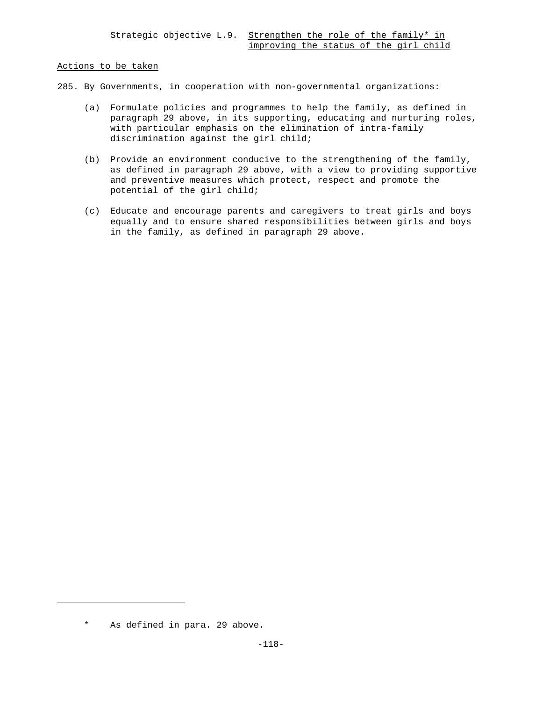#### Actions to be taken

285. By Governments, in cooperation with non-governmental organizations:

- (a) Formulate policies and programmes to help the family, as defined in paragraph 29 above, in its supporting, educating and nurturing roles, with particular emphasis on the elimination of intra-family discrimination against the girl child;
- (b) Provide an environment conducive to the strengthening of the family, as defined in paragraph 29 above, with a view to providing supportive and preventive measures which protect, respect and promote the potential of the girl child;
- (c) Educate and encourage parents and caregivers to treat girls and boys equally and to ensure shared responsibilities between girls and boys in the family, as defined in paragraph 29 above.

<sup>\*</sup> As defined in para. 29 above.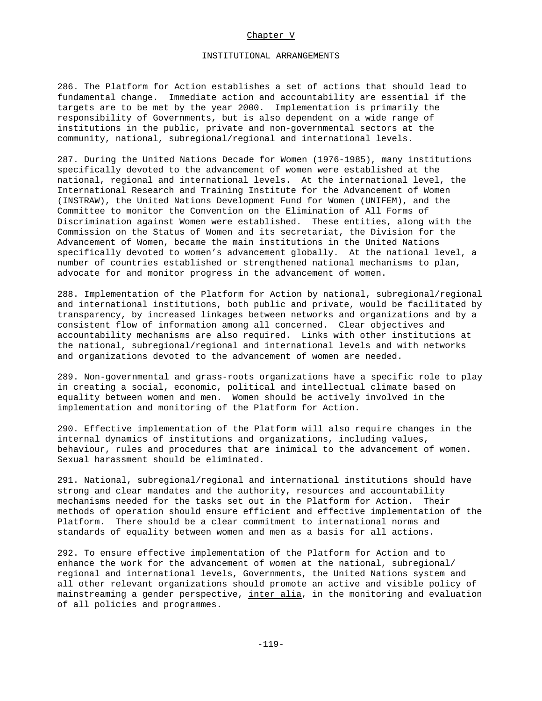#### Chapter V

#### INSTITUTIONAL ARRANGEMENTS

286. The Platform for Action establishes a set of actions that should lead to fundamental change. Immediate action and accountability are essential if the targets are to be met by the year 2000. Implementation is primarily the responsibility of Governments, but is also dependent on a wide range of institutions in the public, private and non-governmental sectors at the community, national, subregional/regional and international levels.

287. During the United Nations Decade for Women (1976-1985), many institutions specifically devoted to the advancement of women were established at the national, regional and international levels. At the international level, the International Research and Training Institute for the Advancement of Women (INSTRAW), the United Nations Development Fund for Women (UNIFEM), and the Committee to monitor the Convention on the Elimination of All Forms of Discrimination against Women were established. These entities, along with the Commission on the Status of Women and its secretariat, the Division for the Advancement of Women, became the main institutions in the United Nations specifically devoted to women's advancement globally. At the national level, a number of countries established or strengthened national mechanisms to plan, advocate for and monitor progress in the advancement of women.

288. Implementation of the Platform for Action by national, subregional/regional and international institutions, both public and private, would be facilitated by transparency, by increased linkages between networks and organizations and by a consistent flow of information among all concerned. Clear objectives and accountability mechanisms are also required. Links with other institutions at the national, subregional/regional and international levels and with networks and organizations devoted to the advancement of women are needed.

289. Non-governmental and grass-roots organizations have a specific role to play in creating a social, economic, political and intellectual climate based on equality between women and men. Women should be actively involved in the implementation and monitoring of the Platform for Action.

290. Effective implementation of the Platform will also require changes in the internal dynamics of institutions and organizations, including values, behaviour, rules and procedures that are inimical to the advancement of women. Sexual harassment should be eliminated.

291. National, subregional/regional and international institutions should have strong and clear mandates and the authority, resources and accountability mechanisms needed for the tasks set out in the Platform for Action. Their methods of operation should ensure efficient and effective implementation of the Platform. There should be a clear commitment to international norms and standards of equality between women and men as a basis for all actions.

292. To ensure effective implementation of the Platform for Action and to enhance the work for the advancement of women at the national, subregional/ regional and international levels, Governments, the United Nations system and all other relevant organizations should promote an active and visible policy of mainstreaming a gender perspective, inter alia, in the monitoring and evaluation of all policies and programmes.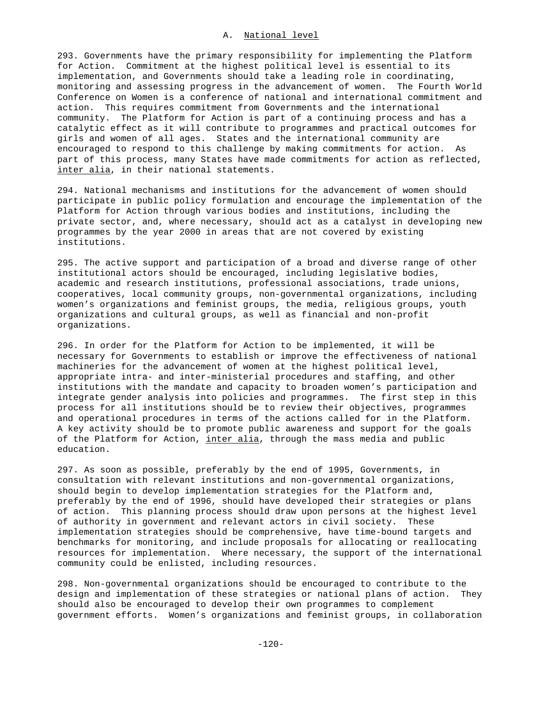# A. National level

293. Governments have the primary responsibility for implementing the Platform for Action. Commitment at the highest political level is essential to its implementation, and Governments should take a leading role in coordinating, monitoring and assessing progress in the advancement of women. The Fourth World Conference on Women is a conference of national and international commitment and action. This requires commitment from Governments and the international community. The Platform for Action is part of a continuing process and has a catalytic effect as it will contribute to programmes and practical outcomes for girls and women of all ages. States and the international community are encouraged to respond to this challenge by making commitments for action. As part of this process, many States have made commitments for action as reflected, inter alia, in their national statements.

294. National mechanisms and institutions for the advancement of women should participate in public policy formulation and encourage the implementation of the Platform for Action through various bodies and institutions, including the private sector, and, where necessary, should act as a catalyst in developing new programmes by the year 2000 in areas that are not covered by existing institutions.

295. The active support and participation of a broad and diverse range of other institutional actors should be encouraged, including legislative bodies, academic and research institutions, professional associations, trade unions, cooperatives, local community groups, non-governmental organizations, including women's organizations and feminist groups, the media, religious groups, youth organizations and cultural groups, as well as financial and non-profit organizations.

296. In order for the Platform for Action to be implemented, it will be necessary for Governments to establish or improve the effectiveness of national machineries for the advancement of women at the highest political level, appropriate intra- and inter-ministerial procedures and staffing, and other institutions with the mandate and capacity to broaden women's participation and integrate gender analysis into policies and programmes. The first step in this process for all institutions should be to review their objectives, programmes and operational procedures in terms of the actions called for in the Platform. A key activity should be to promote public awareness and support for the goals of the Platform for Action, inter alia, through the mass media and public education.

297. As soon as possible, preferably by the end of 1995, Governments, in consultation with relevant institutions and non-governmental organizations, should begin to develop implementation strategies for the Platform and, preferably by the end of 1996, should have developed their strategies or plans of action. This planning process should draw upon persons at the highest level of authority in government and relevant actors in civil society. These implementation strategies should be comprehensive, have time-bound targets and benchmarks for monitoring, and include proposals for allocating or reallocating resources for implementation. Where necessary, the support of the international community could be enlisted, including resources.

298. Non-governmental organizations should be encouraged to contribute to the design and implementation of these strategies or national plans of action. They should also be encouraged to develop their own programmes to complement government efforts. Women's organizations and feminist groups, in collaboration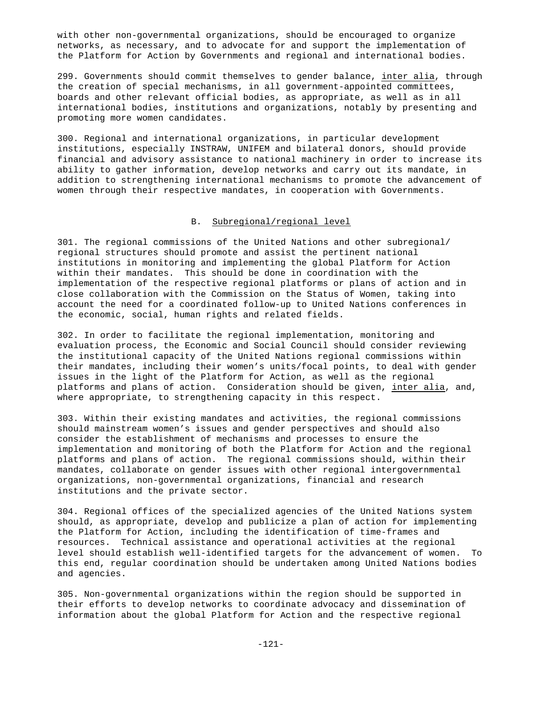with other non-governmental organizations, should be encouraged to organize networks, as necessary, and to advocate for and support the implementation of the Platform for Action by Governments and regional and international bodies.

299. Governments should commit themselves to gender balance, inter alia, through the creation of special mechanisms, in all government-appointed committees, boards and other relevant official bodies, as appropriate, as well as in all international bodies, institutions and organizations, notably by presenting and promoting more women candidates.

300. Regional and international organizations, in particular development institutions, especially INSTRAW, UNIFEM and bilateral donors, should provide financial and advisory assistance to national machinery in order to increase its ability to gather information, develop networks and carry out its mandate, in addition to strengthening international mechanisms to promote the advancement of women through their respective mandates, in cooperation with Governments.

## B. Subregional/regional level

301. The regional commissions of the United Nations and other subregional/ regional structures should promote and assist the pertinent national institutions in monitoring and implementing the global Platform for Action within their mandates. This should be done in coordination with the implementation of the respective regional platforms or plans of action and in close collaboration with the Commission on the Status of Women, taking into account the need for a coordinated follow-up to United Nations conferences in the economic, social, human rights and related fields.

302. In order to facilitate the regional implementation, monitoring and evaluation process, the Economic and Social Council should consider reviewing the institutional capacity of the United Nations regional commissions within their mandates, including their women's units/focal points, to deal with gender issues in the light of the Platform for Action, as well as the regional platforms and plans of action. Consideration should be given, inter alia, and, where appropriate, to strengthening capacity in this respect.

303. Within their existing mandates and activities, the regional commissions should mainstream women's issues and gender perspectives and should also consider the establishment of mechanisms and processes to ensure the implementation and monitoring of both the Platform for Action and the regional platforms and plans of action. The regional commissions should, within their mandates, collaborate on gender issues with other regional intergovernmental organizations, non-governmental organizations, financial and research institutions and the private sector.

304. Regional offices of the specialized agencies of the United Nations system should, as appropriate, develop and publicize a plan of action for implementing the Platform for Action, including the identification of time-frames and resources. Technical assistance and operational activities at the regional level should establish well-identified targets for the advancement of women. To this end, regular coordination should be undertaken among United Nations bodies and agencies.

305. Non-governmental organizations within the region should be supported in their efforts to develop networks to coordinate advocacy and dissemination of information about the global Platform for Action and the respective regional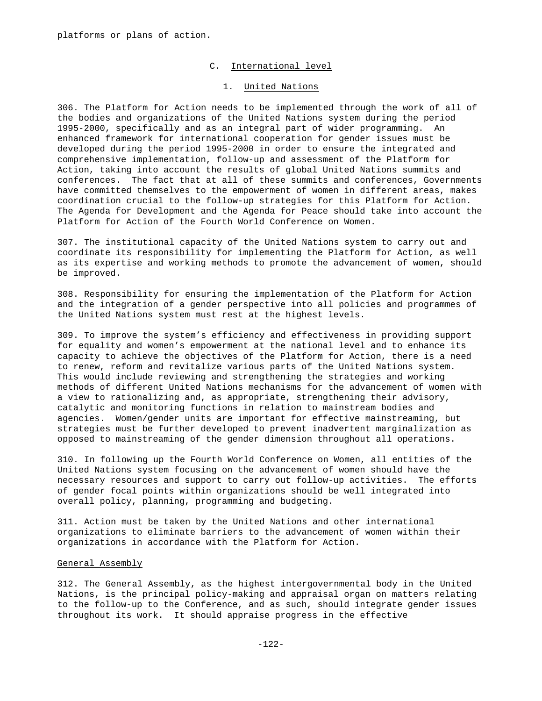platforms or plans of action.

# C. International level

# 1. United Nations

306. The Platform for Action needs to be implemented through the work of all of the bodies and organizations of the United Nations system during the period 1995-2000, specifically and as an integral part of wider programming. An enhanced framework for international cooperation for gender issues must be developed during the period 1995-2000 in order to ensure the integrated and comprehensive implementation, follow-up and assessment of the Platform for Action, taking into account the results of global United Nations summits and conferences. The fact that at all of these summits and conferences, Governments have committed themselves to the empowerment of women in different areas, makes coordination crucial to the follow-up strategies for this Platform for Action. The Agenda for Development and the Agenda for Peace should take into account the Platform for Action of the Fourth World Conference on Women.

307. The institutional capacity of the United Nations system to carry out and coordinate its responsibility for implementing the Platform for Action, as well as its expertise and working methods to promote the advancement of women, should be improved.

308. Responsibility for ensuring the implementation of the Platform for Action and the integration of a gender perspective into all policies and programmes of the United Nations system must rest at the highest levels.

309. To improve the system's efficiency and effectiveness in providing support for equality and women's empowerment at the national level and to enhance its capacity to achieve the objectives of the Platform for Action, there is a need to renew, reform and revitalize various parts of the United Nations system. This would include reviewing and strengthening the strategies and working methods of different United Nations mechanisms for the advancement of women with a view to rationalizing and, as appropriate, strengthening their advisory, catalytic and monitoring functions in relation to mainstream bodies and agencies. Women/gender units are important for effective mainstreaming, but strategies must be further developed to prevent inadvertent marginalization as opposed to mainstreaming of the gender dimension throughout all operations.

310. In following up the Fourth World Conference on Women, all entities of the United Nations system focusing on the advancement of women should have the necessary resources and support to carry out follow-up activities. The efforts of gender focal points within organizations should be well integrated into overall policy, planning, programming and budgeting.

311. Action must be taken by the United Nations and other international organizations to eliminate barriers to the advancement of women within their organizations in accordance with the Platform for Action.

# General Assembly

312. The General Assembly, as the highest intergovernmental body in the United Nations, is the principal policy-making and appraisal organ on matters relating to the follow-up to the Conference, and as such, should integrate gender issues throughout its work. It should appraise progress in the effective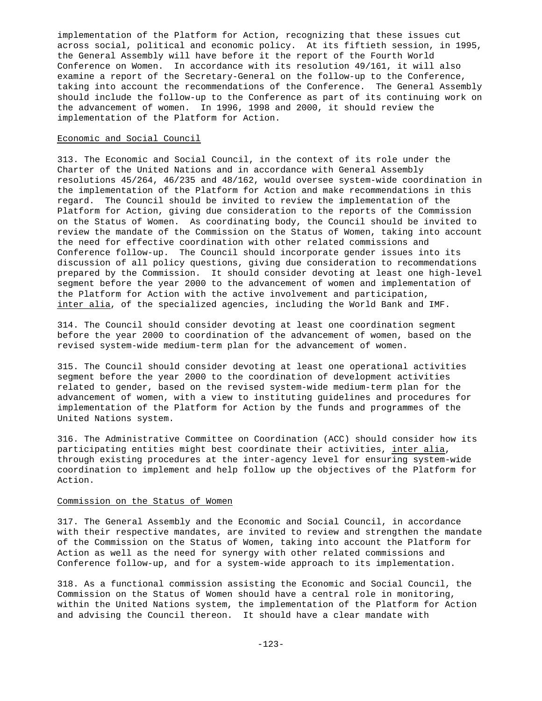implementation of the Platform for Action, recognizing that these issues cut across social, political and economic policy. At its fiftieth session, in 1995, the General Assembly will have before it the report of the Fourth World Conference on Women. In accordance with its resolution 49/161, it will also examine a report of the Secretary-General on the follow-up to the Conference, taking into account the recommendations of the Conference. The General Assembly should include the follow-up to the Conference as part of its continuing work on the advancement of women. In 1996, 1998 and 2000, it should review the implementation of the Platform for Action.

#### Economic and Social Council

313. The Economic and Social Council, in the context of its role under the Charter of the United Nations and in accordance with General Assembly resolutions 45/264, 46/235 and 48/162, would oversee system-wide coordination in the implementation of the Platform for Action and make recommendations in this regard. The Council should be invited to review the implementation of the Platform for Action, giving due consideration to the reports of the Commission on the Status of Women. As coordinating body, the Council should be invited to review the mandate of the Commission on the Status of Women, taking into account the need for effective coordination with other related commissions and Conference follow-up. The Council should incorporate gender issues into its discussion of all policy questions, giving due consideration to recommendations prepared by the Commission. It should consider devoting at least one high-level segment before the year 2000 to the advancement of women and implementation of the Platform for Action with the active involvement and participation, inter alia, of the specialized agencies, including the World Bank and IMF.

314. The Council should consider devoting at least one coordination segment before the year 2000 to coordination of the advancement of women, based on the revised system-wide medium-term plan for the advancement of women.

315. The Council should consider devoting at least one operational activities segment before the year 2000 to the coordination of development activities related to gender, based on the revised system-wide medium-term plan for the advancement of women, with a view to instituting guidelines and procedures for implementation of the Platform for Action by the funds and programmes of the United Nations system.

316. The Administrative Committee on Coordination (ACC) should consider how its participating entities might best coordinate their activities, inter alia, through existing procedures at the inter-agency level for ensuring system-wide coordination to implement and help follow up the objectives of the Platform for Action.

# Commission on the Status of Women

317. The General Assembly and the Economic and Social Council, in accordance with their respective mandates, are invited to review and strengthen the mandate of the Commission on the Status of Women, taking into account the Platform for Action as well as the need for synergy with other related commissions and Conference follow-up, and for a system-wide approach to its implementation.

318. As a functional commission assisting the Economic and Social Council, the Commission on the Status of Women should have a central role in monitoring, within the United Nations system, the implementation of the Platform for Action and advising the Council thereon. It should have a clear mandate with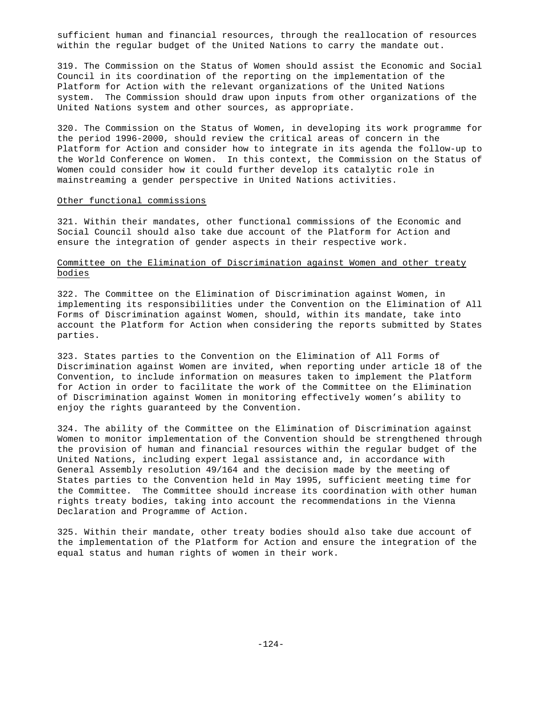sufficient human and financial resources, through the reallocation of resources within the regular budget of the United Nations to carry the mandate out.

319. The Commission on the Status of Women should assist the Economic and Social Council in its coordination of the reporting on the implementation of the Platform for Action with the relevant organizations of the United Nations system. The Commission should draw upon inputs from other organizations of the United Nations system and other sources, as appropriate.

320. The Commission on the Status of Women, in developing its work programme for the period 1996-2000, should review the critical areas of concern in the Platform for Action and consider how to integrate in its agenda the follow-up to the World Conference on Women. In this context, the Commission on the Status of Women could consider how it could further develop its catalytic role in mainstreaming a gender perspective in United Nations activities.

### Other functional commissions

321. Within their mandates, other functional commissions of the Economic and Social Council should also take due account of the Platform for Action and ensure the integration of gender aspects in their respective work.

# Committee on the Elimination of Discrimination against Women and other treaty bodies

322. The Committee on the Elimination of Discrimination against Women, in implementing its responsibilities under the Convention on the Elimination of All Forms of Discrimination against Women, should, within its mandate, take into account the Platform for Action when considering the reports submitted by States parties.

323. States parties to the Convention on the Elimination of All Forms of Discrimination against Women are invited, when reporting under article 18 of the Convention, to include information on measures taken to implement the Platform for Action in order to facilitate the work of the Committee on the Elimination of Discrimination against Women in monitoring effectively women's ability to enjoy the rights guaranteed by the Convention.

324. The ability of the Committee on the Elimination of Discrimination against Women to monitor implementation of the Convention should be strengthened through the provision of human and financial resources within the regular budget of the United Nations, including expert legal assistance and, in accordance with General Assembly resolution 49/164 and the decision made by the meeting of States parties to the Convention held in May 1995, sufficient meeting time for the Committee. The Committee should increase its coordination with other human rights treaty bodies, taking into account the recommendations in the Vienna Declaration and Programme of Action.

325. Within their mandate, other treaty bodies should also take due account of the implementation of the Platform for Action and ensure the integration of the equal status and human rights of women in their work.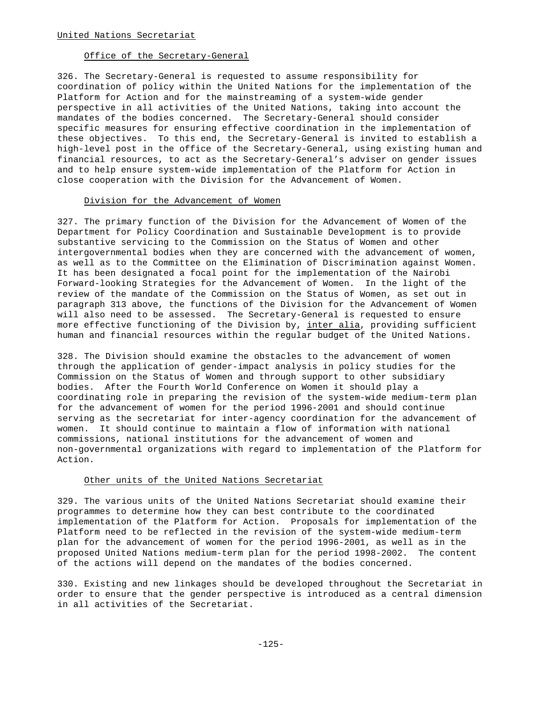#### Office of the Secretary-General

326. The Secretary-General is requested to assume responsibility for coordination of policy within the United Nations for the implementation of the Platform for Action and for the mainstreaming of a system-wide gender perspective in all activities of the United Nations, taking into account the mandates of the bodies concerned. The Secretary-General should consider specific measures for ensuring effective coordination in the implementation of these objectives. To this end, the Secretary-General is invited to establish a high-level post in the office of the Secretary-General, using existing human and financial resources, to act as the Secretary-General's adviser on gender issues and to help ensure system-wide implementation of the Platform for Action in close cooperation with the Division for the Advancement of Women.

### Division for the Advancement of Women

327. The primary function of the Division for the Advancement of Women of the Department for Policy Coordination and Sustainable Development is to provide substantive servicing to the Commission on the Status of Women and other intergovernmental bodies when they are concerned with the advancement of women, as well as to the Committee on the Elimination of Discrimination against Women. It has been designated a focal point for the implementation of the Nairobi Forward-looking Strategies for the Advancement of Women. In the light of the review of the mandate of the Commission on the Status of Women, as set out in paragraph 313 above, the functions of the Division for the Advancement of Women will also need to be assessed. The Secretary-General is requested to ensure more effective functioning of the Division by, inter alia, providing sufficient human and financial resources within the regular budget of the United Nations.

328. The Division should examine the obstacles to the advancement of women through the application of gender-impact analysis in policy studies for the Commission on the Status of Women and through support to other subsidiary bodies. After the Fourth World Conference on Women it should play a coordinating role in preparing the revision of the system-wide medium-term plan for the advancement of women for the period 1996-2001 and should continue serving as the secretariat for inter-agency coordination for the advancement of women. It should continue to maintain a flow of information with national commissions, national institutions for the advancement of women and non-governmental organizations with regard to implementation of the Platform for Action.

# Other units of the United Nations Secretariat

329. The various units of the United Nations Secretariat should examine their programmes to determine how they can best contribute to the coordinated implementation of the Platform for Action. Proposals for implementation of the Platform need to be reflected in the revision of the system-wide medium-term plan for the advancement of women for the period 1996-2001, as well as in the proposed United Nations medium-term plan for the period 1998-2002. The content of the actions will depend on the mandates of the bodies concerned.

330. Existing and new linkages should be developed throughout the Secretariat in order to ensure that the gender perspective is introduced as a central dimension in all activities of the Secretariat.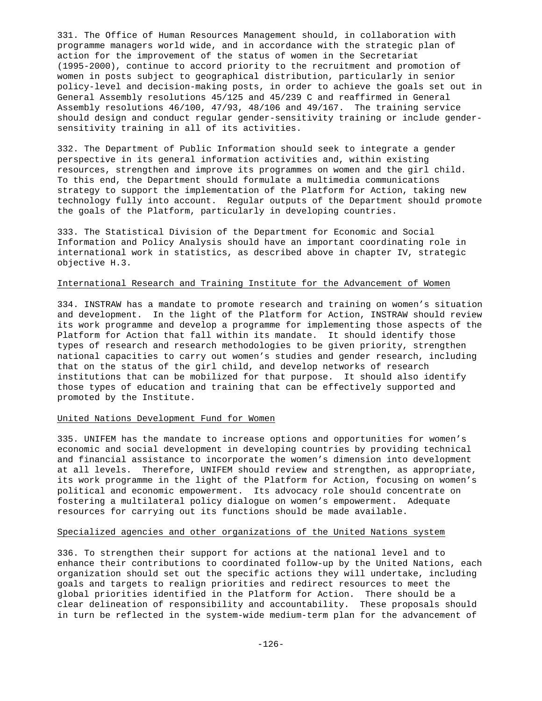331. The Office of Human Resources Management should, in collaboration with programme managers world wide, and in accordance with the strategic plan of action for the improvement of the status of women in the Secretariat (1995-2000), continue to accord priority to the recruitment and promotion of women in posts subject to geographical distribution, particularly in senior policy-level and decision-making posts, in order to achieve the goals set out in General Assembly resolutions 45/125 and 45/239 C and reaffirmed in General Assembly resolutions 46/100, 47/93, 48/106 and 49/167. The training service should design and conduct regular gender-sensitivity training or include gendersensitivity training in all of its activities.

332. The Department of Public Information should seek to integrate a gender perspective in its general information activities and, within existing resources, strengthen and improve its programmes on women and the girl child. To this end, the Department should formulate a multimedia communications strategy to support the implementation of the Platform for Action, taking new technology fully into account. Regular outputs of the Department should promote the goals of the Platform, particularly in developing countries.

333. The Statistical Division of the Department for Economic and Social Information and Policy Analysis should have an important coordinating role in international work in statistics, as described above in chapter IV, strategic objective H.3.

### International Research and Training Institute for the Advancement of Women

334. INSTRAW has a mandate to promote research and training on women's situation and development. In the light of the Platform for Action, INSTRAW should review its work programme and develop a programme for implementing those aspects of the Platform for Action that fall within its mandate. It should identify those types of research and research methodologies to be given priority, strengthen national capacities to carry out women's studies and gender research, including that on the status of the girl child, and develop networks of research institutions that can be mobilized for that purpose. It should also identify those types of education and training that can be effectively supported and promoted by the Institute.

# United Nations Development Fund for Women

335. UNIFEM has the mandate to increase options and opportunities for women's economic and social development in developing countries by providing technical and financial assistance to incorporate the women's dimension into development at all levels. Therefore, UNIFEM should review and strengthen, as appropriate, its work programme in the light of the Platform for Action, focusing on women's political and economic empowerment. Its advocacy role should concentrate on fostering a multilateral policy dialogue on women's empowerment. Adequate resources for carrying out its functions should be made available.

### Specialized agencies and other organizations of the United Nations system

336. To strengthen their support for actions at the national level and to enhance their contributions to coordinated follow-up by the United Nations, each organization should set out the specific actions they will undertake, including goals and targets to realign priorities and redirect resources to meet the global priorities identified in the Platform for Action. There should be a clear delineation of responsibility and accountability. These proposals should in turn be reflected in the system-wide medium-term plan for the advancement of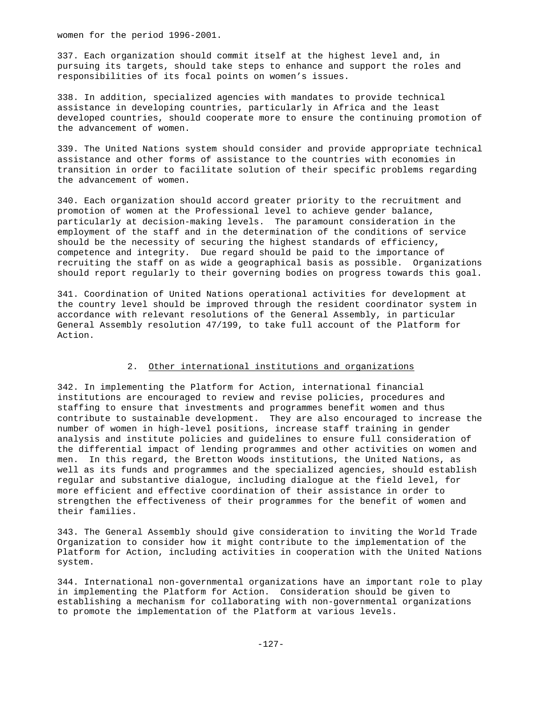women for the period 1996-2001.

337. Each organization should commit itself at the highest level and, in pursuing its targets, should take steps to enhance and support the roles and responsibilities of its focal points on women's issues.

338. In addition, specialized agencies with mandates to provide technical assistance in developing countries, particularly in Africa and the least developed countries, should cooperate more to ensure the continuing promotion of the advancement of women.

339. The United Nations system should consider and provide appropriate technical assistance and other forms of assistance to the countries with economies in transition in order to facilitate solution of their specific problems regarding the advancement of women.

340. Each organization should accord greater priority to the recruitment and promotion of women at the Professional level to achieve gender balance, particularly at decision-making levels. The paramount consideration in the employment of the staff and in the determination of the conditions of service should be the necessity of securing the highest standards of efficiency, competence and integrity. Due regard should be paid to the importance of recruiting the staff on as wide a geographical basis as possible. Organizations should report regularly to their governing bodies on progress towards this goal.

341. Coordination of United Nations operational activities for development at the country level should be improved through the resident coordinator system in accordance with relevant resolutions of the General Assembly, in particular General Assembly resolution 47/199, to take full account of the Platform for Action.

# 2. Other international institutions and organizations

342. In implementing the Platform for Action, international financial institutions are encouraged to review and revise policies, procedures and staffing to ensure that investments and programmes benefit women and thus contribute to sustainable development. They are also encouraged to increase the number of women in high-level positions, increase staff training in gender analysis and institute policies and guidelines to ensure full consideration of the differential impact of lending programmes and other activities on women and men. In this regard, the Bretton Woods institutions, the United Nations, as well as its funds and programmes and the specialized agencies, should establish regular and substantive dialogue, including dialogue at the field level, for more efficient and effective coordination of their assistance in order to strengthen the effectiveness of their programmes for the benefit of women and their families.

343. The General Assembly should give consideration to inviting the World Trade Organization to consider how it might contribute to the implementation of the Platform for Action, including activities in cooperation with the United Nations system.

344. International non-governmental organizations have an important role to play in implementing the Platform for Action. Consideration should be given to establishing a mechanism for collaborating with non-governmental organizations to promote the implementation of the Platform at various levels.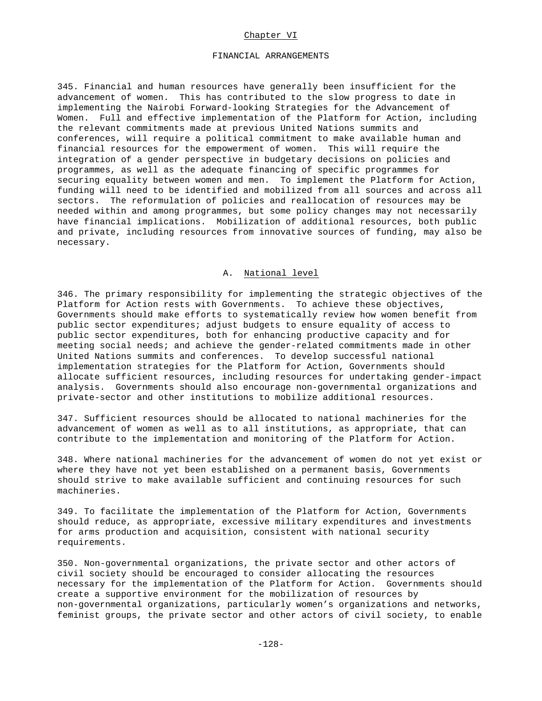### Chapter VI

#### FINANCIAL ARRANGEMENTS

345. Financial and human resources have generally been insufficient for the advancement of women. This has contributed to the slow progress to date in implementing the Nairobi Forward-looking Strategies for the Advancement of Women. Full and effective implementation of the Platform for Action, including the relevant commitments made at previous United Nations summits and conferences, will require a political commitment to make available human and financial resources for the empowerment of women. This will require the integration of a gender perspective in budgetary decisions on policies and programmes, as well as the adequate financing of specific programmes for securing equality between women and men. To implement the Platform for Action, funding will need to be identified and mobilized from all sources and across all sectors. The reformulation of policies and reallocation of resources may be needed within and among programmes, but some policy changes may not necessarily have financial implications. Mobilization of additional resources, both public and private, including resources from innovative sources of funding, may also be necessary.

# A. National level

346. The primary responsibility for implementing the strategic objectives of the Platform for Action rests with Governments. To achieve these objectives, Governments should make efforts to systematically review how women benefit from public sector expenditures; adjust budgets to ensure equality of access to public sector expenditures, both for enhancing productive capacity and for meeting social needs; and achieve the gender-related commitments made in other United Nations summits and conferences. To develop successful national implementation strategies for the Platform for Action, Governments should allocate sufficient resources, including resources for undertaking gender-impact analysis. Governments should also encourage non-governmental organizations and private-sector and other institutions to mobilize additional resources.

347. Sufficient resources should be allocated to national machineries for the advancement of women as well as to all institutions, as appropriate, that can contribute to the implementation and monitoring of the Platform for Action.

348. Where national machineries for the advancement of women do not yet exist or where they have not yet been established on a permanent basis, Governments should strive to make available sufficient and continuing resources for such machineries.

349. To facilitate the implementation of the Platform for Action, Governments should reduce, as appropriate, excessive military expenditures and investments for arms production and acquisition, consistent with national security requirements.

350. Non-governmental organizations, the private sector and other actors of civil society should be encouraged to consider allocating the resources necessary for the implementation of the Platform for Action. Governments should create a supportive environment for the mobilization of resources by non-governmental organizations, particularly women's organizations and networks, feminist groups, the private sector and other actors of civil society, to enable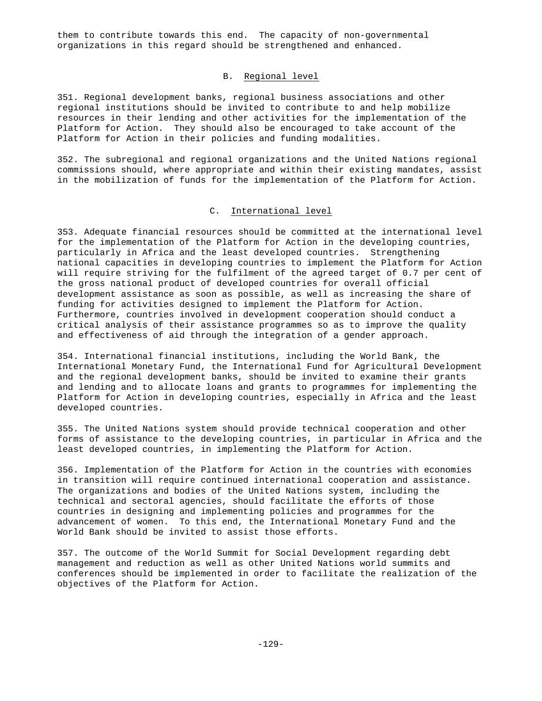them to contribute towards this end. The capacity of non-governmental organizations in this regard should be strengthened and enhanced.

### B. Regional level

351. Regional development banks, regional business associations and other regional institutions should be invited to contribute to and help mobilize resources in their lending and other activities for the implementation of the Platform for Action. They should also be encouraged to take account of the Platform for Action in their policies and funding modalities.

352. The subregional and regional organizations and the United Nations regional commissions should, where appropriate and within their existing mandates, assist in the mobilization of funds for the implementation of the Platform for Action.

# C. International level

353. Adequate financial resources should be committed at the international level for the implementation of the Platform for Action in the developing countries, particularly in Africa and the least developed countries. Strengthening national capacities in developing countries to implement the Platform for Action will require striving for the fulfilment of the agreed target of 0.7 per cent of the gross national product of developed countries for overall official development assistance as soon as possible, as well as increasing the share of funding for activities designed to implement the Platform for Action. Furthermore, countries involved in development cooperation should conduct a critical analysis of their assistance programmes so as to improve the quality and effectiveness of aid through the integration of a gender approach.

354. International financial institutions, including the World Bank, the International Monetary Fund, the International Fund for Agricultural Development and the regional development banks, should be invited to examine their grants and lending and to allocate loans and grants to programmes for implementing the Platform for Action in developing countries, especially in Africa and the least developed countries.

355. The United Nations system should provide technical cooperation and other forms of assistance to the developing countries, in particular in Africa and the least developed countries, in implementing the Platform for Action.

356. Implementation of the Platform for Action in the countries with economies in transition will require continued international cooperation and assistance. The organizations and bodies of the United Nations system, including the technical and sectoral agencies, should facilitate the efforts of those countries in designing and implementing policies and programmes for the advancement of women. To this end, the International Monetary Fund and the World Bank should be invited to assist those efforts.

357. The outcome of the World Summit for Social Development regarding debt management and reduction as well as other United Nations world summits and conferences should be implemented in order to facilitate the realization of the objectives of the Platform for Action.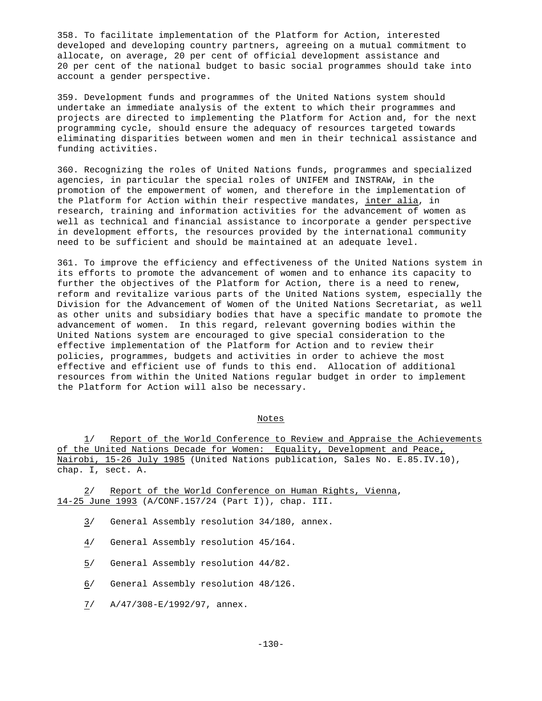358. To facilitate implementation of the Platform for Action, interested developed and developing country partners, agreeing on a mutual commitment to allocate, on average, 20 per cent of official development assistance and 20 per cent of the national budget to basic social programmes should take into account a gender perspective.

359. Development funds and programmes of the United Nations system should undertake an immediate analysis of the extent to which their programmes and projects are directed to implementing the Platform for Action and, for the next programming cycle, should ensure the adequacy of resources targeted towards eliminating disparities between women and men in their technical assistance and funding activities.

360. Recognizing the roles of United Nations funds, programmes and specialized agencies, in particular the special roles of UNIFEM and INSTRAW, in the promotion of the empowerment of women, and therefore in the implementation of the Platform for Action within their respective mandates, inter alia, in research, training and information activities for the advancement of women as well as technical and financial assistance to incorporate a gender perspective in development efforts, the resources provided by the international community need to be sufficient and should be maintained at an adequate level.

361. To improve the efficiency and effectiveness of the United Nations system in its efforts to promote the advancement of women and to enhance its capacity to further the objectives of the Platform for Action, there is a need to renew, reform and revitalize various parts of the United Nations system, especially the Division for the Advancement of Women of the United Nations Secretariat, as well as other units and subsidiary bodies that have a specific mandate to promote the advancement of women. In this regard, relevant governing bodies within the United Nations system are encouraged to give special consideration to the effective implementation of the Platform for Action and to review their policies, programmes, budgets and activities in order to achieve the most effective and efficient use of funds to this end. Allocation of additional resources from within the United Nations regular budget in order to implement the Platform for Action will also be necessary.

### Notes

1/ Report of the World Conference to Review and Appraise the Achievements of the United Nations Decade for Women: Equality, Development and Peace, Nairobi, 15-26 July 1985 (United Nations publication, Sales No. E.85.IV.10), chap. I, sect. A.

2/ Report of the World Conference on Human Rights, Vienna, 14-25 June 1993 (A/CONF.157/24 (Part I)), chap. III.

- 3/ General Assembly resolution 34/180, annex.
- 4/ General Assembly resolution 45/164.
- 5/ General Assembly resolution 44/82.
- 6/ General Assembly resolution 48/126.
- 7/ A/47/308-E/1992/97, annex.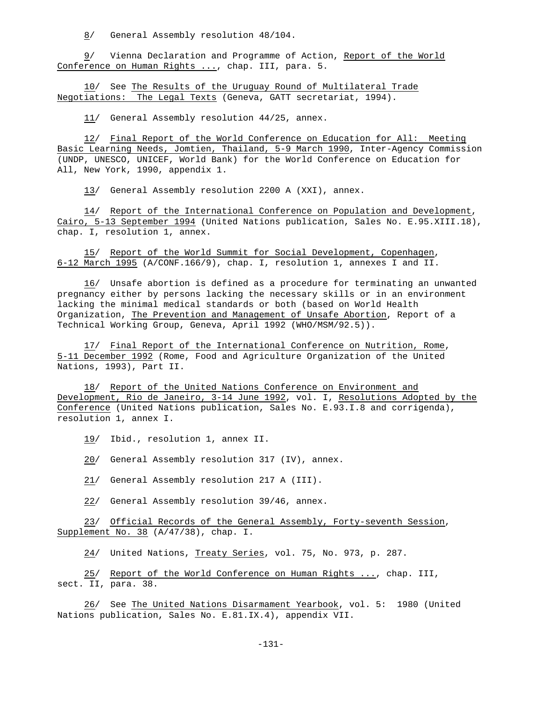8/ General Assembly resolution 48/104.

9/ Vienna Declaration and Programme of Action, Report of the World Conference on Human Rights ..., chap. III, para. 5.

10/ See The Results of the Uruguay Round of Multilateral Trade Negotiations: The Legal Texts (Geneva, GATT secretariat, 1994).

11/ General Assembly resolution 44/25, annex.

12/ Final Report of the World Conference on Education for All: Meeting Basic Learning Needs, Jomtien, Thailand, 5-9 March 1990, Inter-Agency Commission (UNDP, UNESCO, UNICEF, World Bank) for the World Conference on Education for All, New York, 1990, appendix 1.

13/ General Assembly resolution 2200 A (XXI), annex.

14/ Report of the International Conference on Population and Development, Cairo, 5-13 September 1994 (United Nations publication, Sales No. E.95.XIII.18), chap. I, resolution 1, annex.

15/ Report of the World Summit for Social Development, Copenhagen, 6-12 March 1995 (A/CONF.166/9), chap. I, resolution 1, annexes I and II.

16/ Unsafe abortion is defined as a procedure for terminating an unwanted pregnancy either by persons lacking the necessary skills or in an environment lacking the minimal medical standards or both (based on World Health Organization, The Prevention and Management of Unsafe Abortion, Report of a Technical Working Group, Geneva, April 1992 (WHO/MSM/92.5)).

17/ Final Report of the International Conference on Nutrition, Rome, 5-11 December 1992 (Rome, Food and Agriculture Organization of the United Nations, 1993), Part II.

18/ Report of the United Nations Conference on Environment and Development, Rio de Janeiro, 3-14 June 1992, vol. I, Resolutions Adopted by the Conference (United Nations publication, Sales No. E.93.I.8 and corrigenda), resolution 1, annex I.

19/ Ibid., resolution 1, annex II.

20/ General Assembly resolution 317 (IV), annex.

21/ General Assembly resolution 217 A (III).

22/ General Assembly resolution 39/46, annex.

23/ Official Records of the General Assembly, Forty-seventh Session, Supplement No. 38 (A/47/38), chap. I.

24/ United Nations, Treaty Series, vol. 75, No. 973, p. 287.

25/ Report of the World Conference on Human Rights ..., chap. III, sect. II, para. 38.

26/ See The United Nations Disarmament Yearbook, vol. 5: 1980 (United Nations publication, Sales No. E.81.IX.4), appendix VII.